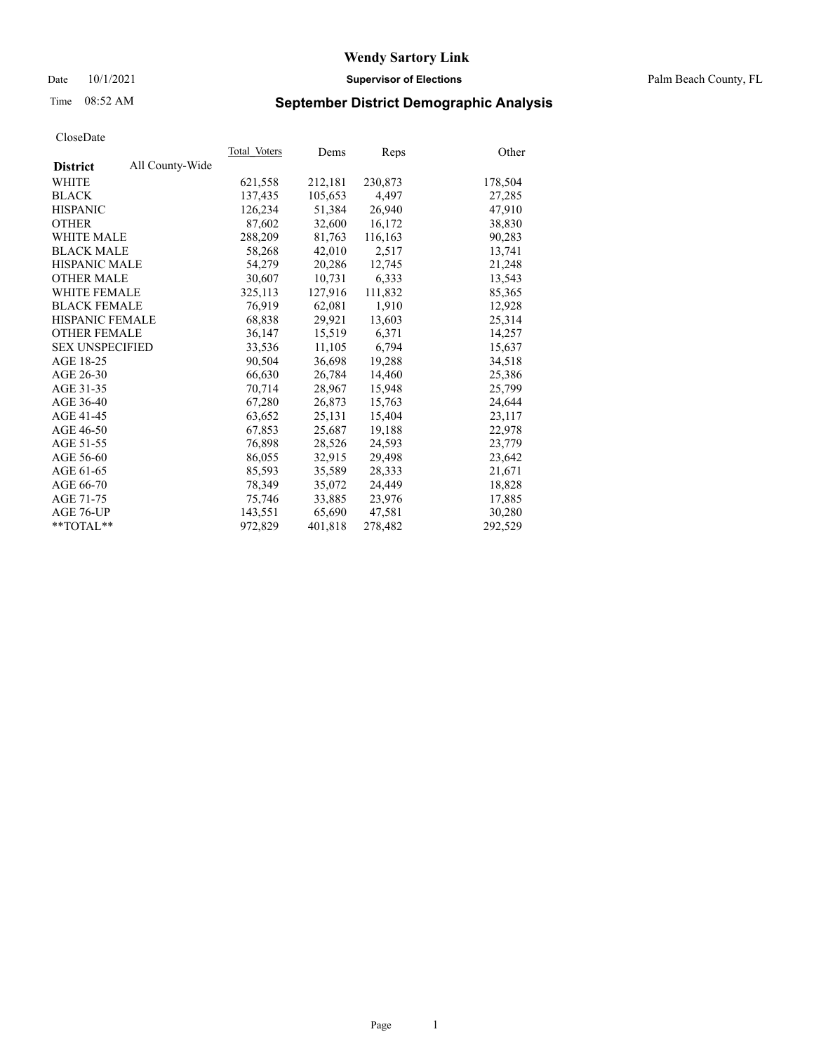#### Date 10/1/2021 **Supervisor of Elections** Palm Beach County, FL

## Time 08:52 AM **September District Demographic Analysis**

|                        |                 | Total Voters | Dems    | Reps    | Other   |
|------------------------|-----------------|--------------|---------|---------|---------|
| <b>District</b>        | All County-Wide |              |         |         |         |
| WHITE                  |                 | 621,558      | 212,181 | 230,873 | 178,504 |
| <b>BLACK</b>           |                 | 137,435      | 105,653 | 4,497   | 27,285  |
| <b>HISPANIC</b>        |                 | 126,234      | 51,384  | 26,940  | 47,910  |
| <b>OTHER</b>           |                 | 87,602       | 32,600  | 16,172  | 38,830  |
| <b>WHITE MALE</b>      |                 | 288,209      | 81.763  | 116,163 | 90,283  |
| <b>BLACK MALE</b>      |                 | 58,268       | 42,010  | 2,517   | 13,741  |
| <b>HISPANIC MALE</b>   |                 | 54,279       | 20,286  | 12,745  | 21,248  |
| <b>OTHER MALE</b>      |                 | 30,607       | 10,731  | 6,333   | 13,543  |
| <b>WHITE FEMALE</b>    |                 | 325,113      | 127,916 | 111,832 | 85,365  |
| <b>BLACK FEMALE</b>    |                 | 76,919       | 62,081  | 1,910   | 12,928  |
| <b>HISPANIC FEMALE</b> |                 | 68,838       | 29,921  | 13,603  | 25,314  |
| <b>OTHER FEMALE</b>    |                 | 36,147       | 15,519  | 6,371   | 14,257  |
| <b>SEX UNSPECIFIED</b> |                 | 33,536       | 11,105  | 6,794   | 15,637  |
| AGE 18-25              |                 | 90,504       | 36,698  | 19,288  | 34,518  |
| AGE 26-30              |                 | 66,630       | 26.784  | 14,460  | 25,386  |
| AGE 31-35              |                 | 70,714       | 28,967  | 15,948  | 25,799  |
| AGE 36-40              |                 | 67,280       | 26,873  | 15,763  | 24,644  |
| AGE 41-45              |                 | 63,652       | 25,131  | 15,404  | 23,117  |
| AGE 46-50              |                 | 67,853       | 25,687  | 19,188  | 22,978  |
| AGE 51-55              |                 | 76,898       | 28,526  | 24,593  | 23,779  |
| AGE 56-60              |                 | 86,055       | 32,915  | 29,498  | 23,642  |
| AGE 61-65              |                 | 85,593       | 35,589  | 28,333  | 21,671  |
| AGE 66-70              |                 | 78,349       | 35,072  | 24,449  | 18,828  |
| AGE 71-75              |                 | 75,746       | 33,885  | 23,976  | 17,885  |
| AGE 76-UP              |                 | 143,551      | 65,690  | 47,581  | 30,280  |
| $*$ $TOTAL**$          |                 | 972,829      | 401,818 | 278,482 | 292,529 |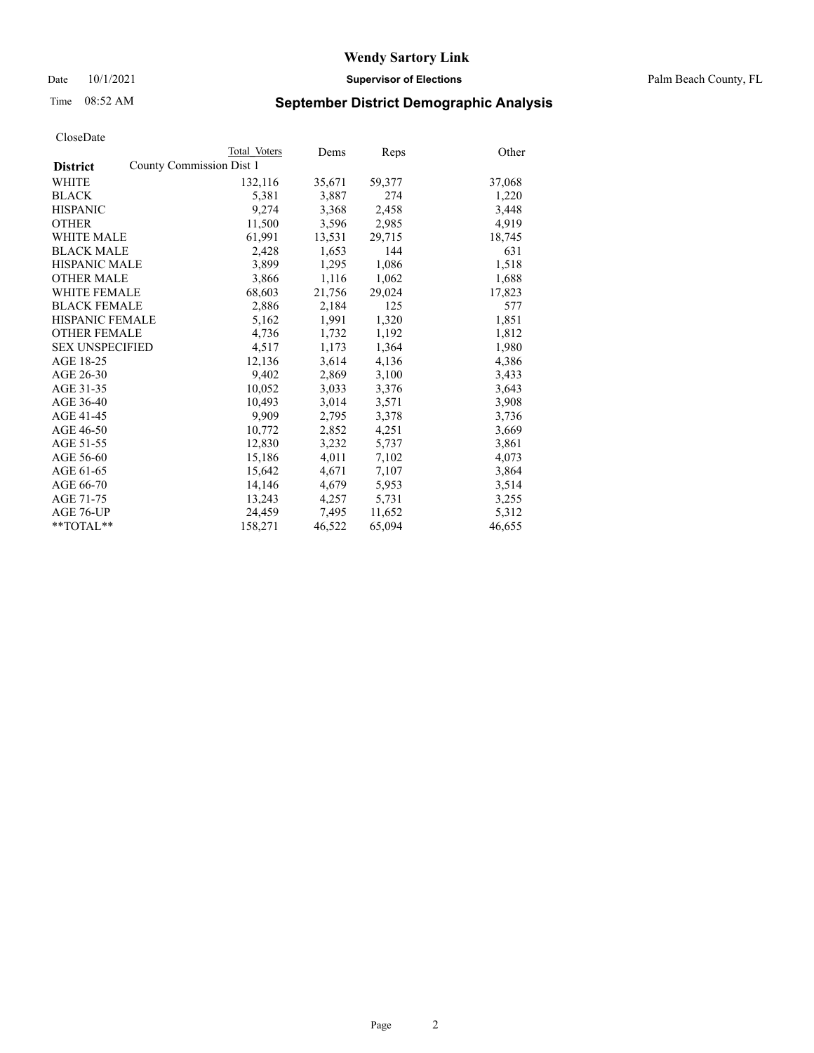## Time 08:52 AM **September District Demographic Analysis**

|                                             | Total Voters | Dems   | <b>Reps</b> | Other  |
|---------------------------------------------|--------------|--------|-------------|--------|
| County Commission Dist 1<br><b>District</b> |              |        |             |        |
| <b>WHITE</b>                                | 132,116      | 35,671 | 59,377      | 37,068 |
| <b>BLACK</b>                                | 5,381        | 3,887  | 274         | 1,220  |
| <b>HISPANIC</b>                             | 9,274        | 3,368  | 2,458       | 3,448  |
| <b>OTHER</b>                                | 11,500       | 3,596  | 2,985       | 4,919  |
| <b>WHITE MALE</b>                           | 61,991       | 13,531 | 29,715      | 18,745 |
| <b>BLACK MALE</b>                           | 2,428        | 1,653  | 144         | 631    |
| <b>HISPANIC MALE</b>                        | 3,899        | 1,295  | 1,086       | 1,518  |
| <b>OTHER MALE</b>                           | 3,866        | 1,116  | 1,062       | 1,688  |
| <b>WHITE FEMALE</b>                         | 68,603       | 21,756 | 29,024      | 17,823 |
| <b>BLACK FEMALE</b>                         | 2,886        | 2,184  | 125         | 577    |
| <b>HISPANIC FEMALE</b>                      | 5,162        | 1,991  | 1,320       | 1,851  |
| <b>OTHER FEMALE</b>                         | 4,736        | 1,732  | 1,192       | 1,812  |
| <b>SEX UNSPECIFIED</b>                      | 4,517        | 1,173  | 1,364       | 1,980  |
| AGE 18-25                                   | 12,136       | 3,614  | 4,136       | 4,386  |
| AGE 26-30                                   | 9,402        | 2,869  | 3,100       | 3,433  |
| AGE 31-35                                   | 10,052       | 3,033  | 3,376       | 3,643  |
| AGE 36-40                                   | 10,493       | 3,014  | 3,571       | 3,908  |
| AGE 41-45                                   | 9,909        | 2,795  | 3,378       | 3,736  |
| AGE 46-50                                   | 10,772       | 2,852  | 4,251       | 3,669  |
| AGE 51-55                                   | 12,830       | 3,232  | 5,737       | 3,861  |
| AGE 56-60                                   | 15,186       | 4,011  | 7,102       | 4,073  |
| AGE 61-65                                   | 15,642       | 4,671  | 7,107       | 3,864  |
| AGE 66-70                                   | 14,146       | 4,679  | 5,953       | 3,514  |
| AGE 71-75                                   | 13,243       | 4,257  | 5,731       | 3,255  |
| AGE 76-UP                                   | 24,459       | 7,495  | 11,652      | 5,312  |
| $*$ $TOTAL**$                               | 158,271      | 46,522 | 65,094      | 46,655 |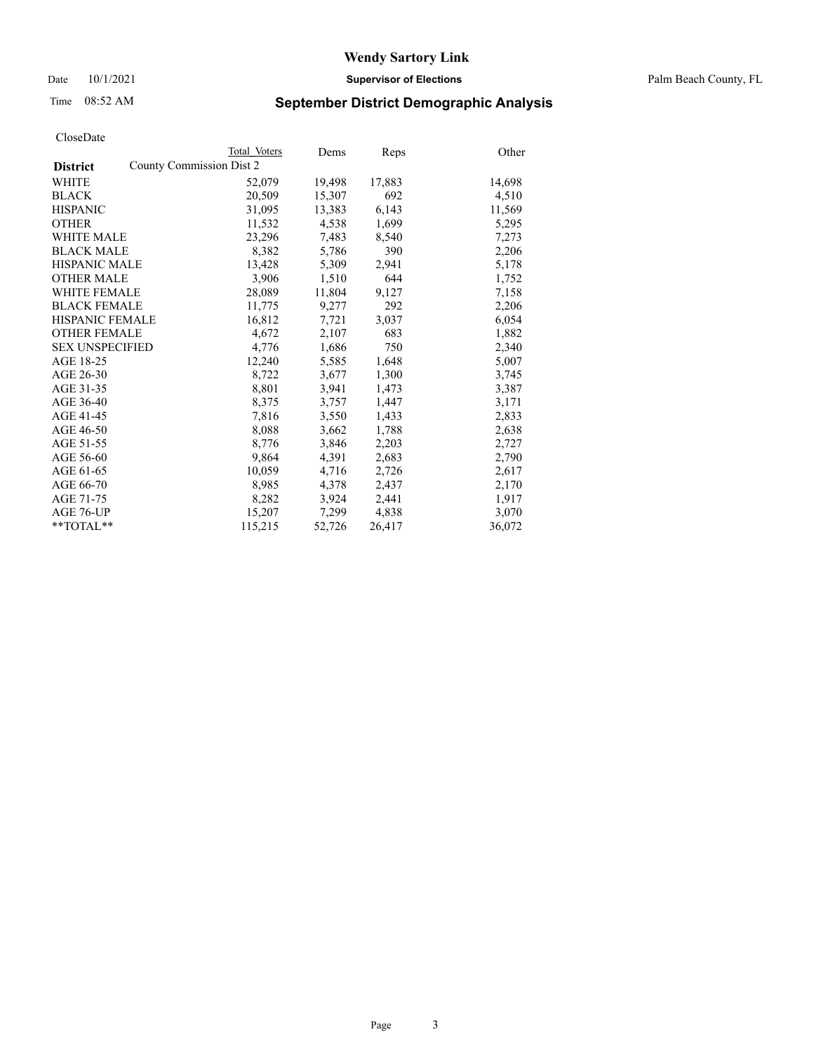## Time 08:52 AM **September District Demographic Analysis**

|                        | Total Voters             | Dems   | <b>Reps</b> | Other  |
|------------------------|--------------------------|--------|-------------|--------|
| <b>District</b>        | County Commission Dist 2 |        |             |        |
| WHITE                  | 52,079                   | 19,498 | 17,883      | 14,698 |
| <b>BLACK</b>           | 20,509                   | 15,307 | 692         | 4,510  |
| <b>HISPANIC</b>        | 31,095                   | 13,383 | 6,143       | 11,569 |
| <b>OTHER</b>           | 11,532                   | 4,538  | 1,699       | 5,295  |
| <b>WHITE MALE</b>      | 23,296                   | 7,483  | 8,540       | 7,273  |
| <b>BLACK MALE</b>      | 8,382                    | 5,786  | 390         | 2,206  |
| <b>HISPANIC MALE</b>   | 13,428                   | 5,309  | 2,941       | 5,178  |
| <b>OTHER MALE</b>      | 3,906                    | 1,510  | 644         | 1,752  |
| <b>WHITE FEMALE</b>    | 28,089                   | 11,804 | 9,127       | 7,158  |
| <b>BLACK FEMALE</b>    | 11,775                   | 9,277  | 292         | 2,206  |
| <b>HISPANIC FEMALE</b> | 16,812                   | 7,721  | 3,037       | 6,054  |
| <b>OTHER FEMALE</b>    | 4,672                    | 2,107  | 683         | 1,882  |
| <b>SEX UNSPECIFIED</b> | 4.776                    | 1,686  | 750         | 2,340  |
| AGE 18-25              | 12,240                   | 5,585  | 1,648       | 5,007  |
| AGE 26-30              | 8,722                    | 3,677  | 1,300       | 3,745  |
| AGE 31-35              | 8,801                    | 3,941  | 1,473       | 3,387  |
| AGE 36-40              | 8,375                    | 3,757  | 1,447       | 3,171  |
| AGE 41-45              | 7,816                    | 3,550  | 1,433       | 2,833  |
| AGE 46-50              | 8,088                    | 3,662  | 1,788       | 2,638  |
| AGE 51-55              | 8,776                    | 3,846  | 2,203       | 2,727  |
| AGE 56-60              | 9,864                    | 4,391  | 2,683       | 2,790  |
| AGE 61-65              | 10,059                   | 4,716  | 2,726       | 2,617  |
| AGE 66-70              | 8,985                    | 4,378  | 2,437       | 2,170  |
| AGE 71-75              | 8,282                    | 3,924  | 2,441       | 1,917  |
| AGE 76-UP              | 15,207                   | 7,299  | 4,838       | 3,070  |
| $*$ $TOTAL**$          | 115,215                  | 52,726 | 26,417      | 36,072 |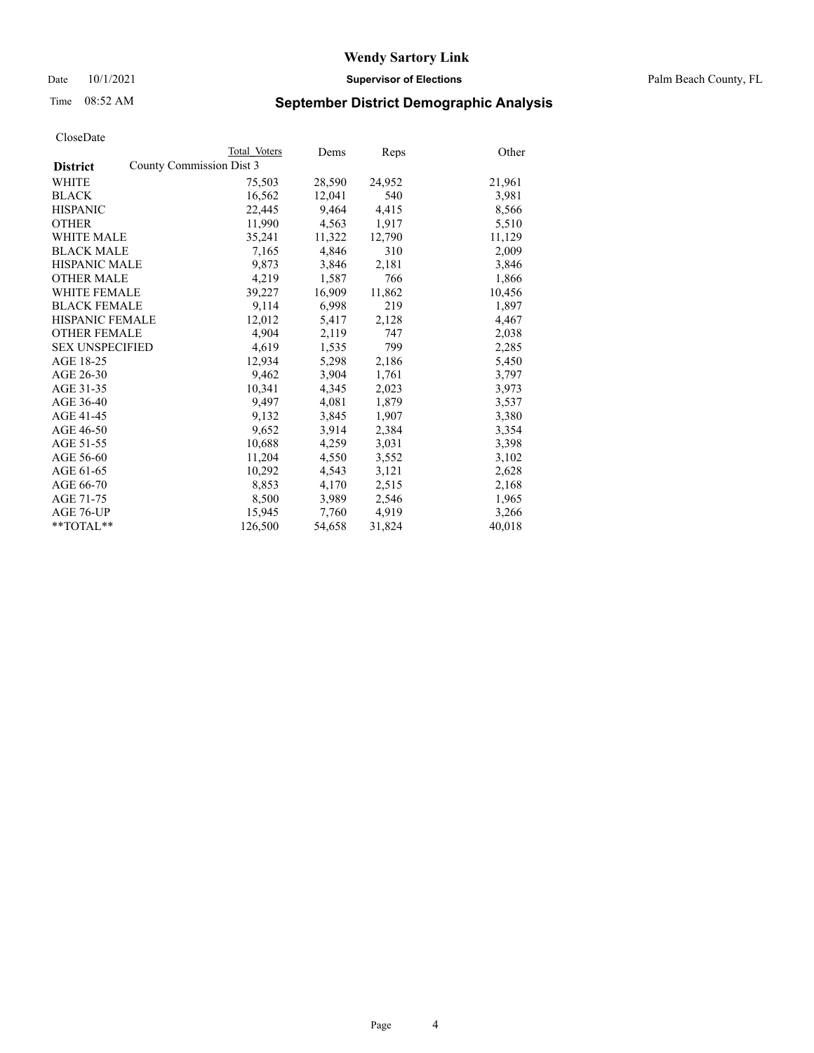## Time 08:52 AM **September District Demographic Analysis**

|                        |                          | Total Voters | Dems   | Reps   | Other  |
|------------------------|--------------------------|--------------|--------|--------|--------|
| <b>District</b>        | County Commission Dist 3 |              |        |        |        |
| <b>WHITE</b>           |                          | 75,503       | 28,590 | 24,952 | 21,961 |
| <b>BLACK</b>           |                          | 16,562       | 12,041 | 540    | 3,981  |
| <b>HISPANIC</b>        |                          | 22,445       | 9,464  | 4,415  | 8,566  |
| <b>OTHER</b>           |                          | 11,990       | 4,563  | 1,917  | 5,510  |
| <b>WHITE MALE</b>      |                          | 35,241       | 11,322 | 12,790 | 11,129 |
| <b>BLACK MALE</b>      |                          | 7,165        | 4,846  | 310    | 2,009  |
| <b>HISPANIC MALE</b>   |                          | 9,873        | 3,846  | 2,181  | 3,846  |
| <b>OTHER MALE</b>      |                          | 4,219        | 1,587  | 766    | 1,866  |
| <b>WHITE FEMALE</b>    |                          | 39,227       | 16,909 | 11,862 | 10,456 |
| <b>BLACK FEMALE</b>    |                          | 9,114        | 6,998  | 219    | 1,897  |
| <b>HISPANIC FEMALE</b> |                          | 12,012       | 5,417  | 2,128  | 4,467  |
| <b>OTHER FEMALE</b>    |                          | 4,904        | 2,119  | 747    | 2,038  |
| <b>SEX UNSPECIFIED</b> |                          | 4,619        | 1,535  | 799    | 2,285  |
| AGE 18-25              |                          | 12,934       | 5,298  | 2,186  | 5,450  |
| AGE 26-30              |                          | 9,462        | 3,904  | 1,761  | 3,797  |
| AGE 31-35              |                          | 10,341       | 4,345  | 2,023  | 3,973  |
| AGE 36-40              |                          | 9,497        | 4,081  | 1,879  | 3,537  |
| AGE 41-45              |                          | 9,132        | 3,845  | 1,907  | 3,380  |
| AGE 46-50              |                          | 9,652        | 3,914  | 2,384  | 3,354  |
| AGE 51-55              |                          | 10,688       | 4,259  | 3,031  | 3,398  |
| AGE 56-60              |                          | 11,204       | 4,550  | 3,552  | 3,102  |
| AGE 61-65              |                          | 10,292       | 4,543  | 3,121  | 2,628  |
| AGE 66-70              |                          | 8,853        | 4,170  | 2,515  | 2,168  |
| AGE 71-75              |                          | 8,500        | 3,989  | 2,546  | 1,965  |
| AGE 76-UP              |                          | 15,945       | 7,760  | 4,919  | 3,266  |
| $*$ $TOTAL**$          |                          | 126,500      | 54,658 | 31,824 | 40,018 |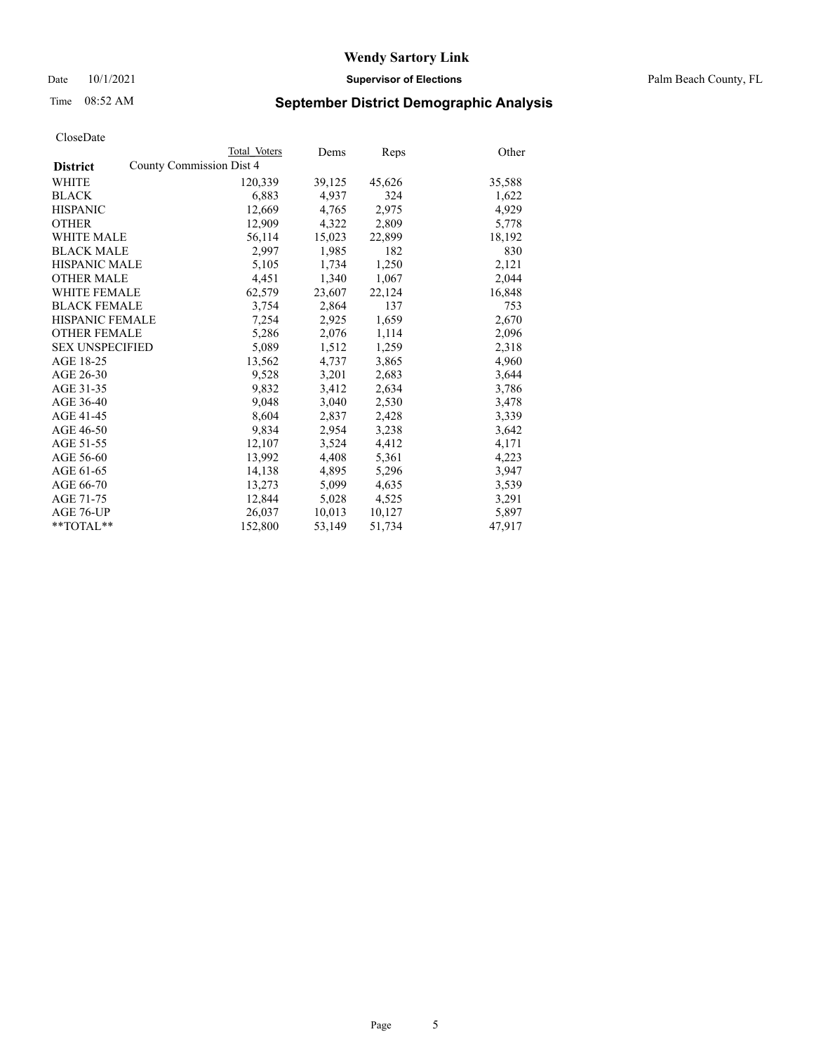Date 10/1/2021 **Supervisor of Elections** Palm Beach County, FL

## Time 08:52 AM **September District Demographic Analysis**

|                                             | Total Voters | Dems   | <b>Reps</b> | Other  |
|---------------------------------------------|--------------|--------|-------------|--------|
| County Commission Dist 4<br><b>District</b> |              |        |             |        |
| WHITE                                       | 120,339      | 39,125 | 45,626      | 35,588 |
| <b>BLACK</b>                                | 6,883        | 4.937  | 324         | 1,622  |
| <b>HISPANIC</b>                             | 12,669       | 4,765  | 2,975       | 4,929  |
| <b>OTHER</b>                                | 12,909       | 4,322  | 2,809       | 5,778  |
| <b>WHITE MALE</b>                           | 56,114       | 15,023 | 22,899      | 18,192 |
| <b>BLACK MALE</b>                           | 2,997        | 1,985  | 182         | 830    |
| <b>HISPANIC MALE</b>                        | 5,105        | 1,734  | 1,250       | 2,121  |
| <b>OTHER MALE</b>                           | 4,451        | 1,340  | 1,067       | 2,044  |
| <b>WHITE FEMALE</b>                         | 62,579       | 23,607 | 22,124      | 16,848 |
| <b>BLACK FEMALE</b>                         | 3,754        | 2,864  | 137         | 753    |
| <b>HISPANIC FEMALE</b>                      | 7,254        | 2,925  | 1,659       | 2,670  |
| <b>OTHER FEMALE</b>                         | 5,286        | 2,076  | 1,114       | 2,096  |
| <b>SEX UNSPECIFIED</b>                      | 5,089        | 1,512  | 1,259       | 2,318  |
| AGE 18-25                                   | 13,562       | 4,737  | 3,865       | 4,960  |
| AGE 26-30                                   | 9,528        | 3,201  | 2,683       | 3,644  |
| AGE 31-35                                   | 9,832        | 3,412  | 2,634       | 3,786  |
| AGE 36-40                                   | 9,048        | 3,040  | 2,530       | 3,478  |
| AGE 41-45                                   | 8,604        | 2,837  | 2,428       | 3,339  |
| AGE 46-50                                   | 9,834        | 2,954  | 3,238       | 3,642  |
| AGE 51-55                                   | 12,107       | 3,524  | 4,412       | 4,171  |
| AGE 56-60                                   | 13,992       | 4,408  | 5,361       | 4,223  |
| AGE 61-65                                   | 14,138       | 4,895  | 5,296       | 3,947  |
| AGE 66-70                                   | 13,273       | 5,099  | 4,635       | 3,539  |
| AGE 71-75                                   | 12,844       | 5,028  | 4,525       | 3,291  |
| AGE 76-UP                                   | 26,037       | 10,013 | 10,127      | 5,897  |
| **TOTAL**                                   | 152,800      | 53,149 | 51,734      | 47,917 |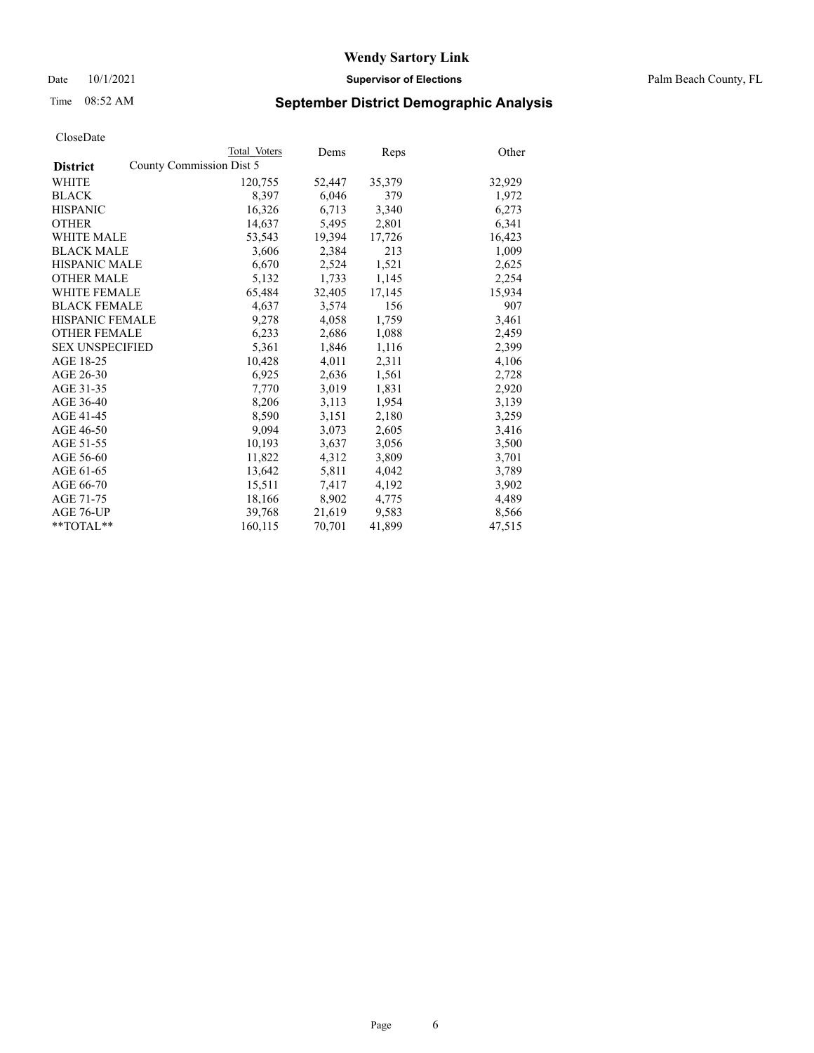Date 10/1/2021 **Supervisor of Elections** Palm Beach County, FL

## Time 08:52 AM **September District Demographic Analysis**

|                        | Total Voters             | Dems   | Reps   | Other  |
|------------------------|--------------------------|--------|--------|--------|
| <b>District</b>        | County Commission Dist 5 |        |        |        |
| <b>WHITE</b>           | 120,755                  | 52,447 | 35,379 | 32,929 |
| <b>BLACK</b>           | 8,397                    | 6,046  | 379    | 1,972  |
| <b>HISPANIC</b>        | 16,326                   | 6,713  | 3,340  | 6,273  |
| <b>OTHER</b>           | 14,637                   | 5,495  | 2,801  | 6,341  |
| <b>WHITE MALE</b>      | 53,543                   | 19,394 | 17,726 | 16,423 |
| <b>BLACK MALE</b>      | 3,606                    | 2,384  | 213    | 1,009  |
| <b>HISPANIC MALE</b>   | 6,670                    | 2,524  | 1,521  | 2,625  |
| <b>OTHER MALE</b>      | 5,132                    | 1,733  | 1,145  | 2,254  |
| <b>WHITE FEMALE</b>    | 65,484                   | 32,405 | 17,145 | 15,934 |
| <b>BLACK FEMALE</b>    | 4,637                    | 3,574  | 156    | 907    |
| HISPANIC FEMALE        | 9,278                    | 4,058  | 1,759  | 3,461  |
| <b>OTHER FEMALE</b>    | 6,233                    | 2,686  | 1,088  | 2,459  |
| <b>SEX UNSPECIFIED</b> | 5,361                    | 1,846  | 1,116  | 2,399  |
| AGE 18-25              | 10,428                   | 4,011  | 2,311  | 4,106  |
| AGE 26-30              | 6,925                    | 2,636  | 1,561  | 2,728  |
| AGE 31-35              | 7,770                    | 3,019  | 1,831  | 2,920  |
| AGE 36-40              | 8,206                    | 3,113  | 1,954  | 3,139  |
| AGE 41-45              | 8,590                    | 3,151  | 2,180  | 3,259  |
| AGE 46-50              | 9,094                    | 3,073  | 2,605  | 3,416  |
| AGE 51-55              | 10,193                   | 3,637  | 3,056  | 3,500  |
| AGE 56-60              | 11,822                   | 4,312  | 3,809  | 3,701  |
| AGE 61-65              | 13,642                   | 5,811  | 4,042  | 3,789  |
| AGE 66-70              | 15,511                   | 7,417  | 4,192  | 3,902  |
| AGE 71-75              | 18,166                   | 8,902  | 4,775  | 4,489  |
| AGE 76-UP              | 39,768                   | 21,619 | 9,583  | 8,566  |
| $*$ $TOTAL**$          | 160,115                  | 70,701 | 41,899 | 47,515 |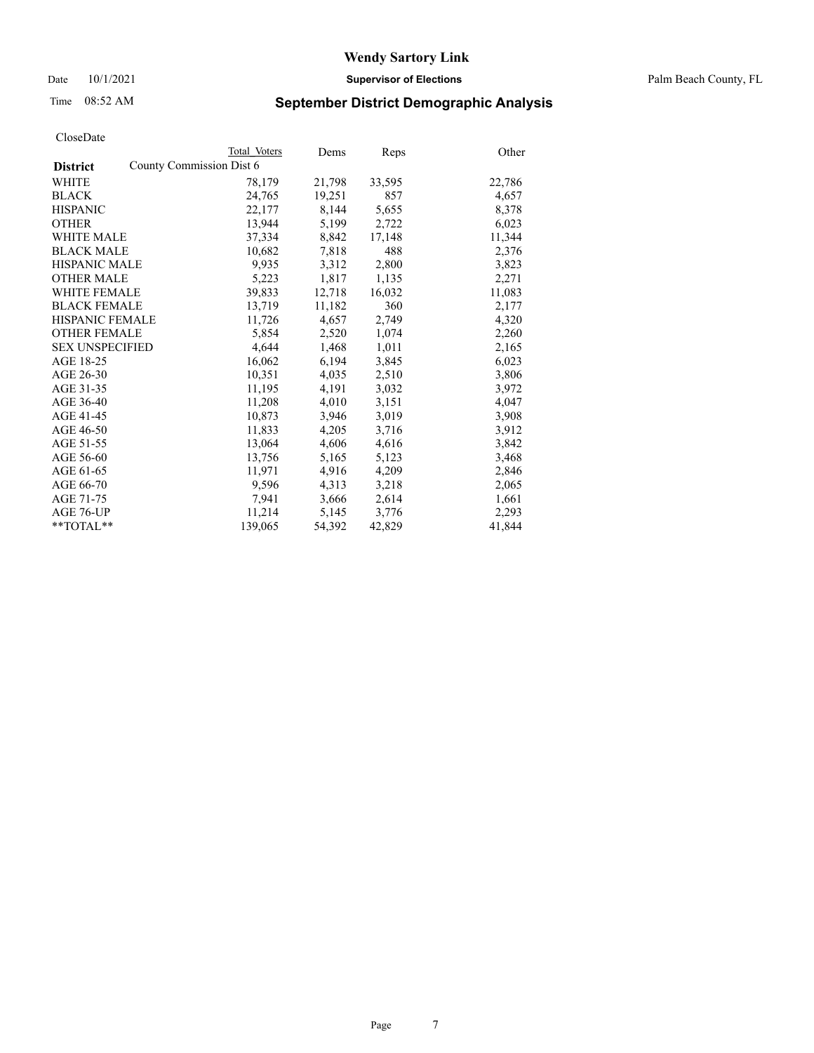## Time 08:52 AM **September District Demographic Analysis**

|                        | Total Voters             | Dems   | Reps   | Other  |
|------------------------|--------------------------|--------|--------|--------|
| <b>District</b>        | County Commission Dist 6 |        |        |        |
| <b>WHITE</b>           | 78,179                   | 21,798 | 33,595 | 22,786 |
| <b>BLACK</b>           | 24,765                   | 19,251 | 857    | 4,657  |
| <b>HISPANIC</b>        | 22,177                   | 8,144  | 5,655  | 8,378  |
| <b>OTHER</b>           | 13,944                   | 5,199  | 2,722  | 6,023  |
| <b>WHITE MALE</b>      | 37,334                   | 8,842  | 17,148 | 11,344 |
| <b>BLACK MALE</b>      | 10,682                   | 7,818  | 488    | 2,376  |
| <b>HISPANIC MALE</b>   | 9,935                    | 3,312  | 2,800  | 3,823  |
| <b>OTHER MALE</b>      | 5,223                    | 1,817  | 1,135  | 2,271  |
| <b>WHITE FEMALE</b>    | 39,833                   | 12,718 | 16,032 | 11,083 |
| <b>BLACK FEMALE</b>    | 13,719                   | 11,182 | 360    | 2,177  |
| HISPANIC FEMALE        | 11,726                   | 4,657  | 2,749  | 4,320  |
| <b>OTHER FEMALE</b>    | 5,854                    | 2,520  | 1,074  | 2,260  |
| <b>SEX UNSPECIFIED</b> | 4,644                    | 1,468  | 1,011  | 2,165  |
| AGE 18-25              | 16,062                   | 6,194  | 3,845  | 6,023  |
| AGE 26-30              | 10,351                   | 4,035  | 2,510  | 3,806  |
| AGE 31-35              | 11,195                   | 4,191  | 3,032  | 3,972  |
| AGE 36-40              | 11,208                   | 4,010  | 3,151  | 4,047  |
| AGE 41-45              | 10,873                   | 3,946  | 3,019  | 3,908  |
| AGE 46-50              | 11,833                   | 4,205  | 3,716  | 3,912  |
| AGE 51-55              | 13,064                   | 4,606  | 4,616  | 3,842  |
| AGE 56-60              | 13,756                   | 5,165  | 5,123  | 3,468  |
| AGE 61-65              | 11,971                   | 4,916  | 4,209  | 2,846  |
| AGE 66-70              | 9,596                    | 4,313  | 3,218  | 2,065  |
| AGE 71-75              | 7,941                    | 3,666  | 2,614  | 1,661  |
| AGE 76-UP              | 11,214                   | 5,145  | 3,776  | 2,293  |
| **TOTAL**              | 139,065                  | 54,392 | 42,829 | 41,844 |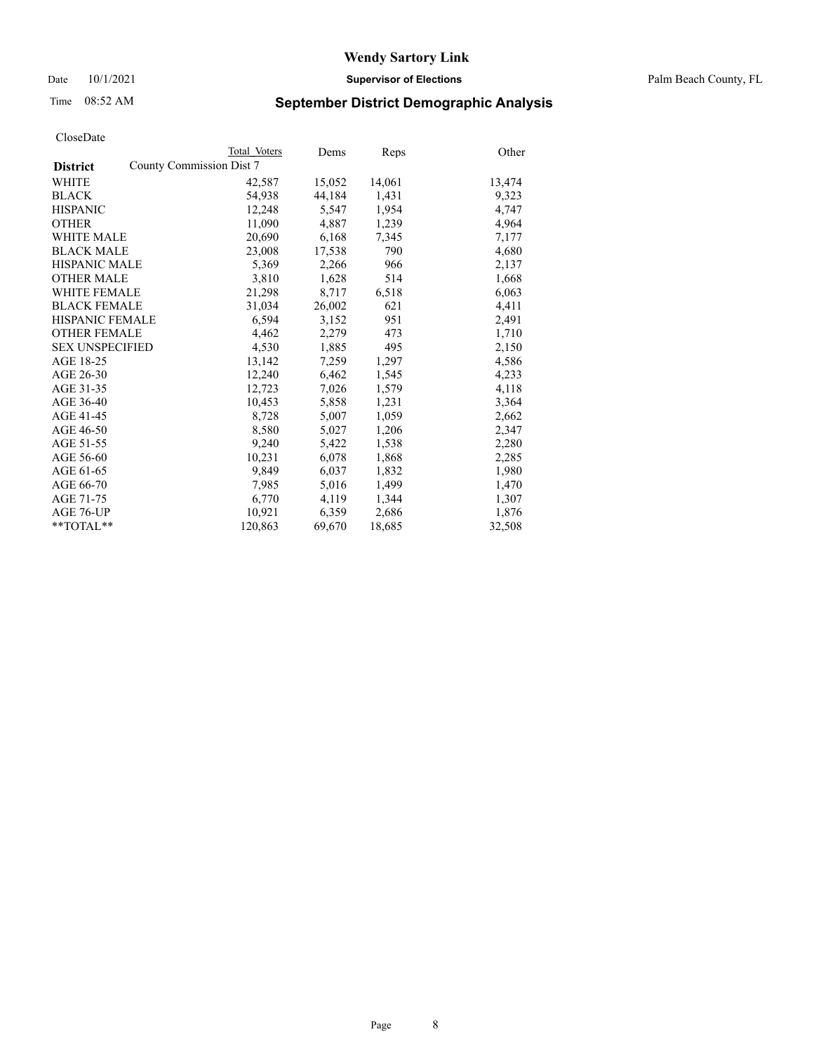Date 10/1/2021 **Supervisor of Elections** Palm Beach County, FL

## Time 08:52 AM **September District Demographic Analysis**

|                                             | Total Voters | Dems   | <b>Reps</b> | Other  |
|---------------------------------------------|--------------|--------|-------------|--------|
| County Commission Dist 7<br><b>District</b> |              |        |             |        |
| <b>WHITE</b>                                | 42,587       | 15,052 | 14,061      | 13,474 |
| <b>BLACK</b>                                | 54,938       | 44,184 | 1,431       | 9,323  |
| <b>HISPANIC</b>                             | 12,248       | 5,547  | 1,954       | 4,747  |
| <b>OTHER</b>                                | 11,090       | 4,887  | 1,239       | 4,964  |
| <b>WHITE MALE</b>                           | 20,690       | 6,168  | 7,345       | 7,177  |
| <b>BLACK MALE</b>                           | 23,008       | 17,538 | 790         | 4,680  |
| <b>HISPANIC MALE</b>                        | 5,369        | 2,266  | 966         | 2,137  |
| <b>OTHER MALE</b>                           | 3,810        | 1,628  | 514         | 1,668  |
| <b>WHITE FEMALE</b>                         | 21,298       | 8,717  | 6,518       | 6,063  |
| <b>BLACK FEMALE</b>                         | 31.034       | 26,002 | 621         | 4,411  |
| <b>HISPANIC FEMALE</b>                      | 6,594        | 3,152  | 951         | 2,491  |
| <b>OTHER FEMALE</b>                         | 4,462        | 2,279  | 473         | 1,710  |
| <b>SEX UNSPECIFIED</b>                      | 4,530        | 1,885  | 495         | 2,150  |
| AGE 18-25                                   | 13,142       | 7,259  | 1,297       | 4,586  |
| AGE 26-30                                   | 12,240       | 6,462  | 1,545       | 4,233  |
| AGE 31-35                                   | 12,723       | 7,026  | 1,579       | 4,118  |
| AGE 36-40                                   | 10,453       | 5,858  | 1,231       | 3,364  |
| AGE 41-45                                   | 8,728        | 5,007  | 1,059       | 2,662  |
| AGE 46-50                                   | 8,580        | 5,027  | 1,206       | 2,347  |
| AGE 51-55                                   | 9,240        | 5,422  | 1,538       | 2,280  |
| AGE 56-60                                   | 10,231       | 6,078  | 1,868       | 2,285  |
| AGE 61-65                                   | 9,849        | 6,037  | 1,832       | 1,980  |
| AGE 66-70                                   | 7,985        | 5,016  | 1,499       | 1,470  |
| AGE 71-75                                   | 6,770        | 4,119  | 1,344       | 1,307  |
| AGE 76-UP                                   | 10,921       | 6,359  | 2,686       | 1,876  |
| $*$ TOTAL $*$                               | 120,863      | 69,670 | 18,685      | 32,508 |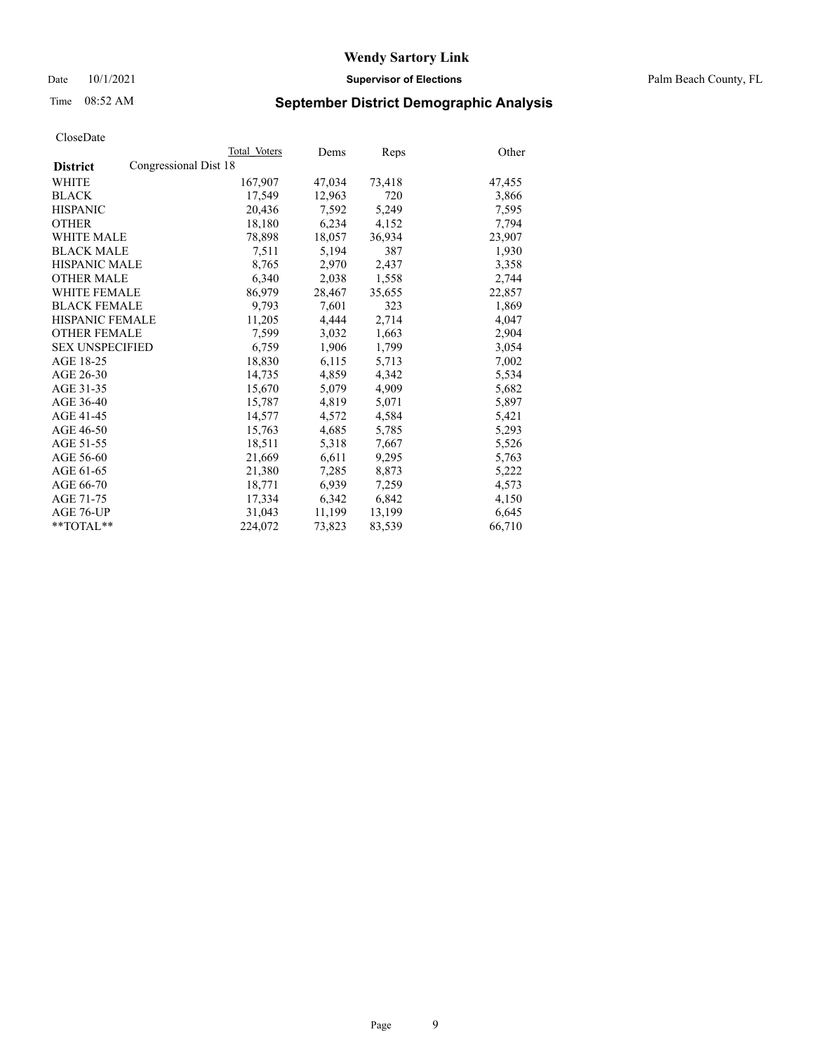Date 10/1/2021 **Supervisor of Elections** Palm Beach County, FL

## Time 08:52 AM **September District Demographic Analysis**

|                                          | Total Voters | Dems   | Reps   | Other  |
|------------------------------------------|--------------|--------|--------|--------|
| Congressional Dist 18<br><b>District</b> |              |        |        |        |
| WHITE                                    | 167,907      | 47,034 | 73,418 | 47,455 |
| <b>BLACK</b>                             | 17.549       | 12,963 | 720    | 3,866  |
| <b>HISPANIC</b>                          | 20,436       | 7,592  | 5,249  | 7,595  |
| <b>OTHER</b>                             | 18,180       | 6,234  | 4,152  | 7,794  |
| <b>WHITE MALE</b>                        | 78,898       | 18,057 | 36,934 | 23,907 |
| <b>BLACK MALE</b>                        | 7,511        | 5,194  | 387    | 1,930  |
| <b>HISPANIC MALE</b>                     | 8,765        | 2,970  | 2,437  | 3,358  |
| <b>OTHER MALE</b>                        | 6,340        | 2,038  | 1,558  | 2,744  |
| <b>WHITE FEMALE</b>                      | 86,979       | 28,467 | 35,655 | 22,857 |
| <b>BLACK FEMALE</b>                      | 9.793        | 7.601  | 323    | 1,869  |
| HISPANIC FEMALE                          | 11,205       | 4.444  | 2,714  | 4,047  |
| <b>OTHER FEMALE</b>                      | 7,599        | 3,032  | 1,663  | 2,904  |
| <b>SEX UNSPECIFIED</b>                   | 6.759        | 1.906  | 1,799  | 3,054  |
| AGE 18-25                                | 18,830       | 6,115  | 5,713  | 7,002  |
| AGE 26-30                                | 14,735       | 4,859  | 4,342  | 5,534  |
| AGE 31-35                                | 15,670       | 5,079  | 4,909  | 5,682  |
| AGE 36-40                                | 15,787       | 4,819  | 5,071  | 5,897  |
| AGE 41-45                                | 14,577       | 4,572  | 4,584  | 5,421  |
| AGE 46-50                                | 15,763       | 4,685  | 5,785  | 5,293  |
| AGE 51-55                                | 18,511       | 5,318  | 7,667  | 5,526  |
| AGE 56-60                                | 21,669       | 6,611  | 9,295  | 5,763  |
| AGE 61-65                                | 21,380       | 7,285  | 8,873  | 5,222  |
| AGE 66-70                                | 18,771       | 6,939  | 7,259  | 4,573  |
| AGE 71-75                                | 17,334       | 6,342  | 6,842  | 4,150  |
| AGE 76-UP                                | 31,043       | 11,199 | 13,199 | 6,645  |
| $*$ $TOTAL**$                            | 224,072      | 73,823 | 83,539 | 66,710 |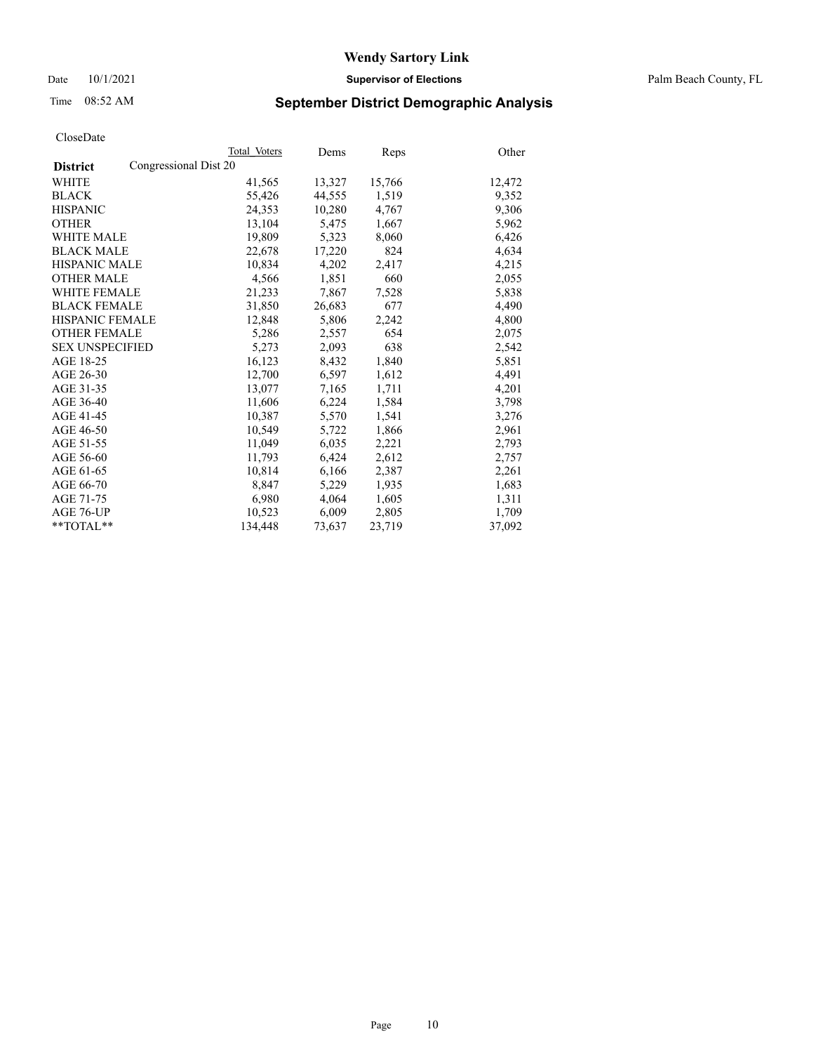## Time 08:52 AM **September District Demographic Analysis**

|                                          | Total Voters | Dems   | Reps   | Other  |
|------------------------------------------|--------------|--------|--------|--------|
| Congressional Dist 20<br><b>District</b> |              |        |        |        |
| WHITE                                    | 41,565       | 13,327 | 15,766 | 12,472 |
| <b>BLACK</b>                             | 55,426       | 44,555 | 1,519  | 9,352  |
| <b>HISPANIC</b>                          | 24,353       | 10,280 | 4,767  | 9,306  |
| <b>OTHER</b>                             | 13,104       | 5,475  | 1,667  | 5,962  |
| <b>WHITE MALE</b>                        | 19,809       | 5,323  | 8,060  | 6,426  |
| <b>BLACK MALE</b>                        | 22,678       | 17,220 | 824    | 4,634  |
| <b>HISPANIC MALE</b>                     | 10,834       | 4,202  | 2,417  | 4,215  |
| <b>OTHER MALE</b>                        | 4,566        | 1,851  | 660    | 2,055  |
| <b>WHITE FEMALE</b>                      | 21,233       | 7,867  | 7,528  | 5,838  |
| <b>BLACK FEMALE</b>                      | 31,850       | 26,683 | 677    | 4,490  |
| <b>HISPANIC FEMALE</b>                   | 12,848       | 5,806  | 2,242  | 4,800  |
| <b>OTHER FEMALE</b>                      | 5,286        | 2,557  | 654    | 2,075  |
| <b>SEX UNSPECIFIED</b>                   | 5,273        | 2,093  | 638    | 2,542  |
| AGE 18-25                                | 16,123       | 8,432  | 1,840  | 5,851  |
| AGE 26-30                                | 12,700       | 6,597  | 1,612  | 4,491  |
| AGE 31-35                                | 13,077       | 7,165  | 1,711  | 4,201  |
| AGE 36-40                                | 11,606       | 6,224  | 1,584  | 3,798  |
| AGE 41-45                                | 10,387       | 5,570  | 1,541  | 3,276  |
| AGE 46-50                                | 10,549       | 5,722  | 1,866  | 2,961  |
| AGE 51-55                                | 11,049       | 6,035  | 2,221  | 2,793  |
| AGE 56-60                                | 11,793       | 6,424  | 2,612  | 2,757  |
| AGE 61-65                                | 10,814       | 6,166  | 2,387  | 2,261  |
| AGE 66-70                                | 8,847        | 5,229  | 1,935  | 1,683  |
| AGE 71-75                                | 6,980        | 4,064  | 1,605  | 1,311  |
| AGE 76-UP                                | 10,523       | 6,009  | 2,805  | 1,709  |
| $*$ $TOTAL**$                            | 134,448      | 73,637 | 23,719 | 37,092 |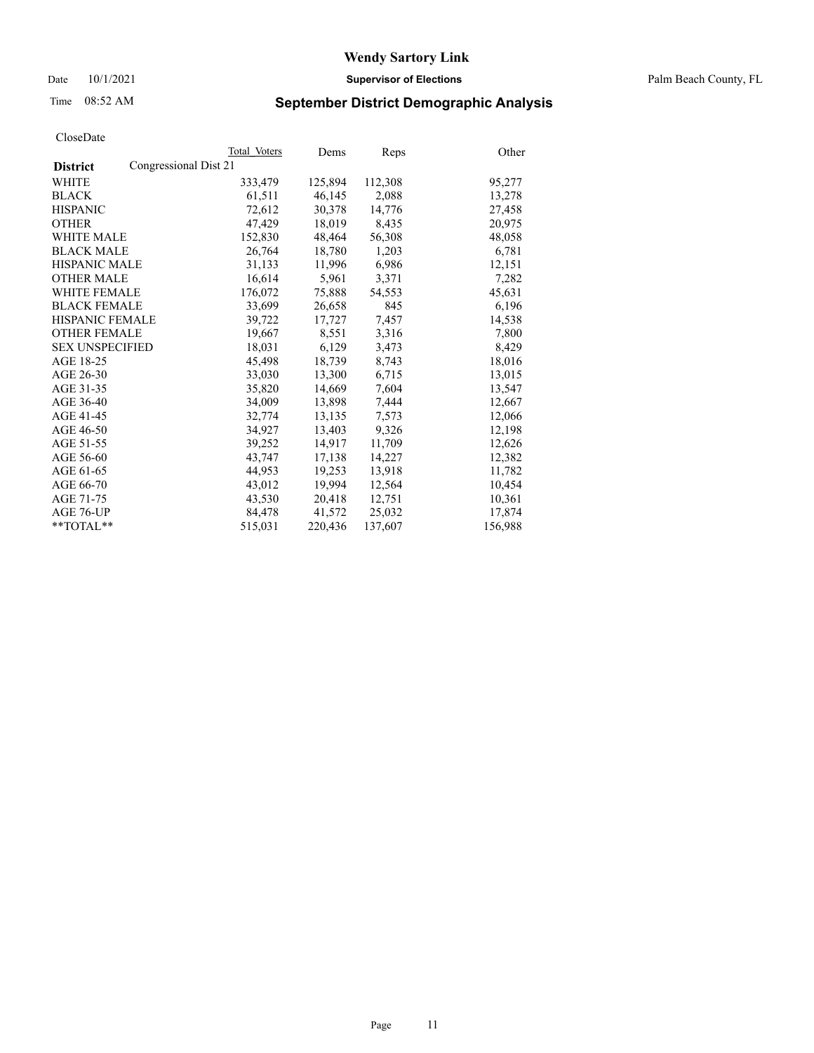Date 10/1/2021 **Supervisor of Elections** Palm Beach County, FL

## Time 08:52 AM **September District Demographic Analysis**

| CloseDate              |                       |              |         |             |         |
|------------------------|-----------------------|--------------|---------|-------------|---------|
|                        |                       | Total Voters | Dems    | <b>Reps</b> | Other   |
| <b>District</b>        | Congressional Dist 21 |              |         |             |         |
| <b>WHITE</b>           |                       | 333,479      | 125,894 | 112,308     | 95,277  |
| <b>BLACK</b>           |                       | 61,511       | 46,145  | 2,088       | 13,278  |
| <b>HISPANIC</b>        |                       | 72,612       | 30,378  | 14,776      | 27,458  |
| <b>OTHER</b>           |                       | 47,429       | 18,019  | 8,435       | 20,975  |
| <b>WHITE MALE</b>      |                       | 152,830      | 48,464  | 56,308      | 48,058  |
| <b>BLACK MALE</b>      |                       | 26,764       | 18,780  | 1,203       | 6,781   |
| <b>HISPANIC MALE</b>   |                       | 31,133       | 11,996  | 6,986       | 12,151  |
| <b>OTHER MALE</b>      |                       | 16,614       | 5,961   | 3,371       | 7,282   |
| <b>WHITE FEMALE</b>    |                       | 176,072      | 75,888  | 54,553      | 45,631  |
| <b>BLACK FEMALE</b>    |                       | 33,699       | 26,658  | 845         | 6,196   |
| <b>HISPANIC FEMALE</b> |                       | 39,722       | 17,727  | 7,457       | 14,538  |
| <b>OTHER FEMALE</b>    |                       | 19,667       | 8,551   | 3,316       | 7,800   |
| <b>SEX UNSPECIFIED</b> |                       | 18.031       | 6.129   | 3,473       | 8,429   |
| AGE 18-25              |                       | 45,498       | 18,739  | 8,743       | 18,016  |
| AGE 26-30              |                       | 33,030       | 13,300  | 6,715       | 13,015  |
| AGE 31-35              |                       | 35,820       | 14,669  | 7,604       | 13,547  |
| AGE 36-40              |                       | 34,009       | 13,898  | 7,444       | 12,667  |
| AGE 41-45              |                       | 32,774       | 13,135  | 7,573       | 12,066  |
| AGE 46-50              |                       | 34,927       | 13,403  | 9,326       | 12,198  |
| AGE 51-55              |                       | 39,252       | 14,917  | 11,709      | 12,626  |
| AGE 56-60              |                       | 43,747       | 17,138  | 14,227      | 12,382  |
| AGE 61-65              |                       | 44.953       | 19,253  | 13,918      | 11,782  |
| AGE 66-70              |                       | 43,012       | 19,994  | 12,564      | 10,454  |
| AGE 71-75              |                       | 43,530       | 20,418  | 12,751      | 10,361  |
| AGE 76-UP              |                       | 84,478       | 41,572  | 25,032      | 17,874  |
| $*$ $TOTAL**$          |                       | 515,031      | 220,436 | 137,607     | 156,988 |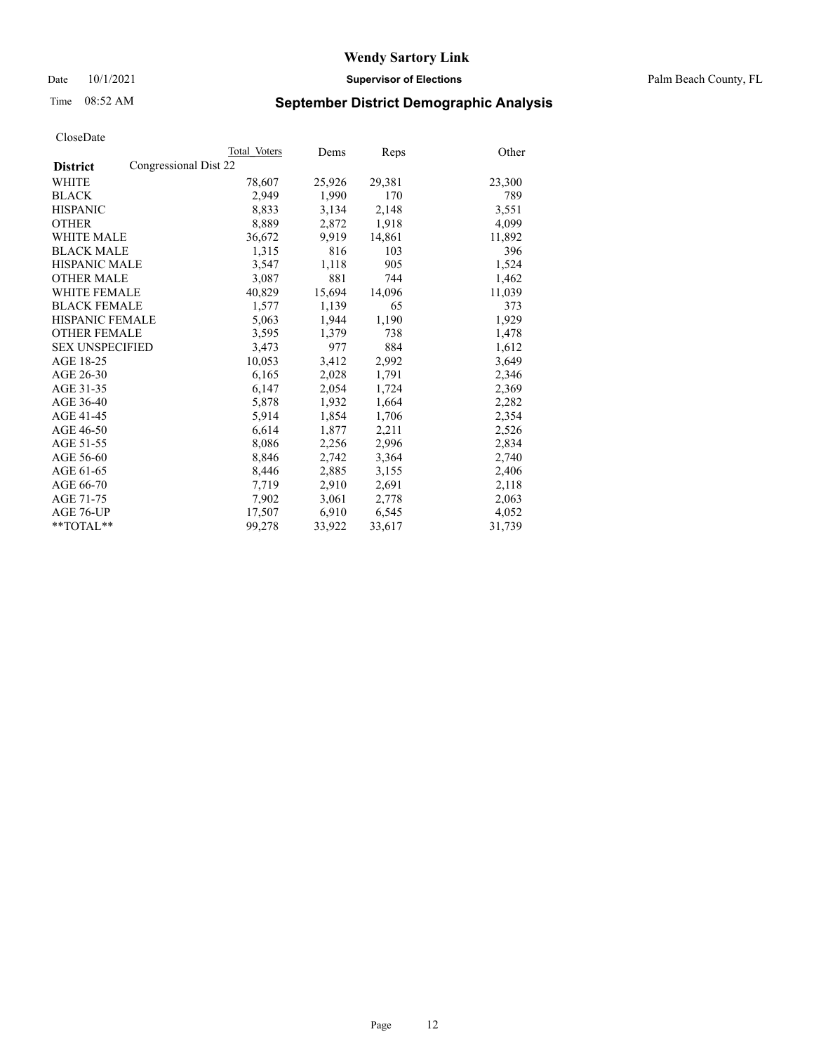Date 10/1/2021 **Supervisor of Elections** Palm Beach County, FL

## Time 08:52 AM **September District Demographic Analysis**

|                                          | Total Voters | Dems   | <b>Reps</b> | Other  |
|------------------------------------------|--------------|--------|-------------|--------|
| Congressional Dist 22<br><b>District</b> |              |        |             |        |
| WHITE                                    | 78,607       | 25,926 | 29,381      | 23,300 |
| <b>BLACK</b>                             | 2,949        | 1,990  | 170         | 789    |
| <b>HISPANIC</b>                          | 8,833        | 3,134  | 2,148       | 3,551  |
| <b>OTHER</b>                             | 8,889        | 2,872  | 1,918       | 4,099  |
| <b>WHITE MALE</b>                        | 36,672       | 9,919  | 14,861      | 11,892 |
| <b>BLACK MALE</b>                        | 1,315        | 816    | 103         | 396    |
| <b>HISPANIC MALE</b>                     | 3,547        | 1,118  | 905         | 1,524  |
| <b>OTHER MALE</b>                        | 3,087        | 881    | 744         | 1,462  |
| <b>WHITE FEMALE</b>                      | 40,829       | 15,694 | 14,096      | 11,039 |
| <b>BLACK FEMALE</b>                      | 1,577        | 1,139  | 65          | 373    |
| <b>HISPANIC FEMALE</b>                   | 5,063        | 1,944  | 1,190       | 1,929  |
| <b>OTHER FEMALE</b>                      | 3,595        | 1,379  | 738         | 1,478  |
| <b>SEX UNSPECIFIED</b>                   | 3,473        | 977    | 884         | 1,612  |
| AGE 18-25                                | 10,053       | 3,412  | 2,992       | 3,649  |
| AGE 26-30                                | 6,165        | 2,028  | 1,791       | 2,346  |
| AGE 31-35                                | 6,147        | 2,054  | 1,724       | 2,369  |
| AGE 36-40                                | 5,878        | 1,932  | 1,664       | 2,282  |
| AGE 41-45                                | 5,914        | 1,854  | 1,706       | 2,354  |
| AGE 46-50                                | 6,614        | 1,877  | 2,211       | 2,526  |
| AGE 51-55                                | 8,086        | 2,256  | 2,996       | 2,834  |
| AGE 56-60                                | 8,846        | 2,742  | 3,364       | 2,740  |
| AGE 61-65                                | 8,446        | 2,885  | 3,155       | 2,406  |
| AGE 66-70                                | 7,719        | 2,910  | 2,691       | 2,118  |
| AGE 71-75                                | 7,902        | 3,061  | 2,778       | 2,063  |
| AGE 76-UP                                | 17,507       | 6,910  | 6,545       | 4,052  |
| $*$ $TOTAL**$                            | 99,278       | 33,922 | 33,617      | 31,739 |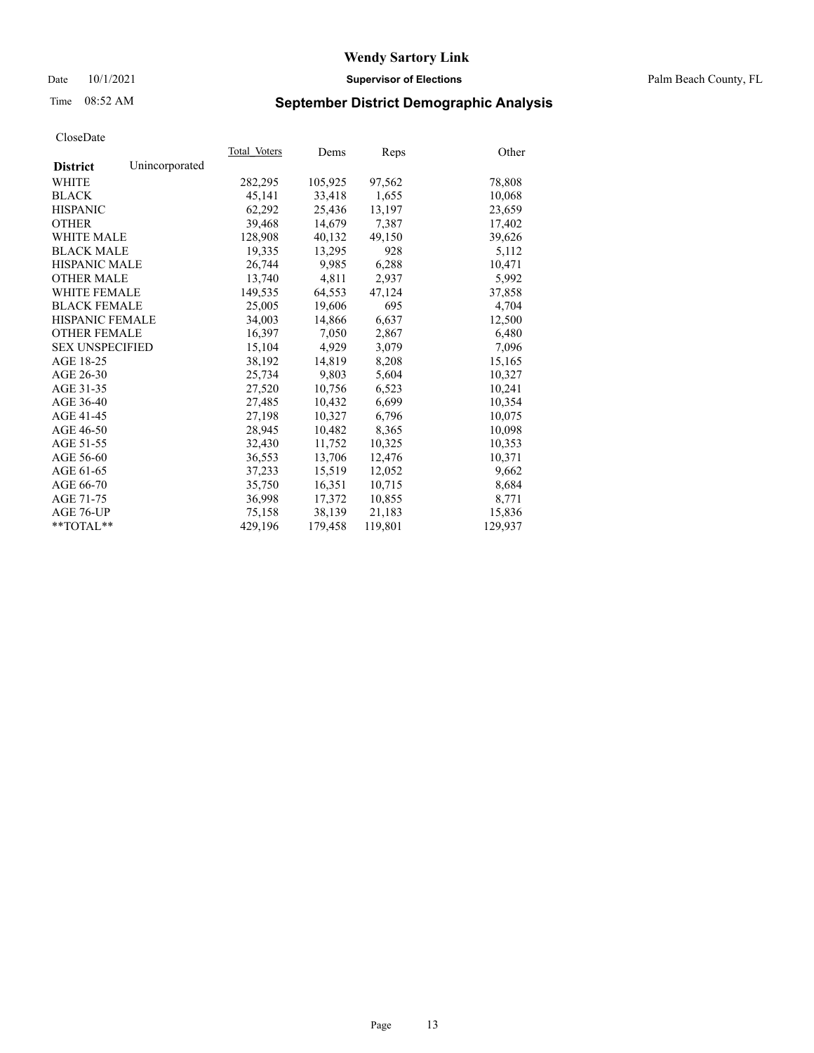#### Date 10/1/2021 **Supervisor of Elections** Palm Beach County, FL

## Time 08:52 AM **September District Demographic Analysis**

|                        |                | Total Voters | Dems    | Reps    | Other   |
|------------------------|----------------|--------------|---------|---------|---------|
| <b>District</b>        | Unincorporated |              |         |         |         |
| WHITE                  |                | 282,295      | 105,925 | 97,562  | 78,808  |
| <b>BLACK</b>           |                | 45,141       | 33,418  | 1,655   | 10,068  |
| <b>HISPANIC</b>        |                | 62,292       | 25,436  | 13,197  | 23,659  |
| <b>OTHER</b>           |                | 39,468       | 14,679  | 7,387   | 17,402  |
| <b>WHITE MALE</b>      |                | 128,908      | 40,132  | 49,150  | 39,626  |
| <b>BLACK MALE</b>      |                | 19,335       | 13,295  | 928     | 5,112   |
| <b>HISPANIC MALE</b>   |                | 26,744       | 9,985   | 6,288   | 10,471  |
| <b>OTHER MALE</b>      |                | 13.740       | 4,811   | 2,937   | 5,992   |
| <b>WHITE FEMALE</b>    |                | 149,535      | 64,553  | 47,124  | 37,858  |
| <b>BLACK FEMALE</b>    |                | 25,005       | 19,606  | 695     | 4,704   |
| <b>HISPANIC FEMALE</b> |                | 34,003       | 14,866  | 6,637   | 12,500  |
| <b>OTHER FEMALE</b>    |                | 16,397       | 7,050   | 2,867   | 6,480   |
| <b>SEX UNSPECIFIED</b> |                | 15,104       | 4,929   | 3,079   | 7,096   |
| AGE 18-25              |                | 38,192       | 14,819  | 8,208   | 15,165  |
| AGE 26-30              |                | 25.734       | 9,803   | 5,604   | 10,327  |
| AGE 31-35              |                | 27,520       | 10,756  | 6,523   | 10,241  |
| AGE 36-40              |                | 27,485       | 10,432  | 6,699   | 10,354  |
| AGE 41-45              |                | 27,198       | 10,327  | 6,796   | 10,075  |
| AGE 46-50              |                | 28,945       | 10,482  | 8,365   | 10,098  |
| AGE 51-55              |                | 32,430       | 11,752  | 10,325  | 10,353  |
| AGE 56-60              |                | 36,553       | 13,706  | 12,476  | 10,371  |
| AGE 61-65              |                | 37,233       | 15,519  | 12,052  | 9,662   |
| AGE 66-70              |                | 35,750       | 16,351  | 10,715  | 8,684   |
| AGE 71-75              |                | 36,998       | 17,372  | 10,855  | 8,771   |
| AGE 76-UP              |                | 75,158       | 38,139  | 21,183  | 15,836  |
| **TOTAL**              |                | 429.196      | 179,458 | 119,801 | 129,937 |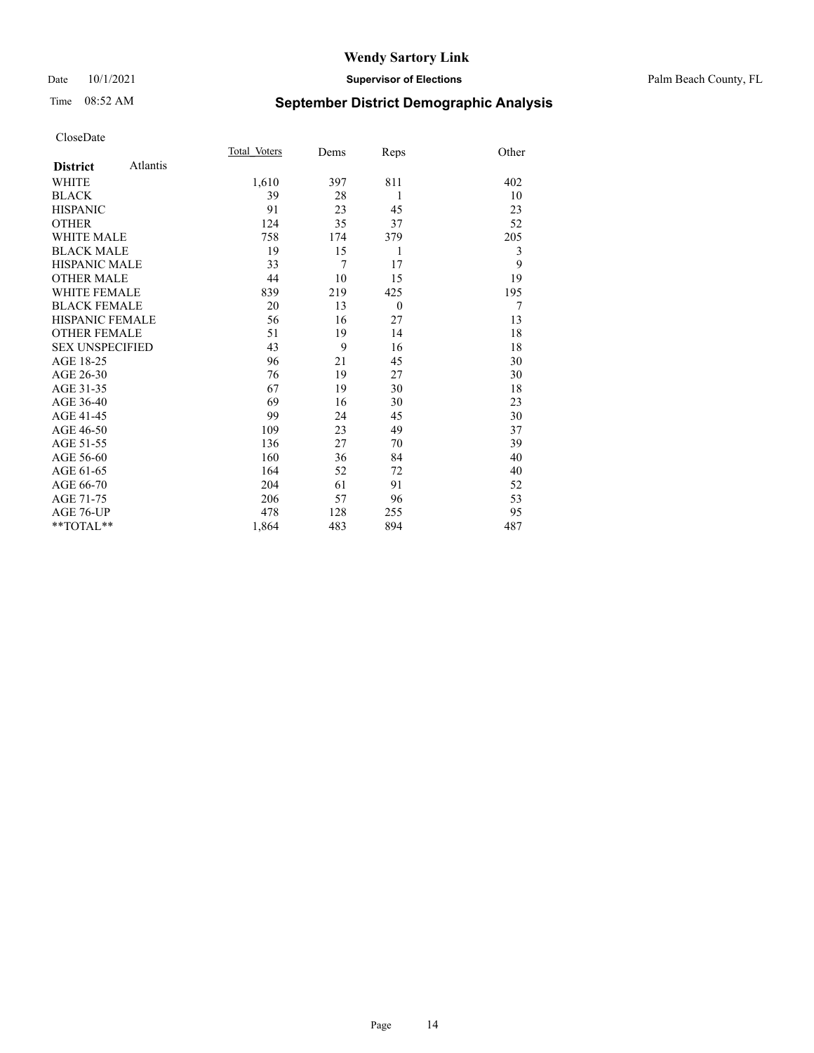#### Date 10/1/2021 **Supervisor of Elections** Palm Beach County, FL

## Time 08:52 AM **September District Demographic Analysis**

|                        |          | Total Voters | Dems | Reps     | Other |
|------------------------|----------|--------------|------|----------|-------|
| <b>District</b>        | Atlantis |              |      |          |       |
| WHITE                  |          | 1,610        | 397  | 811      | 402   |
| <b>BLACK</b>           |          | 39           | 28   | 1        | 10    |
| <b>HISPANIC</b>        |          | 91           | 23   | 45       | 23    |
| <b>OTHER</b>           |          | 124          | 35   | 37       | 52    |
| <b>WHITE MALE</b>      |          | 758          | 174  | 379      | 205   |
| <b>BLACK MALE</b>      |          | 19           | 15   | 1        | 3     |
| <b>HISPANIC MALE</b>   |          | 33           | 7    | 17       | 9     |
| <b>OTHER MALE</b>      |          | 44           | 10   | 15       | 19    |
| <b>WHITE FEMALE</b>    |          | 839          | 219  | 425      | 195   |
| <b>BLACK FEMALE</b>    |          | 20           | 13   | $\theta$ | 7     |
| <b>HISPANIC FEMALE</b> |          | 56           | 16   | 27       | 13    |
| <b>OTHER FEMALE</b>    |          | 51           | 19   | 14       | 18    |
| <b>SEX UNSPECIFIED</b> |          | 43           | 9    | 16       | 18    |
| AGE 18-25              |          | 96           | 21   | 45       | 30    |
| AGE 26-30              |          | 76           | 19   | 27       | 30    |
| AGE 31-35              |          | 67           | 19   | 30       | 18    |
| AGE 36-40              |          | 69           | 16   | 30       | 23    |
| AGE 41-45              |          | 99           | 24   | 45       | 30    |
| AGE 46-50              |          | 109          | 23   | 49       | 37    |
| AGE 51-55              |          | 136          | 27   | 70       | 39    |
| AGE 56-60              |          | 160          | 36   | 84       | 40    |
| AGE 61-65              |          | 164          | 52   | 72       | 40    |
| AGE 66-70              |          | 204          | 61   | 91       | 52    |
| AGE 71-75              |          | 206          | 57   | 96       | 53    |
| AGE 76-UP              |          | 478          | 128  | 255      | 95    |
| $*$ $TOTAL**$          |          | 1,864        | 483  | 894      | 487   |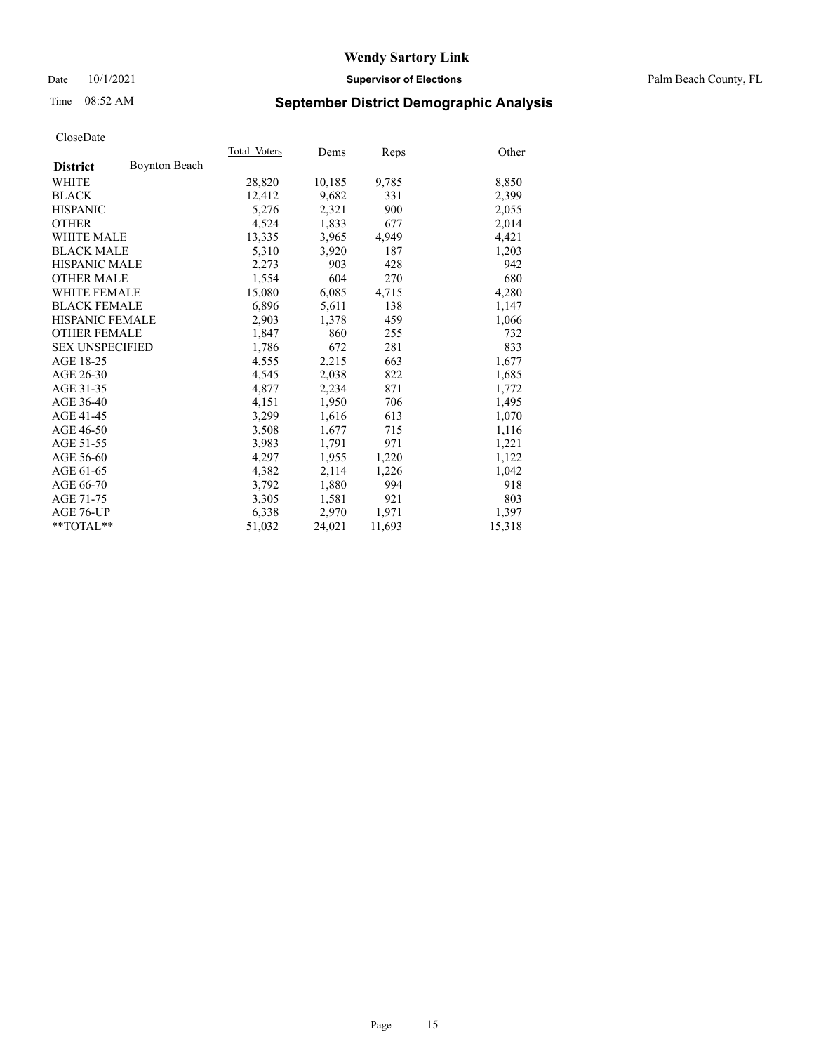#### Date 10/1/2021 **Supervisor of Elections** Palm Beach County, FL

## Time 08:52 AM **September District Demographic Analysis**

|                        |                      | Total Voters | Dems   | <b>Reps</b> | Other  |
|------------------------|----------------------|--------------|--------|-------------|--------|
| <b>District</b>        | <b>Boynton Beach</b> |              |        |             |        |
| WHITE                  |                      | 28,820       | 10,185 | 9,785       | 8,850  |
| <b>BLACK</b>           |                      | 12,412       | 9,682  | 331         | 2,399  |
| <b>HISPANIC</b>        |                      | 5,276        | 2,321  | 900         | 2,055  |
| <b>OTHER</b>           |                      | 4,524        | 1,833  | 677         | 2,014  |
| <b>WHITE MALE</b>      |                      | 13,335       | 3,965  | 4,949       | 4,421  |
| <b>BLACK MALE</b>      |                      | 5,310        | 3,920  | 187         | 1,203  |
| <b>HISPANIC MALE</b>   |                      | 2,273        | 903    | 428         | 942    |
| <b>OTHER MALE</b>      |                      | 1,554        | 604    | 270         | 680    |
| <b>WHITE FEMALE</b>    |                      | 15,080       | 6,085  | 4,715       | 4,280  |
| <b>BLACK FEMALE</b>    |                      | 6,896        | 5,611  | 138         | 1,147  |
| <b>HISPANIC FEMALE</b> |                      | 2,903        | 1,378  | 459         | 1,066  |
| <b>OTHER FEMALE</b>    |                      | 1,847        | 860    | 255         | 732    |
| <b>SEX UNSPECIFIED</b> |                      | 1,786        | 672    | 281         | 833    |
| AGE 18-25              |                      | 4,555        | 2,215  | 663         | 1,677  |
| AGE 26-30              |                      | 4,545        | 2,038  | 822         | 1,685  |
| AGE 31-35              |                      | 4,877        | 2,234  | 871         | 1,772  |
| AGE 36-40              |                      | 4,151        | 1,950  | 706         | 1,495  |
| AGE 41-45              |                      | 3,299        | 1,616  | 613         | 1,070  |
| AGE 46-50              |                      | 3,508        | 1,677  | 715         | 1,116  |
| AGE 51-55              |                      | 3,983        | 1,791  | 971         | 1,221  |
| AGE 56-60              |                      | 4,297        | 1,955  | 1,220       | 1,122  |
| AGE 61-65              |                      | 4,382        | 2,114  | 1,226       | 1,042  |
| AGE 66-70              |                      | 3,792        | 1,880  | 994         | 918    |
| AGE 71-75              |                      | 3,305        | 1,581  | 921         | 803    |
| AGE 76-UP              |                      | 6,338        | 2,970  | 1,971       | 1,397  |
| $*$ $TOTAL**$          |                      | 51,032       | 24,021 | 11,693      | 15,318 |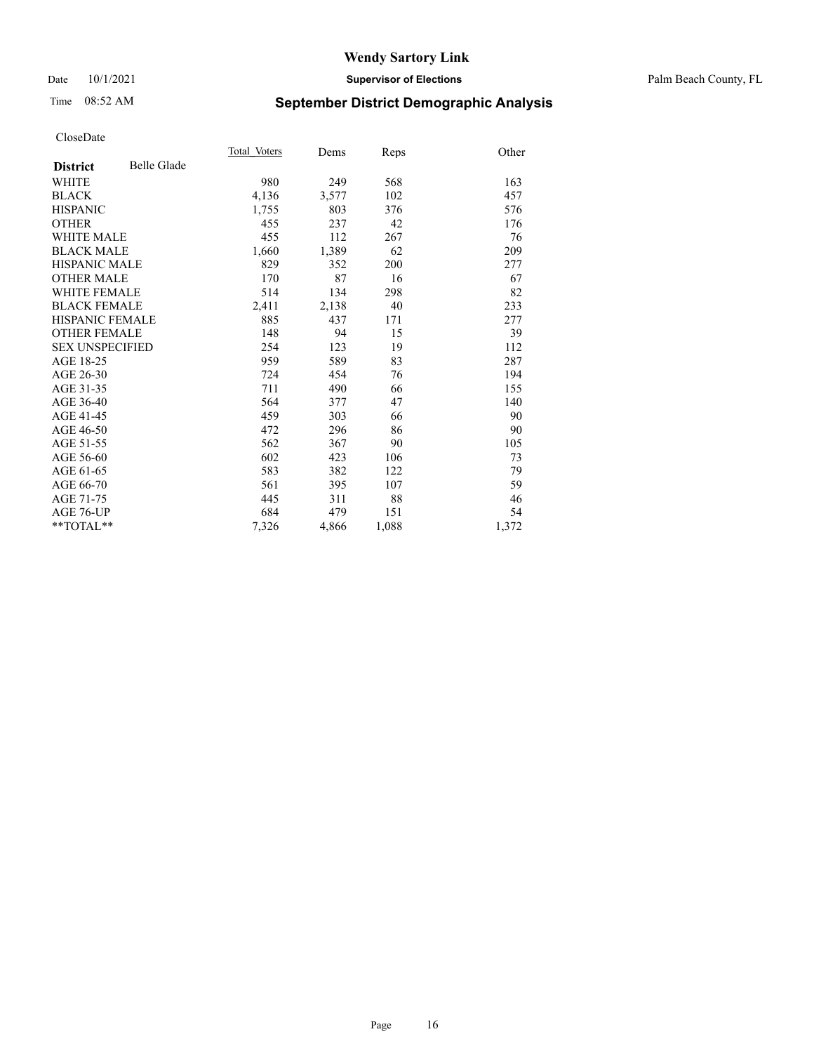#### Date 10/1/2021 **Supervisor of Elections** Palm Beach County, FL

## Time 08:52 AM **September District Demographic Analysis**

|                        |             | Total Voters | Dems  | Reps  | Other |
|------------------------|-------------|--------------|-------|-------|-------|
| <b>District</b>        | Belle Glade |              |       |       |       |
| WHITE                  |             | 980          | 249   | 568   | 163   |
| <b>BLACK</b>           |             | 4,136        | 3,577 | 102   | 457   |
| <b>HISPANIC</b>        |             | 1,755        | 803   | 376   | 576   |
| <b>OTHER</b>           |             | 455          | 237   | 42    | 176   |
| <b>WHITE MALE</b>      |             | 455          | 112   | 267   | 76    |
| <b>BLACK MALE</b>      |             | 1,660        | 1,389 | 62    | 209   |
| <b>HISPANIC MALE</b>   |             | 829          | 352   | 200   | 277   |
| <b>OTHER MALE</b>      |             | 170          | 87    | 16    | 67    |
| <b>WHITE FEMALE</b>    |             | 514          | 134   | 298   | 82    |
| <b>BLACK FEMALE</b>    |             | 2,411        | 2,138 | 40    | 233   |
| <b>HISPANIC FEMALE</b> |             | 885          | 437   | 171   | 277   |
| <b>OTHER FEMALE</b>    |             | 148          | 94    | 15    | 39    |
| <b>SEX UNSPECIFIED</b> |             | 254          | 123   | 19    | 112   |
| AGE 18-25              |             | 959          | 589   | 83    | 287   |
| AGE 26-30              |             | 724          | 454   | 76    | 194   |
| AGE 31-35              |             | 711          | 490   | 66    | 155   |
| AGE 36-40              |             | 564          | 377   | 47    | 140   |
| AGE 41-45              |             | 459          | 303   | 66    | 90    |
| AGE 46-50              |             | 472          | 296   | 86    | 90    |
| AGE 51-55              |             | 562          | 367   | 90    | 105   |
| AGE 56-60              |             | 602          | 423   | 106   | 73    |
| AGE 61-65              |             | 583          | 382   | 122   | 79    |
| AGE 66-70              |             | 561          | 395   | 107   | 59    |
| AGE 71-75              |             | 445          | 311   | 88    | 46    |
| <b>AGE 76-UP</b>       |             | 684          | 479   | 151   | 54    |
| $*$ $TOTAL**$          |             | 7,326        | 4,866 | 1,088 | 1,372 |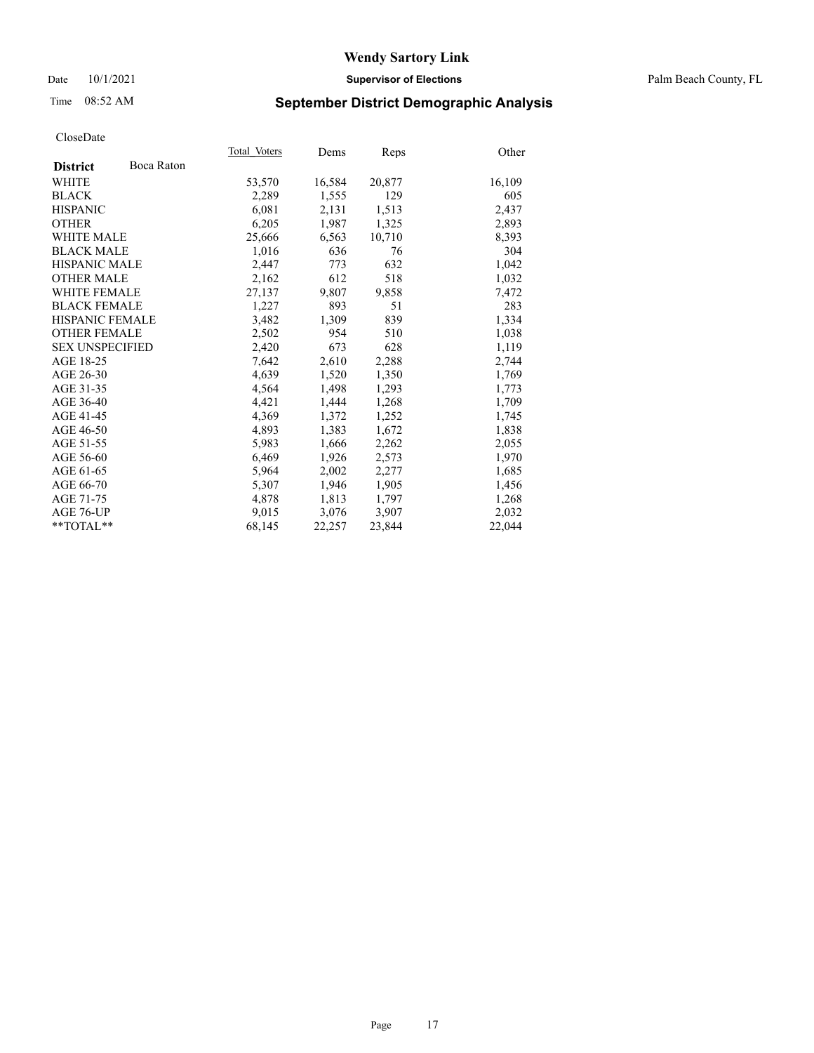#### Date 10/1/2021 **Supervisor of Elections** Palm Beach County, FL

## Time 08:52 AM **September District Demographic Analysis**

|                        |            | Total Voters | Dems   | <b>Reps</b> | Other  |
|------------------------|------------|--------------|--------|-------------|--------|
| <b>District</b>        | Boca Raton |              |        |             |        |
| <b>WHITE</b>           |            | 53,570       | 16,584 | 20,877      | 16,109 |
| <b>BLACK</b>           |            | 2,289        | 1,555  | 129         | 605    |
| <b>HISPANIC</b>        |            | 6,081        | 2,131  | 1,513       | 2,437  |
| <b>OTHER</b>           |            | 6,205        | 1,987  | 1,325       | 2,893  |
| <b>WHITE MALE</b>      |            | 25,666       | 6,563  | 10,710      | 8,393  |
| <b>BLACK MALE</b>      |            | 1,016        | 636    | 76          | 304    |
| <b>HISPANIC MALE</b>   |            | 2,447        | 773    | 632         | 1,042  |
| <b>OTHER MALE</b>      |            | 2,162        | 612    | 518         | 1,032  |
| <b>WHITE FEMALE</b>    |            | 27,137       | 9,807  | 9,858       | 7,472  |
| <b>BLACK FEMALE</b>    |            | 1,227        | 893    | 51          | 283    |
| HISPANIC FEMALE        |            | 3,482        | 1,309  | 839         | 1,334  |
| <b>OTHER FEMALE</b>    |            | 2,502        | 954    | 510         | 1,038  |
| <b>SEX UNSPECIFIED</b> |            | 2,420        | 673    | 628         | 1,119  |
| AGE 18-25              |            | 7,642        | 2,610  | 2,288       | 2,744  |
| AGE 26-30              |            | 4,639        | 1,520  | 1,350       | 1,769  |
| AGE 31-35              |            | 4,564        | 1,498  | 1,293       | 1,773  |
| AGE 36-40              |            | 4,421        | 1,444  | 1,268       | 1,709  |
| AGE 41-45              |            | 4,369        | 1,372  | 1,252       | 1,745  |
| AGE 46-50              |            | 4,893        | 1,383  | 1,672       | 1,838  |
| AGE 51-55              |            | 5,983        | 1,666  | 2,262       | 2,055  |
| AGE 56-60              |            | 6,469        | 1,926  | 2,573       | 1,970  |
| AGE 61-65              |            | 5,964        | 2,002  | 2,277       | 1,685  |
| AGE 66-70              |            | 5,307        | 1,946  | 1,905       | 1,456  |
| AGE 71-75              |            | 4,878        | 1,813  | 1,797       | 1,268  |
| AGE 76-UP              |            | 9,015        | 3,076  | 3,907       | 2,032  |
| $*$ $TOTAL**$          |            | 68,145       | 22,257 | 23,844      | 22,044 |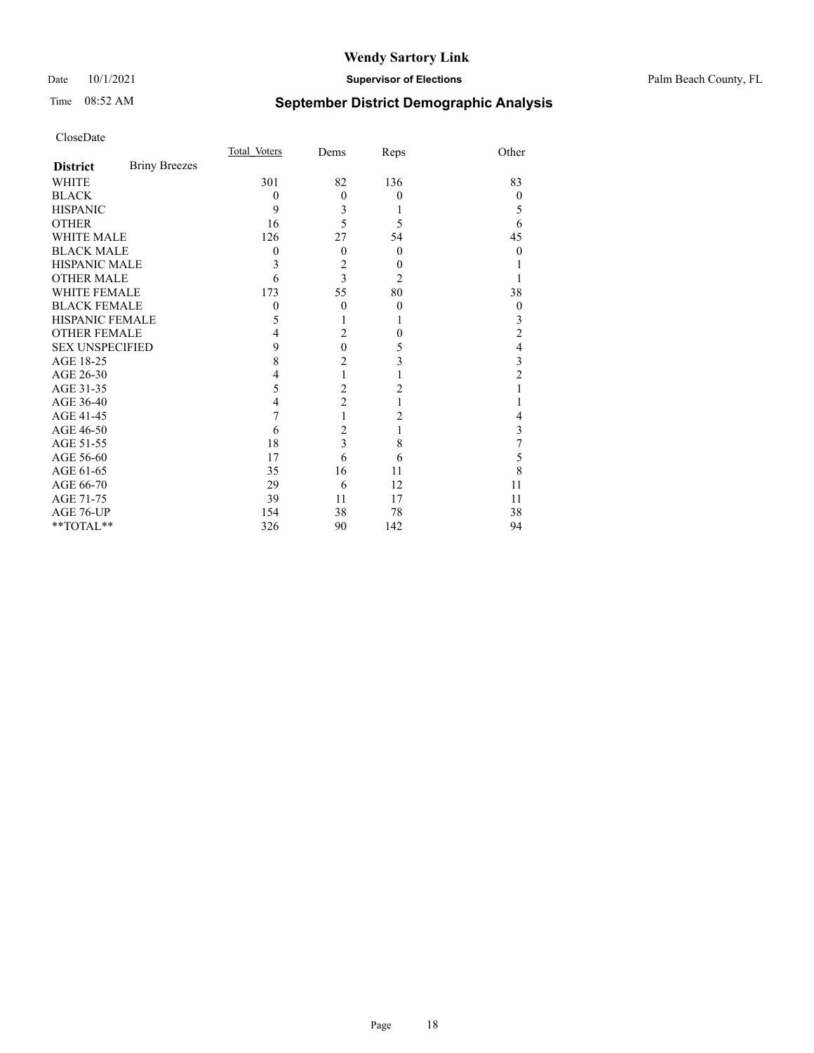#### Date 10/1/2021 **Supervisor of Elections** Palm Beach County, FL

## Time 08:52 AM **September District Demographic Analysis**

|                        |                      | Total Voters | Dems                    | Reps           | Other            |
|------------------------|----------------------|--------------|-------------------------|----------------|------------------|
| <b>District</b>        | <b>Briny Breezes</b> |              |                         |                |                  |
| <b>WHITE</b>           |                      | 301          | 82                      | 136            | 83               |
| <b>BLACK</b>           |                      | $\theta$     | $\theta$                | $\theta$       | $\theta$         |
| <b>HISPANIC</b>        |                      | 9            | 3                       | 1              | 5                |
| <b>OTHER</b>           |                      | 16           | 5                       | 5              | 6                |
| <b>WHITE MALE</b>      |                      | 126          | 27                      | 54             | 45               |
| <b>BLACK MALE</b>      |                      | 0            | $\theta$                | $\overline{0}$ | 0                |
| <b>HISPANIC MALE</b>   |                      | 3            | $\overline{2}$          | $\theta$       |                  |
| <b>OTHER MALE</b>      |                      | 6            | $\overline{3}$          | 2              |                  |
| <b>WHITE FEMALE</b>    |                      | 173          | 55                      | 80             | 38               |
| <b>BLACK FEMALE</b>    |                      | 0            | $\theta$                | $\theta$       | $\boldsymbol{0}$ |
| <b>HISPANIC FEMALE</b> |                      | 5            |                         | 1              | 3                |
| <b>OTHER FEMALE</b>    |                      | 4            | $\overline{2}$          | $\theta$       | $\overline{c}$   |
| <b>SEX UNSPECIFIED</b> |                      | 9            | $\theta$                | 5              | 4                |
| AGE 18-25              |                      | 8            | $\overline{2}$          | 3              | 3                |
| AGE 26-30              |                      | 4            | 1                       |                | $\overline{c}$   |
| AGE 31-35              |                      | 5            | $\overline{c}$          | 2              |                  |
| AGE 36-40              |                      | 4            | $\overline{2}$          | 1              |                  |
| AGE 41-45              |                      | 7            | 1                       | 2              | 4                |
| AGE 46-50              |                      | 6            | $\overline{c}$          | 1              | 3                |
| AGE 51-55              |                      | 18           | $\overline{\mathbf{3}}$ | 8              | 7                |
| AGE 56-60              |                      | 17           | 6                       | 6              | 5                |
| AGE 61-65              |                      | 35           | 16                      | 11             | 8                |
| AGE 66-70              |                      | 29           | 6                       | 12             | 11               |
| AGE 71-75              |                      | 39           | 11                      | 17             | 11               |
| AGE 76-UP              |                      | 154          | 38                      | 78             | 38               |
| **TOTAL**              |                      | 326          | 90                      | 142            | 94               |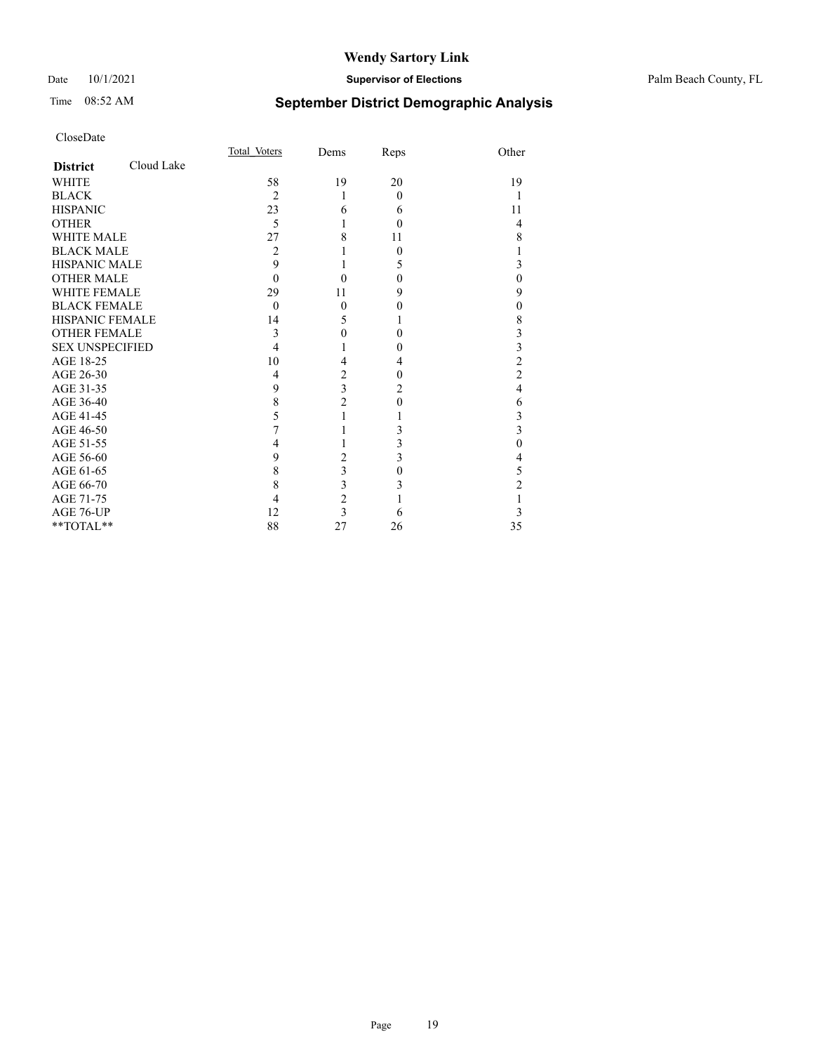#### Date 10/1/2021 **Supervisor of Elections** Palm Beach County, FL

## Time 08:52 AM **September District Demographic Analysis**

|                        |            | Total Voters   | Dems                    | Reps     | Other          |
|------------------------|------------|----------------|-------------------------|----------|----------------|
| <b>District</b>        | Cloud Lake |                |                         |          |                |
| <b>WHITE</b>           |            | 58             | 19                      | 20       | 19             |
| <b>BLACK</b>           |            | $\overline{c}$ | 1                       | $\Omega$ |                |
| <b>HISPANIC</b>        |            | 23             | 6                       | 6        | 11             |
| <b>OTHER</b>           |            | 5              | 1                       | $\Omega$ | 4              |
| WHITE MALE             |            | 27             | 8                       | 11       | 8              |
| <b>BLACK MALE</b>      |            | 2              |                         | $\Omega$ | 1              |
| <b>HISPANIC MALE</b>   |            | 9              |                         | 5        | 3              |
| <b>OTHER MALE</b>      |            | $\Omega$       | $\theta$                | $\theta$ | $\theta$       |
| <b>WHITE FEMALE</b>    |            | 29             | 11                      | 9        | 9              |
| <b>BLACK FEMALE</b>    |            | $\theta$       | $\mathbf{0}$            | 0        | $\overline{0}$ |
| <b>HISPANIC FEMALE</b> |            | 14             | 5                       |          | 8              |
| <b>OTHER FEMALE</b>    |            | 3              | $\theta$                | 0        | 3              |
| <b>SEX UNSPECIFIED</b> |            | 4              |                         | 0        | 3              |
| AGE 18-25              |            | 10             | 4                       | 4        | $\overline{2}$ |
| AGE 26-30              |            | $\overline{4}$ | $\overline{c}$          | $\theta$ | $\overline{2}$ |
| AGE 31-35              |            | 9              | $\overline{\mathbf{3}}$ | 2        | $\overline{4}$ |
| AGE 36-40              |            | 8              | $\overline{c}$          | $\Omega$ | 6              |
| AGE 41-45              |            | 5              |                         |          | 3              |
| AGE 46-50              |            | 7              |                         | 3        | 3              |
| AGE 51-55              |            | 4              |                         | 3        | $\theta$       |
| AGE 56-60              |            | 9              | 2                       | 3        | 4              |
| AGE 61-65              |            | 8              | $\overline{\mathbf{3}}$ | $\theta$ | 5              |
| AGE 66-70              |            | 8              | 3                       | 3        | 2              |
| AGE 71-75              |            | 4              | $\overline{c}$          |          |                |
| AGE 76-UP              |            | 12             | $\overline{3}$          | 6        | 3              |
| **TOTAL**              |            | 88             | 27                      | 26       | 35             |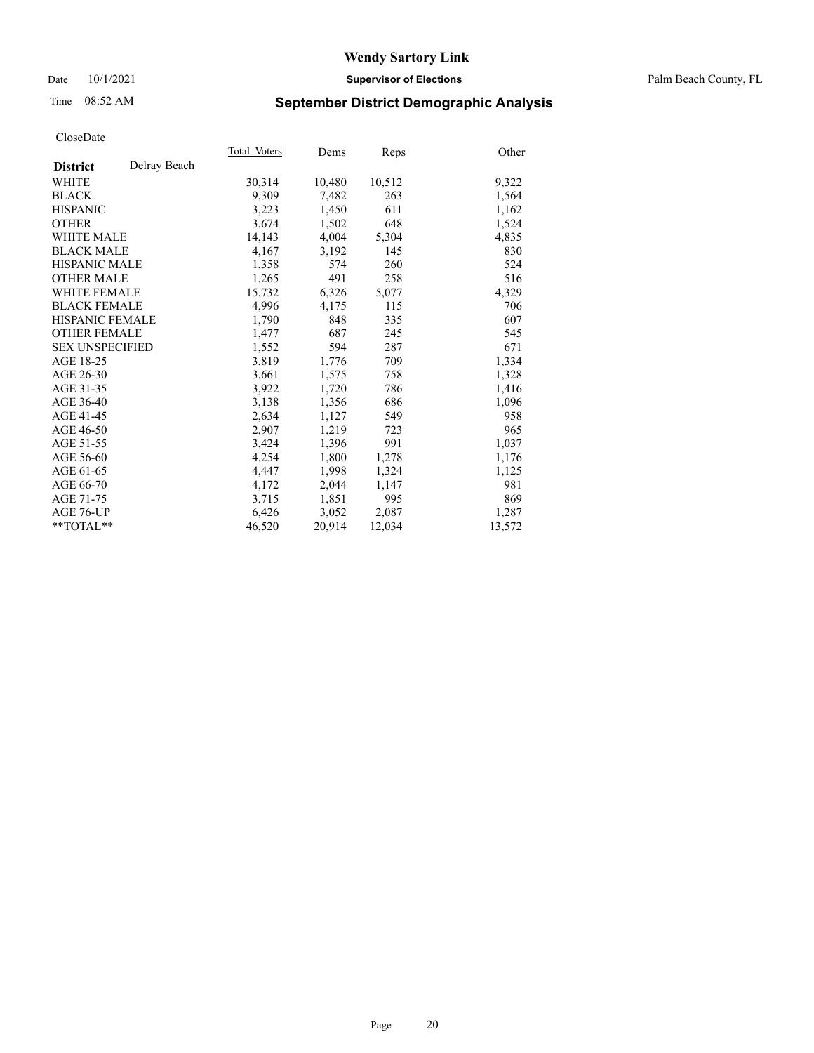#### Date 10/1/2021 **Supervisor of Elections** Palm Beach County, FL

## Time 08:52 AM **September District Demographic Analysis**

|                        |              | Total Voters | Dems   | <u>Reps</u> | Other  |
|------------------------|--------------|--------------|--------|-------------|--------|
| <b>District</b>        | Delray Beach |              |        |             |        |
| WHITE                  |              | 30,314       | 10,480 | 10,512      | 9,322  |
| <b>BLACK</b>           |              | 9,309        | 7,482  | 263         | 1,564  |
| <b>HISPANIC</b>        |              | 3,223        | 1,450  | 611         | 1,162  |
| <b>OTHER</b>           |              | 3,674        | 1,502  | 648         | 1,524  |
| <b>WHITE MALE</b>      |              | 14,143       | 4,004  | 5,304       | 4,835  |
| <b>BLACK MALE</b>      |              | 4,167        | 3,192  | 145         | 830    |
| <b>HISPANIC MALE</b>   |              | 1,358        | 574    | 260         | 524    |
| <b>OTHER MALE</b>      |              | 1,265        | 491    | 258         | 516    |
| <b>WHITE FEMALE</b>    |              | 15,732       | 6,326  | 5,077       | 4,329  |
| <b>BLACK FEMALE</b>    |              | 4,996        | 4,175  | 115         | 706    |
| <b>HISPANIC FEMALE</b> |              | 1,790        | 848    | 335         | 607    |
| <b>OTHER FEMALE</b>    |              | 1,477        | 687    | 245         | 545    |
| <b>SEX UNSPECIFIED</b> |              | 1,552        | 594    | 287         | 671    |
| AGE 18-25              |              | 3,819        | 1,776  | 709         | 1,334  |
| AGE 26-30              |              | 3,661        | 1,575  | 758         | 1,328  |
| AGE 31-35              |              | 3,922        | 1,720  | 786         | 1,416  |
| AGE 36-40              |              | 3,138        | 1,356  | 686         | 1,096  |
| AGE 41-45              |              | 2,634        | 1,127  | 549         | 958    |
| AGE 46-50              |              | 2,907        | 1,219  | 723         | 965    |
| AGE 51-55              |              | 3,424        | 1,396  | 991         | 1,037  |
| AGE 56-60              |              | 4,254        | 1,800  | 1,278       | 1,176  |
| AGE 61-65              |              | 4,447        | 1,998  | 1,324       | 1,125  |
| AGE 66-70              |              | 4,172        | 2,044  | 1.147       | 981    |
| AGE 71-75              |              | 3,715        | 1,851  | 995         | 869    |
| AGE 76-UP              |              | 6,426        | 3,052  | 2,087       | 1,287  |
| $*$ $TOTAL**$          |              | 46,520       | 20,914 | 12,034      | 13,572 |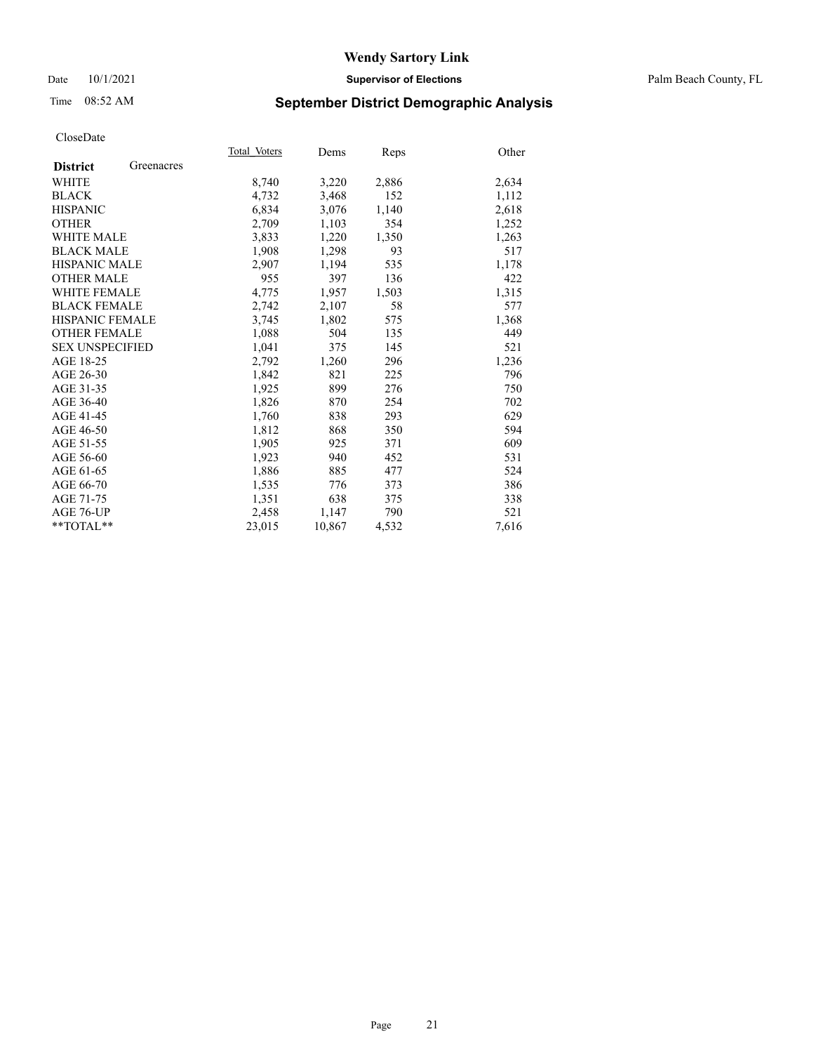#### Date 10/1/2021 **Supervisor of Elections** Palm Beach County, FL

## Time 08:52 AM **September District Demographic Analysis**

|                        |            | Total Voters | Dems   | Reps  | Other |
|------------------------|------------|--------------|--------|-------|-------|
| <b>District</b>        | Greenacres |              |        |       |       |
| WHITE                  |            | 8,740        | 3,220  | 2,886 | 2,634 |
| <b>BLACK</b>           |            | 4,732        | 3,468  | 152   | 1,112 |
| <b>HISPANIC</b>        |            | 6,834        | 3,076  | 1,140 | 2,618 |
| <b>OTHER</b>           |            | 2,709        | 1,103  | 354   | 1,252 |
| <b>WHITE MALE</b>      |            | 3,833        | 1,220  | 1,350 | 1,263 |
| <b>BLACK MALE</b>      |            | 1,908        | 1,298  | 93    | 517   |
| <b>HISPANIC MALE</b>   |            | 2,907        | 1,194  | 535   | 1,178 |
| <b>OTHER MALE</b>      |            | 955          | 397    | 136   | 422   |
| <b>WHITE FEMALE</b>    |            | 4,775        | 1,957  | 1,503 | 1,315 |
| <b>BLACK FEMALE</b>    |            | 2,742        | 2,107  | 58    | 577   |
| <b>HISPANIC FEMALE</b> |            | 3,745        | 1,802  | 575   | 1,368 |
| <b>OTHER FEMALE</b>    |            | 1,088        | 504    | 135   | 449   |
| <b>SEX UNSPECIFIED</b> |            | 1,041        | 375    | 145   | 521   |
| AGE 18-25              |            | 2,792        | 1,260  | 296   | 1,236 |
| AGE 26-30              |            | 1,842        | 821    | 225   | 796   |
| AGE 31-35              |            | 1,925        | 899    | 276   | 750   |
| AGE 36-40              |            | 1,826        | 870    | 254   | 702   |
| AGE 41-45              |            | 1,760        | 838    | 293   | 629   |
| AGE 46-50              |            | 1,812        | 868    | 350   | 594   |
| AGE 51-55              |            | 1,905        | 925    | 371   | 609   |
| AGE 56-60              |            | 1,923        | 940    | 452   | 531   |
| AGE 61-65              |            | 1,886        | 885    | 477   | 524   |
| AGE 66-70              |            | 1,535        | 776    | 373   | 386   |
| AGE 71-75              |            | 1,351        | 638    | 375   | 338   |
| AGE 76-UP              |            | 2,458        | 1,147  | 790   | 521   |
| $*$ $TOTAL**$          |            | 23,015       | 10,867 | 4,532 | 7,616 |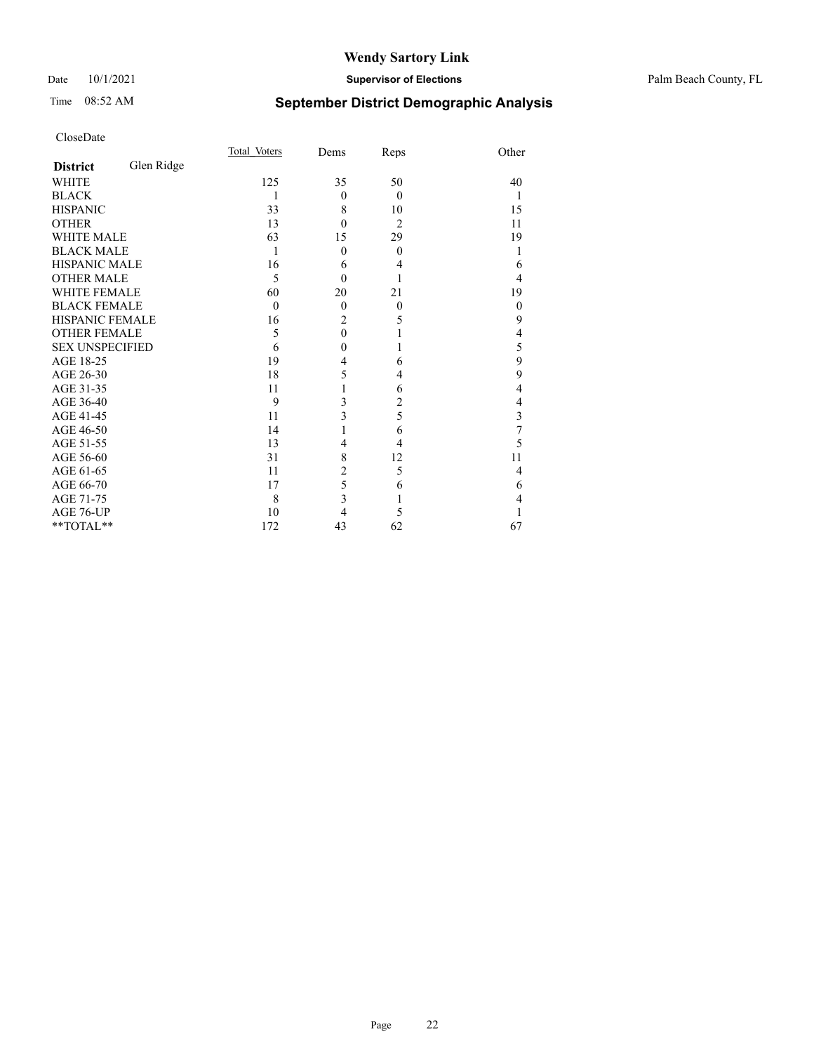#### Date 10/1/2021 **Supervisor of Elections** Palm Beach County, FL

## Time 08:52 AM **September District Demographic Analysis**

|                        |            | Total Voters | Dems           | Reps           | Other    |
|------------------------|------------|--------------|----------------|----------------|----------|
| <b>District</b>        | Glen Ridge |              |                |                |          |
| <b>WHITE</b>           |            | 125          | 35             | 50             | 40       |
| <b>BLACK</b>           |            | 1            | $\mathbf{0}$   | $\theta$       | 1        |
| <b>HISPANIC</b>        |            | 33           | 8              | 10             | 15       |
| <b>OTHER</b>           |            | 13           | $\theta$       | $\overline{2}$ | 11       |
| <b>WHITE MALE</b>      |            | 63           | 15             | 29             | 19       |
| <b>BLACK MALE</b>      |            | 1            | $\theta$       | $\theta$       |          |
| <b>HISPANIC MALE</b>   |            | 16           | 6              | 4              | 6        |
| <b>OTHER MALE</b>      |            | 5            | $\theta$       |                | 4        |
| <b>WHITE FEMALE</b>    |            | 60           | 20             | 21             | 19       |
| <b>BLACK FEMALE</b>    |            | $\theta$     | $\mathbf{0}$   | $\theta$       | $\theta$ |
| <b>HISPANIC FEMALE</b> |            | 16           | $\overline{2}$ | 5              | 9        |
| <b>OTHER FEMALE</b>    |            | 5            | $\theta$       | 1              | 4        |
| <b>SEX UNSPECIFIED</b> |            | 6            | 0              |                | 5        |
| AGE 18-25              |            | 19           | 4              | 6              | 9        |
| AGE 26-30              |            | 18           | 5              | 4              | 9        |
| AGE 31-35              |            | 11           |                | 6              | 4        |
| AGE 36-40              |            | 9            | 3              | 2              | 4        |
| AGE 41-45              |            | 11           | 3              | 5              | 3        |
| AGE 46-50              |            | 14           |                | 6              | 7        |
| AGE 51-55              |            | 13           | 4              | 4              | 5        |
| AGE 56-60              |            | 31           | 8              | 12             | 11       |
| AGE 61-65              |            | 11           | $\overline{c}$ | 5              | 4        |
| AGE 66-70              |            | 17           | 5              | 6              | 6        |
| AGE 71-75              |            | 8            | 3              | 1              | 4        |
| AGE 76-UP              |            | 10           | 4              | 5              |          |
| **TOTAL**              |            | 172          | 43             | 62             | 67       |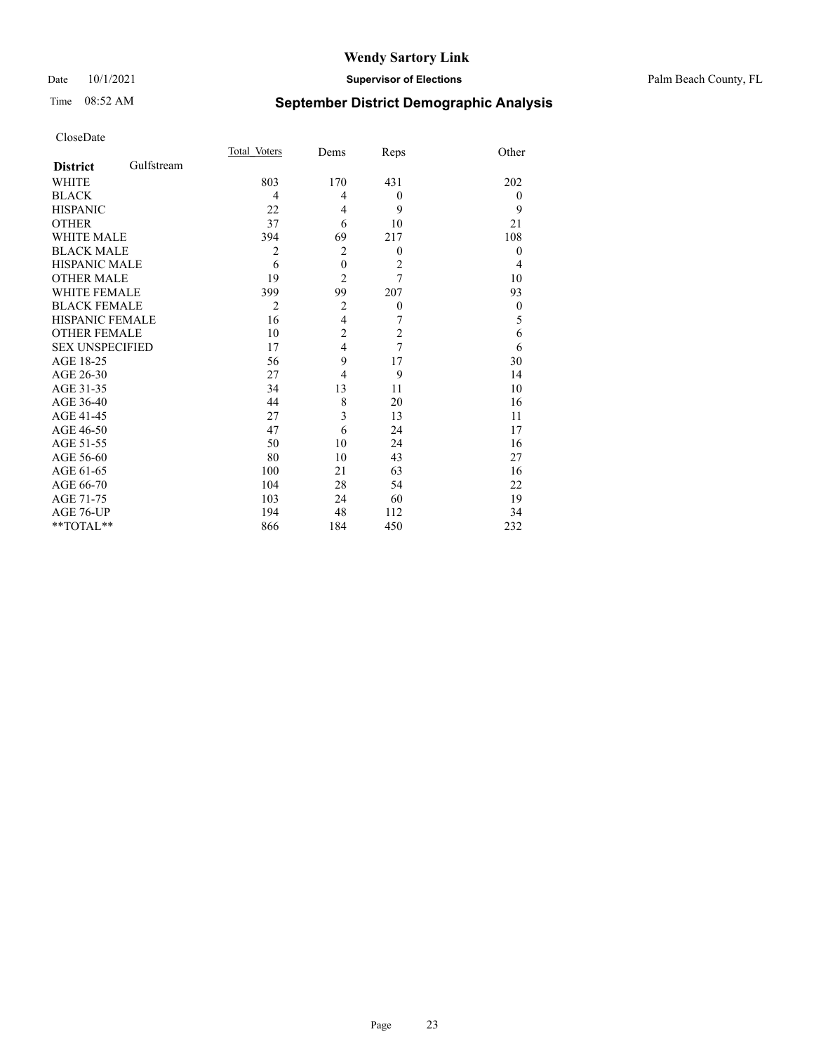#### Date 10/1/2021 **Supervisor of Elections** Palm Beach County, FL

## Time 08:52 AM **September District Demographic Analysis**

|                        |            | Total Voters   | Dems             | Reps             | Other          |
|------------------------|------------|----------------|------------------|------------------|----------------|
| <b>District</b>        | Gulfstream |                |                  |                  |                |
| WHITE                  |            | 803            | 170              | 431              | 202            |
| <b>BLACK</b>           |            | 4              | 4                | $\theta$         | $\overline{0}$ |
| <b>HISPANIC</b>        |            | 22             | 4                | 9                | 9              |
| <b>OTHER</b>           |            | 37             | 6                | 10               | 21             |
| <b>WHITE MALE</b>      |            | 394            | 69               | 217              | 108            |
| <b>BLACK MALE</b>      |            | $\overline{2}$ | $\overline{2}$   | $\mathbf{0}$     | $\mathbf{0}$   |
| <b>HISPANIC MALE</b>   |            | 6              | $\boldsymbol{0}$ | $\overline{2}$   | 4              |
| <b>OTHER MALE</b>      |            | 19             | $\overline{2}$   | 7                | 10             |
| <b>WHITE FEMALE</b>    |            | 399            | 99               | 207              | 93             |
| <b>BLACK FEMALE</b>    |            | $\overline{2}$ | 2                | $\boldsymbol{0}$ | $\theta$       |
| <b>HISPANIC FEMALE</b> |            | 16             | $\overline{4}$   | 7                | 5              |
| <b>OTHER FEMALE</b>    |            | 10             | $\overline{c}$   | $\overline{c}$   | 6              |
| <b>SEX UNSPECIFIED</b> |            | 17             | $\overline{4}$   | 7                | 6              |
| AGE 18-25              |            | 56             | 9                | 17               | 30             |
| AGE 26-30              |            | 27             | $\overline{4}$   | 9                | 14             |
| AGE 31-35              |            | 34             | 13               | 11               | 10             |
| AGE 36-40              |            | 44             | 8                | 20               | 16             |
| AGE 41-45              |            | 27             | 3                | 13               | 11             |
| AGE 46-50              |            | 47             | 6                | 24               | 17             |
| AGE 51-55              |            | 50             | 10               | 24               | 16             |
| AGE 56-60              |            | 80             | 10               | 43               | 27             |
| AGE 61-65              |            | 100            | 21               | 63               | 16             |
| AGE 66-70              |            | 104            | 28               | 54               | 22             |
| AGE 71-75              |            | 103            | 24               | 60               | 19             |
| AGE 76-UP              |            | 194            | 48               | 112              | 34             |
| **TOTAL**              |            | 866            | 184              | 450              | 232            |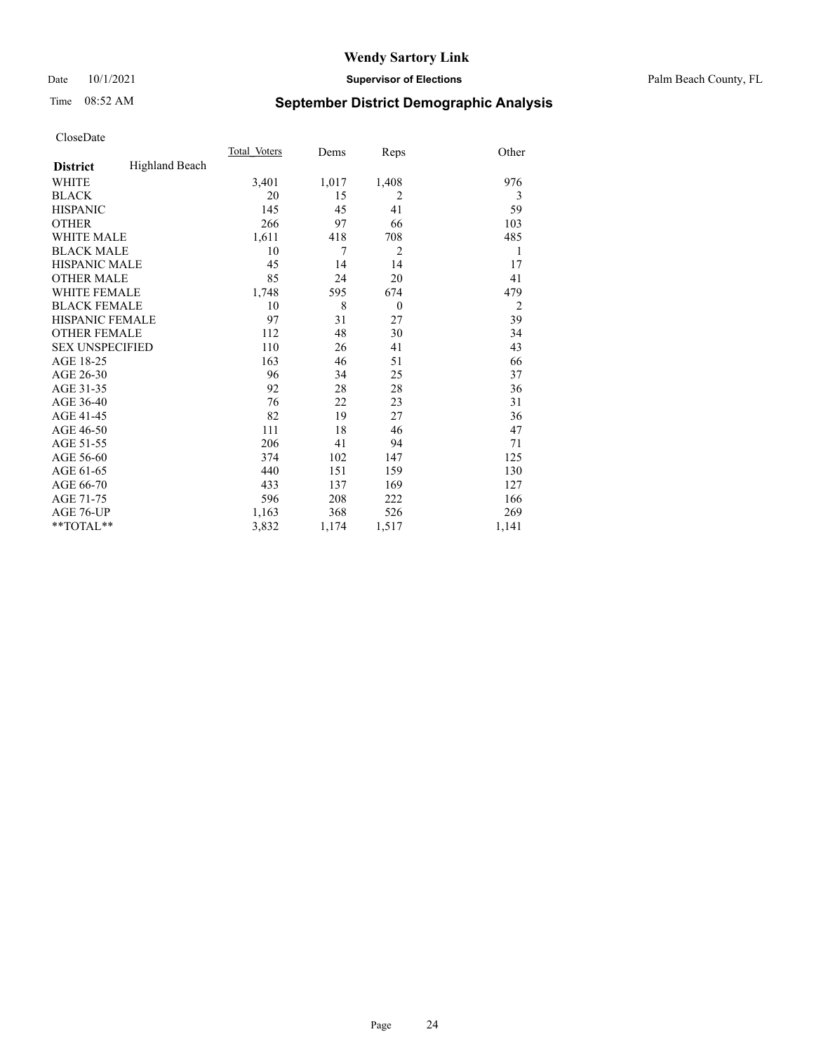#### Date 10/1/2021 **Supervisor of Elections** Palm Beach County, FL

## Time 08:52 AM **September District Demographic Analysis**

|                        |                       | Total Voters | Dems  | Reps           | Other          |
|------------------------|-----------------------|--------------|-------|----------------|----------------|
| <b>District</b>        | <b>Highland Beach</b> |              |       |                |                |
| <b>WHITE</b>           |                       | 3,401        | 1,017 | 1,408          | 976            |
| <b>BLACK</b>           |                       | 20           | 15    | 2              | 3              |
| <b>HISPANIC</b>        |                       | 145          | 45    | 41             | 59             |
| <b>OTHER</b>           |                       | 266          | 97    | 66             | 103            |
| WHITE MALE             |                       | 1,611        | 418   | 708            | 485            |
| <b>BLACK MALE</b>      |                       | 10           | 7     | $\overline{2}$ | 1              |
| <b>HISPANIC MALE</b>   |                       | 45           | 14    | 14             | 17             |
| <b>OTHER MALE</b>      |                       | 85           | 24    | 20             | 41             |
| WHITE FEMALE           |                       | 1,748        | 595   | 674            | 479            |
| <b>BLACK FEMALE</b>    |                       | 10           | 8     | $\theta$       | $\overline{2}$ |
| <b>HISPANIC FEMALE</b> |                       | 97           | 31    | 27             | 39             |
| <b>OTHER FEMALE</b>    |                       | 112          | 48    | 30             | 34             |
| <b>SEX UNSPECIFIED</b> |                       | 110          | 26    | 41             | 43             |
| AGE 18-25              |                       | 163          | 46    | 51             | 66             |
| AGE 26-30              |                       | 96           | 34    | 25             | 37             |
| AGE 31-35              |                       | 92           | 28    | 28             | 36             |
| AGE 36-40              |                       | 76           | 22    | 23             | 31             |
| AGE 41-45              |                       | 82           | 19    | 27             | 36             |
| AGE 46-50              |                       | 111          | 18    | 46             | 47             |
| AGE 51-55              |                       | 206          | 41    | 94             | 71             |
| AGE 56-60              |                       | 374          | 102   | 147            | 125            |
| AGE 61-65              |                       | 440          | 151   | 159            | 130            |
| AGE 66-70              |                       | 433          | 137   | 169            | 127            |
| AGE 71-75              |                       | 596          | 208   | 222            | 166            |
| AGE 76-UP              |                       | 1,163        | 368   | 526            | 269            |
| $*$ $TOTAL**$          |                       | 3,832        | 1,174 | 1,517          | 1,141          |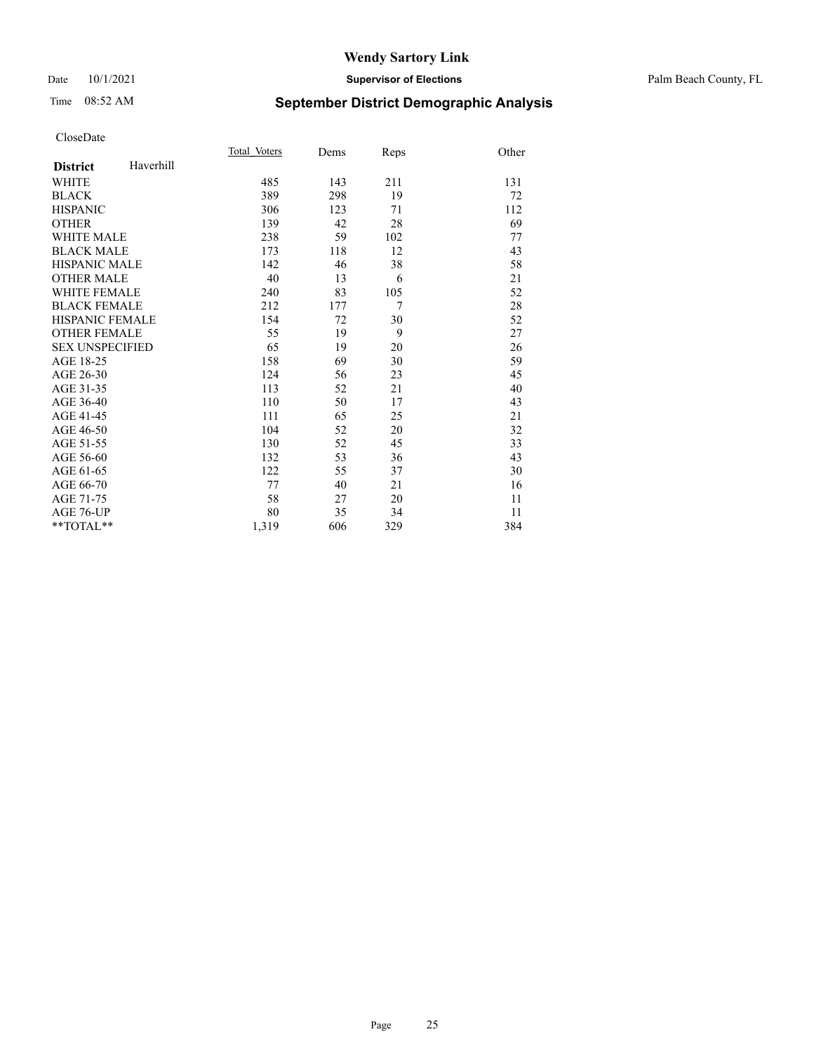#### Date 10/1/2021 **Supervisor of Elections** Palm Beach County, FL

## Time 08:52 AM **September District Demographic Analysis**

|                        |           | Total Voters | Dems | Reps           | Other |
|------------------------|-----------|--------------|------|----------------|-------|
| <b>District</b>        | Haverhill |              |      |                |       |
| <b>WHITE</b>           |           | 485          | 143  | 211            | 131   |
| <b>BLACK</b>           |           | 389          | 298  | 19             | 72    |
| <b>HISPANIC</b>        |           | 306          | 123  | 71             | 112   |
| <b>OTHER</b>           |           | 139          | 42   | 28             | 69    |
| <b>WHITE MALE</b>      |           | 238          | 59   | 102            | 77    |
| <b>BLACK MALE</b>      |           | 173          | 118  | 12             | 43    |
| <b>HISPANIC MALE</b>   |           | 142          | 46   | 38             | 58    |
| <b>OTHER MALE</b>      |           | 40           | 13   | 6              | 21    |
| <b>WHITE FEMALE</b>    |           | 240          | 83   | 105            | 52    |
| <b>BLACK FEMALE</b>    |           | 212          | 177  | $\overline{7}$ | 28    |
| HISPANIC FEMALE        |           | 154          | 72   | 30             | 52    |
| <b>OTHER FEMALE</b>    |           | 55           | 19   | 9              | 27    |
| <b>SEX UNSPECIFIED</b> |           | 65           | 19   | 20             | 26    |
| AGE 18-25              |           | 158          | 69   | 30             | 59    |
| AGE 26-30              |           | 124          | 56   | 23             | 45    |
| AGE 31-35              |           | 113          | 52   | 21             | 40    |
| AGE 36-40              |           | 110          | 50   | 17             | 43    |
| AGE 41-45              |           | 111          | 65   | 25             | 21    |
| AGE 46-50              |           | 104          | 52   | 20             | 32    |
| AGE 51-55              |           | 130          | 52   | 45             | 33    |
| AGE 56-60              |           | 132          | 53   | 36             | 43    |
| AGE 61-65              |           | 122          | 55   | 37             | 30    |
| AGE 66-70              |           | 77           | 40   | 21             | 16    |
| AGE 71-75              |           | 58           | 27   | 20             | 11    |
| <b>AGE 76-UP</b>       |           | 80           | 35   | 34             | 11    |
| $*$ $TOTAL**$          |           | 1,319        | 606  | 329            | 384   |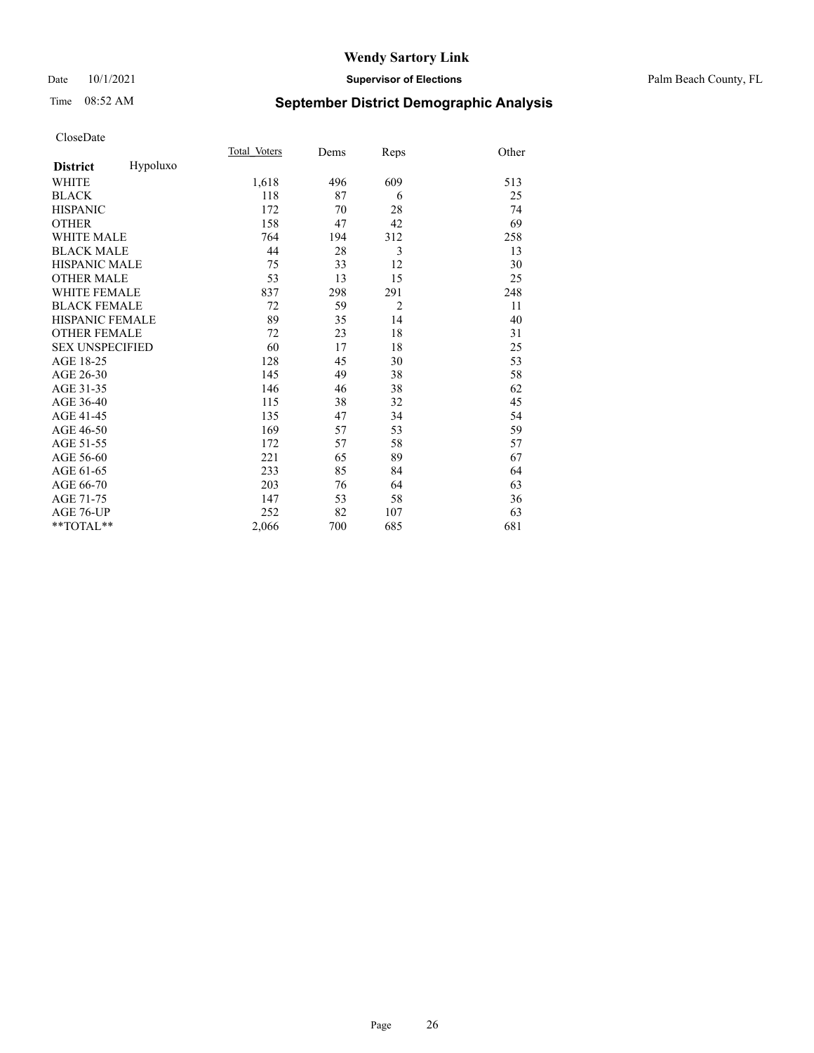#### Date 10/1/2021 **Supervisor of Elections** Palm Beach County, FL

## Time 08:52 AM **September District Demographic Analysis**

|                        |          | Total Voters | Dems | Reps           | Other |
|------------------------|----------|--------------|------|----------------|-------|
| <b>District</b>        | Hypoluxo |              |      |                |       |
| WHITE                  |          | 1,618        | 496  | 609            | 513   |
| <b>BLACK</b>           |          | 118          | 87   | 6              | 25    |
| <b>HISPANIC</b>        |          | 172          | 70   | 28             | 74    |
| <b>OTHER</b>           |          | 158          | 47   | 42             | 69    |
| WHITE MALE             |          | 764          | 194  | 312            | 258   |
| <b>BLACK MALE</b>      |          | 44           | 28   | 3              | 13    |
| <b>HISPANIC MALE</b>   |          | 75           | 33   | 12             | 30    |
| <b>OTHER MALE</b>      |          | 53           | 13   | 15             | 25    |
| <b>WHITE FEMALE</b>    |          | 837          | 298  | 291            | 248   |
| <b>BLACK FEMALE</b>    |          | 72           | 59   | $\overline{2}$ | 11    |
| HISPANIC FEMALE        |          | 89           | 35   | 14             | 40    |
| <b>OTHER FEMALE</b>    |          | 72           | 23   | 18             | 31    |
| <b>SEX UNSPECIFIED</b> |          | 60           | 17   | 18             | 25    |
| AGE 18-25              |          | 128          | 45   | 30             | 53    |
| AGE 26-30              |          | 145          | 49   | 38             | 58    |
| AGE 31-35              |          | 146          | 46   | 38             | 62    |
| AGE 36-40              |          | 115          | 38   | 32             | 45    |
| AGE 41-45              |          | 135          | 47   | 34             | 54    |
| AGE 46-50              |          | 169          | 57   | 53             | 59    |
| AGE 51-55              |          | 172          | 57   | 58             | 57    |
| AGE 56-60              |          | 221          | 65   | 89             | 67    |
| AGE 61-65              |          | 233          | 85   | 84             | 64    |
| AGE 66-70              |          | 203          | 76   | 64             | 63    |
| AGE 71-75              |          | 147          | 53   | 58             | 36    |
| AGE 76-UP              |          | 252          | 82   | 107            | 63    |
| **TOTAL**              |          | 2,066        | 700  | 685            | 681   |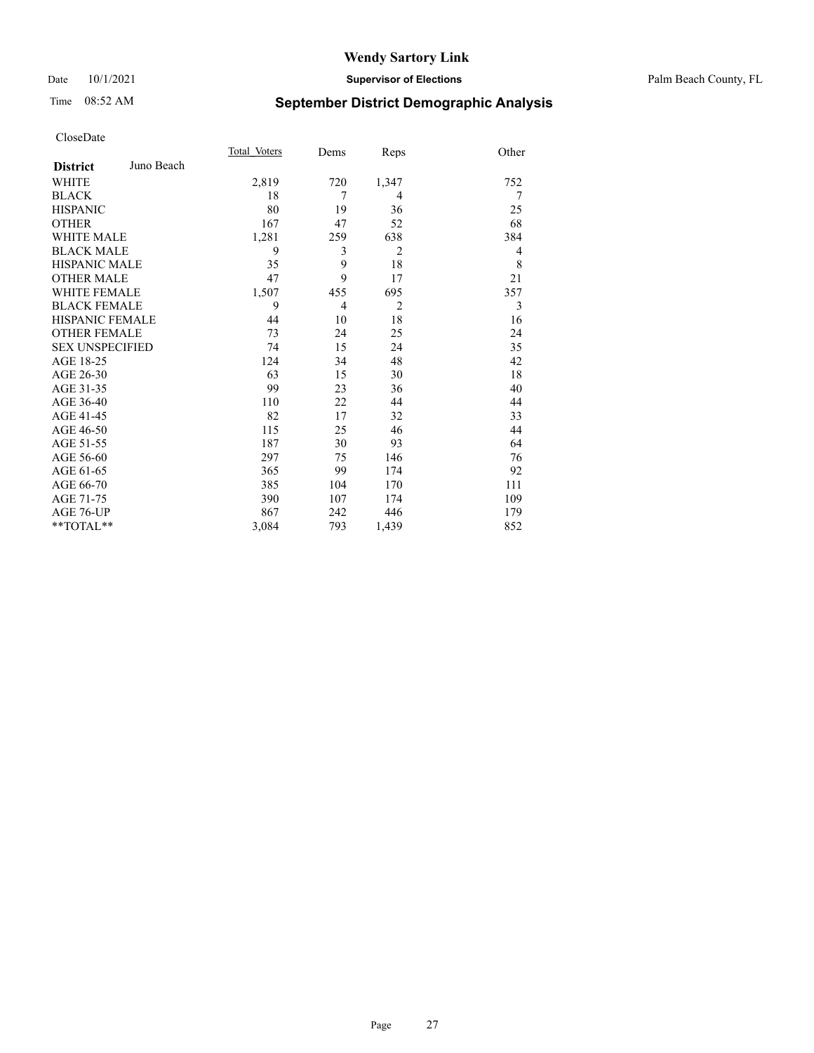#### Date 10/1/2021 **Supervisor of Elections** Palm Beach County, FL

## Time 08:52 AM **September District Demographic Analysis**

|                        |            | Total Voters | Dems           | Reps           | Other |
|------------------------|------------|--------------|----------------|----------------|-------|
| <b>District</b>        | Juno Beach |              |                |                |       |
| WHITE                  |            | 2,819        | 720            | 1,347          | 752   |
| <b>BLACK</b>           |            | 18           | 7              | 4              | 7     |
| <b>HISPANIC</b>        |            | 80           | 19             | 36             | 25    |
| <b>OTHER</b>           |            | 167          | 47             | 52             | 68    |
| <b>WHITE MALE</b>      |            | 1,281        | 259            | 638            | 384   |
| <b>BLACK MALE</b>      |            | 9            | 3              | $\overline{2}$ | 4     |
| <b>HISPANIC MALE</b>   |            | 35           | 9              | 18             | 8     |
| <b>OTHER MALE</b>      |            | 47           | 9              | 17             | 21    |
| <b>WHITE FEMALE</b>    |            | 1,507        | 455            | 695            | 357   |
| <b>BLACK FEMALE</b>    |            | 9            | $\overline{4}$ | $\overline{2}$ | 3     |
| <b>HISPANIC FEMALE</b> |            | 44           | 10             | 18             | 16    |
| <b>OTHER FEMALE</b>    |            | 73           | 24             | 25             | 24    |
| <b>SEX UNSPECIFIED</b> |            | 74           | 15             | 24             | 35    |
| AGE 18-25              |            | 124          | 34             | 48             | 42    |
| AGE 26-30              |            | 63           | 15             | 30             | 18    |
| AGE 31-35              |            | 99           | 23             | 36             | 40    |
| AGE 36-40              |            | 110          | 22             | 44             | 44    |
| AGE 41-45              |            | 82           | 17             | 32             | 33    |
| AGE 46-50              |            | 115          | 25             | 46             | 44    |
| AGE 51-55              |            | 187          | 30             | 93             | 64    |
| AGE 56-60              |            | 297          | 75             | 146            | 76    |
| AGE 61-65              |            | 365          | 99             | 174            | 92    |
| AGE 66-70              |            | 385          | 104            | 170            | 111   |
| AGE 71-75              |            | 390          | 107            | 174            | 109   |
| AGE 76-UP              |            | 867          | 242            | 446            | 179   |
| $*$ $TOTAL**$          |            | 3,084        | 793            | 1,439          | 852   |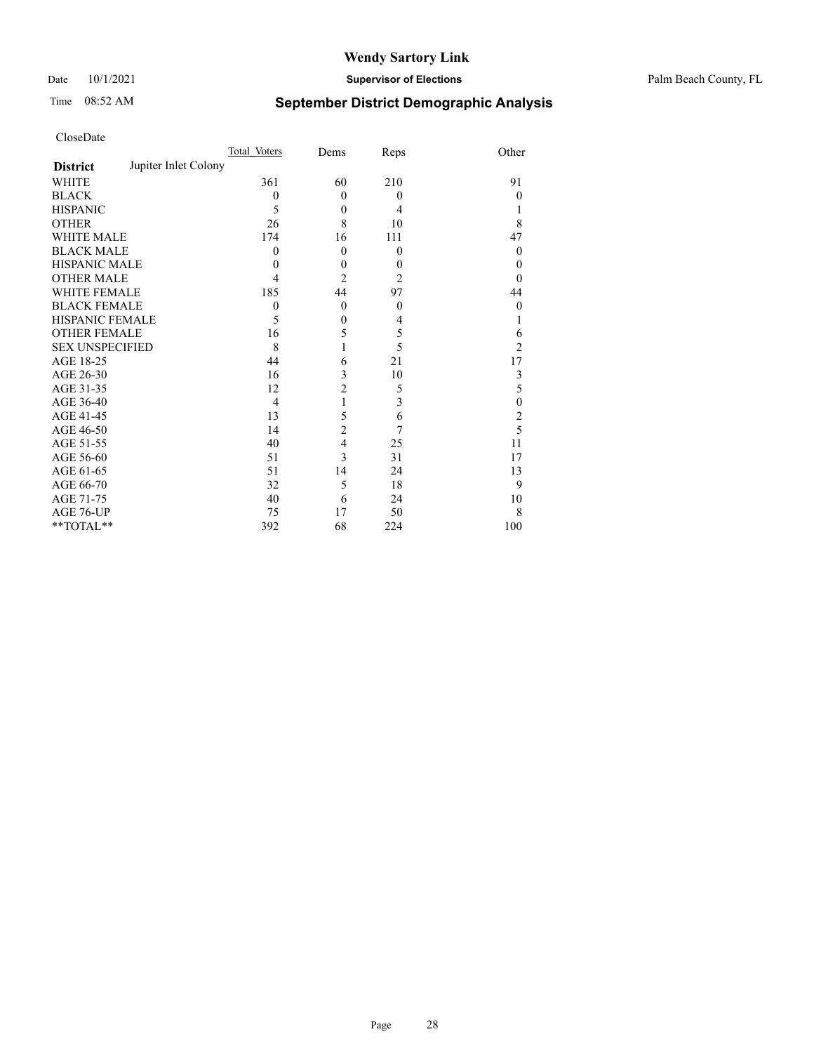#### Date 10/1/2021 **Supervisor of Elections** Palm Beach County, FL

## Time 08:52 AM **September District Demographic Analysis**

|                                         | Total Voters   | Dems           | Reps           | Other          |
|-----------------------------------------|----------------|----------------|----------------|----------------|
| Jupiter Inlet Colony<br><b>District</b> |                |                |                |                |
| WHITE                                   | 361            | 60             | 210            | 91             |
| <b>BLACK</b>                            | $\theta$       | $\Omega$       | $\mathbf{0}$   | $\theta$       |
| <b>HISPANIC</b>                         | 5              | $\theta$       | $\overline{4}$ | 1              |
| <b>OTHER</b>                            | 26             | 8              | 10             | 8              |
| <b>WHITE MALE</b>                       | 174            | 16             | 111            | 47             |
| <b>BLACK MALE</b>                       | $\theta$       | $\theta$       | $\mathbf{0}$   | $\theta$       |
| <b>HISPANIC MALE</b>                    | 0              | $\mathbf{0}$   | $\theta$       | $\theta$       |
| <b>OTHER MALE</b>                       | 4              | $\overline{2}$ | $\overline{2}$ | $\theta$       |
| <b>WHITE FEMALE</b>                     | 185            | 44             | 97             | 44             |
| <b>BLACK FEMALE</b>                     | $\theta$       | $\theta$       | $\mathbf{0}$   | $\mathbf{0}$   |
| HISPANIC FEMALE                         | 5              | $\theta$       | 4              |                |
| <b>OTHER FEMALE</b>                     | 16             | 5              | 5              | 6              |
| <b>SEX UNSPECIFIED</b>                  | 8              |                | 5              | $\overline{2}$ |
| AGE 18-25                               | 44             | 6              | 21             | 17             |
| AGE 26-30                               | 16             | 3              | 10             | 3              |
| AGE 31-35                               | 12             | $\overline{c}$ | 5              | 5              |
| AGE 36-40                               | $\overline{4}$ | 1              | 3              | $\mathbf{0}$   |
| AGE 41-45                               | 13             | 5              | 6              | 2              |
| AGE 46-50                               | 14             | $\overline{c}$ | 7              | 5              |
| AGE 51-55                               | 40             | $\overline{4}$ | 25             | 11             |
| AGE 56-60                               | 51             | 3              | 31             | 17             |
| AGE 61-65                               | 51             | 14             | 24             | 13             |
| AGE 66-70                               | 32             | 5              | 18             | 9              |
| AGE 71-75                               | 40             | 6              | 24             | 10             |
| AGE 76-UP                               | 75             | 17             | 50             | 8              |
| **TOTAL**                               | 392            | 68             | 224            | 100            |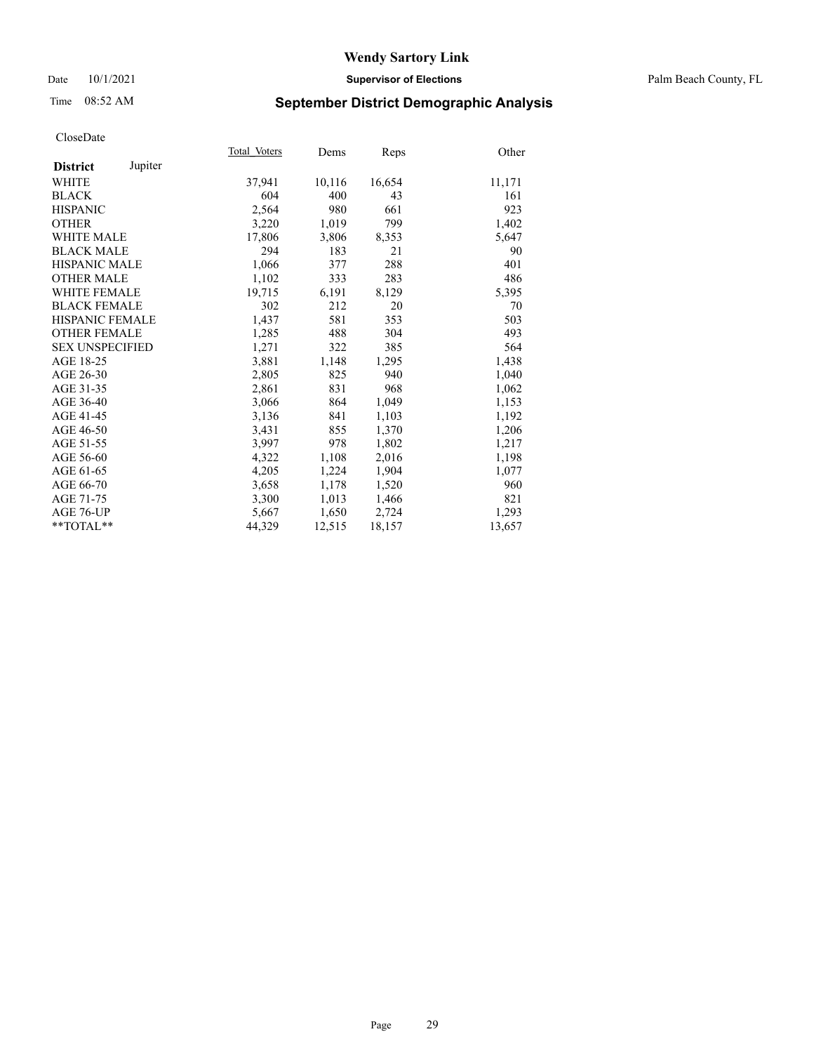#### Date 10/1/2021 **Supervisor of Elections** Palm Beach County, FL

## Time 08:52 AM **September District Demographic Analysis**

|                            | Total Voters | Dems   | Reps   | Other  |
|----------------------------|--------------|--------|--------|--------|
| Jupiter<br><b>District</b> |              |        |        |        |
| WHITE                      | 37,941       | 10,116 | 16,654 | 11,171 |
| <b>BLACK</b>               | 604          | 400    | 43     | 161    |
| <b>HISPANIC</b>            | 2,564        | 980    | 661    | 923    |
| <b>OTHER</b>               | 3,220        | 1,019  | 799    | 1,402  |
| <b>WHITE MALE</b>          | 17,806       | 3,806  | 8,353  | 5,647  |
| <b>BLACK MALE</b>          | 294          | 183    | 21     | 90     |
| <b>HISPANIC MALE</b>       | 1,066        | 377    | 288    | 401    |
| <b>OTHER MALE</b>          | 1,102        | 333    | 283    | 486    |
| WHITE FEMALE               | 19,715       | 6,191  | 8,129  | 5,395  |
| <b>BLACK FEMALE</b>        | 302          | 212    | 20     | 70     |
| HISPANIC FEMALE            | 1,437        | 581    | 353    | 503    |
| <b>OTHER FEMALE</b>        | 1,285        | 488    | 304    | 493    |
| <b>SEX UNSPECIFIED</b>     | 1,271        | 322    | 385    | 564    |
| AGE 18-25                  | 3,881        | 1,148  | 1,295  | 1,438  |
| AGE 26-30                  | 2,805        | 825    | 940    | 1,040  |
| AGE 31-35                  | 2,861        | 831    | 968    | 1,062  |
| AGE 36-40                  | 3,066        | 864    | 1,049  | 1,153  |
| AGE 41-45                  | 3,136        | 841    | 1,103  | 1,192  |
| AGE 46-50                  | 3,431        | 855    | 1,370  | 1,206  |
| AGE 51-55                  | 3,997        | 978    | 1,802  | 1,217  |
| AGE 56-60                  | 4,322        | 1,108  | 2,016  | 1,198  |
| AGE 61-65                  | 4,205        | 1,224  | 1,904  | 1,077  |
| AGE 66-70                  | 3,658        | 1,178  | 1,520  | 960    |
| AGE 71-75                  | 3,300        | 1,013  | 1,466  | 821    |
| AGE 76-UP                  | 5,667        | 1,650  | 2,724  | 1,293  |
| $*$ $TOTAL**$              | 44,329       | 12,515 | 18,157 | 13,657 |
|                            |              |        |        |        |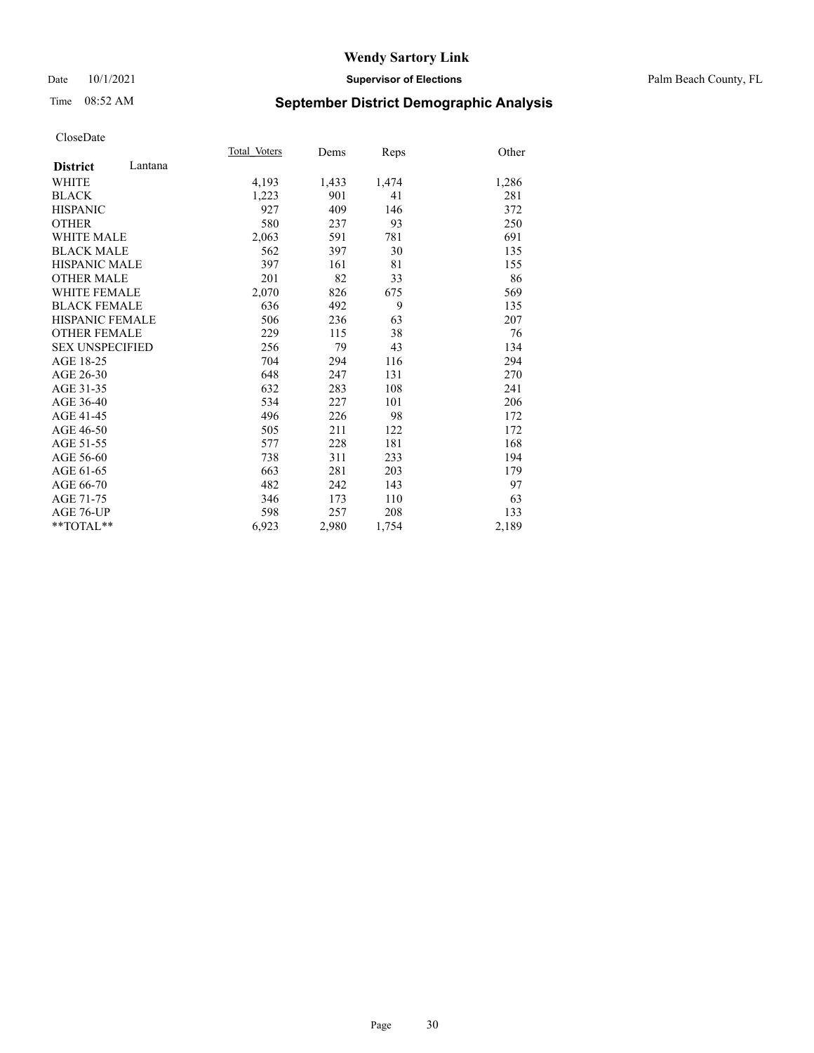#### Date 10/1/2021 **Supervisor of Elections** Palm Beach County, FL

## Time 08:52 AM **September District Demographic Analysis**

|                            | Total Voters | Dems  | Reps  | Other |
|----------------------------|--------------|-------|-------|-------|
| Lantana<br><b>District</b> |              |       |       |       |
| <b>WHITE</b>               | 4,193        | 1,433 | 1,474 | 1,286 |
| <b>BLACK</b>               | 1,223        | 901   | 41    | 281   |
| <b>HISPANIC</b>            | 927          | 409   | 146   | 372   |
| <b>OTHER</b>               | 580          | 237   | 93    | 250   |
| <b>WHITE MALE</b>          | 2,063        | 591   | 781   | 691   |
| <b>BLACK MALE</b>          | 562          | 397   | 30    | 135   |
| <b>HISPANIC MALE</b>       | 397          | 161   | 81    | 155   |
| <b>OTHER MALE</b>          | 201          | 82    | 33    | 86    |
| <b>WHITE FEMALE</b>        | 2,070        | 826   | 675   | 569   |
| <b>BLACK FEMALE</b>        | 636          | 492   | 9     | 135   |
| HISPANIC FEMALE            | 506          | 236   | 63    | 207   |
| <b>OTHER FEMALE</b>        | 229          | 115   | 38    | 76    |
| <b>SEX UNSPECIFIED</b>     | 256          | 79    | 43    | 134   |
| AGE 18-25                  | 704          | 294   | 116   | 294   |
| AGE 26-30                  | 648          | 247   | 131   | 270   |
| AGE 31-35                  | 632          | 283   | 108   | 241   |
| AGE 36-40                  | 534          | 227   | 101   | 206   |
| AGE 41-45                  | 496          | 226   | 98    | 172   |
| AGE 46-50                  | 505          | 211   | 122   | 172   |
| AGE 51-55                  | 577          | 228   | 181   | 168   |
| AGE 56-60                  | 738          | 311   | 233   | 194   |
| AGE 61-65                  | 663          | 281   | 203   | 179   |
| AGE 66-70                  | 482          | 242   | 143   | 97    |
| AGE 71-75                  | 346          | 173   | 110   | 63    |
| AGE 76-UP                  | 598          | 257   | 208   | 133   |
| $*$ $TOTAL**$              | 6,923        | 2,980 | 1,754 | 2,189 |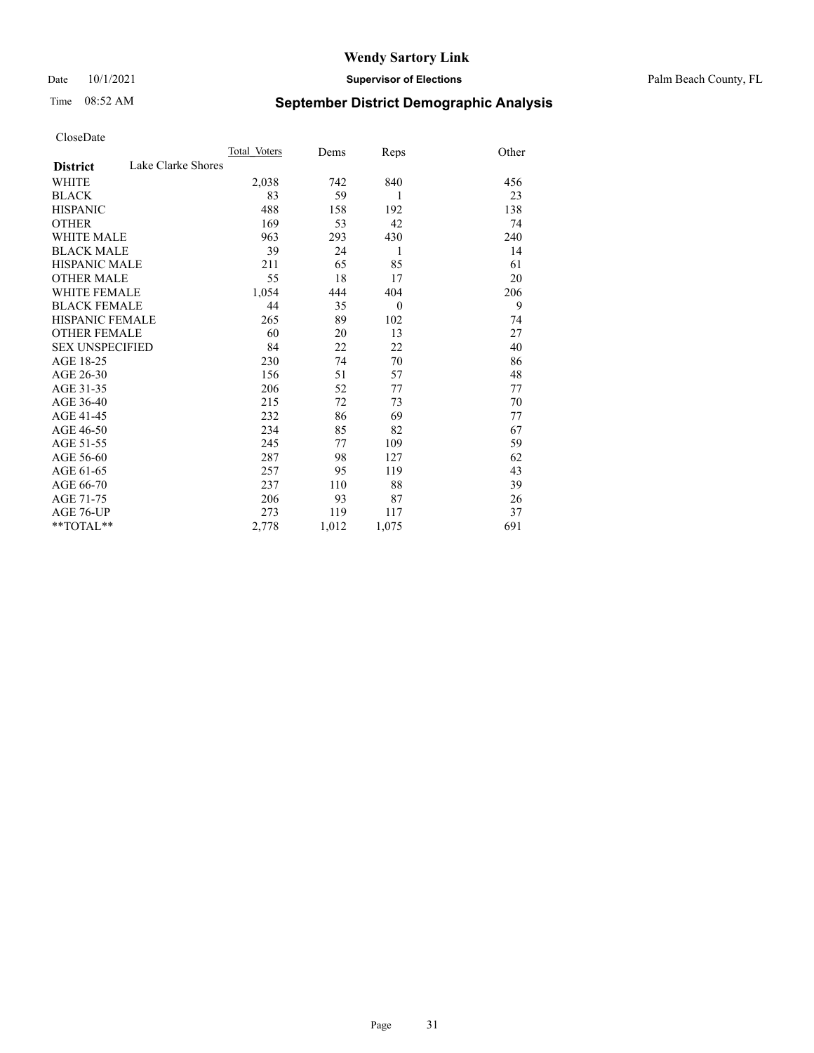Date 10/1/2021 **Supervisor of Elections** Palm Beach County, FL

## Time 08:52 AM **September District Demographic Analysis**

|                        |                    | Total Voters | Dems  | Reps         | Other |
|------------------------|--------------------|--------------|-------|--------------|-------|
| <b>District</b>        | Lake Clarke Shores |              |       |              |       |
| WHITE                  |                    | 2,038        | 742   | 840          | 456   |
| <b>BLACK</b>           |                    | 83           | 59    | 1            | 23    |
| <b>HISPANIC</b>        |                    | 488          | 158   | 192          | 138   |
| <b>OTHER</b>           |                    | 169          | 53    | 42           | 74    |
| <b>WHITE MALE</b>      |                    | 963          | 293   | 430          | 240   |
| <b>BLACK MALE</b>      |                    | 39           | 24    | 1            | 14    |
| <b>HISPANIC MALE</b>   |                    | 211          | 65    | 85           | 61    |
| <b>OTHER MALE</b>      |                    | 55           | 18    | 17           | 20    |
| <b>WHITE FEMALE</b>    |                    | 1,054        | 444   | 404          | 206   |
| <b>BLACK FEMALE</b>    |                    | 44           | 35    | $\mathbf{0}$ | 9     |
| <b>HISPANIC FEMALE</b> |                    | 265          | 89    | 102          | 74    |
| <b>OTHER FEMALE</b>    |                    | 60           | 20    | 13           | 27    |
| <b>SEX UNSPECIFIED</b> |                    | 84           | 22    | 22           | 40    |
| AGE 18-25              |                    | 230          | 74    | 70           | 86    |
| AGE 26-30              |                    | 156          | 51    | 57           | 48    |
| AGE 31-35              |                    | 206          | 52    | 77           | 77    |
| AGE 36-40              |                    | 215          | 72    | 73           | 70    |
| AGE 41-45              |                    | 232          | 86    | 69           | 77    |
| AGE 46-50              |                    | 234          | 85    | 82           | 67    |
| AGE 51-55              |                    | 245          | 77    | 109          | 59    |
| AGE 56-60              |                    | 287          | 98    | 127          | 62    |
| AGE 61-65              |                    | 257          | 95    | 119          | 43    |
| AGE 66-70              |                    | 237          | 110   | 88           | 39    |
| AGE 71-75              |                    | 206          | 93    | 87           | 26    |
| <b>AGE 76-UP</b>       |                    | 273          | 119   | 117          | 37    |
| $*$ $TOTAL**$          |                    | 2,778        | 1,012 | 1,075        | 691   |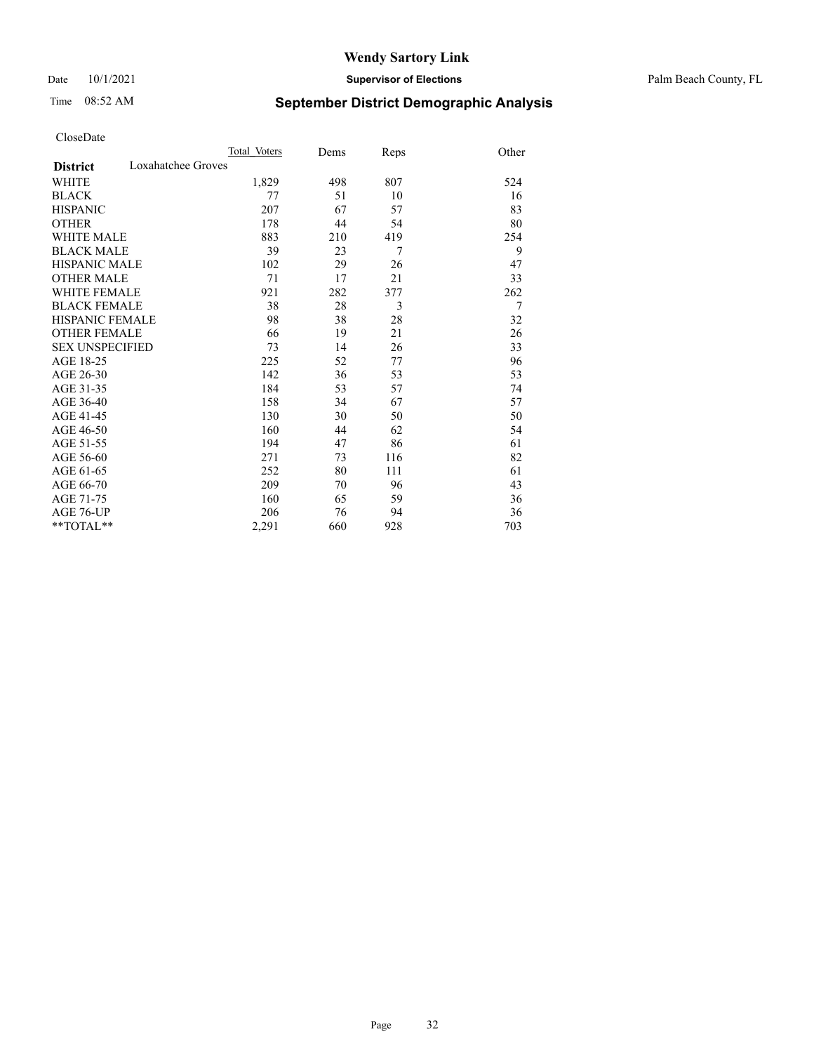#### Date 10/1/2021 **Supervisor of Elections** Palm Beach County, FL

## Time 08:52 AM **September District Demographic Analysis**

|                                       | Total Voters | Dems | Reps | Other |
|---------------------------------------|--------------|------|------|-------|
| Loxahatchee Groves<br><b>District</b> |              |      |      |       |
| WHITE                                 | 1,829        | 498  | 807  | 524   |
| <b>BLACK</b>                          | 77           | 51   | 10   | 16    |
| <b>HISPANIC</b>                       | 207          | 67   | 57   | 83    |
| <b>OTHER</b>                          | 178          | 44   | 54   | 80    |
| WHITE MALE                            | 883          | 210  | 419  | 254   |
| <b>BLACK MALE</b>                     | 39           | 23   | 7    | 9     |
| <b>HISPANIC MALE</b>                  | 102          | 29   | 26   | 47    |
| <b>OTHER MALE</b>                     | 71           | 17   | 21   | 33    |
| WHITE FEMALE                          | 921          | 282  | 377  | 262   |
| <b>BLACK FEMALE</b>                   | 38           | 28   | 3    | 7     |
| <b>HISPANIC FEMALE</b>                | 98           | 38   | 28   | 32    |
| <b>OTHER FEMALE</b>                   | 66           | 19   | 21   | 26    |
| <b>SEX UNSPECIFIED</b>                | 73           | 14   | 26   | 33    |
| AGE 18-25                             | 225          | 52   | 77   | 96    |
| AGE 26-30                             | 142          | 36   | 53   | 53    |
| AGE 31-35                             | 184          | 53   | 57   | 74    |
| AGE 36-40                             | 158          | 34   | 67   | 57    |
| AGE 41-45                             | 130          | 30   | 50   | 50    |
| AGE 46-50                             | 160          | 44   | 62   | 54    |
| AGE 51-55                             | 194          | 47   | 86   | 61    |
| AGE 56-60                             | 271          | 73   | 116  | 82    |
| AGE 61-65                             | 252          | 80   | 111  | 61    |
| AGE 66-70                             | 209          | 70   | 96   | 43    |
| AGE 71-75                             | 160          | 65   | 59   | 36    |
| AGE 76-UP                             | 206          | 76   | 94   | 36    |
| **TOTAL**                             | 2,291        | 660  | 928  | 703   |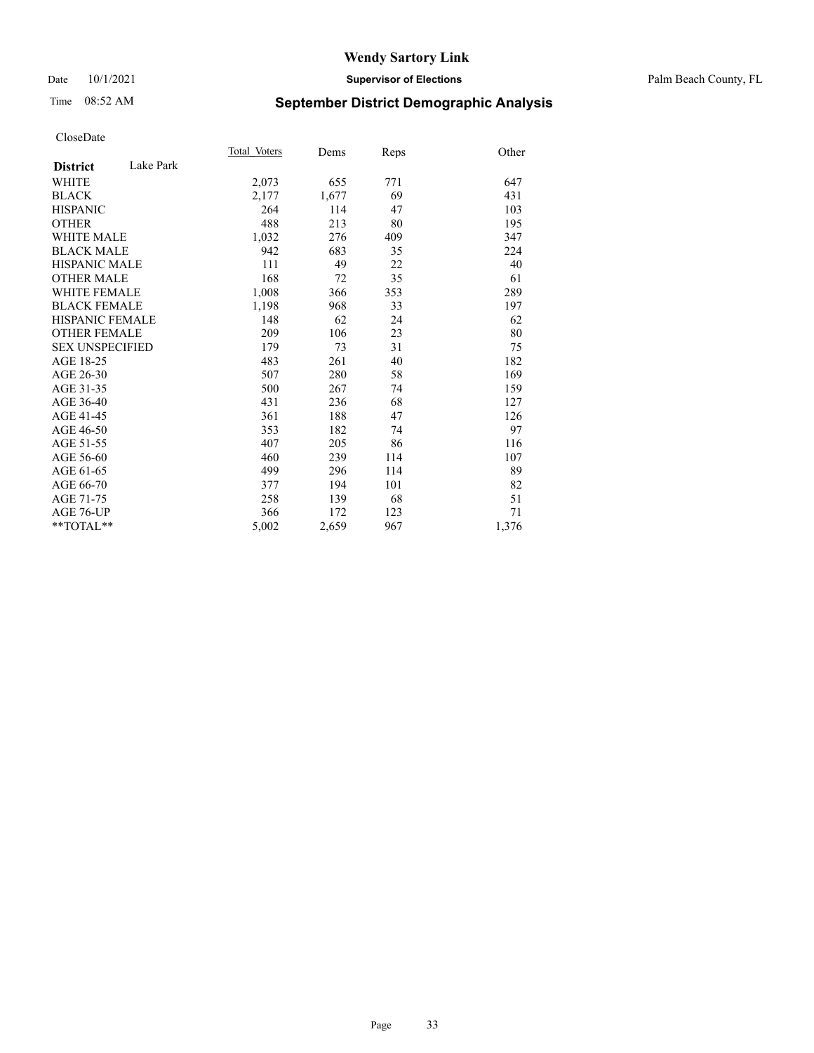#### Date 10/1/2021 **Supervisor of Elections** Palm Beach County, FL

## Time 08:52 AM **September District Demographic Analysis**

|                        |           | Total Voters | Dems  | Reps | Other |
|------------------------|-----------|--------------|-------|------|-------|
| <b>District</b>        | Lake Park |              |       |      |       |
| <b>WHITE</b>           |           | 2,073        | 655   | 771  | 647   |
| <b>BLACK</b>           |           | 2,177        | 1,677 | 69   | 431   |
| <b>HISPANIC</b>        |           | 264          | 114   | 47   | 103   |
| <b>OTHER</b>           |           | 488          | 213   | 80   | 195   |
| <b>WHITE MALE</b>      |           | 1,032        | 276   | 409  | 347   |
| <b>BLACK MALE</b>      |           | 942          | 683   | 35   | 224   |
| <b>HISPANIC MALE</b>   |           | 111          | 49    | 22   | 40    |
| <b>OTHER MALE</b>      |           | 168          | 72    | 35   | 61    |
| <b>WHITE FEMALE</b>    |           | 1,008        | 366   | 353  | 289   |
| <b>BLACK FEMALE</b>    |           | 1,198        | 968   | 33   | 197   |
| HISPANIC FEMALE        |           | 148          | 62    | 24   | 62    |
| <b>OTHER FEMALE</b>    |           | 209          | 106   | 23   | 80    |
| <b>SEX UNSPECIFIED</b> |           | 179          | 73    | 31   | 75    |
| AGE 18-25              |           | 483          | 261   | 40   | 182   |
| AGE 26-30              |           | 507          | 280   | 58   | 169   |
| AGE 31-35              |           | 500          | 267   | 74   | 159   |
| AGE 36-40              |           | 431          | 236   | 68   | 127   |
| AGE 41-45              |           | 361          | 188   | 47   | 126   |
| AGE 46-50              |           | 353          | 182   | 74   | 97    |
| AGE 51-55              |           | 407          | 205   | 86   | 116   |
| AGE 56-60              |           | 460          | 239   | 114  | 107   |
| AGE 61-65              |           | 499          | 296   | 114  | 89    |
| AGE 66-70              |           | 377          | 194   | 101  | 82    |
| AGE 71-75              |           | 258          | 139   | 68   | 51    |
| AGE 76-UP              |           | 366          | 172   | 123  | 71    |
| $*$ $TOTAL**$          |           | 5,002        | 2,659 | 967  | 1,376 |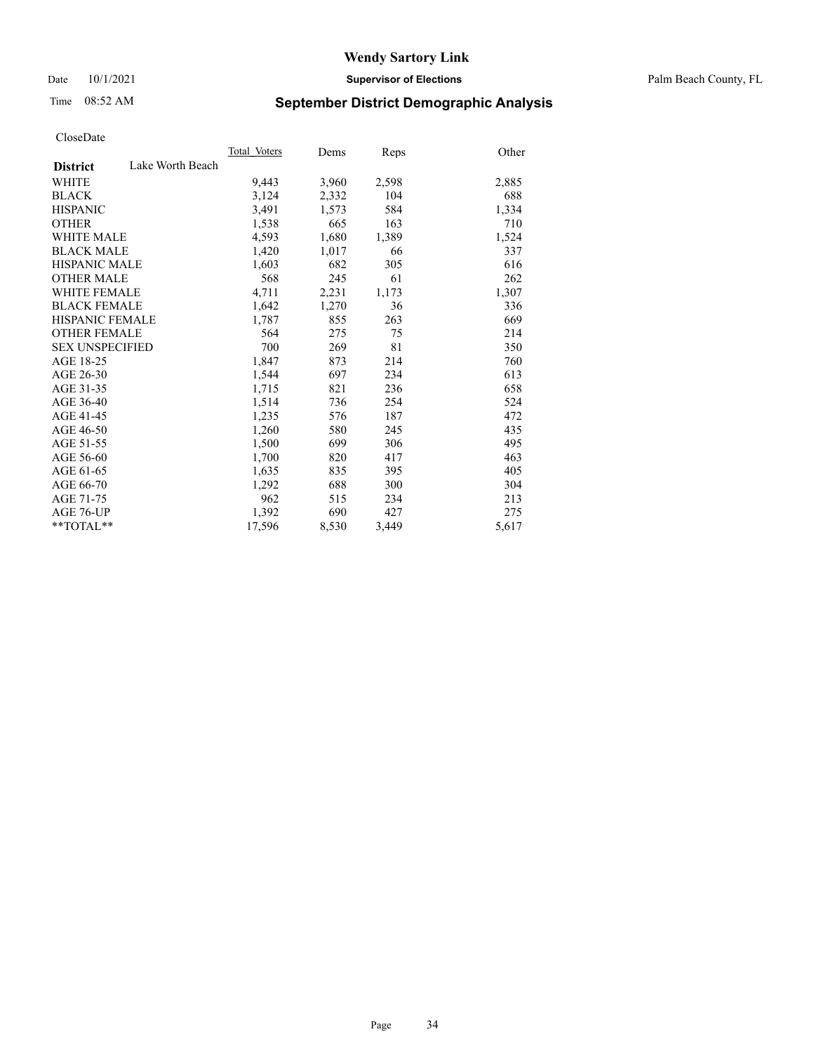Date 10/1/2021 **Supervisor of Elections** Palm Beach County, FL

## Time 08:52 AM **September District Demographic Analysis**

|                        |                  | Total Voters | Dems  | Reps  | Other |
|------------------------|------------------|--------------|-------|-------|-------|
| <b>District</b>        | Lake Worth Beach |              |       |       |       |
| WHITE                  |                  | 9,443        | 3,960 | 2,598 | 2,885 |
| <b>BLACK</b>           |                  | 3,124        | 2,332 | 104   | 688   |
| <b>HISPANIC</b>        |                  | 3,491        | 1,573 | 584   | 1,334 |
| <b>OTHER</b>           |                  | 1,538        | 665   | 163   | 710   |
| <b>WHITE MALE</b>      |                  | 4,593        | 1,680 | 1,389 | 1,524 |
| <b>BLACK MALE</b>      |                  | 1,420        | 1,017 | 66    | 337   |
| <b>HISPANIC MALE</b>   |                  | 1,603        | 682   | 305   | 616   |
| <b>OTHER MALE</b>      |                  | 568          | 245   | 61    | 262   |
| <b>WHITE FEMALE</b>    |                  | 4,711        | 2,231 | 1,173 | 1,307 |
| <b>BLACK FEMALE</b>    |                  | 1,642        | 1,270 | 36    | 336   |
| <b>HISPANIC FEMALE</b> |                  | 1,787        | 855   | 263   | 669   |
| <b>OTHER FEMALE</b>    |                  | 564          | 275   | 75    | 214   |
| <b>SEX UNSPECIFIED</b> |                  | 700          | 269   | 81    | 350   |
| AGE 18-25              |                  | 1,847        | 873   | 214   | 760   |
| AGE 26-30              |                  | 1,544        | 697   | 234   | 613   |
| AGE 31-35              |                  | 1,715        | 821   | 236   | 658   |
| AGE 36-40              |                  | 1,514        | 736   | 254   | 524   |
| AGE 41-45              |                  | 1,235        | 576   | 187   | 472   |
| AGE 46-50              |                  | 1,260        | 580   | 245   | 435   |
| AGE 51-55              |                  | 1,500        | 699   | 306   | 495   |
| AGE 56-60              |                  | 1,700        | 820   | 417   | 463   |
| AGE 61-65              |                  | 1,635        | 835   | 395   | 405   |
| AGE 66-70              |                  | 1,292        | 688   | 300   | 304   |
| AGE 71-75              |                  | 962          | 515   | 234   | 213   |
| AGE 76-UP              |                  | 1,392        | 690   | 427   | 275   |
| $*$ $TOTAL**$          |                  | 17,596       | 8,530 | 3,449 | 5,617 |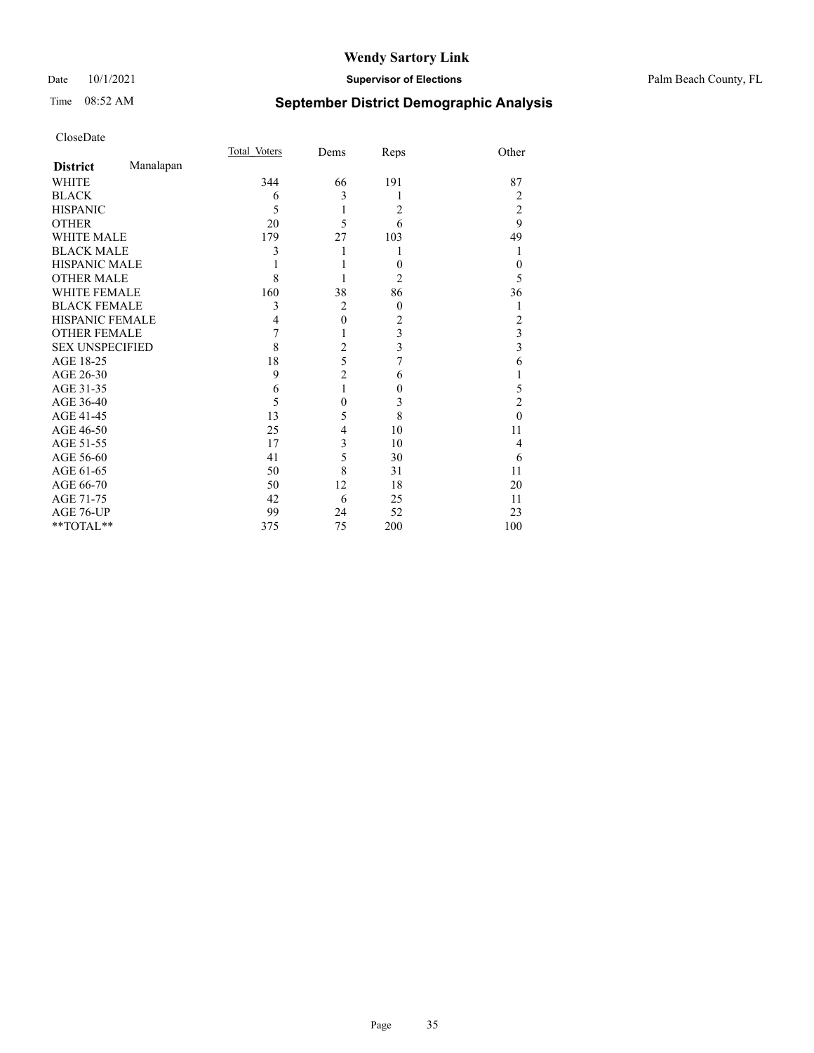#### Date 10/1/2021 **Supervisor of Elections** Palm Beach County, FL

## Time 08:52 AM **September District Demographic Analysis**

|                        |           | <b>Total Voters</b> | Dems           | Reps           | Other          |
|------------------------|-----------|---------------------|----------------|----------------|----------------|
| <b>District</b>        | Manalapan |                     |                |                |                |
| WHITE                  |           | 344                 | 66             | 191            | 87             |
| <b>BLACK</b>           |           | 6                   | 3              | 1              | 2              |
| <b>HISPANIC</b>        |           | 5                   | 1              | $\overline{2}$ | $\overline{c}$ |
| <b>OTHER</b>           |           | 20                  | 5              | 6              | 9              |
| <b>WHITE MALE</b>      |           | 179                 | 27             | 103            | 49             |
| <b>BLACK MALE</b>      |           | 3                   |                | 1              | 1              |
| <b>HISPANIC MALE</b>   |           |                     |                | $\overline{0}$ | 0              |
| <b>OTHER MALE</b>      |           | 8                   |                | 2              | 5              |
| <b>WHITE FEMALE</b>    |           | 160                 | 38             | 86             | 36             |
| <b>BLACK FEMALE</b>    |           | 3                   | $\overline{2}$ | $\theta$       |                |
| HISPANIC FEMALE        |           | 4                   | $\mathbf{0}$   | 2              | 2              |
| <b>OTHER FEMALE</b>    |           | 7                   |                | 3              | 3              |
| <b>SEX UNSPECIFIED</b> |           | 8                   | $\overline{c}$ | 3              | 3              |
| AGE 18-25              |           | 18                  | 5              | 7              | 6              |
| AGE 26-30              |           | 9                   | $\overline{c}$ | 6              | 1              |
| AGE 31-35              |           | 6                   | 1              | $\overline{0}$ | 5              |
| AGE 36-40              |           | 5                   | 0              | 3              | $\overline{2}$ |
| AGE 41-45              |           | 13                  | 5              | 8              | $\theta$       |
| AGE 46-50              |           | 25                  | 4              | 10             | 11             |
| AGE 51-55              |           | 17                  | 3              | 10             | 4              |
| AGE 56-60              |           | 41                  | 5              | 30             | 6              |
| AGE 61-65              |           | 50                  | 8              | 31             | 11             |
| AGE 66-70              |           | 50                  | 12             | 18             | 20             |
| AGE 71-75              |           | 42                  | 6              | 25             | 11             |
| AGE 76-UP              |           | 99                  | 24             | 52             | 23             |
| **TOTAL**              |           | 375                 | 75             | 200            | 100            |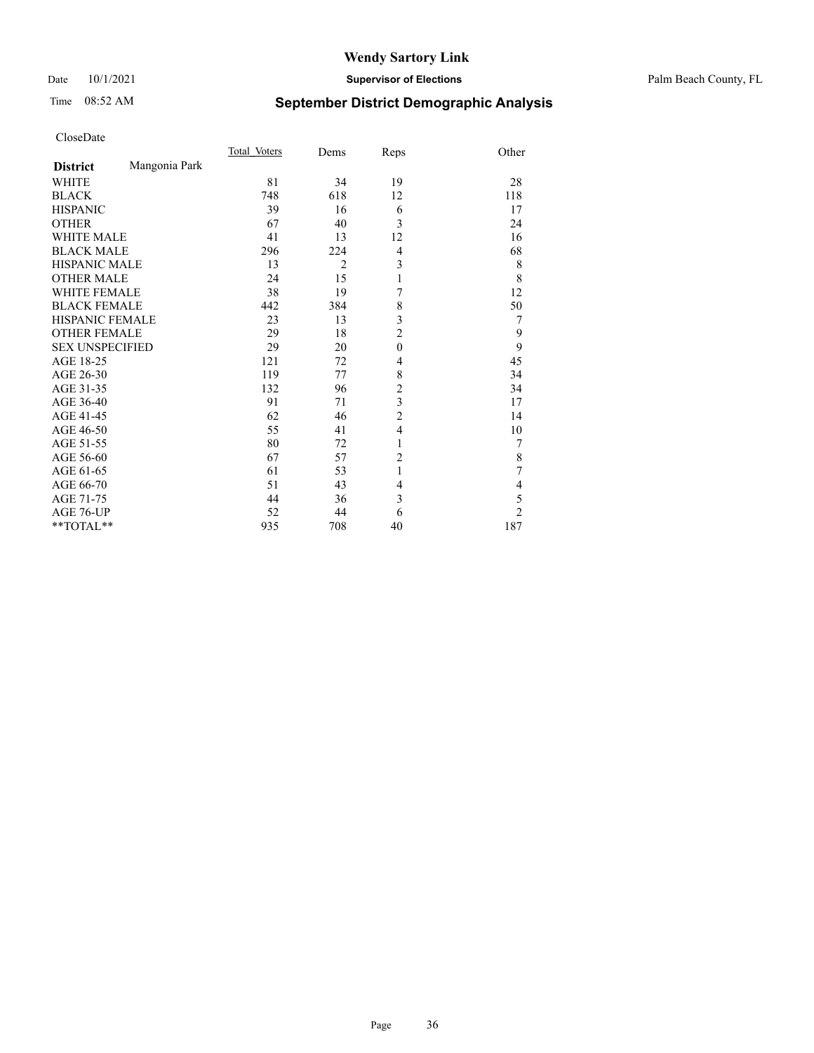## Time 08:52 AM **September District Demographic Analysis**

|                        |               | Total Voters | Dems           | Reps           | Other          |
|------------------------|---------------|--------------|----------------|----------------|----------------|
| <b>District</b>        | Mangonia Park |              |                |                |                |
| <b>WHITE</b>           |               | 81           | 34             | 19             | 28             |
| <b>BLACK</b>           |               | 748          | 618            | 12             | 118            |
| <b>HISPANIC</b>        |               | 39           | 16             | 6              | 17             |
| <b>OTHER</b>           |               | 67           | 40             | 3              | 24             |
| <b>WHITE MALE</b>      |               | 41           | 13             | 12             | 16             |
| <b>BLACK MALE</b>      |               | 296          | 224            | $\overline{4}$ | 68             |
| <b>HISPANIC MALE</b>   |               | 13           | $\overline{2}$ | 3              | 8              |
| <b>OTHER MALE</b>      |               | 24           | 15             | 1              | 8              |
| <b>WHITE FEMALE</b>    |               | 38           | 19             | 7              | 12             |
| <b>BLACK FEMALE</b>    |               | 442          | 384            | 8              | 50             |
| <b>HISPANIC FEMALE</b> |               | 23           | 13             | 3              | 7              |
| <b>OTHER FEMALE</b>    |               | 29           | 18             | $\overline{2}$ | 9              |
| <b>SEX UNSPECIFIED</b> |               | 29           | 20             | $\mathbf{0}$   | 9              |
| AGE 18-25              |               | 121          | 72             | 4              | 45             |
| AGE 26-30              |               | 119          | 77             | 8              | 34             |
| AGE 31-35              |               | 132          | 96             | $\overline{c}$ | 34             |
| AGE 36-40              |               | 91           | 71             | 3              | 17             |
| AGE 41-45              |               | 62           | 46             | $\overline{c}$ | 14             |
| AGE 46-50              |               | 55           | 41             | $\overline{4}$ | 10             |
| AGE 51-55              |               | 80           | 72             | 1              | 7              |
| AGE 56-60              |               | 67           | 57             | $\overline{2}$ | $\,$ $\,$      |
| AGE 61-65              |               | 61           | 53             | 1              | 7              |
| AGE 66-70              |               | 51           | 43             | $\overline{4}$ | 4              |
| AGE 71-75              |               | 44           | 36             | 3              | 5              |
| AGE 76-UP              |               | 52           | 44             | 6              | $\overline{c}$ |
| **TOTAL**              |               | 935          | 708            | 40             | 187            |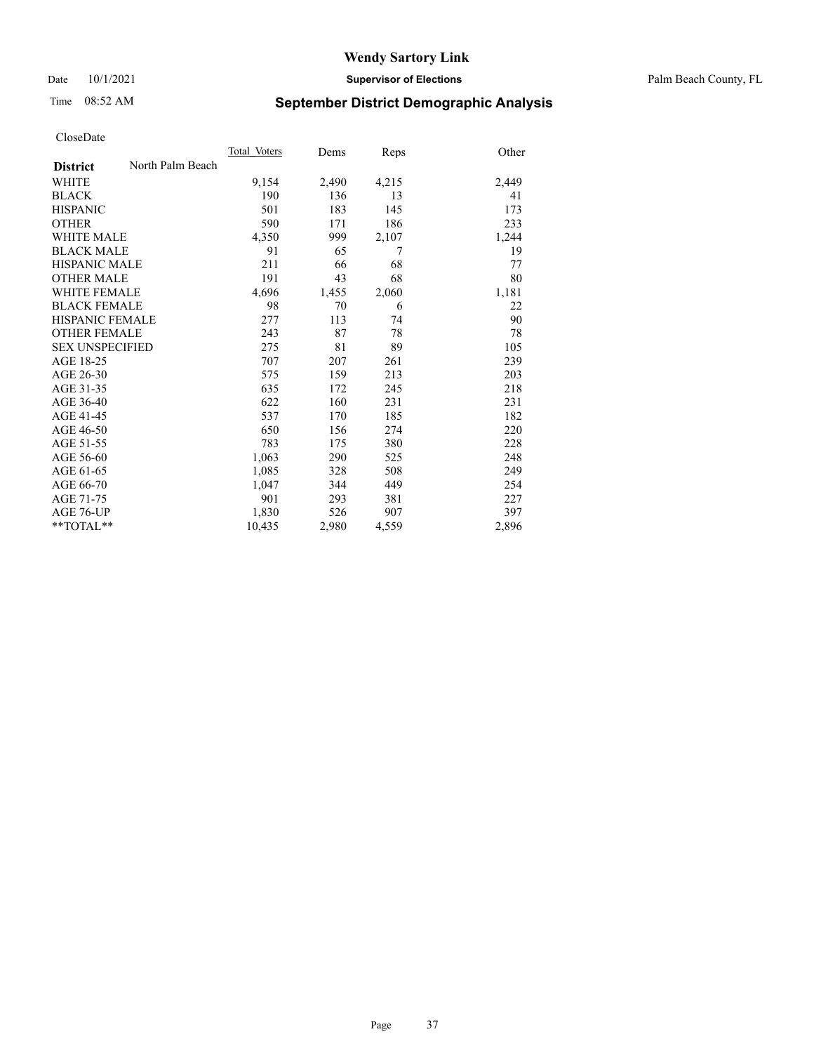#### Date 10/1/2021 **Supervisor of Elections** Palm Beach County, FL

## Time 08:52 AM **September District Demographic Analysis**

|                        |                  | Total Voters | Dems  | Reps  | Other |
|------------------------|------------------|--------------|-------|-------|-------|
| <b>District</b>        | North Palm Beach |              |       |       |       |
| <b>WHITE</b>           |                  | 9,154        | 2,490 | 4,215 | 2,449 |
| <b>BLACK</b>           |                  | 190          | 136   | 13    | 41    |
| <b>HISPANIC</b>        |                  | 501          | 183   | 145   | 173   |
| <b>OTHER</b>           |                  | 590          | 171   | 186   | 233   |
| <b>WHITE MALE</b>      |                  | 4,350        | 999   | 2,107 | 1,244 |
| <b>BLACK MALE</b>      |                  | 91           | 65    | 7     | 19    |
| <b>HISPANIC MALE</b>   |                  | 211          | 66    | 68    | 77    |
| <b>OTHER MALE</b>      |                  | 191          | 43    | 68    | 80    |
| WHITE FEMALE           |                  | 4,696        | 1,455 | 2,060 | 1,181 |
| <b>BLACK FEMALE</b>    |                  | 98           | 70    | 6     | 22    |
| <b>HISPANIC FEMALE</b> |                  | 277          | 113   | 74    | 90    |
| <b>OTHER FEMALE</b>    |                  | 243          | 87    | 78    | 78    |
| <b>SEX UNSPECIFIED</b> |                  | 275          | 81    | 89    | 105   |
| AGE 18-25              |                  | 707          | 207   | 261   | 239   |
| AGE 26-30              |                  | 575          | 159   | 213   | 203   |
| AGE 31-35              |                  | 635          | 172   | 245   | 218   |
| AGE 36-40              |                  | 622          | 160   | 231   | 231   |
| AGE 41-45              |                  | 537          | 170   | 185   | 182   |
| AGE 46-50              |                  | 650          | 156   | 274   | 220   |
| AGE 51-55              |                  | 783          | 175   | 380   | 228   |
| AGE 56-60              |                  | 1,063        | 290   | 525   | 248   |
| AGE 61-65              |                  | 1,085        | 328   | 508   | 249   |
| AGE 66-70              |                  | 1,047        | 344   | 449   | 254   |
| AGE 71-75              |                  | 901          | 293   | 381   | 227   |
| AGE 76-UP              |                  | 1,830        | 526   | 907   | 397   |
| $*$ $TOTAL**$          |                  | 10,435       | 2,980 | 4,559 | 2,896 |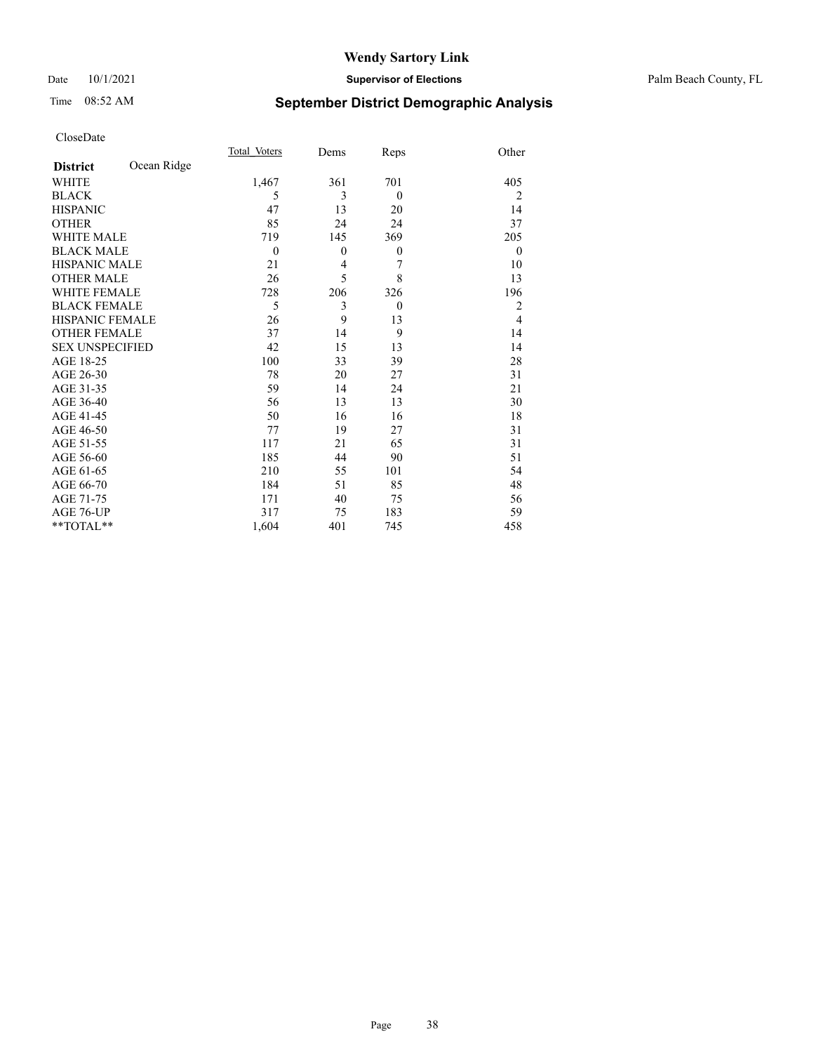#### Date 10/1/2021 **Supervisor of Elections** Palm Beach County, FL

## Time 08:52 AM **September District Demographic Analysis**

|                        |             | Total Voters   | Dems         | Reps         | Other          |
|------------------------|-------------|----------------|--------------|--------------|----------------|
| <b>District</b>        | Ocean Ridge |                |              |              |                |
| <b>WHITE</b>           |             | 1,467          | 361          | 701          | 405            |
| <b>BLACK</b>           |             | 5              | 3            | $\mathbf{0}$ | 2              |
| <b>HISPANIC</b>        |             | 47             | 13           | 20           | 14             |
| <b>OTHER</b>           |             | 85             | 24           | 24           | 37             |
| <b>WHITE MALE</b>      |             | 719            | 145          | 369          | 205            |
| <b>BLACK MALE</b>      |             | $\overline{0}$ | $\mathbf{0}$ | $\mathbf{0}$ | $\mathbf{0}$   |
| <b>HISPANIC MALE</b>   |             | 21             | 4            | 7            | 10             |
| <b>OTHER MALE</b>      |             | 26             | 5            | 8            | 13             |
| <b>WHITE FEMALE</b>    |             | 728            | 206          | 326          | 196            |
| <b>BLACK FEMALE</b>    |             | 5              | 3            | $\theta$     | 2              |
| <b>HISPANIC FEMALE</b> |             | 26             | 9            | 13           | $\overline{4}$ |
| <b>OTHER FEMALE</b>    |             | 37             | 14           | 9            | 14             |
| <b>SEX UNSPECIFIED</b> |             | 42             | 15           | 13           | 14             |
| AGE 18-25              |             | 100            | 33           | 39           | 28             |
| AGE 26-30              |             | 78             | 20           | 27           | 31             |
| AGE 31-35              |             | 59             | 14           | 24           | 21             |
| AGE 36-40              |             | 56             | 13           | 13           | 30             |
| AGE 41-45              |             | 50             | 16           | 16           | 18             |
| AGE 46-50              |             | 77             | 19           | 27           | 31             |
| AGE 51-55              |             | 117            | 21           | 65           | 31             |
| AGE 56-60              |             | 185            | 44           | 90           | 51             |
| AGE 61-65              |             | 210            | 55           | 101          | 54             |
| AGE 66-70              |             | 184            | 51           | 85           | 48             |
| AGE 71-75              |             | 171            | 40           | 75           | 56             |
| AGE 76-UP              |             | 317            | 75           | 183          | 59             |
| **TOTAL**              |             | 1,604          | 401          | 745          | 458            |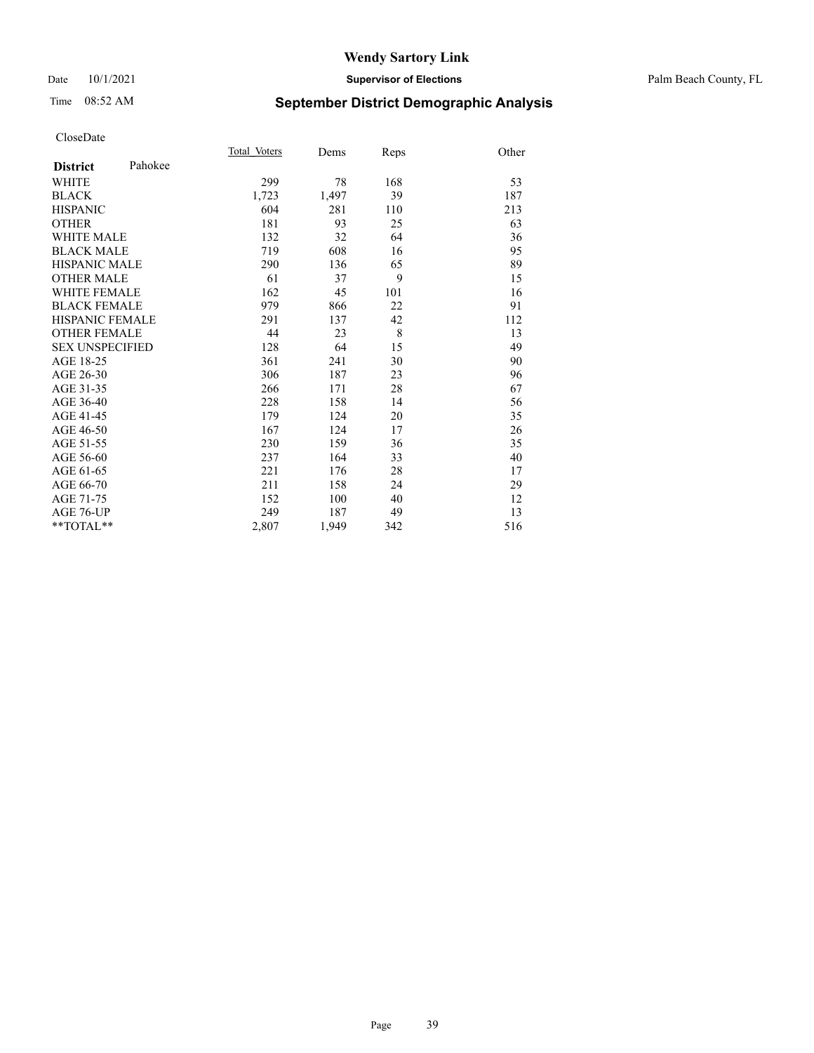#### Date 10/1/2021 **Supervisor of Elections** Palm Beach County, FL

## Time 08:52 AM **September District Demographic Analysis**

| Total Voters | Dems  | Reps | Other |
|--------------|-------|------|-------|
|              |       |      |       |
| 299          | 78    | 168  | 53    |
| 1,723        | 1,497 | 39   | 187   |
| 604          | 281   | 110  | 213   |
| 181          | 93    | 25   | 63    |
| 132          | 32    | 64   | 36    |
| 719          | 608   | 16   | 95    |
| 290          | 136   | 65   | 89    |
| 61           | 37    | 9    | 15    |
| 162          | 45    | 101  | 16    |
| 979          | 866   | 22   | 91    |
| 291          | 137   | 42   | 112   |
| 44           | 23    | 8    | 13    |
| 128          | 64    | 15   | 49    |
| 361          | 241   | 30   | 90    |
| 306          | 187   | 23   | 96    |
| 266          | 171   | 28   | 67    |
| 228          | 158   | 14   | 56    |
| 179          | 124   | 20   | 35    |
| 167          | 124   | 17   | 26    |
| 230          | 159   | 36   | 35    |
| 237          | 164   | 33   | 40    |
| 221          | 176   | 28   | 17    |
| 211          | 158   | 24   | 29    |
| 152          | 100   | 40   | 12    |
| 249          | 187   | 49   | 13    |
| 2,807        | 1,949 | 342  | 516   |
|              |       |      |       |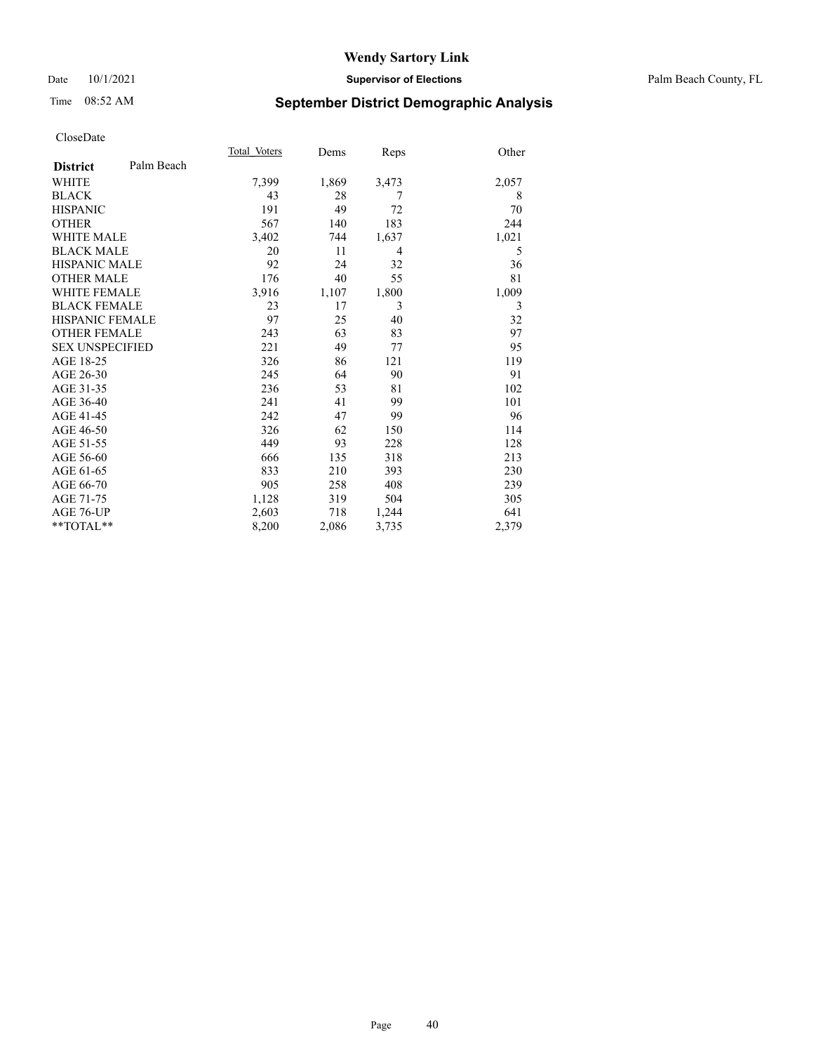#### Date 10/1/2021 **Supervisor of Elections** Palm Beach County, FL

## Time 08:52 AM **September District Demographic Analysis**

|                        |            | Total Voters | Dems  | Reps  | Other |
|------------------------|------------|--------------|-------|-------|-------|
| <b>District</b>        | Palm Beach |              |       |       |       |
| <b>WHITE</b>           |            | 7,399        | 1,869 | 3,473 | 2,057 |
| <b>BLACK</b>           |            | 43           | 28    | 7     | 8     |
| <b>HISPANIC</b>        |            | 191          | 49    | 72    | 70    |
| <b>OTHER</b>           |            | 567          | 140   | 183   | 244   |
| <b>WHITE MALE</b>      |            | 3,402        | 744   | 1,637 | 1,021 |
| <b>BLACK MALE</b>      |            | 20           | 11    | 4     | 5     |
| <b>HISPANIC MALE</b>   |            | 92           | 24    | 32    | 36    |
| <b>OTHER MALE</b>      |            | 176          | 40    | 55    | 81    |
| <b>WHITE FEMALE</b>    |            | 3,916        | 1,107 | 1,800 | 1,009 |
| <b>BLACK FEMALE</b>    |            | 23           | 17    | 3     | 3     |
| <b>HISPANIC FEMALE</b> |            | 97           | 25    | 40    | 32    |
| <b>OTHER FEMALE</b>    |            | 243          | 63    | 83    | 97    |
| <b>SEX UNSPECIFIED</b> |            | 221          | 49    | 77    | 95    |
| AGE 18-25              |            | 326          | 86    | 121   | 119   |
| AGE 26-30              |            | 245          | 64    | 90    | 91    |
| AGE 31-35              |            | 236          | 53    | 81    | 102   |
| AGE 36-40              |            | 241          | 41    | 99    | 101   |
| AGE 41-45              |            | 242          | 47    | 99    | 96    |
| AGE 46-50              |            | 326          | 62    | 150   | 114   |
| AGE 51-55              |            | 449          | 93    | 228   | 128   |
| AGE 56-60              |            | 666          | 135   | 318   | 213   |
| AGE 61-65              |            | 833          | 210   | 393   | 230   |
| AGE 66-70              |            | 905          | 258   | 408   | 239   |
| AGE 71-75              |            | 1,128        | 319   | 504   | 305   |
| AGE 76-UP              |            | 2,603        | 718   | 1,244 | 641   |
| $*$ $TOTAL**$          |            | 8,200        | 2,086 | 3,735 | 2,379 |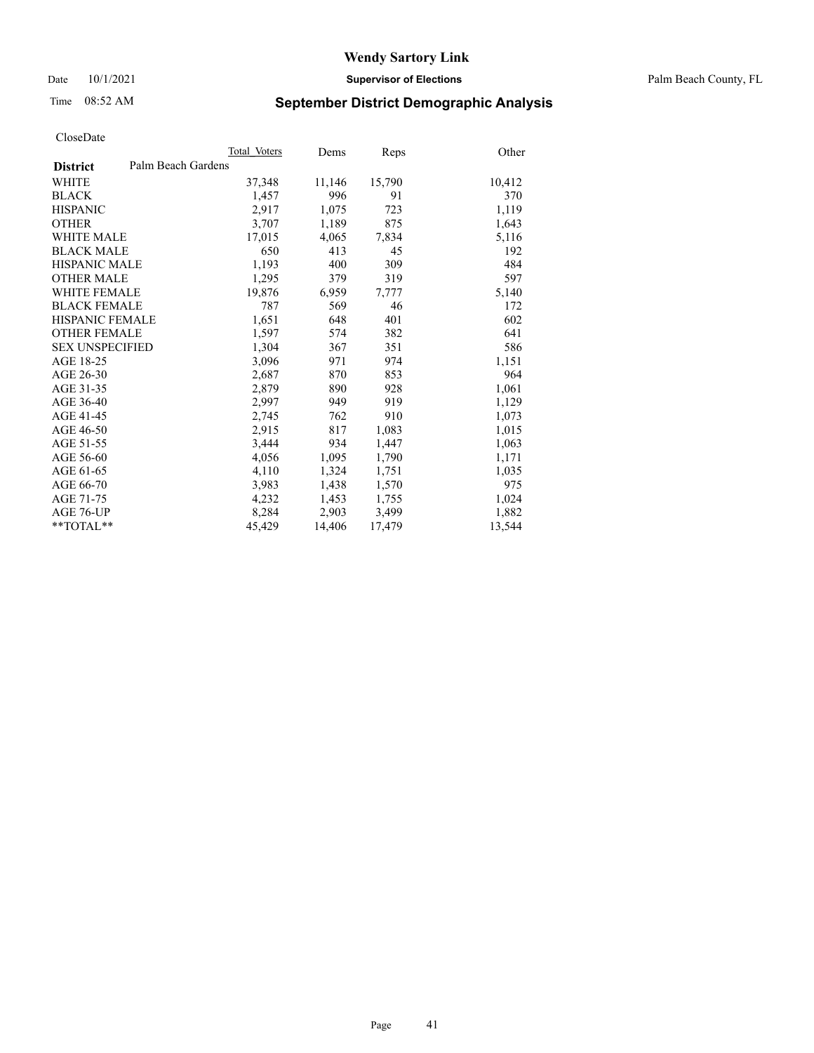Date 10/1/2021 **Supervisor of Elections** Palm Beach County, FL

## Time 08:52 AM **September District Demographic Analysis**

|                        | Total Voters       | Dems   | <b>Reps</b> | Other  |
|------------------------|--------------------|--------|-------------|--------|
| <b>District</b>        | Palm Beach Gardens |        |             |        |
| <b>WHITE</b>           | 37,348             | 11,146 | 15,790      | 10,412 |
| <b>BLACK</b>           | 1,457              | 996    | 91          | 370    |
| <b>HISPANIC</b>        | 2,917              | 1,075  | 723         | 1,119  |
| <b>OTHER</b>           | 3,707              | 1,189  | 875         | 1,643  |
| <b>WHITE MALE</b>      | 17,015             | 4,065  | 7,834       | 5,116  |
| <b>BLACK MALE</b>      | 650                | 413    | 45          | 192    |
| <b>HISPANIC MALE</b>   | 1,193              | 400    | 309         | 484    |
| <b>OTHER MALE</b>      | 1,295              | 379    | 319         | 597    |
| <b>WHITE FEMALE</b>    | 19,876             | 6,959  | 7,777       | 5,140  |
| <b>BLACK FEMALE</b>    | 787                | 569    | 46          | 172    |
| <b>HISPANIC FEMALE</b> | 1,651              | 648    | 401         | 602    |
| <b>OTHER FEMALE</b>    | 1,597              | 574    | 382         | 641    |
| <b>SEX UNSPECIFIED</b> | 1,304              | 367    | 351         | 586    |
| AGE 18-25              | 3,096              | 971    | 974         | 1,151  |
| AGE 26-30              | 2,687              | 870    | 853         | 964    |
| AGE 31-35              | 2,879              | 890    | 928         | 1,061  |
| AGE 36-40              | 2,997              | 949    | 919         | 1,129  |
| AGE 41-45              | 2,745              | 762    | 910         | 1,073  |
| AGE 46-50              | 2,915              | 817    | 1,083       | 1,015  |
| AGE 51-55              | 3,444              | 934    | 1,447       | 1,063  |
| AGE 56-60              | 4,056              | 1,095  | 1,790       | 1,171  |
| AGE 61-65              | 4,110              | 1,324  | 1,751       | 1,035  |
| AGE 66-70              | 3,983              | 1,438  | 1,570       | 975    |
| AGE 71-75              | 4,232              | 1,453  | 1,755       | 1,024  |
| AGE 76-UP              | 8,284              | 2,903  | 3,499       | 1,882  |
| $*$ $TOTAL**$          | 45,429             | 14,406 | 17,479      | 13,544 |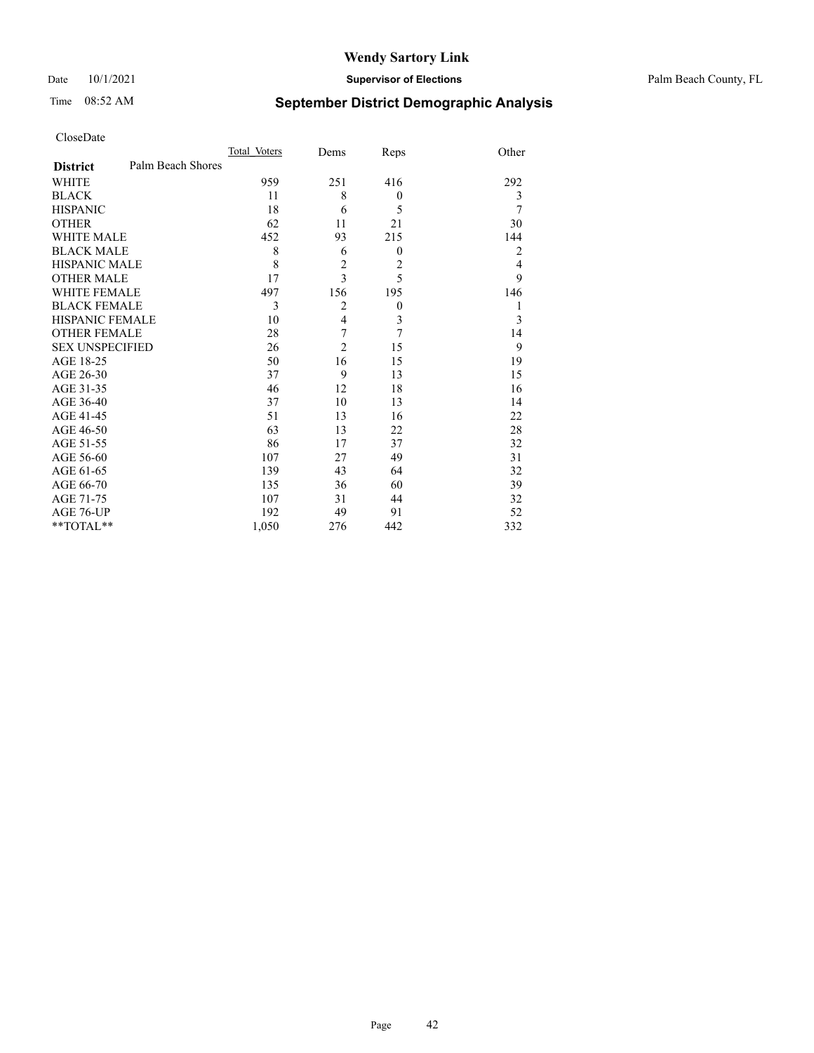#### Date 10/1/2021 **Supervisor of Elections** Palm Beach County, FL

## Time 08:52 AM **September District Demographic Analysis**

|                                      | Total Voters | Dems                    | Reps             | Other          |
|--------------------------------------|--------------|-------------------------|------------------|----------------|
| Palm Beach Shores<br><b>District</b> |              |                         |                  |                |
| <b>WHITE</b>                         | 959          | 251                     | 416              | 292            |
| <b>BLACK</b>                         | 11           | 8                       | $\theta$         | 3              |
| <b>HISPANIC</b>                      | 18           | 6                       | 5                | 7              |
| <b>OTHER</b>                         | 62           | 11                      | 21               | 30             |
| WHITE MALE                           | 452          | 93                      | 215              | 144            |
| <b>BLACK MALE</b>                    | 8            | 6                       | $\theta$         | $\overline{2}$ |
| <b>HISPANIC MALE</b>                 | 8            | $\overline{c}$          | $\overline{2}$   | $\overline{4}$ |
| <b>OTHER MALE</b>                    | 17           | $\overline{3}$          | 5                | 9              |
| <b>WHITE FEMALE</b>                  | 497          | 156                     | 195              | 146            |
| <b>BLACK FEMALE</b>                  | 3            | $\overline{2}$          | $\boldsymbol{0}$ | 1              |
| <b>HISPANIC FEMALE</b>               | 10           | $\overline{\mathbf{4}}$ | 3                | 3              |
| <b>OTHER FEMALE</b>                  | 28           | 7                       | 7                | 14             |
| <b>SEX UNSPECIFIED</b>               | 26           | $\overline{c}$          | 15               | 9              |
| AGE 18-25                            | 50           | 16                      | 15               | 19             |
| AGE 26-30                            | 37           | 9                       | 13               | 15             |
| AGE 31-35                            | 46           | 12                      | 18               | 16             |
| AGE 36-40                            | 37           | 10                      | 13               | 14             |
| AGE 41-45                            | 51           | 13                      | 16               | 22             |
| AGE 46-50                            | 63           | 13                      | 22               | 28             |
| AGE 51-55                            | 86           | 17                      | 37               | 32             |
| AGE 56-60                            | 107          | 27                      | 49               | 31             |
| AGE 61-65                            | 139          | 43                      | 64               | 32             |
| AGE 66-70                            | 135          | 36                      | 60               | 39             |
| AGE 71-75                            | 107          | 31                      | 44               | 32             |
| AGE 76-UP                            | 192          | 49                      | 91               | 52             |
| **TOTAL**                            | 1,050        | 276                     | 442              | 332            |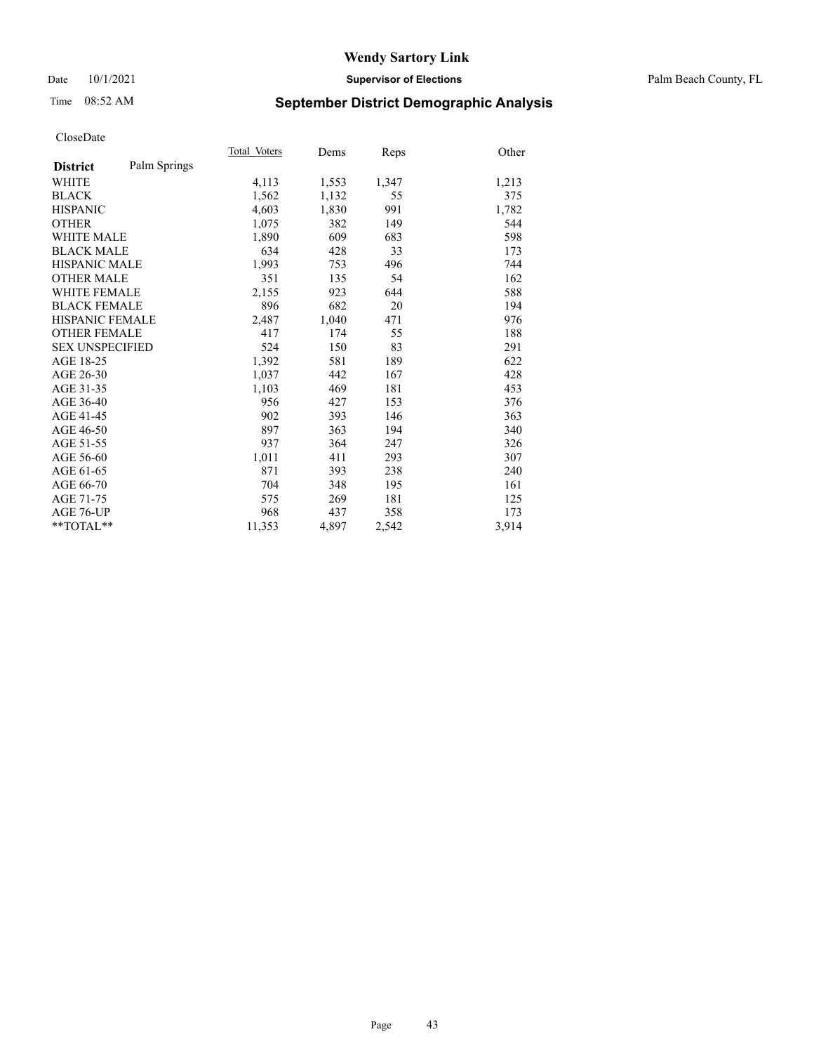#### Date 10/1/2021 **Supervisor of Elections** Palm Beach County, FL

## Time 08:52 AM **September District Demographic Analysis**

|                        |              | Total Voters | Dems  | Reps  | Other |
|------------------------|--------------|--------------|-------|-------|-------|
| <b>District</b>        | Palm Springs |              |       |       |       |
| WHITE                  |              | 4,113        | 1,553 | 1,347 | 1,213 |
| <b>BLACK</b>           |              | 1,562        | 1,132 | 55    | 375   |
| <b>HISPANIC</b>        |              | 4,603        | 1,830 | 991   | 1,782 |
| <b>OTHER</b>           |              | 1,075        | 382   | 149   | 544   |
| <b>WHITE MALE</b>      |              | 1,890        | 609   | 683   | 598   |
| <b>BLACK MALE</b>      |              | 634          | 428   | 33    | 173   |
| <b>HISPANIC MALE</b>   |              | 1,993        | 753   | 496   | 744   |
| <b>OTHER MALE</b>      |              | 351          | 135   | 54    | 162   |
| WHITE FEMALE           |              | 2,155        | 923   | 644   | 588   |
| <b>BLACK FEMALE</b>    |              | 896          | 682   | 20    | 194   |
| <b>HISPANIC FEMALE</b> |              | 2,487        | 1,040 | 471   | 976   |
| <b>OTHER FEMALE</b>    |              | 417          | 174   | 55    | 188   |
| <b>SEX UNSPECIFIED</b> |              | 524          | 150   | 83    | 291   |
| AGE 18-25              |              | 1,392        | 581   | 189   | 622   |
| AGE 26-30              |              | 1,037        | 442   | 167   | 428   |
| AGE 31-35              |              | 1,103        | 469   | 181   | 453   |
| AGE 36-40              |              | 956          | 427   | 153   | 376   |
| AGE 41-45              |              | 902          | 393   | 146   | 363   |
| AGE 46-50              |              | 897          | 363   | 194   | 340   |
| AGE 51-55              |              | 937          | 364   | 247   | 326   |
| AGE 56-60              |              | 1,011        | 411   | 293   | 307   |
| AGE 61-65              |              | 871          | 393   | 238   | 240   |
| AGE 66-70              |              | 704          | 348   | 195   | 161   |
| AGE 71-75              |              | 575          | 269   | 181   | 125   |
| AGE 76-UP              |              | 968          | 437   | 358   | 173   |
| $*$ $TOTAL**$          |              | 11,353       | 4,897 | 2,542 | 3,914 |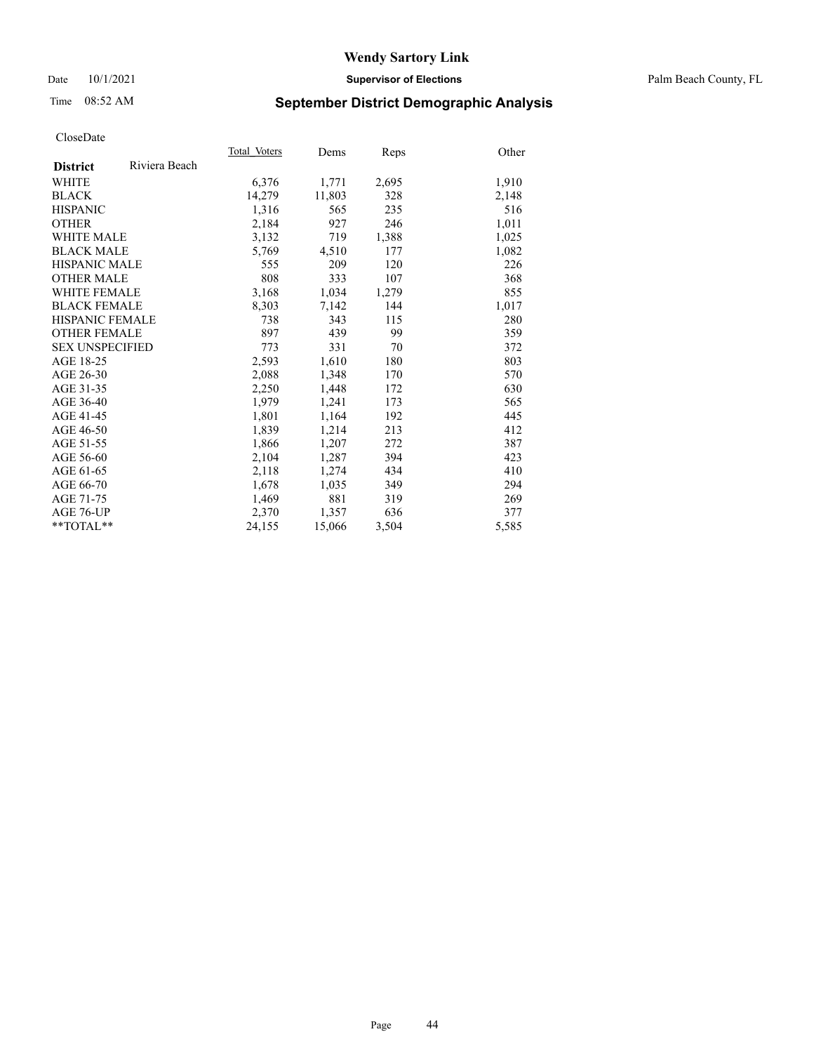#### Date 10/1/2021 **Supervisor of Elections** Palm Beach County, FL

## Time 08:52 AM **September District Demographic Analysis**

|                        |               | Total Voters | Dems   | Reps  | Other |
|------------------------|---------------|--------------|--------|-------|-------|
| <b>District</b>        | Riviera Beach |              |        |       |       |
| WHITE                  |               | 6,376        | 1,771  | 2,695 | 1,910 |
| <b>BLACK</b>           |               | 14,279       | 11,803 | 328   | 2,148 |
| <b>HISPANIC</b>        |               | 1,316        | 565    | 235   | 516   |
| <b>OTHER</b>           |               | 2,184        | 927    | 246   | 1,011 |
| <b>WHITE MALE</b>      |               | 3,132        | 719    | 1,388 | 1,025 |
| <b>BLACK MALE</b>      |               | 5,769        | 4,510  | 177   | 1,082 |
| <b>HISPANIC MALE</b>   |               | 555          | 209    | 120   | 226   |
| <b>OTHER MALE</b>      |               | 808          | 333    | 107   | 368   |
| <b>WHITE FEMALE</b>    |               | 3,168        | 1,034  | 1,279 | 855   |
| <b>BLACK FEMALE</b>    |               | 8,303        | 7,142  | 144   | 1,017 |
| <b>HISPANIC FEMALE</b> |               | 738          | 343    | 115   | 280   |
| <b>OTHER FEMALE</b>    |               | 897          | 439    | 99    | 359   |
| <b>SEX UNSPECIFIED</b> |               | 773          | 331    | 70    | 372   |
| AGE 18-25              |               | 2,593        | 1,610  | 180   | 803   |
| AGE 26-30              |               | 2,088        | 1,348  | 170   | 570   |
| AGE 31-35              |               | 2,250        | 1,448  | 172   | 630   |
| AGE 36-40              |               | 1,979        | 1,241  | 173   | 565   |
| AGE 41-45              |               | 1,801        | 1,164  | 192   | 445   |
| AGE 46-50              |               | 1,839        | 1,214  | 213   | 412   |
| AGE 51-55              |               | 1,866        | 1,207  | 272   | 387   |
| AGE 56-60              |               | 2,104        | 1,287  | 394   | 423   |
| AGE 61-65              |               | 2,118        | 1,274  | 434   | 410   |
| AGE 66-70              |               | 1,678        | 1,035  | 349   | 294   |
| AGE 71-75              |               | 1,469        | 881    | 319   | 269   |
| AGE 76-UP              |               | 2,370        | 1,357  | 636   | 377   |
| $*$ $TOTAL**$          |               | 24,155       | 15,066 | 3,504 | 5,585 |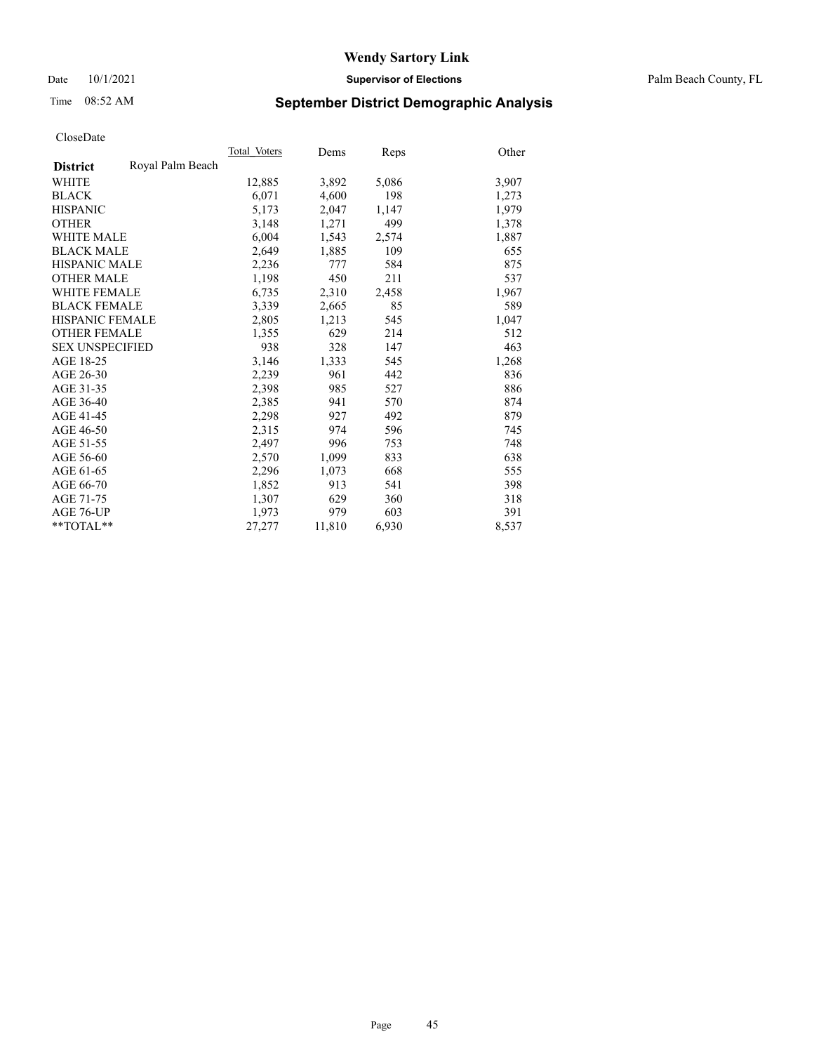Date 10/1/2021 **Supervisor of Elections** Palm Beach County, FL

## Time 08:52 AM **September District Demographic Analysis**

|                        |                  | Total Voters | Dems   | Reps  | Other |
|------------------------|------------------|--------------|--------|-------|-------|
| <b>District</b>        | Royal Palm Beach |              |        |       |       |
| WHITE                  |                  | 12,885       | 3,892  | 5,086 | 3,907 |
| <b>BLACK</b>           |                  | 6,071        | 4,600  | 198   | 1,273 |
| <b>HISPANIC</b>        |                  | 5,173        | 2,047  | 1,147 | 1,979 |
| <b>OTHER</b>           |                  | 3,148        | 1,271  | 499   | 1,378 |
| <b>WHITE MALE</b>      |                  | 6,004        | 1,543  | 2,574 | 1,887 |
| <b>BLACK MALE</b>      |                  | 2,649        | 1,885  | 109   | 655   |
| <b>HISPANIC MALE</b>   |                  | 2,236        | 777    | 584   | 875   |
| <b>OTHER MALE</b>      |                  | 1,198        | 450    | 211   | 537   |
| <b>WHITE FEMALE</b>    |                  | 6,735        | 2,310  | 2,458 | 1,967 |
| <b>BLACK FEMALE</b>    |                  | 3.339        | 2,665  | 85    | 589   |
| <b>HISPANIC FEMALE</b> |                  | 2,805        | 1,213  | 545   | 1,047 |
| <b>OTHER FEMALE</b>    |                  | 1,355        | 629    | 214   | 512   |
| <b>SEX UNSPECIFIED</b> |                  | 938          | 328    | 147   | 463   |
| AGE 18-25              |                  | 3,146        | 1,333  | 545   | 1,268 |
| AGE 26-30              |                  | 2,239        | 961    | 442   | 836   |
| AGE 31-35              |                  | 2,398        | 985    | 527   | 886   |
| AGE 36-40              |                  | 2,385        | 941    | 570   | 874   |
| AGE 41-45              |                  | 2,298        | 927    | 492   | 879   |
| AGE 46-50              |                  | 2,315        | 974    | 596   | 745   |
| AGE 51-55              |                  | 2.497        | 996    | 753   | 748   |
| AGE 56-60              |                  | 2,570        | 1,099  | 833   | 638   |
| AGE 61-65              |                  | 2,296        | 1,073  | 668   | 555   |
| AGE 66-70              |                  | 1,852        | 913    | 541   | 398   |
| AGE 71-75              |                  | 1,307        | 629    | 360   | 318   |
| AGE 76-UP              |                  | 1,973        | 979    | 603   | 391   |
| $*$ $TOTAL**$          |                  | 27,277       | 11,810 | 6,930 | 8,537 |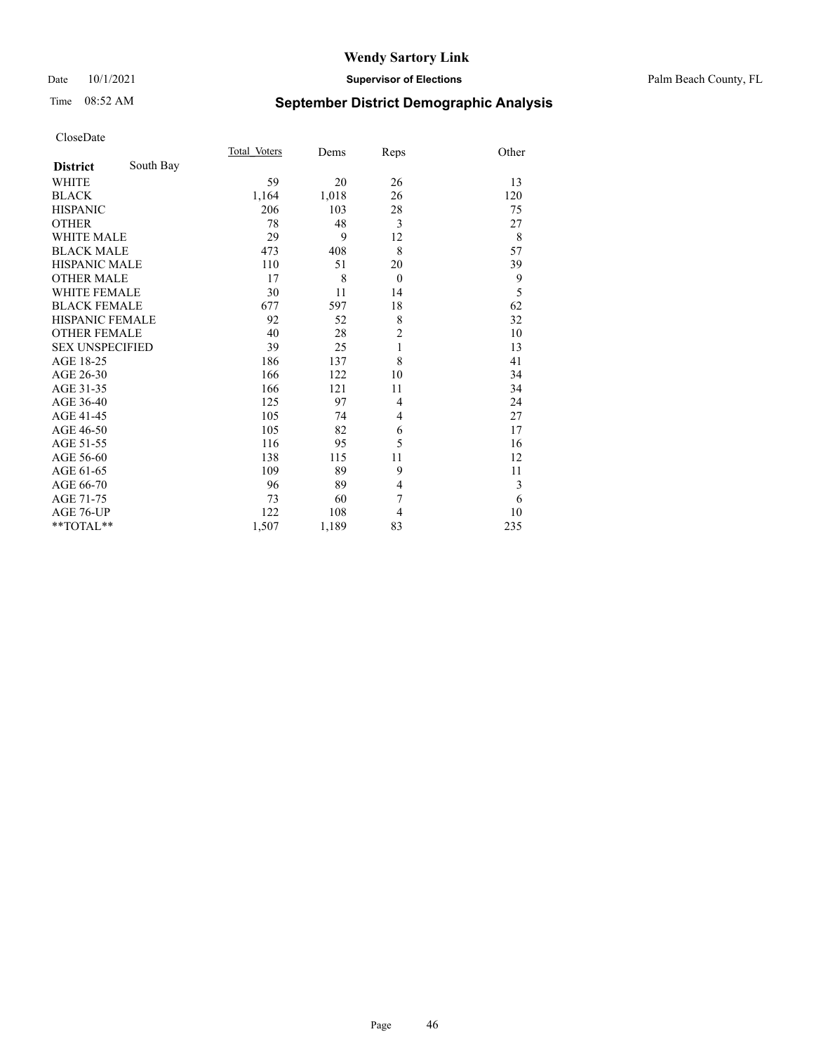#### Date 10/1/2021 **Supervisor of Elections** Palm Beach County, FL

## Time 08:52 AM **September District Demographic Analysis**

|                        |           | Total Voters | Dems  | Reps           | Other |
|------------------------|-----------|--------------|-------|----------------|-------|
| <b>District</b>        | South Bay |              |       |                |       |
| WHITE                  |           | 59           | 20    | 26             | 13    |
| <b>BLACK</b>           |           | 1,164        | 1,018 | 26             | 120   |
| <b>HISPANIC</b>        |           | 206          | 103   | 28             | 75    |
| <b>OTHER</b>           |           | 78           | 48    | 3              | 27    |
| <b>WHITE MALE</b>      |           | 29           | 9     | 12             | 8     |
| <b>BLACK MALE</b>      |           | 473          | 408   | 8              | 57    |
| <b>HISPANIC MALE</b>   |           | 110          | 51    | 20             | 39    |
| <b>OTHER MALE</b>      |           | 17           | 8     | $\overline{0}$ | 9     |
| <b>WHITE FEMALE</b>    |           | 30           | 11    | 14             | 5     |
| <b>BLACK FEMALE</b>    |           | 677          | 597   | 18             | 62    |
| HISPANIC FEMALE        |           | 92           | 52    | 8              | 32    |
| <b>OTHER FEMALE</b>    |           | 40           | 28    | $\overline{c}$ | 10    |
| <b>SEX UNSPECIFIED</b> |           | 39           | 25    | $\mathbf{1}$   | 13    |
| AGE 18-25              |           | 186          | 137   | 8              | 41    |
| AGE 26-30              |           | 166          | 122   | 10             | 34    |
| AGE 31-35              |           | 166          | 121   | 11             | 34    |
| AGE 36-40              |           | 125          | 97    | 4              | 24    |
| AGE 41-45              |           | 105          | 74    | 4              | 27    |
| AGE 46-50              |           | 105          | 82    | 6              | 17    |
| AGE 51-55              |           | 116          | 95    | 5              | 16    |
| AGE 56-60              |           | 138          | 115   | 11             | 12    |
| AGE 61-65              |           | 109          | 89    | 9              | 11    |
| AGE 66-70              |           | 96           | 89    | 4              | 3     |
| AGE 71-75              |           | 73           | 60    | 7              | 6     |
| AGE 76-UP              |           | 122          | 108   | 4              | 10    |
| **TOTAL**              |           | 1,507        | 1,189 | 83             | 235   |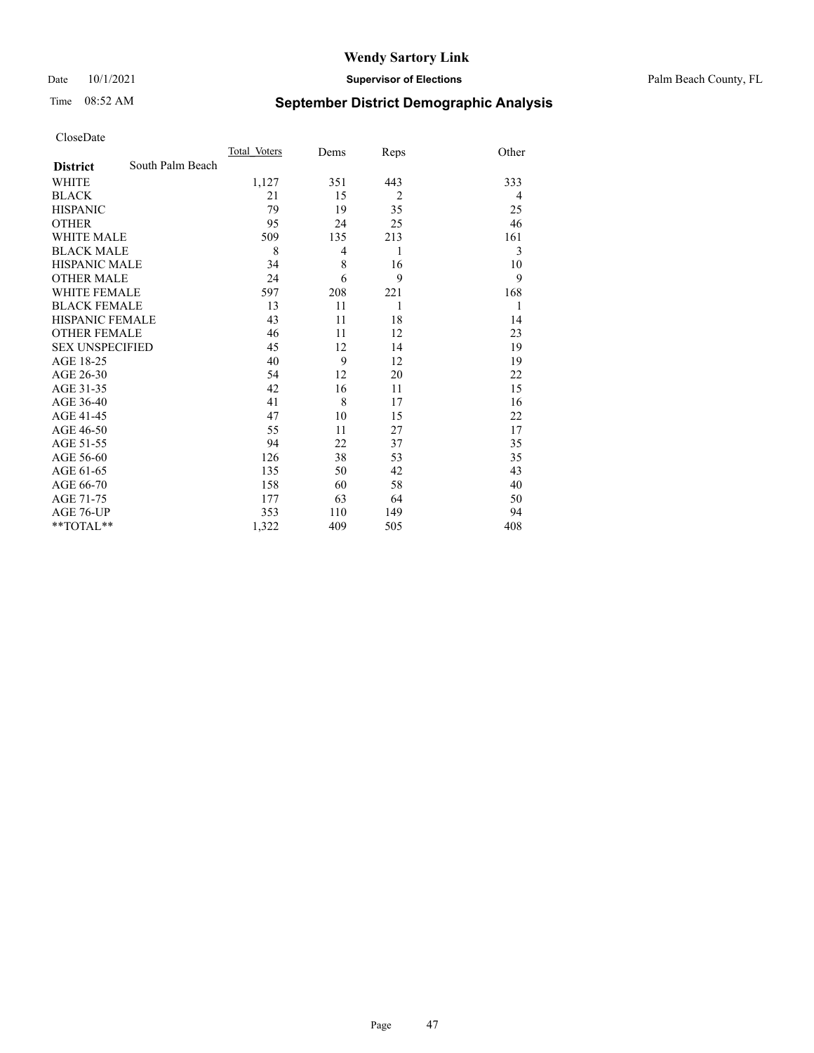#### Date 10/1/2021 **Supervisor of Elections** Palm Beach County, FL

## Time 08:52 AM **September District Demographic Analysis**

|                        |                  | Total Voters | Dems           | Reps           | Other |
|------------------------|------------------|--------------|----------------|----------------|-------|
| <b>District</b>        | South Palm Beach |              |                |                |       |
| <b>WHITE</b>           |                  | 1,127        | 351            | 443            | 333   |
| <b>BLACK</b>           |                  | 21           | 15             | $\overline{2}$ | 4     |
| <b>HISPANIC</b>        |                  | 79           | 19             | 35             | 25    |
| <b>OTHER</b>           |                  | 95           | 24             | 25             | 46    |
| <b>WHITE MALE</b>      |                  | 509          | 135            | 213            | 161   |
| <b>BLACK MALE</b>      |                  | 8            | $\overline{4}$ | 1              | 3     |
| <b>HISPANIC MALE</b>   |                  | 34           | 8              | 16             | 10    |
| <b>OTHER MALE</b>      |                  | 24           | 6              | 9              | 9     |
| <b>WHITE FEMALE</b>    |                  | 597          | 208            | 221            | 168   |
| <b>BLACK FEMALE</b>    |                  | 13           | 11             | 1              | 1     |
| <b>HISPANIC FEMALE</b> |                  | 43           | 11             | 18             | 14    |
| <b>OTHER FEMALE</b>    |                  | 46           | 11             | 12             | 23    |
| <b>SEX UNSPECIFIED</b> |                  | 45           | 12             | 14             | 19    |
| AGE 18-25              |                  | 40           | 9              | 12             | 19    |
| AGE 26-30              |                  | 54           | 12             | 20             | 22    |
| AGE 31-35              |                  | 42           | 16             | 11             | 15    |
| AGE 36-40              |                  | 41           | 8              | 17             | 16    |
| AGE 41-45              |                  | 47           | 10             | 15             | 22    |
| AGE 46-50              |                  | 55           | 11             | 27             | 17    |
| AGE 51-55              |                  | 94           | 22             | 37             | 35    |
| AGE 56-60              |                  | 126          | 38             | 53             | 35    |
| AGE 61-65              |                  | 135          | 50             | 42             | 43    |
| AGE 66-70              |                  | 158          | 60             | 58             | 40    |
| AGE 71-75              |                  | 177          | 63             | 64             | 50    |
| AGE 76-UP              |                  | 353          | 110            | 149            | 94    |
| $*$ $TOTAL**$          |                  | 1,322        | 409            | 505            | 408   |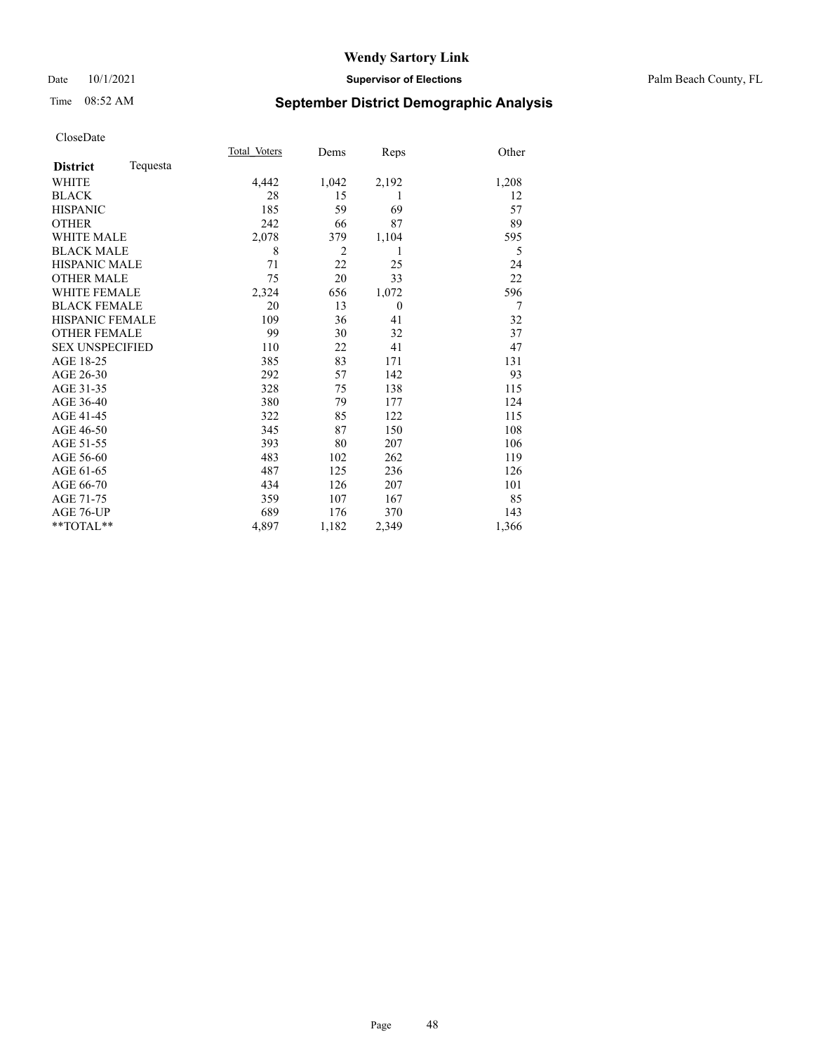#### Date 10/1/2021 **Supervisor of Elections** Palm Beach County, FL

## Time 08:52 AM **September District Demographic Analysis**

|                        |          | Total Voters | Dems           | Reps     | Other |
|------------------------|----------|--------------|----------------|----------|-------|
| <b>District</b>        | Tequesta |              |                |          |       |
| <b>WHITE</b>           |          | 4,442        | 1,042          | 2,192    | 1,208 |
| <b>BLACK</b>           |          | 28           | 15             | 1        | 12    |
| <b>HISPANIC</b>        |          | 185          | 59             | 69       | 57    |
| <b>OTHER</b>           |          | 242          | 66             | 87       | 89    |
| <b>WHITE MALE</b>      |          | 2,078        | 379            | 1,104    | 595   |
| <b>BLACK MALE</b>      |          | 8            | $\overline{2}$ | 1        | 5     |
| <b>HISPANIC MALE</b>   |          | 71           | 22             | 25       | 24    |
| <b>OTHER MALE</b>      |          | 75           | 20             | 33       | 22    |
| <b>WHITE FEMALE</b>    |          | 2,324        | 656            | 1,072    | 596   |
| <b>BLACK FEMALE</b>    |          | 20           | 13             | $\theta$ | 7     |
| <b>HISPANIC FEMALE</b> |          | 109          | 36             | 41       | 32    |
| <b>OTHER FEMALE</b>    |          | 99           | 30             | 32       | 37    |
| <b>SEX UNSPECIFIED</b> |          | 110          | 22             | 41       | 47    |
| AGE 18-25              |          | 385          | 83             | 171      | 131   |
| AGE 26-30              |          | 292          | 57             | 142      | 93    |
| AGE 31-35              |          | 328          | 75             | 138      | 115   |
| AGE 36-40              |          | 380          | 79             | 177      | 124   |
| AGE 41-45              |          | 322          | 85             | 122      | 115   |
| AGE 46-50              |          | 345          | 87             | 150      | 108   |
| AGE 51-55              |          | 393          | 80             | 207      | 106   |
| AGE 56-60              |          | 483          | 102            | 262      | 119   |
| AGE 61-65              |          | 487          | 125            | 236      | 126   |
| AGE 66-70              |          | 434          | 126            | 207      | 101   |
| AGE 71-75              |          | 359          | 107            | 167      | 85    |
| AGE 76-UP              |          | 689          | 176            | 370      | 143   |
| **TOTAL**              |          | 4,897        | 1,182          | 2,349    | 1,366 |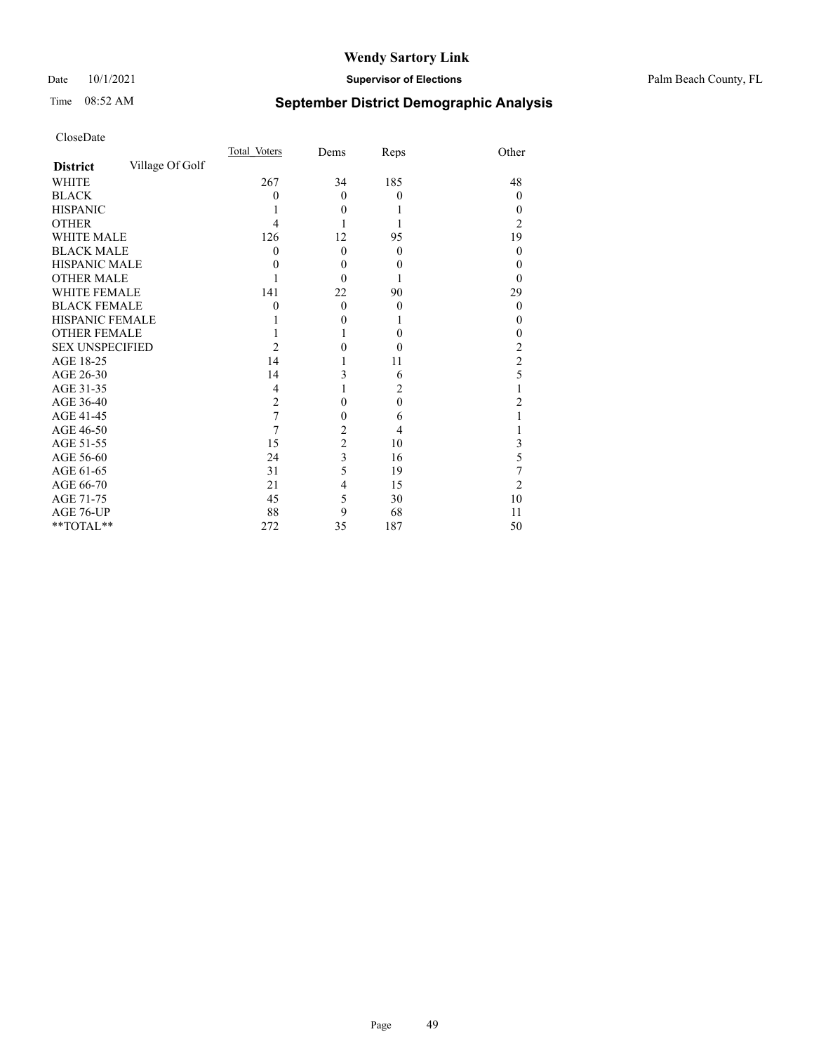#### Date 10/1/2021 **Supervisor of Elections** Palm Beach County, FL

## Time 08:52 AM **September District Demographic Analysis**

|                        |                 | Total Voters   | Dems           | Reps     | Other          |
|------------------------|-----------------|----------------|----------------|----------|----------------|
| <b>District</b>        | Village Of Golf |                |                |          |                |
| <b>WHITE</b>           |                 | 267            | 34             | 185      | 48             |
| <b>BLACK</b>           |                 | 0              | $\theta$       | $\theta$ | $\Omega$       |
| <b>HISPANIC</b>        |                 |                | $\Omega$       |          | $\theta$       |
| <b>OTHER</b>           |                 |                |                |          | 2              |
| WHITE MALE             |                 | 126            | 12             | 95       | 19             |
| <b>BLACK MALE</b>      |                 | 0              | $\theta$       | $\theta$ | $\Omega$       |
| <b>HISPANIC MALE</b>   |                 | 0              | $\theta$       | $\theta$ | 0              |
| <b>OTHER MALE</b>      |                 |                | $\Omega$       |          | 0              |
| WHITE FEMALE           |                 | 141            | 22             | 90       | 29             |
| <b>BLACK FEMALE</b>    |                 | 0              | $\theta$       | $\theta$ | $\overline{0}$ |
| <b>HISPANIC FEMALE</b> |                 |                | 0              | 1        | 0              |
| <b>OTHER FEMALE</b>    |                 |                |                | $\theta$ | $\Omega$       |
| <b>SEX UNSPECIFIED</b> |                 | $\overline{2}$ | 0              | $\theta$ | 2              |
| AGE 18-25              |                 | 14             |                | 11       | $\overline{c}$ |
| AGE 26-30              |                 | 14             | 3              | 6        | 5              |
| AGE 31-35              |                 | 4              |                | 2        |                |
| AGE 36-40              |                 | $\overline{2}$ | 0              | $\theta$ | 2              |
| AGE 41-45              |                 | 7              | 0              | 6        |                |
| AGE 46-50              |                 | 7              | $\overline{2}$ | 4        |                |
| AGE 51-55              |                 | 15             | $\overline{c}$ | 10       | 3              |
| AGE 56-60              |                 | 24             | 3              | 16       | 5              |
| AGE 61-65              |                 | 31             | 5              | 19       | 7              |
| AGE 66-70              |                 | 21             | 4              | 15       | $\overline{2}$ |
| AGE 71-75              |                 | 45             | 5              | 30       | 10             |
| AGE 76-UP              |                 | 88             | 9              | 68       | 11             |
| **TOTAL**              |                 | 272            | 35             | 187      | 50             |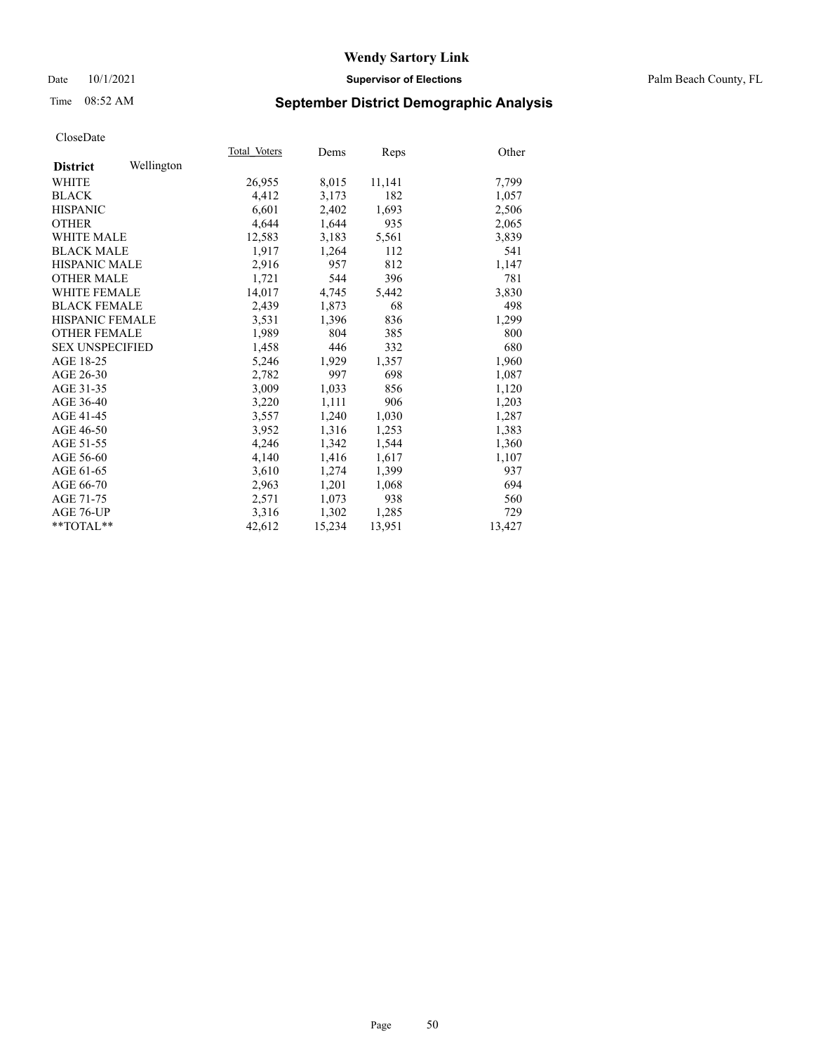Date 10/1/2021 **Supervisor of Elections** Palm Beach County, FL

## Time 08:52 AM **September District Demographic Analysis**

|                        |            | Total Voters | Dems   | Reps   | Other  |
|------------------------|------------|--------------|--------|--------|--------|
| <b>District</b>        | Wellington |              |        |        |        |
| WHITE                  |            | 26,955       | 8,015  | 11,141 | 7,799  |
| <b>BLACK</b>           |            | 4,412        | 3,173  | 182    | 1,057  |
| <b>HISPANIC</b>        |            | 6.601        | 2,402  | 1,693  | 2,506  |
| <b>OTHER</b>           |            | 4,644        | 1,644  | 935    | 2,065  |
| <b>WHITE MALE</b>      |            | 12,583       | 3,183  | 5,561  | 3,839  |
| <b>BLACK MALE</b>      |            | 1,917        | 1,264  | 112    | 541    |
| HISPANIC MALE          |            | 2,916        | 957    | 812    | 1,147  |
| <b>OTHER MALE</b>      |            | 1,721        | 544    | 396    | 781    |
| <b>WHITE FEMALE</b>    |            | 14,017       | 4,745  | 5,442  | 3,830  |
| <b>BLACK FEMALE</b>    |            | 2.439        | 1,873  | 68     | 498    |
| <b>HISPANIC FEMALE</b> |            | 3,531        | 1,396  | 836    | 1,299  |
| <b>OTHER FEMALE</b>    |            | 1,989        | 804    | 385    | 800    |
| <b>SEX UNSPECIFIED</b> |            | 1,458        | 446    | 332    | 680    |
| AGE 18-25              |            | 5,246        | 1,929  | 1,357  | 1,960  |
| AGE 26-30              |            | 2,782        | 997    | 698    | 1,087  |
| AGE 31-35              |            | 3,009        | 1,033  | 856    | 1,120  |
| AGE 36-40              |            | 3,220        | 1,111  | 906    | 1,203  |
| AGE 41-45              |            | 3,557        | 1,240  | 1,030  | 1,287  |
| AGE 46-50              |            | 3,952        | 1,316  | 1,253  | 1,383  |
| AGE 51-55              |            | 4,246        | 1,342  | 1,544  | 1,360  |
| AGE 56-60              |            | 4,140        | 1,416  | 1,617  | 1,107  |
| AGE 61-65              |            | 3,610        | 1,274  | 1,399  | 937    |
| AGE 66-70              |            | 2,963        | 1,201  | 1,068  | 694    |
| AGE 71-75              |            | 2,571        | 1,073  | 938    | 560    |
| AGE 76-UP              |            | 3,316        | 1,302  | 1,285  | 729    |
| $*$ $TOTAL**$          |            | 42,612       | 15,234 | 13,951 | 13,427 |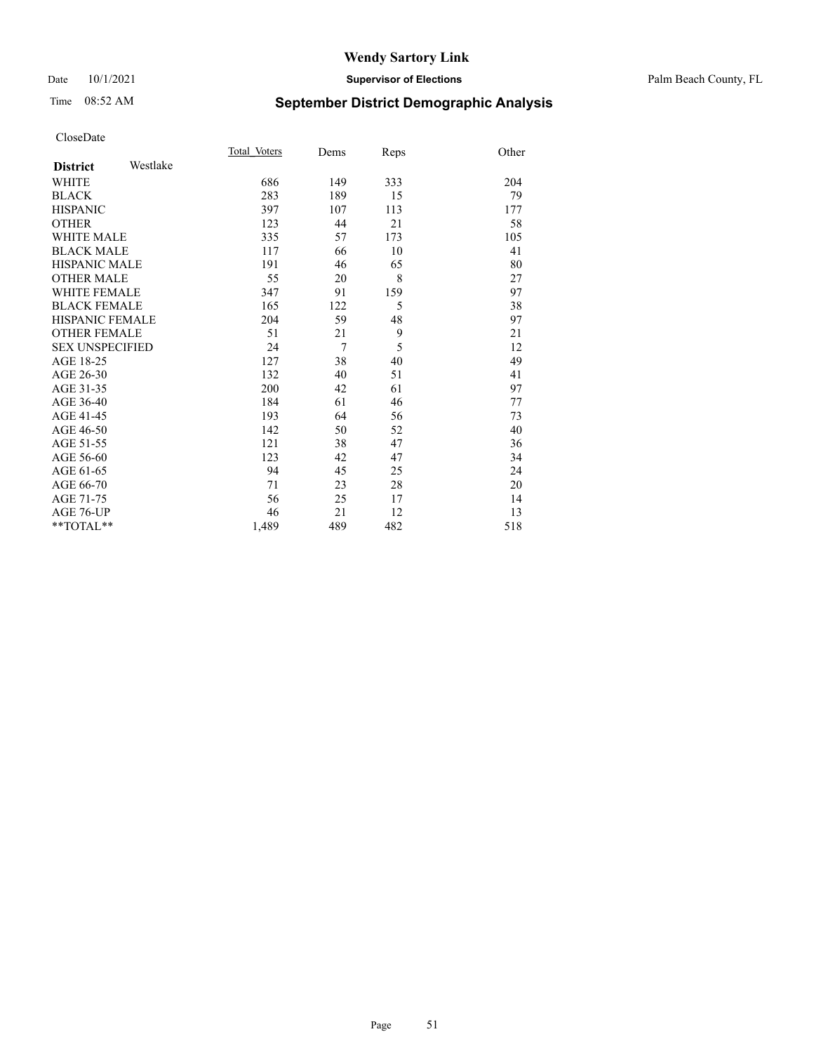#### Date 10/1/2021 **Supervisor of Elections** Palm Beach County, FL

## Time 08:52 AM **September District Demographic Analysis**

|                        |          | Total Voters | Dems | Reps | Other |
|------------------------|----------|--------------|------|------|-------|
| <b>District</b>        | Westlake |              |      |      |       |
| <b>WHITE</b>           |          | 686          | 149  | 333  | 204   |
| <b>BLACK</b>           |          | 283          | 189  | 15   | 79    |
| <b>HISPANIC</b>        |          | 397          | 107  | 113  | 177   |
| <b>OTHER</b>           |          | 123          | 44   | 21   | 58    |
| <b>WHITE MALE</b>      |          | 335          | 57   | 173  | 105   |
| <b>BLACK MALE</b>      |          | 117          | 66   | 10   | 41    |
| <b>HISPANIC MALE</b>   |          | 191          | 46   | 65   | 80    |
| <b>OTHER MALE</b>      |          | 55           | 20   | 8    | 27    |
| <b>WHITE FEMALE</b>    |          | 347          | 91   | 159  | 97    |
| <b>BLACK FEMALE</b>    |          | 165          | 122  | 5    | 38    |
| <b>HISPANIC FEMALE</b> |          | 204          | 59   | 48   | 97    |
| <b>OTHER FEMALE</b>    |          | 51           | 21   | 9    | 21    |
| <b>SEX UNSPECIFIED</b> |          | 24           | 7    | 5    | 12    |
| AGE 18-25              |          | 127          | 38   | 40   | 49    |
| AGE 26-30              |          | 132          | 40   | 51   | 41    |
| AGE 31-35              |          | 200          | 42   | 61   | 97    |
| AGE 36-40              |          | 184          | 61   | 46   | 77    |
| AGE 41-45              |          | 193          | 64   | 56   | 73    |
| AGE 46-50              |          | 142          | 50   | 52   | 40    |
| AGE 51-55              |          | 121          | 38   | 47   | 36    |
| AGE 56-60              |          | 123          | 42   | 47   | 34    |
| AGE 61-65              |          | 94           | 45   | 25   | 24    |
| AGE 66-70              |          | 71           | 23   | 28   | 20    |
| AGE 71-75              |          | 56           | 25   | 17   | 14    |
| <b>AGE 76-UP</b>       |          | 46           | 21   | 12   | 13    |
| $*$ $TOTAL**$          |          | 1,489        | 489  | 482  | 518   |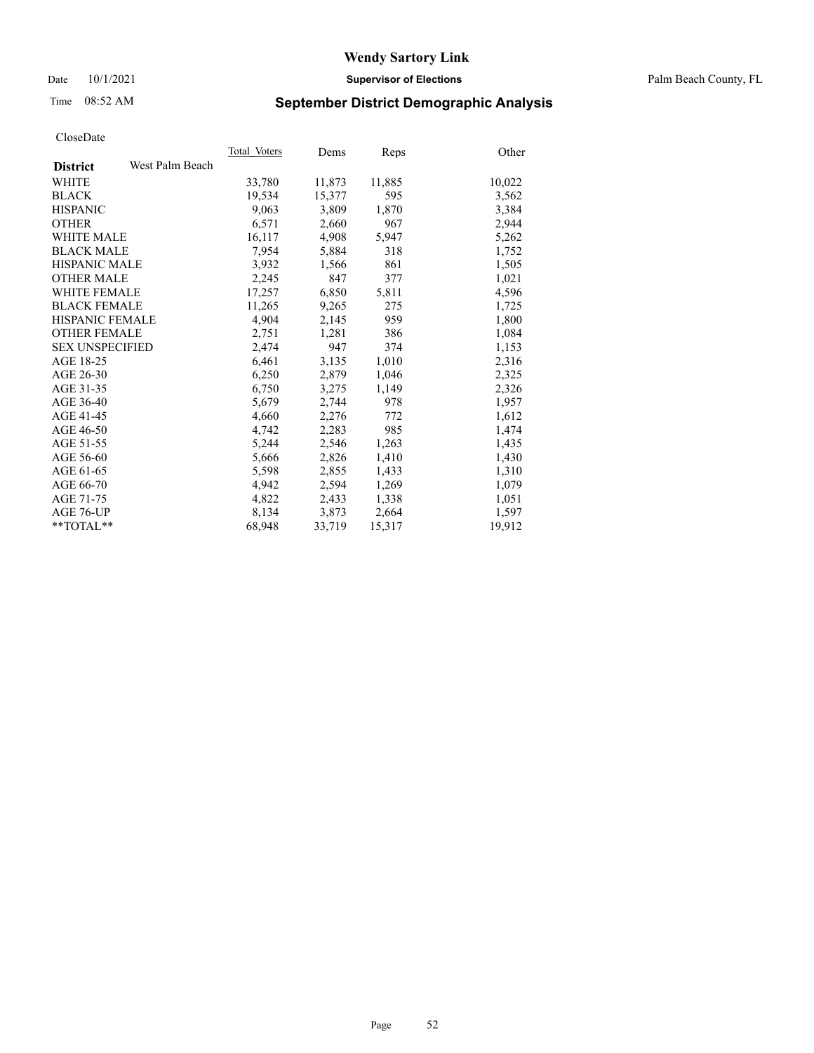Date 10/1/2021 **Supervisor of Elections** Palm Beach County, FL

## Time 08:52 AM **September District Demographic Analysis**

|                        |                 | Total Voters | Dems   | <b>Reps</b> | Other  |
|------------------------|-----------------|--------------|--------|-------------|--------|
| <b>District</b>        | West Palm Beach |              |        |             |        |
| <b>WHITE</b>           |                 | 33,780       | 11,873 | 11,885      | 10,022 |
| <b>BLACK</b>           |                 | 19,534       | 15,377 | 595         | 3,562  |
| <b>HISPANIC</b>        |                 | 9,063        | 3,809  | 1,870       | 3,384  |
| <b>OTHER</b>           |                 | 6,571        | 2,660  | 967         | 2,944  |
| <b>WHITE MALE</b>      |                 | 16,117       | 4,908  | 5,947       | 5,262  |
| <b>BLACK MALE</b>      |                 | 7,954        | 5,884  | 318         | 1,752  |
| <b>HISPANIC MALE</b>   |                 | 3,932        | 1,566  | 861         | 1,505  |
| <b>OTHER MALE</b>      |                 | 2,245        | 847    | 377         | 1,021  |
| <b>WHITE FEMALE</b>    |                 | 17,257       | 6,850  | 5,811       | 4,596  |
| <b>BLACK FEMALE</b>    |                 | 11,265       | 9,265  | 275         | 1,725  |
| HISPANIC FEMALE        |                 | 4,904        | 2,145  | 959         | 1,800  |
| <b>OTHER FEMALE</b>    |                 | 2,751        | 1,281  | 386         | 1,084  |
| <b>SEX UNSPECIFIED</b> |                 | 2,474        | 947    | 374         | 1,153  |
| AGE 18-25              |                 | 6,461        | 3,135  | 1,010       | 2,316  |
| AGE 26-30              |                 | 6,250        | 2,879  | 1,046       | 2,325  |
| AGE 31-35              |                 | 6,750        | 3,275  | 1,149       | 2,326  |
| AGE 36-40              |                 | 5,679        | 2,744  | 978         | 1,957  |
| AGE 41-45              |                 | 4,660        | 2,276  | 772         | 1,612  |
| AGE 46-50              |                 | 4,742        | 2,283  | 985         | 1,474  |
| AGE 51-55              |                 | 5,244        | 2,546  | 1,263       | 1,435  |
| AGE 56-60              |                 | 5,666        | 2,826  | 1,410       | 1,430  |
| AGE 61-65              |                 | 5,598        | 2,855  | 1,433       | 1,310  |
| AGE 66-70              |                 | 4,942        | 2,594  | 1,269       | 1,079  |
| AGE 71-75              |                 | 4,822        | 2,433  | 1,338       | 1,051  |
| AGE 76-UP              |                 | 8,134        | 3,873  | 2,664       | 1,597  |
| $*$ $TOTAL**$          |                 | 68,948       | 33,719 | 15,317      | 19,912 |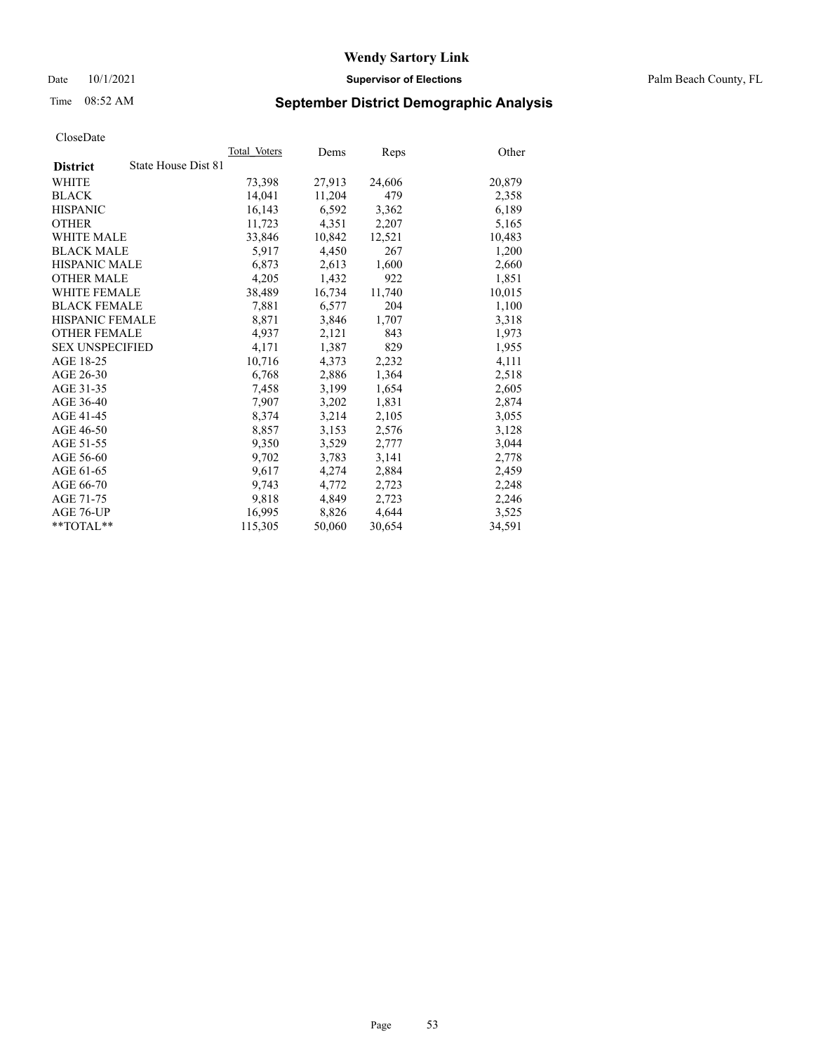Date 10/1/2021 **Supervisor of Elections** Palm Beach County, FL

## Time 08:52 AM **September District Demographic Analysis**

|                        |                     | Total Voters | Dems   | <b>Reps</b> | Other  |
|------------------------|---------------------|--------------|--------|-------------|--------|
| <b>District</b>        | State House Dist 81 |              |        |             |        |
| <b>WHITE</b>           |                     | 73,398       | 27,913 | 24,606      | 20,879 |
| <b>BLACK</b>           |                     | 14,041       | 11,204 | 479         | 2,358  |
| <b>HISPANIC</b>        |                     | 16,143       | 6,592  | 3,362       | 6,189  |
| <b>OTHER</b>           |                     | 11,723       | 4,351  | 2,207       | 5,165  |
| <b>WHITE MALE</b>      |                     | 33,846       | 10,842 | 12,521      | 10,483 |
| <b>BLACK MALE</b>      |                     | 5,917        | 4,450  | 267         | 1,200  |
| <b>HISPANIC MALE</b>   |                     | 6,873        | 2,613  | 1,600       | 2,660  |
| <b>OTHER MALE</b>      |                     | 4,205        | 1,432  | 922         | 1,851  |
| <b>WHITE FEMALE</b>    |                     | 38,489       | 16,734 | 11,740      | 10,015 |
| <b>BLACK FEMALE</b>    |                     | 7,881        | 6,577  | 204         | 1,100  |
| <b>HISPANIC FEMALE</b> |                     | 8,871        | 3,846  | 1,707       | 3,318  |
| <b>OTHER FEMALE</b>    |                     | 4,937        | 2,121  | 843         | 1,973  |
| <b>SEX UNSPECIFIED</b> |                     | 4,171        | 1,387  | 829         | 1,955  |
| AGE 18-25              |                     | 10,716       | 4,373  | 2,232       | 4,111  |
| AGE 26-30              |                     | 6,768        | 2,886  | 1,364       | 2,518  |
| AGE 31-35              |                     | 7,458        | 3,199  | 1,654       | 2,605  |
| AGE 36-40              |                     | 7,907        | 3,202  | 1,831       | 2,874  |
| AGE 41-45              |                     | 8,374        | 3,214  | 2,105       | 3,055  |
| AGE 46-50              |                     | 8,857        | 3,153  | 2,576       | 3,128  |
| AGE 51-55              |                     | 9,350        | 3,529  | 2,777       | 3,044  |
| AGE 56-60              |                     | 9,702        | 3,783  | 3,141       | 2,778  |
| AGE 61-65              |                     | 9,617        | 4,274  | 2,884       | 2,459  |
| AGE 66-70              |                     | 9,743        | 4,772  | 2,723       | 2,248  |
| AGE 71-75              |                     | 9,818        | 4,849  | 2,723       | 2,246  |
| AGE 76-UP              |                     | 16,995       | 8,826  | 4,644       | 3,525  |
| $*$ $TOTAL**$          |                     | 115,305      | 50,060 | 30,654      | 34,591 |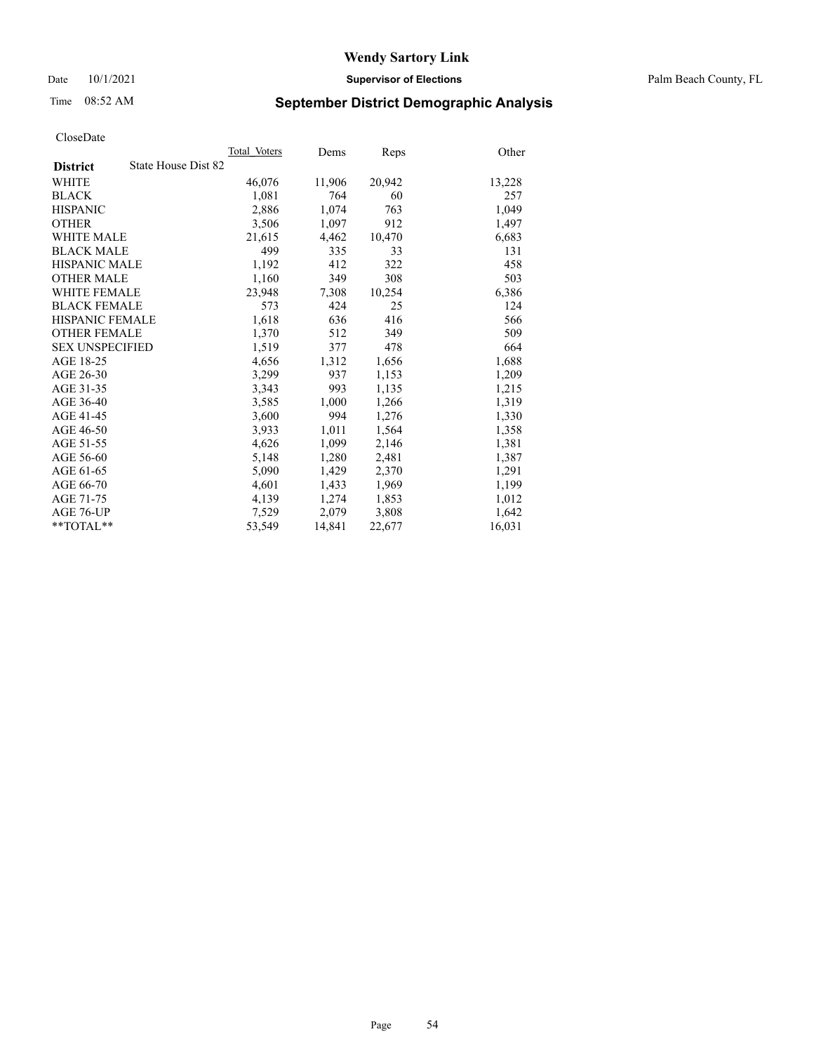Date 10/1/2021 **Supervisor of Elections** Palm Beach County, FL

## Time 08:52 AM **September District Demographic Analysis**

|                                        | Total Voters | Dems   | Reps   | Other  |
|----------------------------------------|--------------|--------|--------|--------|
| State House Dist 82<br><b>District</b> |              |        |        |        |
| WHITE                                  | 46,076       | 11,906 | 20,942 | 13,228 |
| <b>BLACK</b>                           | 1,081        | 764    | 60     | 257    |
| <b>HISPANIC</b>                        | 2,886        | 1,074  | 763    | 1,049  |
| <b>OTHER</b>                           | 3,506        | 1,097  | 912    | 1,497  |
| <b>WHITE MALE</b>                      | 21,615       | 4,462  | 10,470 | 6,683  |
| <b>BLACK MALE</b>                      | 499          | 335    | 33     | 131    |
| <b>HISPANIC MALE</b>                   | 1,192        | 412    | 322    | 458    |
| <b>OTHER MALE</b>                      | 1,160        | 349    | 308    | 503    |
| <b>WHITE FEMALE</b>                    | 23,948       | 7,308  | 10,254 | 6,386  |
| <b>BLACK FEMALE</b>                    | 573          | 424    | 25     | 124    |
| <b>HISPANIC FEMALE</b>                 | 1,618        | 636    | 416    | 566    |
| <b>OTHER FEMALE</b>                    | 1,370        | 512    | 349    | 509    |
| <b>SEX UNSPECIFIED</b>                 | 1,519        | 377    | 478    | 664    |
| AGE 18-25                              | 4,656        | 1,312  | 1,656  | 1,688  |
| AGE 26-30                              | 3,299        | 937    | 1,153  | 1,209  |
| AGE 31-35                              | 3,343        | 993    | 1,135  | 1,215  |
| AGE 36-40                              | 3,585        | 1,000  | 1,266  | 1,319  |
| AGE 41-45                              | 3,600        | 994    | 1,276  | 1,330  |
| AGE 46-50                              | 3,933        | 1,011  | 1,564  | 1,358  |
| AGE 51-55                              | 4,626        | 1,099  | 2,146  | 1,381  |
| AGE 56-60                              | 5,148        | 1,280  | 2,481  | 1,387  |
| AGE 61-65                              | 5,090        | 1,429  | 2,370  | 1,291  |
| AGE 66-70                              | 4,601        | 1,433  | 1,969  | 1,199  |
| AGE 71-75                              | 4,139        | 1,274  | 1,853  | 1,012  |
| AGE 76-UP                              | 7,529        | 2,079  | 3,808  | 1,642  |
| $*$ $TOTAL**$                          | 53,549       | 14,841 | 22,677 | 16,031 |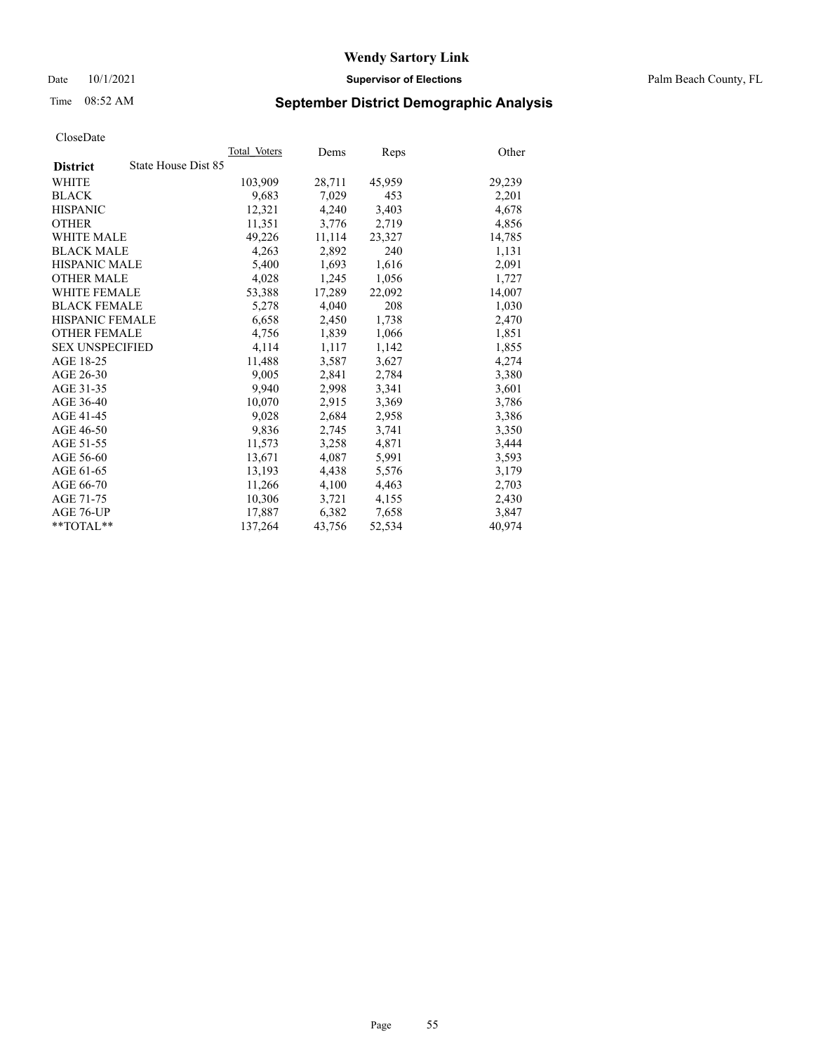Date 10/1/2021 **Supervisor of Elections** Palm Beach County, FL

## Time 08:52 AM **September District Demographic Analysis**

|                                        | Total Voters | Dems   | Reps   | Other  |
|----------------------------------------|--------------|--------|--------|--------|
| State House Dist 85<br><b>District</b> |              |        |        |        |
| WHITE                                  | 103,909      | 28,711 | 45,959 | 29,239 |
| <b>BLACK</b>                           | 9,683        | 7,029  | 453    | 2,201  |
| <b>HISPANIC</b>                        | 12.321       | 4,240  | 3,403  | 4,678  |
| <b>OTHER</b>                           | 11,351       | 3,776  | 2,719  | 4,856  |
| <b>WHITE MALE</b>                      | 49,226       | 11,114 | 23,327 | 14,785 |
| <b>BLACK MALE</b>                      | 4,263        | 2,892  | 240    | 1,131  |
| <b>HISPANIC MALE</b>                   | 5,400        | 1,693  | 1,616  | 2,091  |
| <b>OTHER MALE</b>                      | 4,028        | 1,245  | 1,056  | 1,727  |
| <b>WHITE FEMALE</b>                    | 53,388       | 17,289 | 22,092 | 14,007 |
| <b>BLACK FEMALE</b>                    | 5,278        | 4,040  | 208    | 1,030  |
| <b>HISPANIC FEMALE</b>                 | 6,658        | 2,450  | 1,738  | 2,470  |
| <b>OTHER FEMALE</b>                    | 4,756        | 1,839  | 1,066  | 1,851  |
| <b>SEX UNSPECIFIED</b>                 | 4,114        | 1,117  | 1,142  | 1,855  |
| AGE 18-25                              | 11,488       | 3,587  | 3,627  | 4,274  |
| AGE 26-30                              | 9,005        | 2,841  | 2,784  | 3,380  |
| AGE 31-35                              | 9,940        | 2,998  | 3,341  | 3,601  |
| AGE 36-40                              | 10,070       | 2,915  | 3,369  | 3,786  |
| AGE 41-45                              | 9,028        | 2,684  | 2,958  | 3,386  |
| AGE 46-50                              | 9,836        | 2,745  | 3,741  | 3,350  |
| AGE 51-55                              | 11,573       | 3,258  | 4,871  | 3,444  |
| AGE 56-60                              | 13,671       | 4,087  | 5,991  | 3,593  |
| AGE 61-65                              | 13.193       | 4,438  | 5,576  | 3,179  |
| AGE 66-70                              | 11,266       | 4,100  | 4,463  | 2,703  |
| AGE 71-75                              | 10,306       | 3,721  | 4,155  | 2,430  |
| AGE 76-UP                              | 17,887       | 6,382  | 7,658  | 3,847  |
| $*$ $TOTAL**$                          | 137,264      | 43,756 | 52,534 | 40,974 |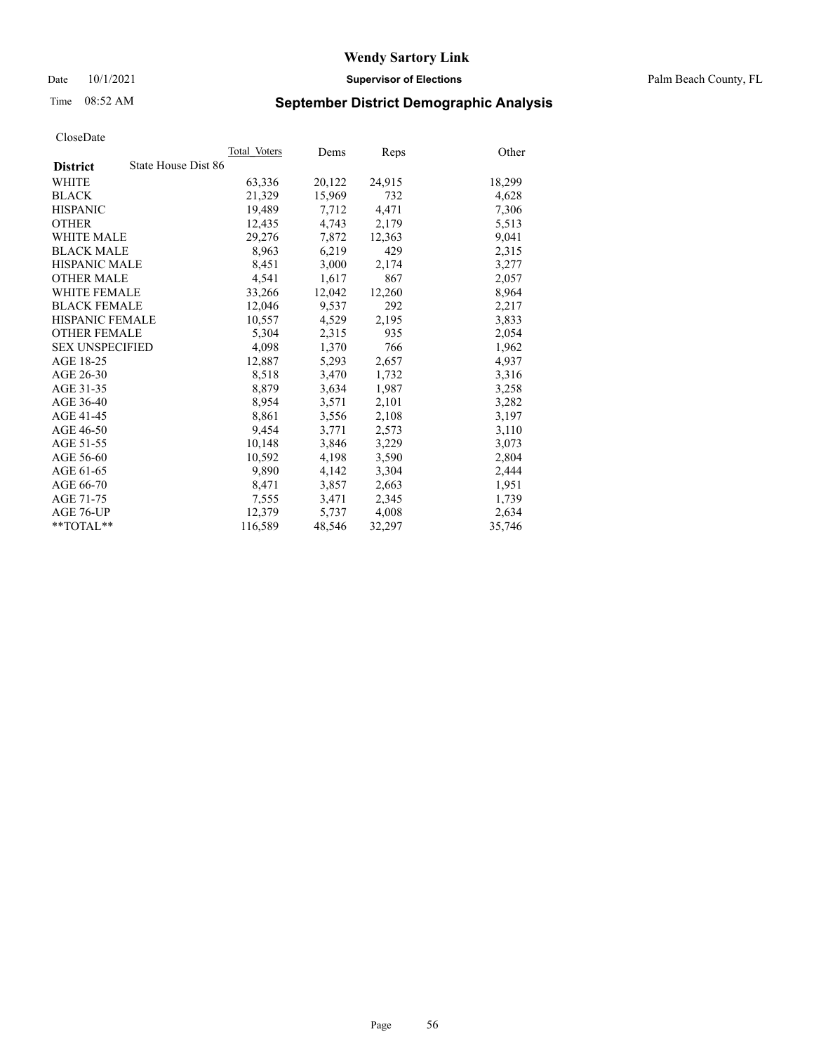Date 10/1/2021 **Supervisor of Elections** Palm Beach County, FL

## Time 08:52 AM **September District Demographic Analysis**

|                                        | Total Voters | Dems   | Reps   | Other  |
|----------------------------------------|--------------|--------|--------|--------|
| State House Dist 86<br><b>District</b> |              |        |        |        |
| WHITE                                  | 63,336       | 20,122 | 24,915 | 18,299 |
| <b>BLACK</b>                           | 21,329       | 15,969 | 732    | 4,628  |
| <b>HISPANIC</b>                        | 19.489       | 7,712  | 4,471  | 7,306  |
| <b>OTHER</b>                           | 12,435       | 4,743  | 2,179  | 5,513  |
| <b>WHITE MALE</b>                      | 29,276       | 7,872  | 12,363 | 9,041  |
| <b>BLACK MALE</b>                      | 8,963        | 6,219  | 429    | 2,315  |
| <b>HISPANIC MALE</b>                   | 8,451        | 3,000  | 2,174  | 3,277  |
| <b>OTHER MALE</b>                      | 4.541        | 1,617  | 867    | 2,057  |
| <b>WHITE FEMALE</b>                    | 33,266       | 12,042 | 12,260 | 8,964  |
| <b>BLACK FEMALE</b>                    | 12,046       | 9,537  | 292    | 2,217  |
| HISPANIC FEMALE                        | 10,557       | 4,529  | 2,195  | 3,833  |
| <b>OTHER FEMALE</b>                    | 5,304        | 2,315  | 935    | 2,054  |
| <b>SEX UNSPECIFIED</b>                 | 4,098        | 1,370  | 766    | 1,962  |
| AGE 18-25                              | 12,887       | 5,293  | 2,657  | 4,937  |
| AGE 26-30                              | 8,518        | 3,470  | 1,732  | 3,316  |
| AGE 31-35                              | 8,879        | 3,634  | 1,987  | 3,258  |
| AGE 36-40                              | 8,954        | 3,571  | 2,101  | 3,282  |
| AGE 41-45                              | 8,861        | 3,556  | 2,108  | 3,197  |
| AGE 46-50                              | 9,454        | 3,771  | 2,573  | 3,110  |
| AGE 51-55                              | 10,148       | 3,846  | 3,229  | 3,073  |
| AGE 56-60                              | 10,592       | 4,198  | 3,590  | 2,804  |
| AGE 61-65                              | 9.890        | 4,142  | 3,304  | 2,444  |
| AGE 66-70                              | 8,471        | 3,857  | 2,663  | 1,951  |
| AGE 71-75                              | 7,555        | 3,471  | 2,345  | 1,739  |
| AGE 76-UP                              | 12.379       | 5,737  | 4,008  | 2,634  |
| $*$ $TOTAL**$                          | 116,589      | 48,546 | 32,297 | 35,746 |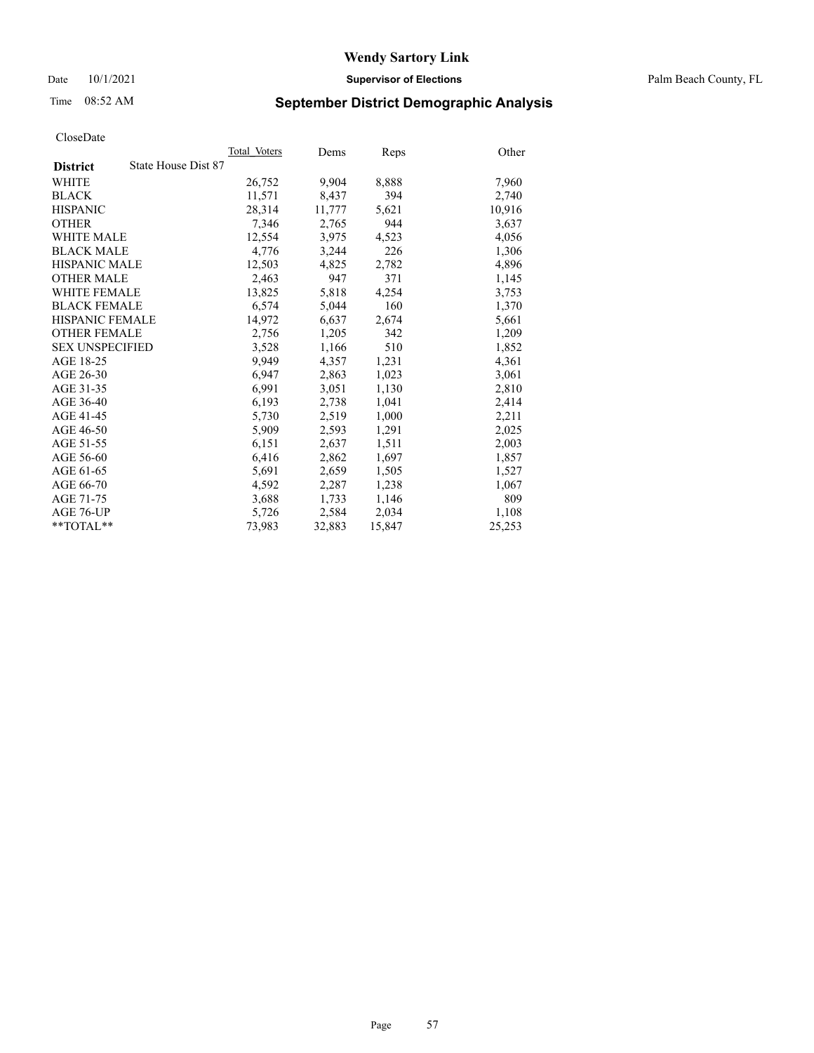Date 10/1/2021 **Supervisor of Elections** Palm Beach County, FL

## Time 08:52 AM **September District Demographic Analysis**

|                                        | Total Voters | Dems   | Reps   | Other  |
|----------------------------------------|--------------|--------|--------|--------|
| State House Dist 87<br><b>District</b> |              |        |        |        |
| WHITE                                  | 26,752       | 9,904  | 8,888  | 7,960  |
| <b>BLACK</b>                           | 11,571       | 8,437  | 394    | 2,740  |
| <b>HISPANIC</b>                        | 28,314       | 11,777 | 5,621  | 10,916 |
| <b>OTHER</b>                           | 7,346        | 2,765  | 944    | 3,637  |
| <b>WHITE MALE</b>                      | 12,554       | 3,975  | 4,523  | 4,056  |
| <b>BLACK MALE</b>                      | 4,776        | 3,244  | 226    | 1,306  |
| <b>HISPANIC MALE</b>                   | 12,503       | 4,825  | 2,782  | 4,896  |
| <b>OTHER MALE</b>                      | 2,463        | 947    | 371    | 1,145  |
| <b>WHITE FEMALE</b>                    | 13,825       | 5,818  | 4,254  | 3,753  |
| <b>BLACK FEMALE</b>                    | 6,574        | 5,044  | 160    | 1,370  |
| HISPANIC FEMALE                        | 14,972       | 6,637  | 2,674  | 5,661  |
| <b>OTHER FEMALE</b>                    | 2,756        | 1,205  | 342    | 1,209  |
| <b>SEX UNSPECIFIED</b>                 | 3,528        | 1,166  | 510    | 1,852  |
| AGE 18-25                              | 9,949        | 4,357  | 1,231  | 4,361  |
| AGE 26-30                              | 6,947        | 2,863  | 1,023  | 3,061  |
| AGE 31-35                              | 6,991        | 3,051  | 1,130  | 2,810  |
| AGE 36-40                              | 6,193        | 2,738  | 1,041  | 2,414  |
| AGE 41-45                              | 5,730        | 2,519  | 1,000  | 2,211  |
| AGE 46-50                              | 5,909        | 2,593  | 1,291  | 2,025  |
| AGE 51-55                              | 6,151        | 2,637  | 1,511  | 2,003  |
| AGE 56-60                              | 6,416        | 2,862  | 1,697  | 1,857  |
| AGE 61-65                              | 5,691        | 2,659  | 1,505  | 1,527  |
| AGE 66-70                              | 4,592        | 2,287  | 1,238  | 1,067  |
| AGE 71-75                              | 3,688        | 1,733  | 1,146  | 809    |
| AGE 76-UP                              | 5,726        | 2,584  | 2,034  | 1,108  |
| $*$ $TOTAL**$                          | 73,983       | 32,883 | 15,847 | 25,253 |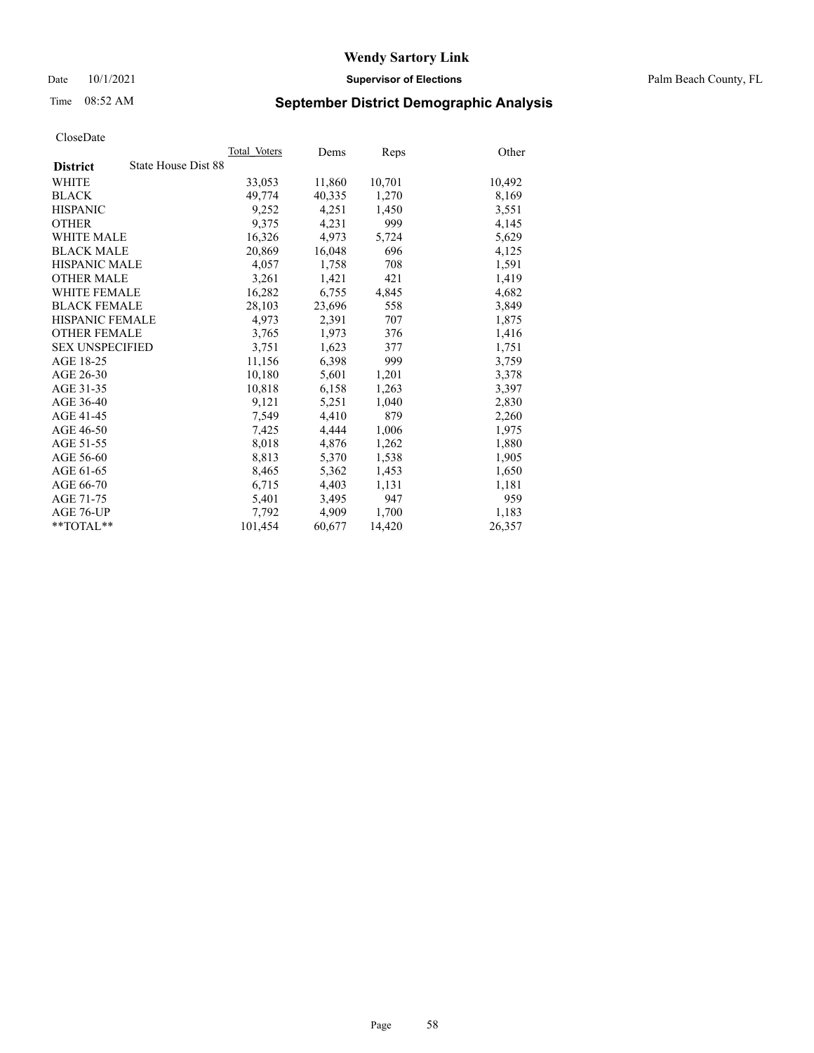Date 10/1/2021 **Supervisor of Elections** Palm Beach County, FL

## Time 08:52 AM **September District Demographic Analysis**

|                                        | Total Voters | Dems   | Reps   | Other  |
|----------------------------------------|--------------|--------|--------|--------|
| State House Dist 88<br><b>District</b> |              |        |        |        |
| WHITE                                  | 33,053       | 11,860 | 10,701 | 10,492 |
| <b>BLACK</b>                           | 49,774       | 40,335 | 1,270  | 8,169  |
| <b>HISPANIC</b>                        | 9.252        | 4,251  | 1,450  | 3,551  |
| <b>OTHER</b>                           | 9,375        | 4,231  | 999    | 4,145  |
| <b>WHITE MALE</b>                      | 16,326       | 4,973  | 5,724  | 5,629  |
| <b>BLACK MALE</b>                      | 20,869       | 16,048 | 696    | 4,125  |
| <b>HISPANIC MALE</b>                   | 4,057        | 1,758  | 708    | 1,591  |
| <b>OTHER MALE</b>                      | 3,261        | 1,421  | 421    | 1,419  |
| <b>WHITE FEMALE</b>                    | 16,282       | 6,755  | 4,845  | 4,682  |
| <b>BLACK FEMALE</b>                    | 28,103       | 23,696 | 558    | 3,849  |
| <b>HISPANIC FEMALE</b>                 | 4,973        | 2,391  | 707    | 1,875  |
| <b>OTHER FEMALE</b>                    | 3,765        | 1,973  | 376    | 1,416  |
| <b>SEX UNSPECIFIED</b>                 | 3,751        | 1,623  | 377    | 1,751  |
| AGE 18-25                              | 11,156       | 6,398  | 999    | 3,759  |
| AGE 26-30                              | 10,180       | 5,601  | 1,201  | 3,378  |
| AGE 31-35                              | 10,818       | 6,158  | 1,263  | 3,397  |
| AGE 36-40                              | 9,121        | 5,251  | 1,040  | 2,830  |
| AGE 41-45                              | 7,549        | 4,410  | 879    | 2,260  |
| AGE 46-50                              | 7,425        | 4,444  | 1,006  | 1,975  |
| AGE 51-55                              | 8,018        | 4,876  | 1,262  | 1,880  |
| AGE 56-60                              | 8,813        | 5,370  | 1,538  | 1,905  |
| AGE 61-65                              | 8,465        | 5,362  | 1,453  | 1,650  |
| AGE 66-70                              | 6,715        | 4,403  | 1,131  | 1,181  |
| AGE 71-75                              | 5,401        | 3,495  | 947    | 959    |
| AGE 76-UP                              | 7,792        | 4,909  | 1,700  | 1.183  |
| $*$ $TOTAL**$                          | 101,454      | 60,677 | 14,420 | 26,357 |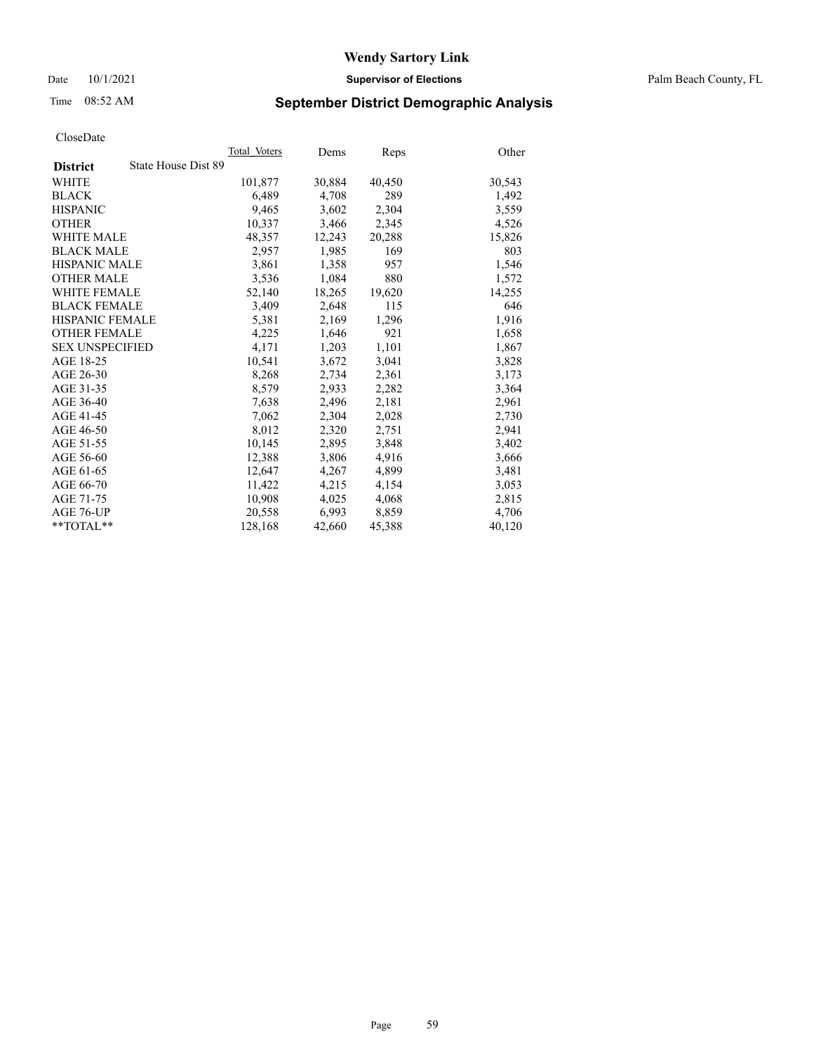Date 10/1/2021 **Supervisor of Elections** Palm Beach County, FL

## Time 08:52 AM **September District Demographic Analysis**

|                                        | Total Voters | Dems   | Reps   | Other  |
|----------------------------------------|--------------|--------|--------|--------|
| State House Dist 89<br><b>District</b> |              |        |        |        |
| WHITE                                  | 101,877      | 30,884 | 40,450 | 30,543 |
| <b>BLACK</b>                           | 6,489        | 4,708  | 289    | 1,492  |
| <b>HISPANIC</b>                        | 9.465        | 3,602  | 2,304  | 3,559  |
| <b>OTHER</b>                           | 10,337       | 3,466  | 2,345  | 4,526  |
| <b>WHITE MALE</b>                      | 48,357       | 12,243 | 20,288 | 15,826 |
| <b>BLACK MALE</b>                      | 2,957        | 1,985  | 169    | 803    |
| <b>HISPANIC MALE</b>                   | 3,861        | 1,358  | 957    | 1,546  |
| <b>OTHER MALE</b>                      | 3,536        | 1,084  | 880    | 1,572  |
| <b>WHITE FEMALE</b>                    | 52,140       | 18,265 | 19,620 | 14,255 |
| <b>BLACK FEMALE</b>                    | 3,409        | 2,648  | 115    | 646    |
| HISPANIC FEMALE                        | 5,381        | 2,169  | 1,296  | 1,916  |
| <b>OTHER FEMALE</b>                    | 4,225        | 1,646  | 921    | 1,658  |
| <b>SEX UNSPECIFIED</b>                 | 4,171        | 1,203  | 1,101  | 1,867  |
| AGE 18-25                              | 10,541       | 3,672  | 3,041  | 3,828  |
| AGE 26-30                              | 8,268        | 2,734  | 2,361  | 3,173  |
| AGE 31-35                              | 8,579        | 2,933  | 2,282  | 3,364  |
| AGE 36-40                              | 7,638        | 2,496  | 2,181  | 2,961  |
| AGE 41-45                              | 7,062        | 2,304  | 2,028  | 2,730  |
| AGE 46-50                              | 8,012        | 2,320  | 2,751  | 2,941  |
| AGE 51-55                              | 10,145       | 2,895  | 3,848  | 3,402  |
| AGE 56-60                              | 12,388       | 3,806  | 4,916  | 3,666  |
| AGE 61-65                              | 12.647       | 4,267  | 4,899  | 3,481  |
| AGE 66-70                              | 11,422       | 4,215  | 4,154  | 3,053  |
| AGE 71-75                              | 10,908       | 4,025  | 4,068  | 2,815  |
| AGE 76-UP                              | 20.558       | 6,993  | 8,859  | 4,706  |
| $*$ $TOTAL**$                          | 128,168      | 42,660 | 45,388 | 40,120 |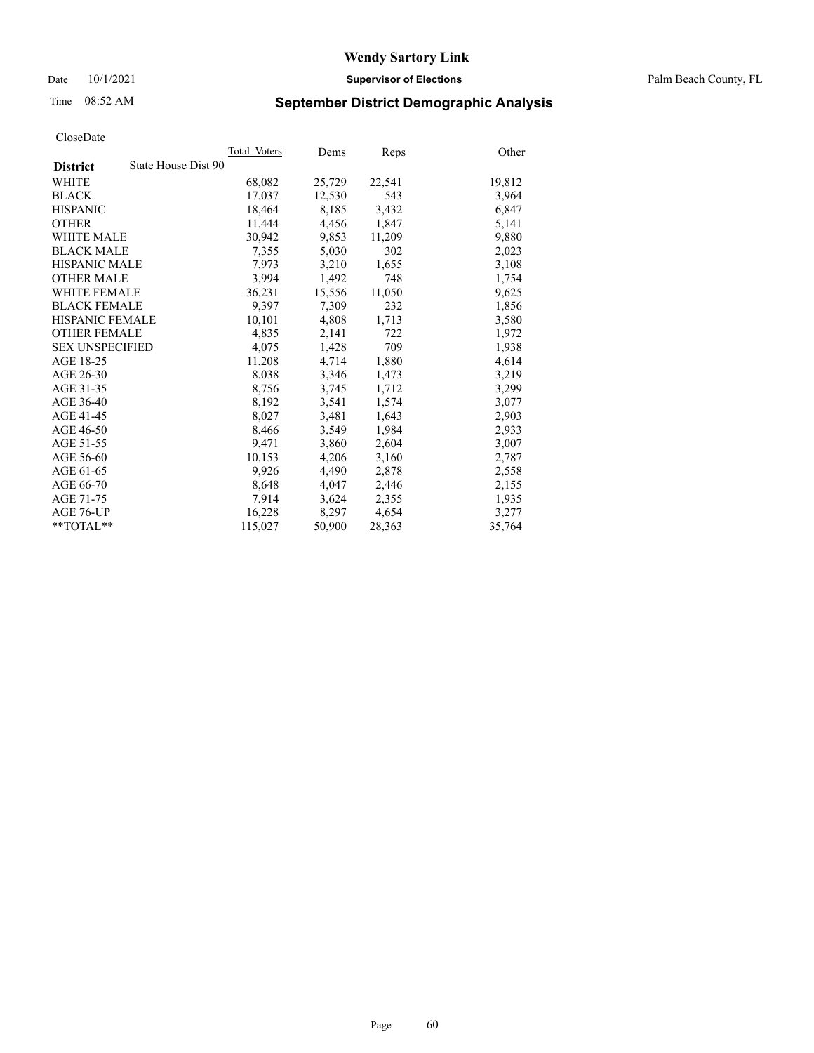## Time 08:52 AM **September District Demographic Analysis**

|                                        | Total Voters | Dems   | Reps   | Other  |
|----------------------------------------|--------------|--------|--------|--------|
| State House Dist 90<br><b>District</b> |              |        |        |        |
| WHITE                                  | 68,082       | 25,729 | 22,541 | 19,812 |
| <b>BLACK</b>                           | 17,037       | 12,530 | 543    | 3,964  |
| <b>HISPANIC</b>                        | 18.464       | 8,185  | 3,432  | 6,847  |
| <b>OTHER</b>                           | 11,444       | 4,456  | 1,847  | 5,141  |
| <b>WHITE MALE</b>                      | 30,942       | 9,853  | 11,209 | 9,880  |
| <b>BLACK MALE</b>                      | 7,355        | 5,030  | 302    | 2,023  |
| <b>HISPANIC MALE</b>                   | 7,973        | 3,210  | 1,655  | 3,108  |
| <b>OTHER MALE</b>                      | 3.994        | 1,492  | 748    | 1,754  |
| <b>WHITE FEMALE</b>                    | 36,231       | 15,556 | 11,050 | 9,625  |
| <b>BLACK FEMALE</b>                    | 9,397        | 7,309  | 232    | 1,856  |
| HISPANIC FEMALE                        | 10,101       | 4,808  | 1,713  | 3,580  |
| <b>OTHER FEMALE</b>                    | 4,835        | 2,141  | 722    | 1,972  |
| <b>SEX UNSPECIFIED</b>                 | 4,075        | 1,428  | 709    | 1,938  |
| AGE 18-25                              | 11,208       | 4,714  | 1,880  | 4,614  |
| AGE 26-30                              | 8,038        | 3,346  | 1,473  | 3,219  |
| AGE 31-35                              | 8,756        | 3,745  | 1,712  | 3,299  |
| AGE 36-40                              | 8,192        | 3,541  | 1,574  | 3,077  |
| AGE 41-45                              | 8,027        | 3,481  | 1,643  | 2,903  |
| AGE 46-50                              | 8,466        | 3,549  | 1,984  | 2,933  |
| AGE 51-55                              | 9,471        | 3,860  | 2,604  | 3,007  |
| AGE 56-60                              | 10,153       | 4,206  | 3,160  | 2,787  |
| AGE 61-65                              | 9,926        | 4,490  | 2,878  | 2,558  |
| AGE 66-70                              | 8,648        | 4,047  | 2,446  | 2,155  |
| AGE 71-75                              | 7,914        | 3,624  | 2,355  | 1,935  |
| AGE 76-UP                              | 16,228       | 8,297  | 4,654  | 3,277  |
| $*$ $TOTAL**$                          | 115,027      | 50,900 | 28,363 | 35,764 |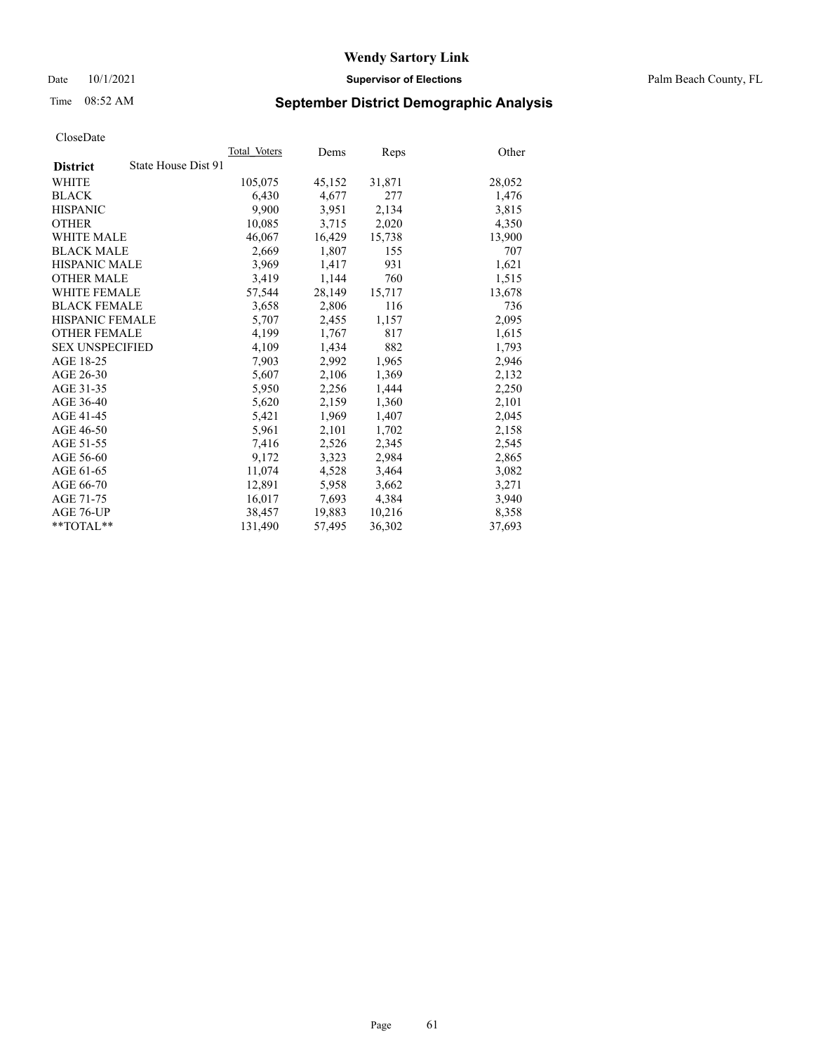Date 10/1/2021 **Supervisor of Elections** Palm Beach County, FL

## Time 08:52 AM **September District Demographic Analysis**

|                                        | Total Voters | Dems   | Reps   | Other  |
|----------------------------------------|--------------|--------|--------|--------|
| State House Dist 91<br><b>District</b> |              |        |        |        |
| WHITE                                  | 105,075      | 45,152 | 31,871 | 28,052 |
| <b>BLACK</b>                           | 6,430        | 4,677  | 277    | 1,476  |
| <b>HISPANIC</b>                        | 9,900        | 3,951  | 2,134  | 3,815  |
| <b>OTHER</b>                           | 10,085       | 3,715  | 2,020  | 4,350  |
| <b>WHITE MALE</b>                      | 46,067       | 16,429 | 15,738 | 13,900 |
| <b>BLACK MALE</b>                      | 2,669        | 1,807  | 155    | 707    |
| <b>HISPANIC MALE</b>                   | 3,969        | 1,417  | 931    | 1,621  |
| <b>OTHER MALE</b>                      | 3,419        | 1,144  | 760    | 1,515  |
| <b>WHITE FEMALE</b>                    | 57,544       | 28,149 | 15,717 | 13,678 |
| <b>BLACK FEMALE</b>                    | 3,658        | 2.806  | 116    | 736    |
| <b>HISPANIC FEMALE</b>                 | 5,707        | 2,455  | 1,157  | 2,095  |
| <b>OTHER FEMALE</b>                    | 4,199        | 1,767  | 817    | 1,615  |
| <b>SEX UNSPECIFIED</b>                 | 4,109        | 1.434  | 882    | 1,793  |
| AGE 18-25                              | 7,903        | 2,992  | 1,965  | 2,946  |
| AGE 26-30                              | 5,607        | 2,106  | 1,369  | 2,132  |
| AGE 31-35                              | 5,950        | 2,256  | 1,444  | 2,250  |
| AGE 36-40                              | 5,620        | 2,159  | 1,360  | 2,101  |
| AGE 41-45                              | 5,421        | 1,969  | 1,407  | 2,045  |
| AGE 46-50                              | 5,961        | 2,101  | 1,702  | 2,158  |
| AGE 51-55                              | 7,416        | 2,526  | 2,345  | 2,545  |
| AGE 56-60                              | 9,172        | 3,323  | 2,984  | 2,865  |
| AGE 61-65                              | 11,074       | 4,528  | 3,464  | 3,082  |
| AGE 66-70                              | 12,891       | 5,958  | 3,662  | 3,271  |
| AGE 71-75                              | 16,017       | 7,693  | 4,384  | 3,940  |
| AGE 76-UP                              | 38,457       | 19,883 | 10,216 | 8,358  |
| $*$ $TOTAL**$                          | 131,490      | 57,495 | 36,302 | 37,693 |
|                                        |              |        |        |        |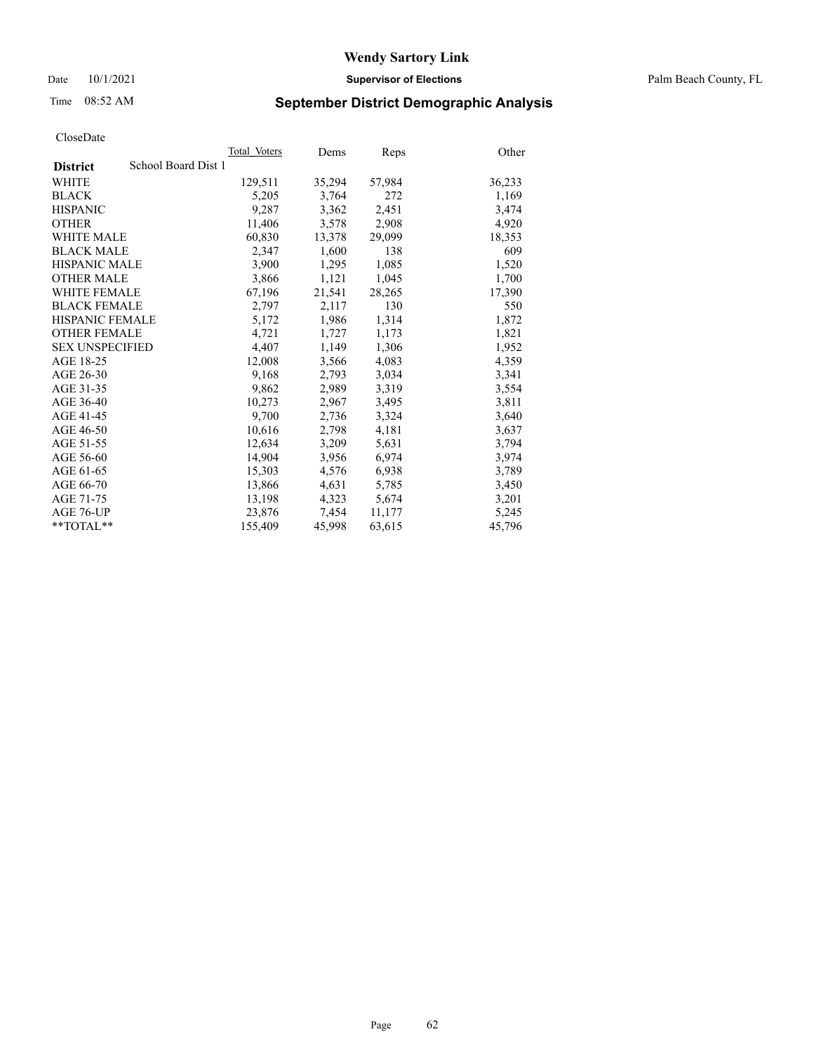## Time 08:52 AM **September District Demographic Analysis**

|                                        | Total Voters | Dems   | Reps   | Other  |
|----------------------------------------|--------------|--------|--------|--------|
| School Board Dist 1<br><b>District</b> |              |        |        |        |
| WHITE                                  | 129,511      | 35,294 | 57,984 | 36,233 |
| <b>BLACK</b>                           | 5,205        | 3,764  | 272    | 1,169  |
| <b>HISPANIC</b>                        | 9,287        | 3,362  | 2,451  | 3,474  |
| <b>OTHER</b>                           | 11,406       | 3,578  | 2,908  | 4,920  |
| <b>WHITE MALE</b>                      | 60,830       | 13,378 | 29,099 | 18,353 |
| <b>BLACK MALE</b>                      | 2,347        | 1,600  | 138    | 609    |
| <b>HISPANIC MALE</b>                   | 3,900        | 1,295  | 1,085  | 1,520  |
| <b>OTHER MALE</b>                      | 3,866        | 1,121  | 1,045  | 1,700  |
| <b>WHITE FEMALE</b>                    | 67,196       | 21,541 | 28,265 | 17,390 |
| <b>BLACK FEMALE</b>                    | 2,797        | 2,117  | 130    | 550    |
| HISPANIC FEMALE                        | 5,172        | 1,986  | 1,314  | 1,872  |
| <b>OTHER FEMALE</b>                    | 4,721        | 1,727  | 1,173  | 1,821  |
| <b>SEX UNSPECIFIED</b>                 | 4,407        | 1,149  | 1,306  | 1,952  |
| AGE 18-25                              | 12,008       | 3,566  | 4,083  | 4,359  |
| AGE 26-30                              | 9,168        | 2,793  | 3,034  | 3,341  |
| AGE 31-35                              | 9,862        | 2,989  | 3,319  | 3,554  |
| AGE 36-40                              | 10,273       | 2,967  | 3,495  | 3,811  |
| AGE 41-45                              | 9,700        | 2,736  | 3,324  | 3,640  |
| AGE 46-50                              | 10,616       | 2,798  | 4,181  | 3,637  |
| AGE 51-55                              | 12,634       | 3,209  | 5,631  | 3,794  |
| AGE 56-60                              | 14,904       | 3,956  | 6,974  | 3,974  |
| AGE 61-65                              | 15,303       | 4,576  | 6,938  | 3,789  |
| AGE 66-70                              | 13,866       | 4,631  | 5,785  | 3,450  |
| AGE 71-75                              | 13,198       | 4,323  | 5,674  | 3,201  |
| AGE 76-UP                              | 23,876       | 7,454  | 11,177 | 5,245  |
| $*$ $TOTAL**$                          | 155,409      | 45,998 | 63,615 | 45,796 |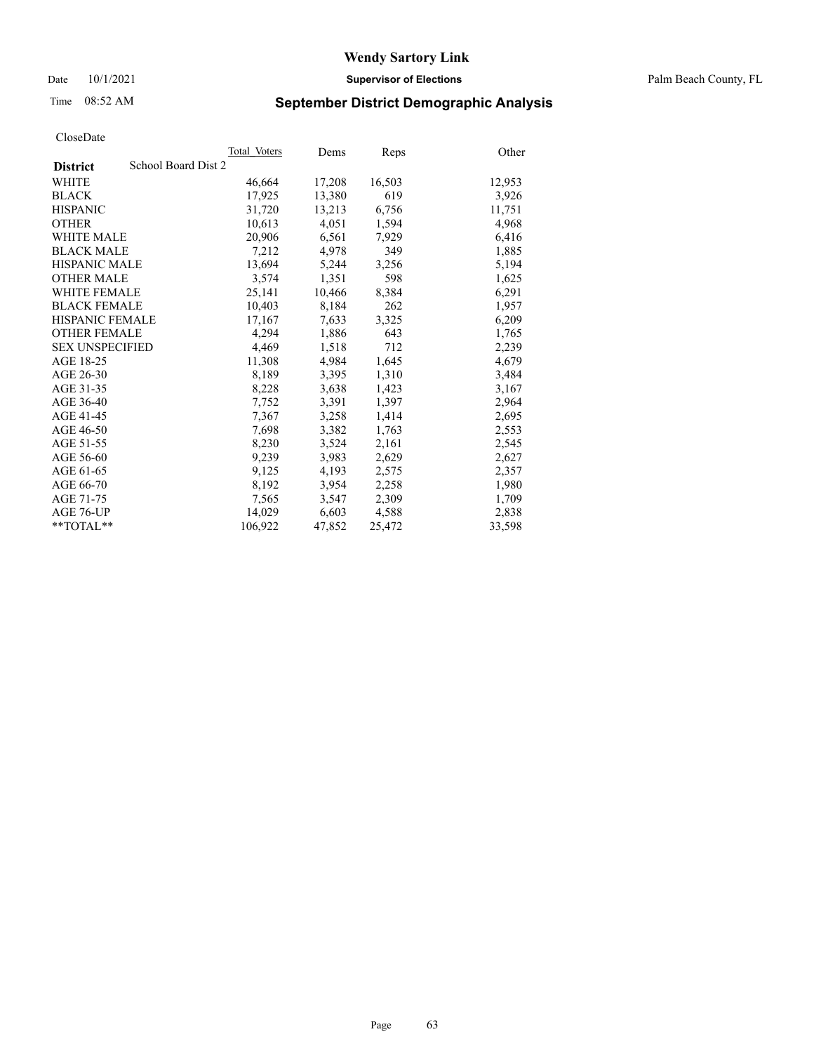Date 10/1/2021 **Supervisor of Elections** Palm Beach County, FL

## Time 08:52 AM **September District Demographic Analysis**

|                        |                     | Total Voters | Dems   | <b>Reps</b> | Other  |
|------------------------|---------------------|--------------|--------|-------------|--------|
| <b>District</b>        | School Board Dist 2 |              |        |             |        |
| <b>WHITE</b>           |                     | 46,664       | 17,208 | 16,503      | 12,953 |
| <b>BLACK</b>           |                     | 17,925       | 13,380 | 619         | 3,926  |
| <b>HISPANIC</b>        |                     | 31,720       | 13,213 | 6,756       | 11,751 |
| <b>OTHER</b>           |                     | 10,613       | 4,051  | 1,594       | 4,968  |
| <b>WHITE MALE</b>      |                     | 20,906       | 6,561  | 7,929       | 6,416  |
| <b>BLACK MALE</b>      |                     | 7,212        | 4,978  | 349         | 1,885  |
| <b>HISPANIC MALE</b>   |                     | 13,694       | 5,244  | 3,256       | 5,194  |
| <b>OTHER MALE</b>      |                     | 3,574        | 1,351  | 598         | 1,625  |
| <b>WHITE FEMALE</b>    |                     | 25,141       | 10,466 | 8,384       | 6,291  |
| <b>BLACK FEMALE</b>    |                     | 10,403       | 8,184  | 262         | 1,957  |
| <b>HISPANIC FEMALE</b> |                     | 17,167       | 7,633  | 3,325       | 6,209  |
| <b>OTHER FEMALE</b>    |                     | 4,294        | 1,886  | 643         | 1,765  |
| <b>SEX UNSPECIFIED</b> |                     | 4,469        | 1,518  | 712         | 2,239  |
| AGE 18-25              |                     | 11,308       | 4,984  | 1,645       | 4,679  |
| AGE 26-30              |                     | 8,189        | 3,395  | 1,310       | 3,484  |
| AGE 31-35              |                     | 8,228        | 3,638  | 1,423       | 3,167  |
| AGE 36-40              |                     | 7,752        | 3,391  | 1,397       | 2,964  |
| AGE 41-45              |                     | 7,367        | 3,258  | 1,414       | 2,695  |
| AGE 46-50              |                     | 7,698        | 3,382  | 1,763       | 2,553  |
| AGE 51-55              |                     | 8,230        | 3,524  | 2,161       | 2,545  |
| AGE 56-60              |                     | 9,239        | 3,983  | 2,629       | 2,627  |
| AGE 61-65              |                     | 9,125        | 4,193  | 2,575       | 2,357  |
| AGE 66-70              |                     | 8,192        | 3,954  | 2,258       | 1,980  |
| AGE 71-75              |                     | 7,565        | 3,547  | 2,309       | 1,709  |
| AGE 76-UP              |                     | 14,029       | 6,603  | 4,588       | 2,838  |
| $*$ $TOTAL**$          |                     | 106,922      | 47,852 | 25,472      | 33,598 |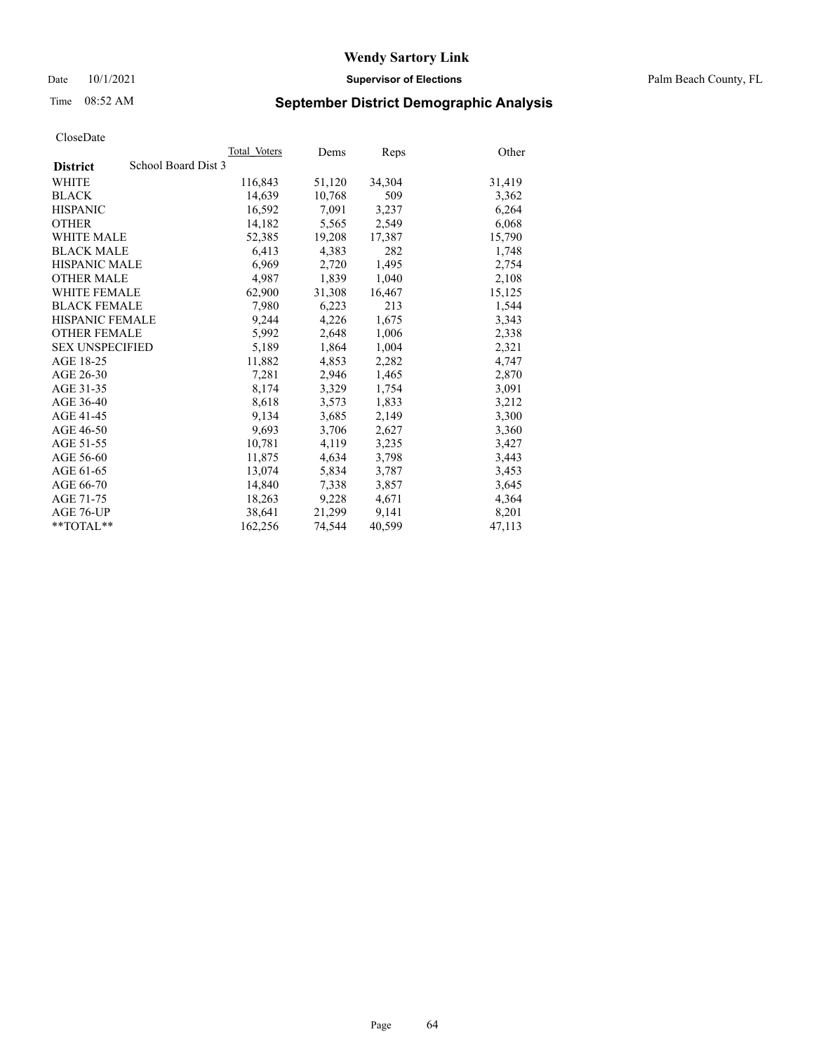## Time 08:52 AM **September District Demographic Analysis**

|                                        | Total Voters | Dems   | Reps   | Other  |
|----------------------------------------|--------------|--------|--------|--------|
| School Board Dist 3<br><b>District</b> |              |        |        |        |
| WHITE                                  | 116,843      | 51,120 | 34,304 | 31,419 |
| <b>BLACK</b>                           | 14,639       | 10,768 | 509    | 3,362  |
| <b>HISPANIC</b>                        | 16.592       | 7.091  | 3,237  | 6,264  |
| <b>OTHER</b>                           | 14,182       | 5,565  | 2,549  | 6,068  |
| <b>WHITE MALE</b>                      | 52,385       | 19,208 | 17,387 | 15,790 |
| <b>BLACK MALE</b>                      | 6,413        | 4,383  | 282    | 1,748  |
| <b>HISPANIC MALE</b>                   | 6,969        | 2,720  | 1,495  | 2,754  |
| <b>OTHER MALE</b>                      | 4.987        | 1,839  | 1,040  | 2,108  |
| <b>WHITE FEMALE</b>                    | 62,900       | 31,308 | 16,467 | 15,125 |
| <b>BLACK FEMALE</b>                    | 7,980        | 6,223  | 213    | 1,544  |
| HISPANIC FEMALE                        | 9,244        | 4,226  | 1,675  | 3,343  |
| <b>OTHER FEMALE</b>                    | 5,992        | 2,648  | 1,006  | 2,338  |
| <b>SEX UNSPECIFIED</b>                 | 5,189        | 1,864  | 1,004  | 2,321  |
| AGE 18-25                              | 11,882       | 4,853  | 2,282  | 4,747  |
| AGE 26-30                              | 7,281        | 2,946  | 1,465  | 2,870  |
| AGE 31-35                              | 8,174        | 3,329  | 1,754  | 3,091  |
| AGE 36-40                              | 8,618        | 3,573  | 1,833  | 3,212  |
| AGE 41-45                              | 9,134        | 3,685  | 2,149  | 3,300  |
| AGE 46-50                              | 9,693        | 3,706  | 2,627  | 3,360  |
| AGE 51-55                              | 10,781       | 4,119  | 3,235  | 3,427  |
| AGE 56-60                              | 11,875       | 4,634  | 3,798  | 3,443  |
| AGE 61-65                              | 13,074       | 5,834  | 3,787  | 3,453  |
| AGE 66-70                              | 14,840       | 7,338  | 3,857  | 3,645  |
| AGE 71-75                              | 18,263       | 9,228  | 4,671  | 4,364  |
| AGE 76-UP                              | 38,641       | 21,299 | 9,141  | 8,201  |
| $*$ $TOTAL**$                          | 162,256      | 74,544 | 40,599 | 47,113 |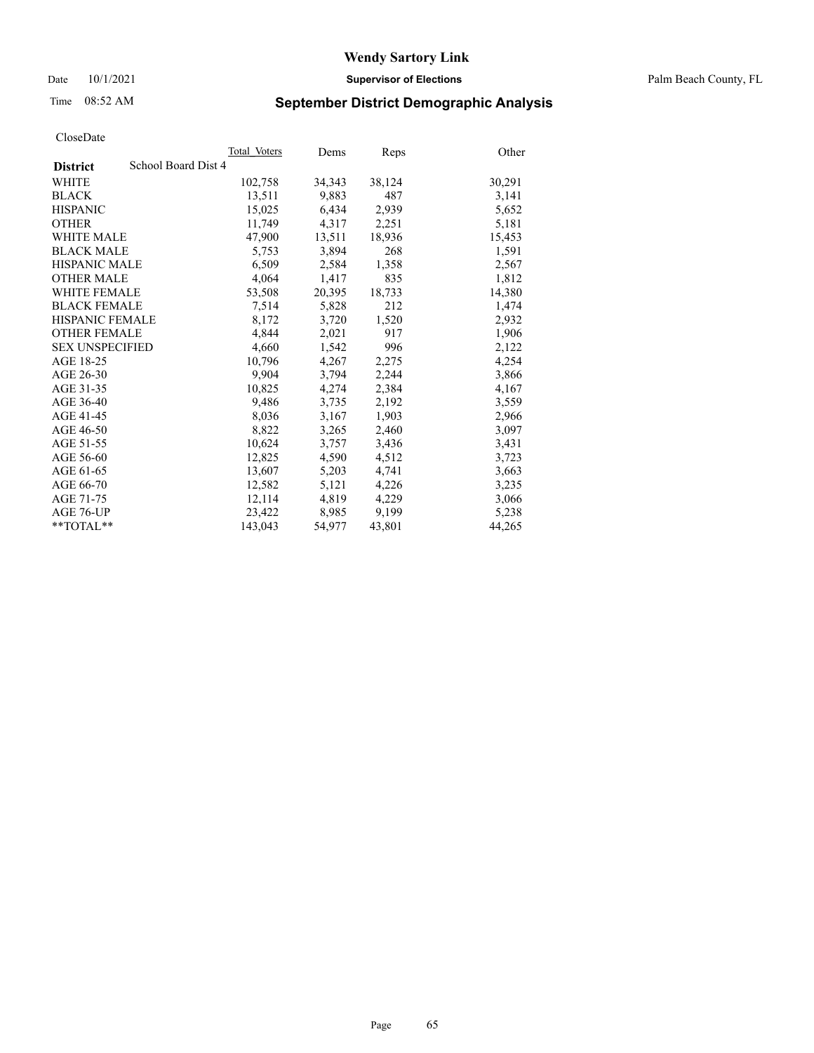Date 10/1/2021 **Supervisor of Elections** Palm Beach County, FL

## Time 08:52 AM **September District Demographic Analysis**

|                                        | Total Voters | Dems   | Reps   | Other  |
|----------------------------------------|--------------|--------|--------|--------|
| School Board Dist 4<br><b>District</b> |              |        |        |        |
| WHITE                                  | 102,758      | 34,343 | 38,124 | 30,291 |
| <b>BLACK</b>                           | 13,511       | 9,883  | 487    | 3,141  |
| <b>HISPANIC</b>                        | 15,025       | 6,434  | 2,939  | 5,652  |
| <b>OTHER</b>                           | 11,749       | 4,317  | 2,251  | 5,181  |
| <b>WHITE MALE</b>                      | 47,900       | 13,511 | 18,936 | 15,453 |
| <b>BLACK MALE</b>                      | 5,753        | 3,894  | 268    | 1,591  |
| <b>HISPANIC MALE</b>                   | 6,509        | 2,584  | 1,358  | 2,567  |
| <b>OTHER MALE</b>                      | 4,064        | 1,417  | 835    | 1,812  |
| <b>WHITE FEMALE</b>                    | 53,508       | 20,395 | 18,733 | 14,380 |
| <b>BLACK FEMALE</b>                    | 7,514        | 5,828  | 212    | 1,474  |
| HISPANIC FEMALE                        | 8,172        | 3,720  | 1,520  | 2,932  |
| <b>OTHER FEMALE</b>                    | 4.844        | 2,021  | 917    | 1,906  |
| <b>SEX UNSPECIFIED</b>                 | 4,660        | 1,542  | 996    | 2,122  |
| AGE 18-25                              | 10,796       | 4,267  | 2,275  | 4,254  |
| AGE 26-30                              | 9,904        | 3,794  | 2,244  | 3,866  |
| AGE 31-35                              | 10,825       | 4,274  | 2,384  | 4,167  |
| AGE 36-40                              | 9,486        | 3,735  | 2,192  | 3,559  |
| AGE 41-45                              | 8,036        | 3,167  | 1,903  | 2,966  |
| AGE 46-50                              | 8,822        | 3,265  | 2,460  | 3,097  |
| AGE 51-55                              | 10,624       | 3,757  | 3,436  | 3,431  |
| AGE 56-60                              | 12,825       | 4,590  | 4,512  | 3,723  |
| AGE 61-65                              | 13,607       | 5,203  | 4,741  | 3,663  |
| AGE 66-70                              | 12,582       | 5,121  | 4,226  | 3,235  |
| AGE 71-75                              | 12,114       | 4,819  | 4,229  | 3,066  |
| AGE 76-UP                              | 23,422       | 8,985  | 9,199  | 5,238  |
| $*$ $TOTAL**$                          | 143,043      | 54,977 | 43,801 | 44,265 |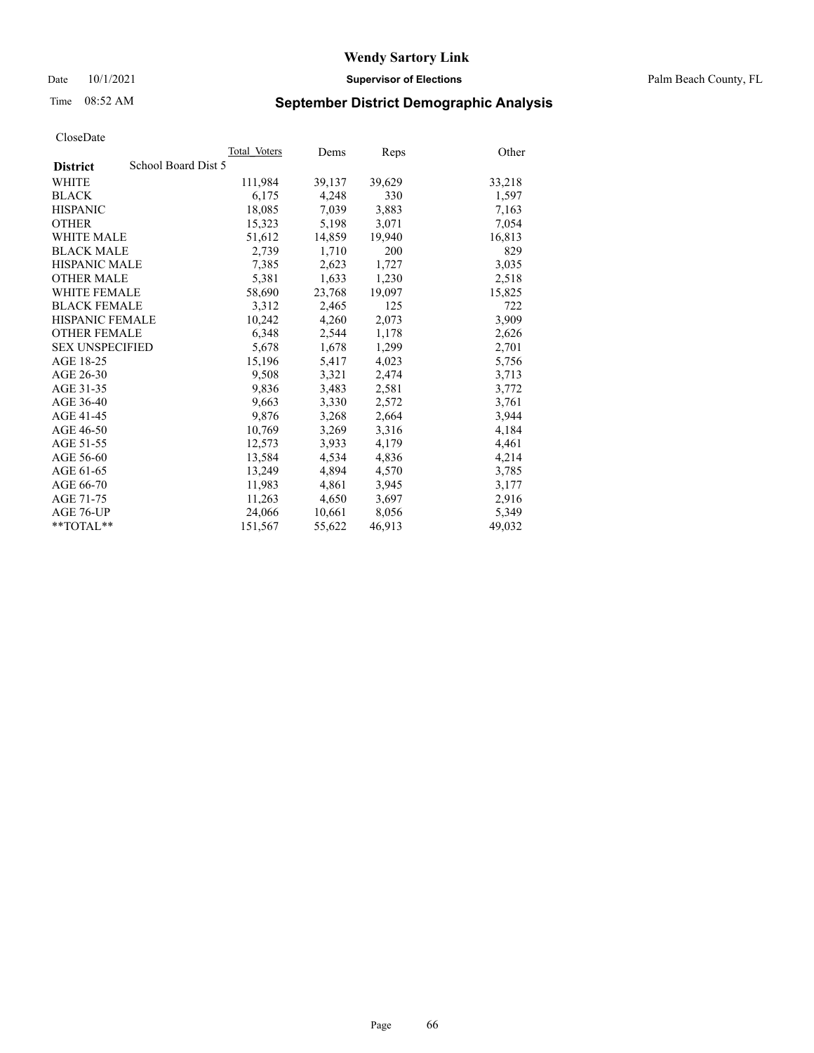## Time 08:52 AM **September District Demographic Analysis**

|                                        | Total Voters | Dems   | Reps   | Other  |
|----------------------------------------|--------------|--------|--------|--------|
| School Board Dist 5<br><b>District</b> |              |        |        |        |
| WHITE                                  | 111,984      | 39,137 | 39,629 | 33,218 |
| <b>BLACK</b>                           | 6,175        | 4,248  | 330    | 1,597  |
| <b>HISPANIC</b>                        | 18,085       | 7,039  | 3,883  | 7,163  |
| <b>OTHER</b>                           | 15,323       | 5,198  | 3,071  | 7,054  |
| <b>WHITE MALE</b>                      | 51,612       | 14,859 | 19,940 | 16,813 |
| <b>BLACK MALE</b>                      | 2,739        | 1,710  | 200    | 829    |
| <b>HISPANIC MALE</b>                   | 7,385        | 2,623  | 1,727  | 3,035  |
| <b>OTHER MALE</b>                      | 5,381        | 1,633  | 1,230  | 2,518  |
| <b>WHITE FEMALE</b>                    | 58,690       | 23,768 | 19,097 | 15,825 |
| <b>BLACK FEMALE</b>                    | 3,312        | 2.465  | 125    | 722    |
| <b>HISPANIC FEMALE</b>                 | 10,242       | 4,260  | 2,073  | 3,909  |
| <b>OTHER FEMALE</b>                    | 6,348        | 2,544  | 1,178  | 2,626  |
| <b>SEX UNSPECIFIED</b>                 | 5,678        | 1,678  | 1,299  | 2,701  |
| AGE 18-25                              | 15,196       | 5,417  | 4,023  | 5,756  |
| AGE 26-30                              | 9,508        | 3,321  | 2,474  | 3,713  |
| AGE 31-35                              | 9,836        | 3,483  | 2,581  | 3,772  |
| AGE 36-40                              | 9,663        | 3,330  | 2,572  | 3,761  |
| AGE 41-45                              | 9,876        | 3,268  | 2,664  | 3,944  |
| AGE 46-50                              | 10,769       | 3,269  | 3,316  | 4,184  |
| AGE 51-55                              | 12,573       | 3,933  | 4,179  | 4,461  |
| AGE 56-60                              | 13,584       | 4,534  | 4,836  | 4,214  |
| AGE 61-65                              | 13,249       | 4,894  | 4,570  | 3,785  |
| AGE 66-70                              | 11,983       | 4,861  | 3,945  | 3,177  |
| AGE 71-75                              | 11,263       | 4,650  | 3,697  | 2,916  |
| AGE 76-UP                              | 24,066       | 10,661 | 8,056  | 5,349  |
| $*$ $TOTAL**$                          | 151,567      | 55,622 | 46,913 | 49,032 |
|                                        |              |        |        |        |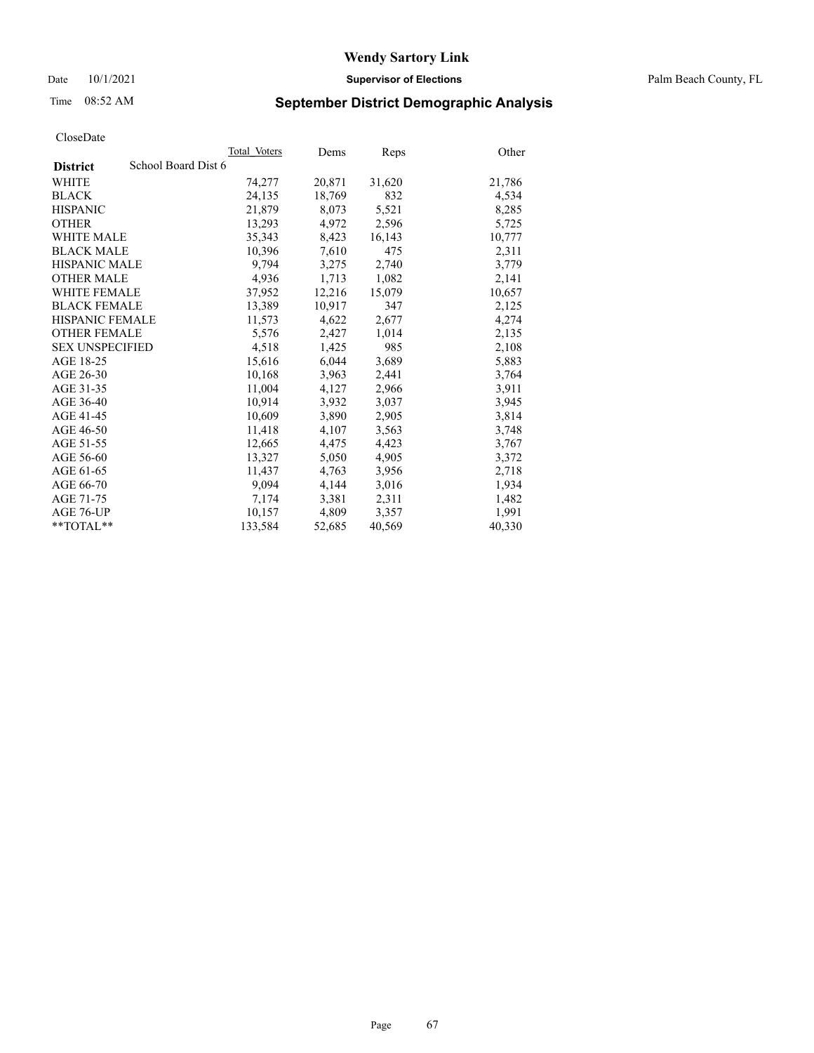Date 10/1/2021 **Supervisor of Elections** Palm Beach County, FL

## Time 08:52 AM **September District Demographic Analysis**

|                                        | Total Voters | Dems   | <b>Reps</b> | Other  |
|----------------------------------------|--------------|--------|-------------|--------|
| School Board Dist 6<br><b>District</b> |              |        |             |        |
| <b>WHITE</b>                           | 74,277       | 20,871 | 31,620      | 21,786 |
| <b>BLACK</b>                           | 24,135       | 18,769 | 832         | 4,534  |
| <b>HISPANIC</b>                        | 21,879       | 8,073  | 5,521       | 8,285  |
| <b>OTHER</b>                           | 13,293       | 4,972  | 2,596       | 5,725  |
| <b>WHITE MALE</b>                      | 35,343       | 8,423  | 16,143      | 10,777 |
| <b>BLACK MALE</b>                      | 10,396       | 7,610  | 475         | 2,311  |
| <b>HISPANIC MALE</b>                   | 9,794        | 3,275  | 2,740       | 3,779  |
| <b>OTHER MALE</b>                      | 4,936        | 1,713  | 1,082       | 2,141  |
| <b>WHITE FEMALE</b>                    | 37,952       | 12,216 | 15,079      | 10,657 |
| <b>BLACK FEMALE</b>                    | 13.389       | 10,917 | 347         | 2,125  |
| <b>HISPANIC FEMALE</b>                 | 11,573       | 4,622  | 2,677       | 4,274  |
| <b>OTHER FEMALE</b>                    | 5,576        | 2,427  | 1,014       | 2,135  |
| <b>SEX UNSPECIFIED</b>                 | 4,518        | 1,425  | 985         | 2,108  |
| AGE 18-25                              | 15,616       | 6,044  | 3,689       | 5,883  |
| AGE 26-30                              | 10,168       | 3,963  | 2,441       | 3,764  |
| AGE 31-35                              | 11,004       | 4,127  | 2,966       | 3,911  |
| AGE 36-40                              | 10,914       | 3,932  | 3,037       | 3,945  |
| AGE 41-45                              | 10,609       | 3,890  | 2,905       | 3,814  |
| AGE 46-50                              | 11,418       | 4,107  | 3,563       | 3,748  |
| AGE 51-55                              | 12,665       | 4,475  | 4,423       | 3,767  |
| AGE 56-60                              | 13,327       | 5,050  | 4,905       | 3,372  |
| AGE 61-65                              | 11,437       | 4,763  | 3,956       | 2,718  |
| AGE 66-70                              | 9,094        | 4,144  | 3,016       | 1,934  |
| AGE 71-75                              | 7,174        | 3,381  | 2,311       | 1,482  |
| AGE 76-UP                              | 10,157       | 4,809  | 3,357       | 1,991  |
| $*$ $TOTAL**$                          | 133,584      | 52,685 | 40,569      | 40,330 |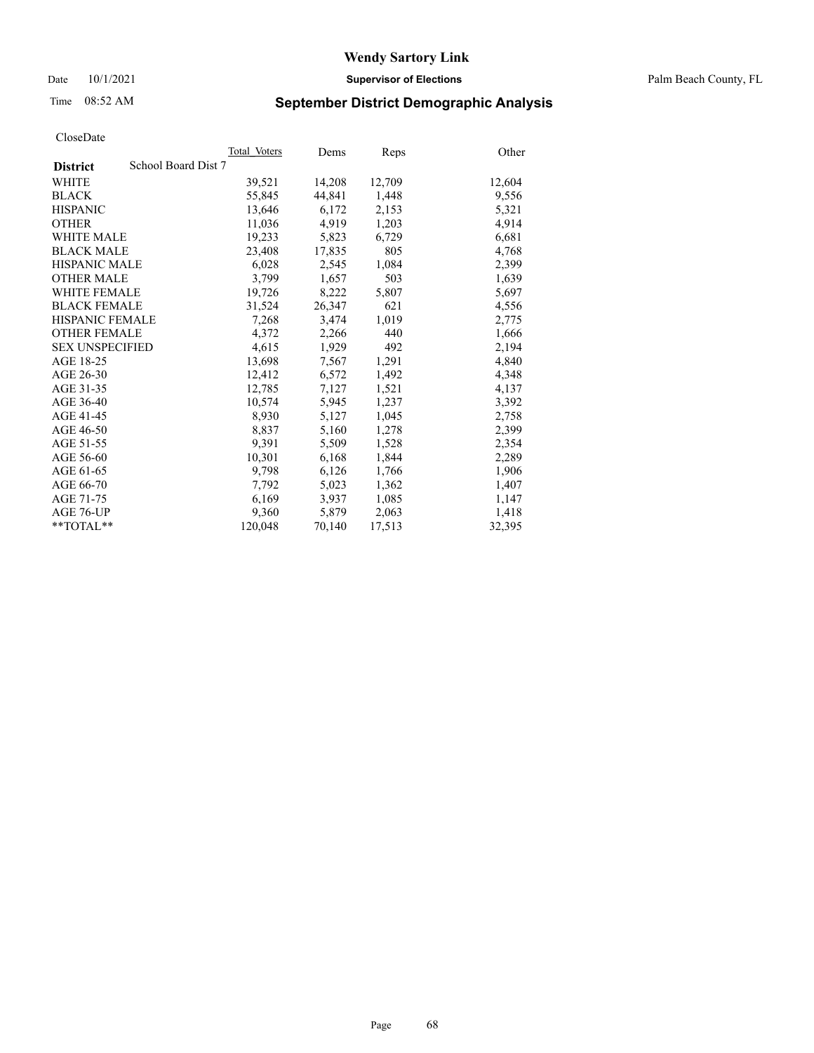Date 10/1/2021 **Supervisor of Elections** Palm Beach County, FL

## Time 08:52 AM **September District Demographic Analysis**

|                        | Total Voters        | Dems   | <b>Reps</b> | Other  |
|------------------------|---------------------|--------|-------------|--------|
| <b>District</b>        | School Board Dist 7 |        |             |        |
| <b>WHITE</b>           | 39,521              | 14,208 | 12,709      | 12,604 |
| <b>BLACK</b>           | 55,845              | 44,841 | 1,448       | 9,556  |
| <b>HISPANIC</b>        | 13,646              | 6,172  | 2,153       | 5,321  |
| <b>OTHER</b>           | 11,036              | 4,919  | 1,203       | 4,914  |
| <b>WHITE MALE</b>      | 19,233              | 5,823  | 6,729       | 6,681  |
| <b>BLACK MALE</b>      | 23,408              | 17,835 | 805         | 4,768  |
| <b>HISPANIC MALE</b>   | 6,028               | 2,545  | 1,084       | 2,399  |
| <b>OTHER MALE</b>      | 3,799               | 1,657  | 503         | 1,639  |
| <b>WHITE FEMALE</b>    | 19,726              | 8,222  | 5,807       | 5,697  |
| <b>BLACK FEMALE</b>    | 31,524              | 26,347 | 621         | 4,556  |
| <b>HISPANIC FEMALE</b> | 7,268               | 3,474  | 1,019       | 2,775  |
| <b>OTHER FEMALE</b>    | 4,372               | 2,266  | 440         | 1,666  |
| <b>SEX UNSPECIFIED</b> | 4,615               | 1,929  | 492         | 2,194  |
| AGE 18-25              | 13,698              | 7,567  | 1,291       | 4,840  |
| AGE 26-30              | 12,412              | 6,572  | 1,492       | 4,348  |
| AGE 31-35              | 12,785              | 7,127  | 1,521       | 4,137  |
| AGE 36-40              | 10,574              | 5,945  | 1,237       | 3,392  |
| AGE 41-45              | 8,930               | 5,127  | 1,045       | 2,758  |
| AGE 46-50              | 8,837               | 5,160  | 1,278       | 2,399  |
| AGE 51-55              | 9,391               | 5,509  | 1,528       | 2,354  |
| AGE 56-60              | 10,301              | 6,168  | 1,844       | 2,289  |
| AGE 61-65              | 9,798               | 6,126  | 1,766       | 1,906  |
| AGE 66-70              | 7,792               | 5,023  | 1,362       | 1,407  |
| AGE 71-75              | 6,169               | 3,937  | 1,085       | 1,147  |
| AGE 76-UP              | 9,360               | 5,879  | 2,063       | 1,418  |
| $*$ $TOTAL**$          | 120,048             | 70,140 | 17,513      | 32,395 |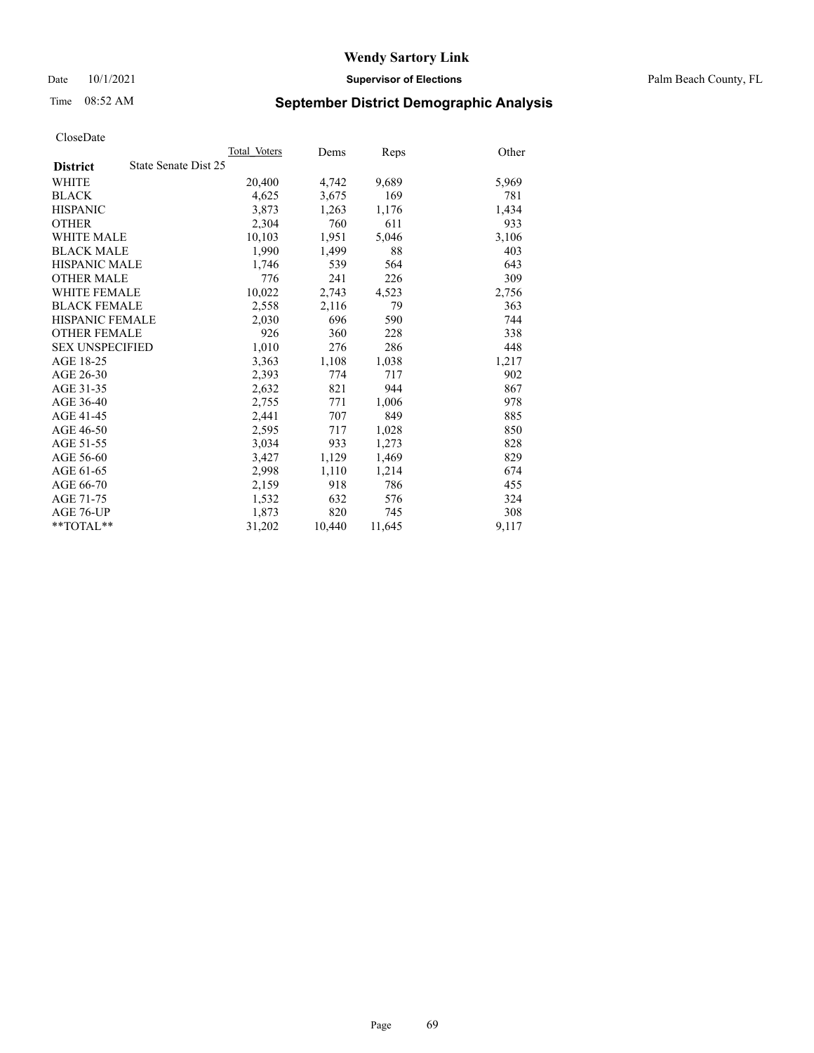Date 10/1/2021 **Supervisor of Elections** Palm Beach County, FL

## Time 08:52 AM **September District Demographic Analysis**

|                        |                      | Total Voters | Dems   | Reps   | Other |
|------------------------|----------------------|--------------|--------|--------|-------|
| <b>District</b>        | State Senate Dist 25 |              |        |        |       |
| WHITE                  |                      | 20,400       | 4,742  | 9,689  | 5,969 |
| <b>BLACK</b>           |                      | 4,625        | 3,675  | 169    | 781   |
| <b>HISPANIC</b>        |                      | 3,873        | 1,263  | 1,176  | 1,434 |
| <b>OTHER</b>           |                      | 2,304        | 760    | 611    | 933   |
| <b>WHITE MALE</b>      |                      | 10,103       | 1,951  | 5,046  | 3,106 |
| <b>BLACK MALE</b>      |                      | 1,990        | 1,499  | 88     | 403   |
| <b>HISPANIC MALE</b>   |                      | 1,746        | 539    | 564    | 643   |
| <b>OTHER MALE</b>      |                      | 776          | 241    | 226    | 309   |
| WHITE FEMALE           |                      | 10,022       | 2,743  | 4,523  | 2,756 |
| <b>BLACK FEMALE</b>    |                      | 2,558        | 2,116  | 79     | 363   |
| <b>HISPANIC FEMALE</b> |                      | 2,030        | 696    | 590    | 744   |
| <b>OTHER FEMALE</b>    |                      | 926          | 360    | 228    | 338   |
| <b>SEX UNSPECIFIED</b> |                      | 1,010        | 276    | 286    | 448   |
| AGE 18-25              |                      | 3,363        | 1,108  | 1,038  | 1,217 |
| AGE 26-30              |                      | 2,393        | 774    | 717    | 902   |
| AGE 31-35              |                      | 2,632        | 821    | 944    | 867   |
| AGE 36-40              |                      | 2,755        | 771    | 1,006  | 978   |
| AGE 41-45              |                      | 2,441        | 707    | 849    | 885   |
| AGE 46-50              |                      | 2,595        | 717    | 1,028  | 850   |
| AGE 51-55              |                      | 3,034        | 933    | 1,273  | 828   |
| AGE 56-60              |                      | 3,427        | 1,129  | 1,469  | 829   |
| AGE 61-65              |                      | 2,998        | 1,110  | 1,214  | 674   |
| AGE 66-70              |                      | 2,159        | 918    | 786    | 455   |
| AGE 71-75              |                      | 1,532        | 632    | 576    | 324   |
| AGE 76-UP              |                      | 1,873        | 820    | 745    | 308   |
| **TOTAL**              |                      | 31,202       | 10,440 | 11,645 | 9,117 |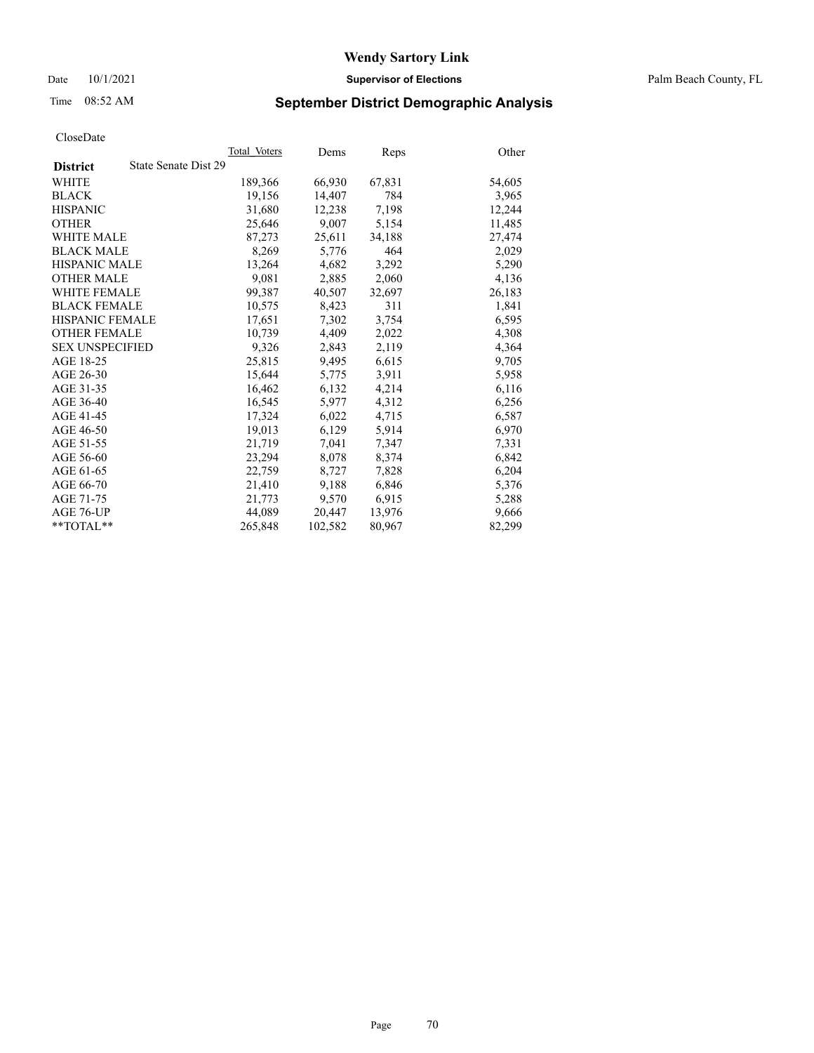Date 10/1/2021 **Supervisor of Elections** Palm Beach County, FL

## Time 08:52 AM **September District Demographic Analysis**

|                                         | Total Voters | Dems    | Reps   | Other  |
|-----------------------------------------|--------------|---------|--------|--------|
| State Senate Dist 29<br><b>District</b> |              |         |        |        |
| WHITE                                   | 189,366      | 66,930  | 67,831 | 54,605 |
| <b>BLACK</b>                            | 19,156       | 14,407  | 784    | 3,965  |
| <b>HISPANIC</b>                         | 31.680       | 12,238  | 7,198  | 12,244 |
| <b>OTHER</b>                            | 25,646       | 9,007   | 5,154  | 11,485 |
| <b>WHITE MALE</b>                       | 87,273       | 25,611  | 34,188 | 27,474 |
| <b>BLACK MALE</b>                       | 8,269        | 5,776   | 464    | 2,029  |
| <b>HISPANIC MALE</b>                    | 13,264       | 4,682   | 3,292  | 5,290  |
| <b>OTHER MALE</b>                       | 9,081        | 2,885   | 2,060  | 4,136  |
| <b>WHITE FEMALE</b>                     | 99.387       | 40,507  | 32,697 | 26,183 |
| <b>BLACK FEMALE</b>                     | 10,575       | 8,423   | 311    | 1,841  |
| HISPANIC FEMALE                         | 17,651       | 7,302   | 3,754  | 6,595  |
| <b>OTHER FEMALE</b>                     | 10,739       | 4,409   | 2,022  | 4,308  |
| <b>SEX UNSPECIFIED</b>                  | 9,326        | 2,843   | 2,119  | 4,364  |
| AGE 18-25                               | 25,815       | 9,495   | 6,615  | 9,705  |
| AGE 26-30                               | 15,644       | 5,775   | 3,911  | 5,958  |
| AGE 31-35                               | 16,462       | 6,132   | 4,214  | 6,116  |
| AGE 36-40                               | 16,545       | 5,977   | 4,312  | 6,256  |
| AGE 41-45                               | 17,324       | 6,022   | 4,715  | 6,587  |
| AGE 46-50                               | 19,013       | 6,129   | 5,914  | 6,970  |
| AGE 51-55                               | 21,719       | 7,041   | 7,347  | 7,331  |
| AGE 56-60                               | 23,294       | 8,078   | 8,374  | 6,842  |
| AGE 61-65                               | 22,759       | 8,727   | 7,828  | 6,204  |
| AGE 66-70                               | 21,410       | 9,188   | 6,846  | 5,376  |
| AGE 71-75                               | 21,773       | 9,570   | 6,915  | 5,288  |
| AGE 76-UP                               | 44,089       | 20,447  | 13,976 | 9,666  |
| $*$ $TOTAL**$                           | 265,848      | 102,582 | 80,967 | 82,299 |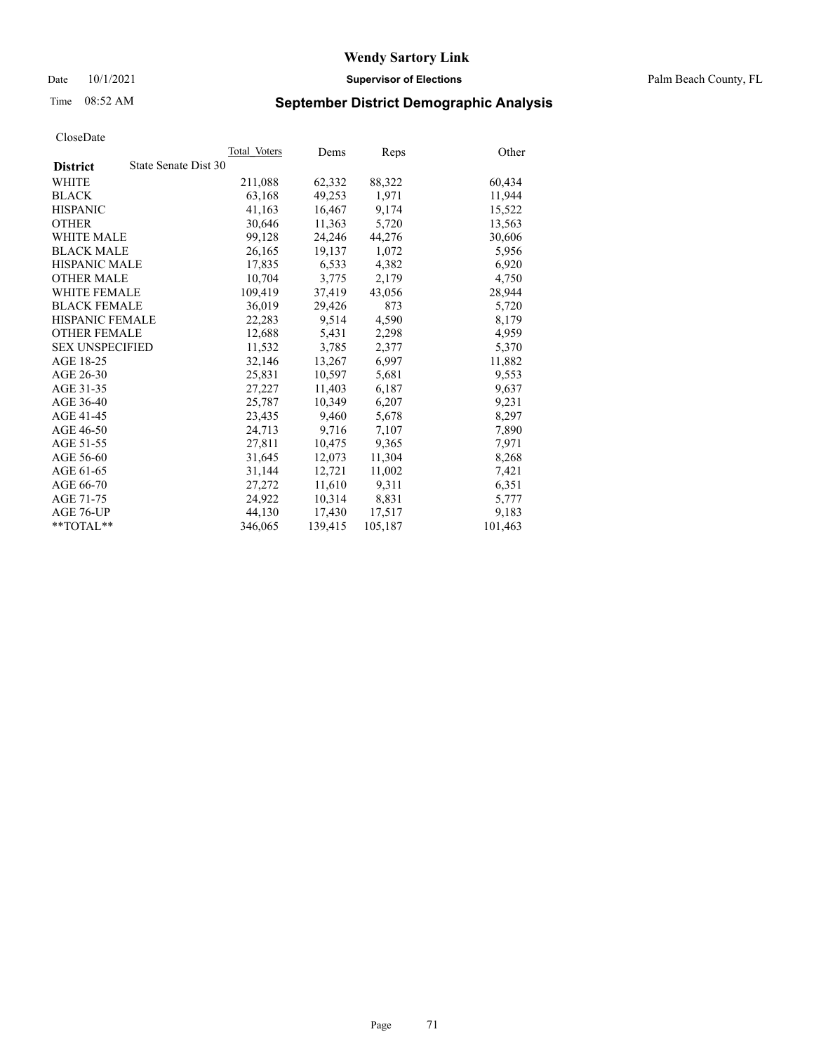Date 10/1/2021 **Supervisor of Elections** Palm Beach County, FL

## Time 08:52 AM **September District Demographic Analysis**

|                                         | Total Voters | Dems    | Reps    | Other   |
|-----------------------------------------|--------------|---------|---------|---------|
| State Senate Dist 30<br><b>District</b> |              |         |         |         |
| WHITE                                   | 211,088      | 62,332  | 88,322  | 60,434  |
| <b>BLACK</b>                            | 63,168       | 49,253  | 1,971   | 11,944  |
| <b>HISPANIC</b>                         | 41,163       | 16,467  | 9,174   | 15,522  |
| <b>OTHER</b>                            | 30,646       | 11,363  | 5,720   | 13,563  |
| <b>WHITE MALE</b>                       | 99,128       | 24,246  | 44,276  | 30,606  |
| <b>BLACK MALE</b>                       | 26,165       | 19,137  | 1,072   | 5,956   |
| <b>HISPANIC MALE</b>                    | 17,835       | 6,533   | 4,382   | 6,920   |
| <b>OTHER MALE</b>                       | 10,704       | 3,775   | 2,179   | 4,750   |
| <b>WHITE FEMALE</b>                     | 109,419      | 37,419  | 43,056  | 28,944  |
| <b>BLACK FEMALE</b>                     | 36,019       | 29,426  | 873     | 5,720   |
| HISPANIC FEMALE                         | 22,283       | 9,514   | 4,590   | 8,179   |
| <b>OTHER FEMALE</b>                     | 12,688       | 5,431   | 2,298   | 4,959   |
| <b>SEX UNSPECIFIED</b>                  | 11,532       | 3,785   | 2,377   | 5,370   |
| AGE 18-25                               | 32,146       | 13,267  | 6,997   | 11,882  |
| AGE 26-30                               | 25,831       | 10,597  | 5,681   | 9,553   |
| AGE 31-35                               | 27,227       | 11,403  | 6,187   | 9,637   |
| AGE 36-40                               | 25,787       | 10,349  | 6,207   | 9,231   |
| AGE 41-45                               | 23,435       | 9,460   | 5,678   | 8,297   |
| AGE 46-50                               | 24,713       | 9,716   | 7,107   | 7,890   |
| AGE 51-55                               | 27,811       | 10,475  | 9,365   | 7,971   |
| AGE 56-60                               | 31,645       | 12,073  | 11,304  | 8,268   |
| AGE 61-65                               | 31.144       | 12,721  | 11,002  | 7,421   |
| AGE 66-70                               | 27,272       | 11,610  | 9,311   | 6,351   |
| AGE 71-75                               | 24,922       | 10,314  | 8,831   | 5,777   |
| AGE 76-UP                               | 44.130       | 17,430  | 17,517  | 9,183   |
| $*$ $TOTAL**$                           | 346,065      | 139,415 | 105,187 | 101,463 |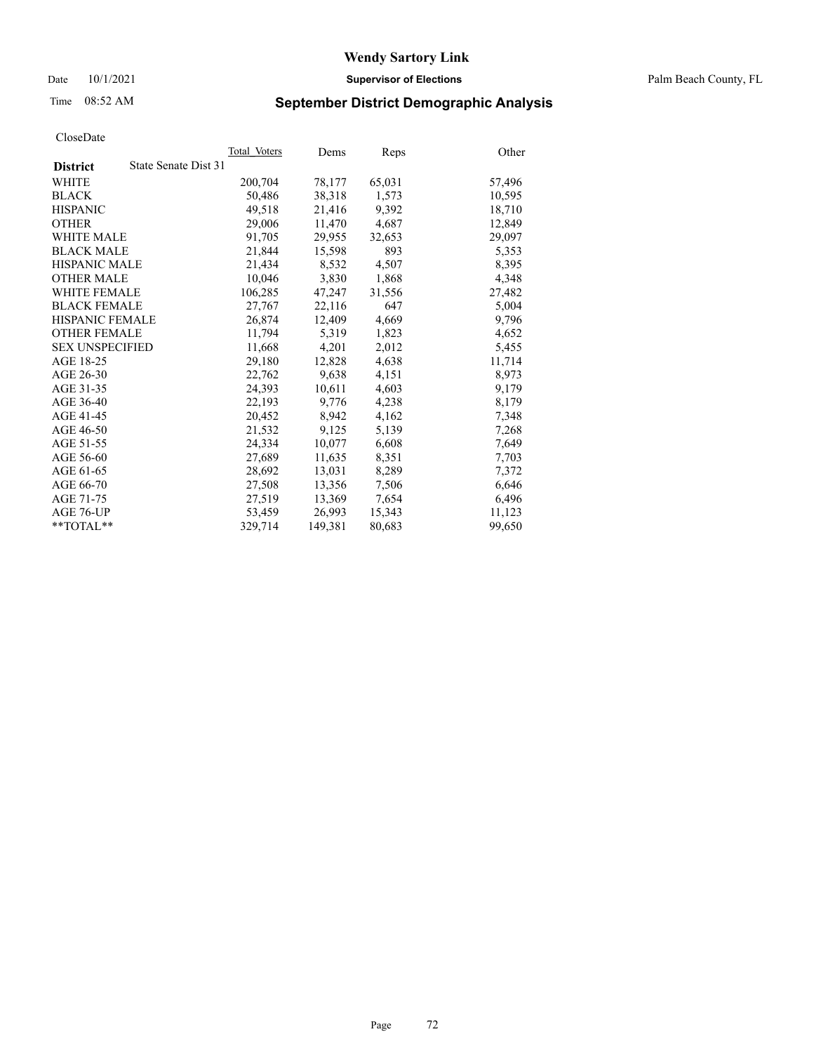Date 10/1/2021 **Supervisor of Elections** Palm Beach County, FL

## Time 08:52 AM **September District Demographic Analysis**

| Cioscizate             |                      |              |         |        |        |
|------------------------|----------------------|--------------|---------|--------|--------|
|                        |                      | Total Voters | Dems    | Reps   | Other  |
| <b>District</b>        | State Senate Dist 31 |              |         |        |        |
| WHITE                  |                      | 200,704      | 78,177  | 65,031 | 57,496 |
| <b>BLACK</b>           |                      | 50,486       | 38,318  | 1,573  | 10,595 |
| <b>HISPANIC</b>        |                      | 49.518       | 21,416  | 9,392  | 18,710 |
| <b>OTHER</b>           |                      | 29,006       | 11,470  | 4,687  | 12,849 |
| <b>WHITE MALE</b>      |                      | 91,705       | 29,955  | 32,653 | 29,097 |
| <b>BLACK MALE</b>      |                      | 21,844       | 15,598  | 893    | 5,353  |
| <b>HISPANIC MALE</b>   |                      | 21.434       | 8,532   | 4,507  | 8,395  |
| <b>OTHER MALE</b>      |                      | 10,046       | 3,830   | 1,868  | 4,348  |
| <b>WHITE FEMALE</b>    |                      | 106,285      | 47,247  | 31,556 | 27,482 |
| <b>BLACK FEMALE</b>    |                      | 27,767       | 22,116  | 647    | 5,004  |
| <b>HISPANIC FEMALE</b> |                      | 26,874       | 12,409  | 4,669  | 9,796  |
| <b>OTHER FEMALE</b>    |                      | 11.794       | 5,319   | 1,823  | 4,652  |
| <b>SEX UNSPECIFIED</b> |                      | 11,668       | 4,201   | 2,012  | 5,455  |
| AGE 18-25              |                      | 29,180       | 12,828  | 4,638  | 11,714 |
| AGE 26-30              |                      | 22,762       | 9,638   | 4,151  | 8,973  |
| AGE 31-35              |                      | 24,393       | 10,611  | 4,603  | 9,179  |
| AGE 36-40              |                      | 22.193       | 9.776   | 4,238  | 8,179  |
| AGE 41-45              |                      | 20,452       | 8,942   | 4,162  | 7,348  |
| AGE 46-50              |                      | 21,532       | 9,125   | 5,139  | 7,268  |
| AGE 51-55              |                      | 24,334       | 10,077  | 6,608  | 7,649  |
| AGE 56-60              |                      | 27,689       | 11,635  | 8,351  | 7,703  |
| AGE 61-65              |                      | 28,692       | 13,031  | 8,289  | 7,372  |
| AGE 66-70              |                      | 27,508       | 13,356  | 7,506  | 6,646  |
| AGE 71-75              |                      | 27,519       | 13,369  | 7,654  | 6,496  |
| AGE 76-UP              |                      | 53.459       | 26.993  | 15,343 | 11.123 |
| $*$ $TOTAL**$          |                      | 329,714      | 149,381 | 80,683 | 99,650 |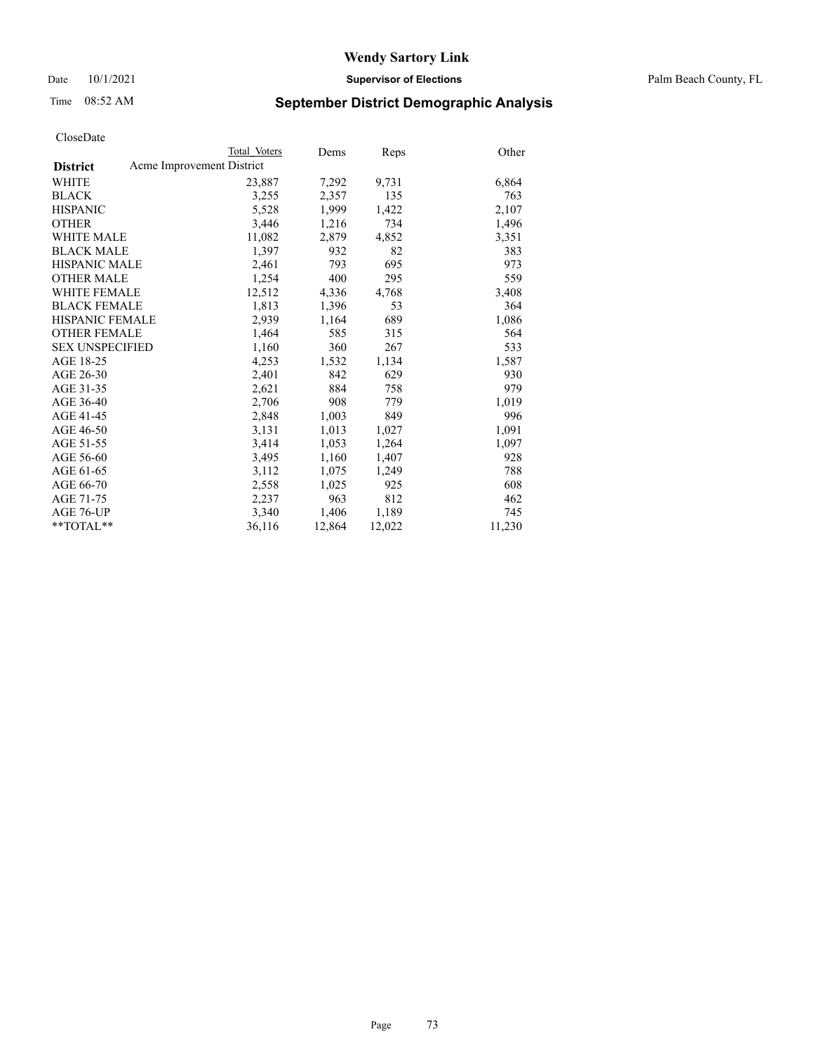# Time 08:52 AM **September District Demographic Analysis**

|                        | Total Voters              | Dems   | <b>Reps</b> | Other  |
|------------------------|---------------------------|--------|-------------|--------|
| <b>District</b>        | Acme Improvement District |        |             |        |
| WHITE                  | 23,887                    | 7,292  | 9,731       | 6,864  |
| <b>BLACK</b>           | 3,255                     | 2,357  | 135         | 763    |
| <b>HISPANIC</b>        | 5,528                     | 1,999  | 1,422       | 2,107  |
| <b>OTHER</b>           | 3,446                     | 1,216  | 734         | 1,496  |
| <b>WHITE MALE</b>      | 11,082                    | 2,879  | 4,852       | 3,351  |
| <b>BLACK MALE</b>      | 1,397                     | 932    | 82          | 383    |
| <b>HISPANIC MALE</b>   | 2,461                     | 793    | 695         | 973    |
| <b>OTHER MALE</b>      | 1,254                     | 400    | 295         | 559    |
| <b>WHITE FEMALE</b>    | 12,512                    | 4,336  | 4,768       | 3,408  |
| <b>BLACK FEMALE</b>    | 1,813                     | 1,396  | 53          | 364    |
| <b>HISPANIC FEMALE</b> | 2,939                     | 1,164  | 689         | 1,086  |
| <b>OTHER FEMALE</b>    | 1,464                     | 585    | 315         | 564    |
| <b>SEX UNSPECIFIED</b> | 1,160                     | 360    | 267         | 533    |
| AGE 18-25              | 4,253                     | 1,532  | 1,134       | 1,587  |
| AGE 26-30              | 2,401                     | 842    | 629         | 930    |
| AGE 31-35              | 2,621                     | 884    | 758         | 979    |
| AGE 36-40              | 2,706                     | 908    | 779         | 1,019  |
| AGE 41-45              | 2,848                     | 1,003  | 849         | 996    |
| AGE 46-50              | 3,131                     | 1,013  | 1,027       | 1,091  |
| AGE 51-55              | 3,414                     | 1,053  | 1,264       | 1,097  |
| AGE 56-60              | 3,495                     | 1,160  | 1,407       | 928    |
| AGE 61-65              | 3,112                     | 1,075  | 1,249       | 788    |
| AGE 66-70              | 2,558                     | 1,025  | 925         | 608    |
| AGE 71-75              | 2,237                     | 963    | 812         | 462    |
| AGE 76-UP              | 3,340                     | 1,406  | 1,189       | 745    |
| **TOTAL**              | 36,116                    | 12,864 | 12,022      | 11,230 |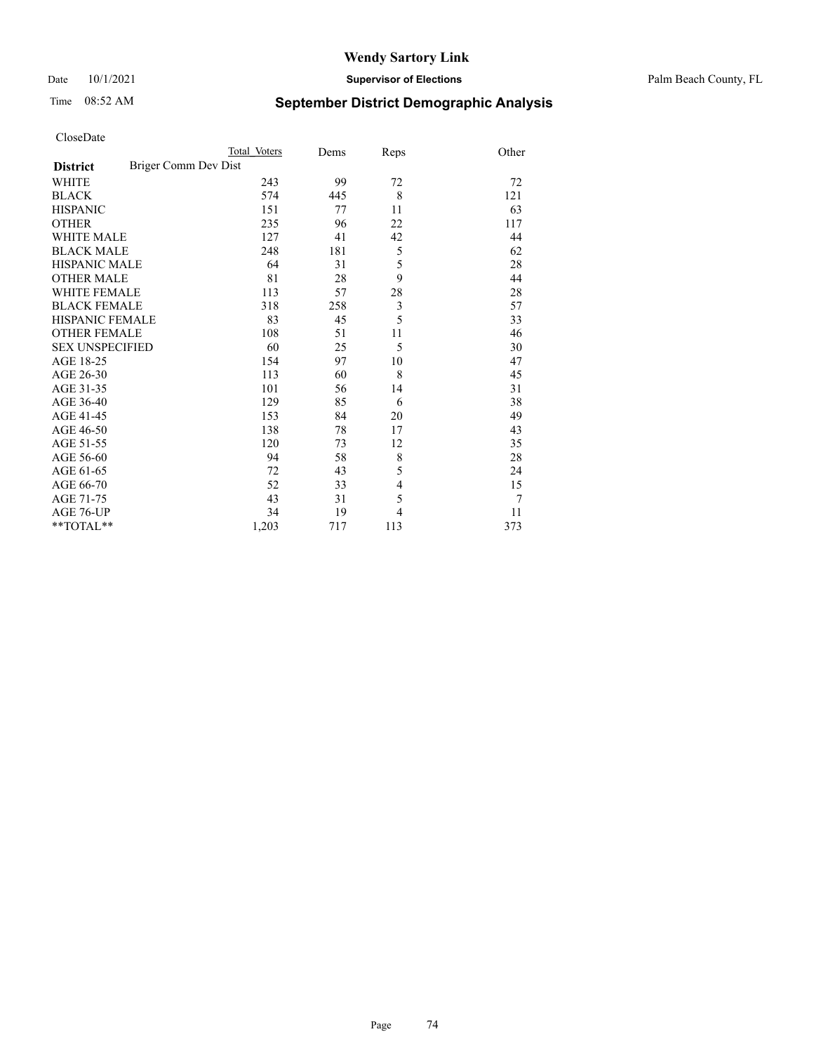## Date 10/1/2021 **Supervisor of Elections** Palm Beach County, FL

# Time 08:52 AM **September District Demographic Analysis**

|                                         | Total Voters | Dems | Reps           | Other |
|-----------------------------------------|--------------|------|----------------|-------|
| Briger Comm Dev Dist<br><b>District</b> |              |      |                |       |
| <b>WHITE</b>                            | 243          | 99   | 72             | 72    |
| <b>BLACK</b>                            | 574          | 445  | 8              | 121   |
| <b>HISPANIC</b>                         | 151          | 77   | 11             | 63    |
| <b>OTHER</b>                            | 235          | 96   | 22             | 117   |
| <b>WHITE MALE</b>                       | 127          | 41   | 42             | 44    |
| <b>BLACK MALE</b>                       | 248          | 181  | 5              | 62    |
| <b>HISPANIC MALE</b>                    | 64           | 31   | 5              | 28    |
| <b>OTHER MALE</b>                       | 81           | 28   | 9              | 44    |
| <b>WHITE FEMALE</b>                     | 113          | 57   | 28             | 28    |
| <b>BLACK FEMALE</b>                     | 318          | 258  | $\mathfrak{Z}$ | 57    |
| <b>HISPANIC FEMALE</b>                  | 83           | 45   | 5              | 33    |
| <b>OTHER FEMALE</b>                     | 108          | 51   | 11             | 46    |
| <b>SEX UNSPECIFIED</b>                  | 60           | 25   | 5              | 30    |
| AGE 18-25                               | 154          | 97   | 10             | 47    |
| AGE 26-30                               | 113          | 60   | 8              | 45    |
| AGE 31-35                               | 101          | 56   | 14             | 31    |
| AGE 36-40                               | 129          | 85   | 6              | 38    |
| AGE 41-45                               | 153          | 84   | 20             | 49    |
| AGE 46-50                               | 138          | 78   | 17             | 43    |
| AGE 51-55                               | 120          | 73   | 12             | 35    |
| AGE 56-60                               | 94           | 58   | 8              | 28    |
| AGE 61-65                               | 72           | 43   | 5              | 24    |
| AGE 66-70                               | 52           | 33   | $\overline{4}$ | 15    |
| AGE 71-75                               | 43           | 31   | 5              | 7     |
| AGE 76-UP                               | 34           | 19   | $\overline{4}$ | 11    |
| **TOTAL**                               | 1,203        | 717  | 113            | 373   |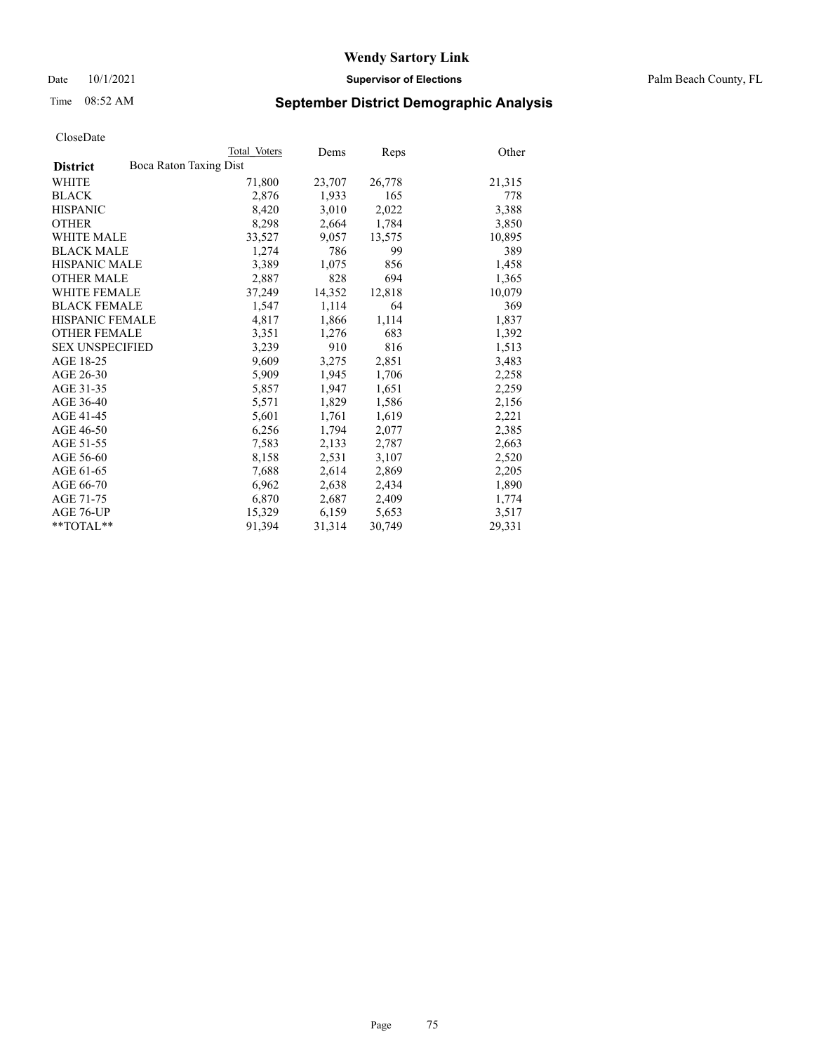Date 10/1/2021 **Supervisor of Elections** Palm Beach County, FL

# Time 08:52 AM **September District Demographic Analysis**

|                                           | Total Voters | Dems   | <b>Reps</b> | Other  |
|-------------------------------------------|--------------|--------|-------------|--------|
| Boca Raton Taxing Dist<br><b>District</b> |              |        |             |        |
| WHITE                                     | 71,800       | 23,707 | 26,778      | 21,315 |
| <b>BLACK</b>                              | 2,876        | 1,933  | 165         | 778    |
| <b>HISPANIC</b>                           | 8,420        | 3,010  | 2,022       | 3,388  |
| <b>OTHER</b>                              | 8,298        | 2,664  | 1,784       | 3,850  |
| <b>WHITE MALE</b>                         | 33,527       | 9,057  | 13,575      | 10,895 |
| <b>BLACK MALE</b>                         | 1,274        | 786    | 99          | 389    |
| <b>HISPANIC MALE</b>                      | 3,389        | 1,075  | 856         | 1,458  |
| <b>OTHER MALE</b>                         | 2,887        | 828    | 694         | 1,365  |
| <b>WHITE FEMALE</b>                       | 37,249       | 14,352 | 12,818      | 10,079 |
| <b>BLACK FEMALE</b>                       | 1,547        | 1,114  | 64          | 369    |
| <b>HISPANIC FEMALE</b>                    | 4,817        | 1,866  | 1,114       | 1,837  |
| <b>OTHER FEMALE</b>                       | 3,351        | 1,276  | 683         | 1,392  |
| <b>SEX UNSPECIFIED</b>                    | 3,239        | 910    | 816         | 1,513  |
| AGE 18-25                                 | 9,609        | 3,275  | 2,851       | 3,483  |
| AGE 26-30                                 | 5,909        | 1,945  | 1,706       | 2,258  |
| AGE 31-35                                 | 5,857        | 1,947  | 1,651       | 2,259  |
| AGE 36-40                                 | 5,571        | 1,829  | 1,586       | 2,156  |
| AGE 41-45                                 | 5,601        | 1,761  | 1,619       | 2,221  |
| AGE 46-50                                 | 6,256        | 1,794  | 2,077       | 2,385  |
| AGE 51-55                                 | 7,583        | 2,133  | 2,787       | 2,663  |
| AGE 56-60                                 | 8,158        | 2,531  | 3,107       | 2,520  |
| AGE 61-65                                 | 7,688        | 2,614  | 2,869       | 2,205  |
| AGE 66-70                                 | 6,962        | 2,638  | 2,434       | 1,890  |
| AGE 71-75                                 | 6,870        | 2,687  | 2,409       | 1,774  |
| AGE 76-UP                                 | 15,329       | 6,159  | 5,653       | 3,517  |
| **TOTAL**                                 | 91,394       | 31,314 | 30,749      | 29,331 |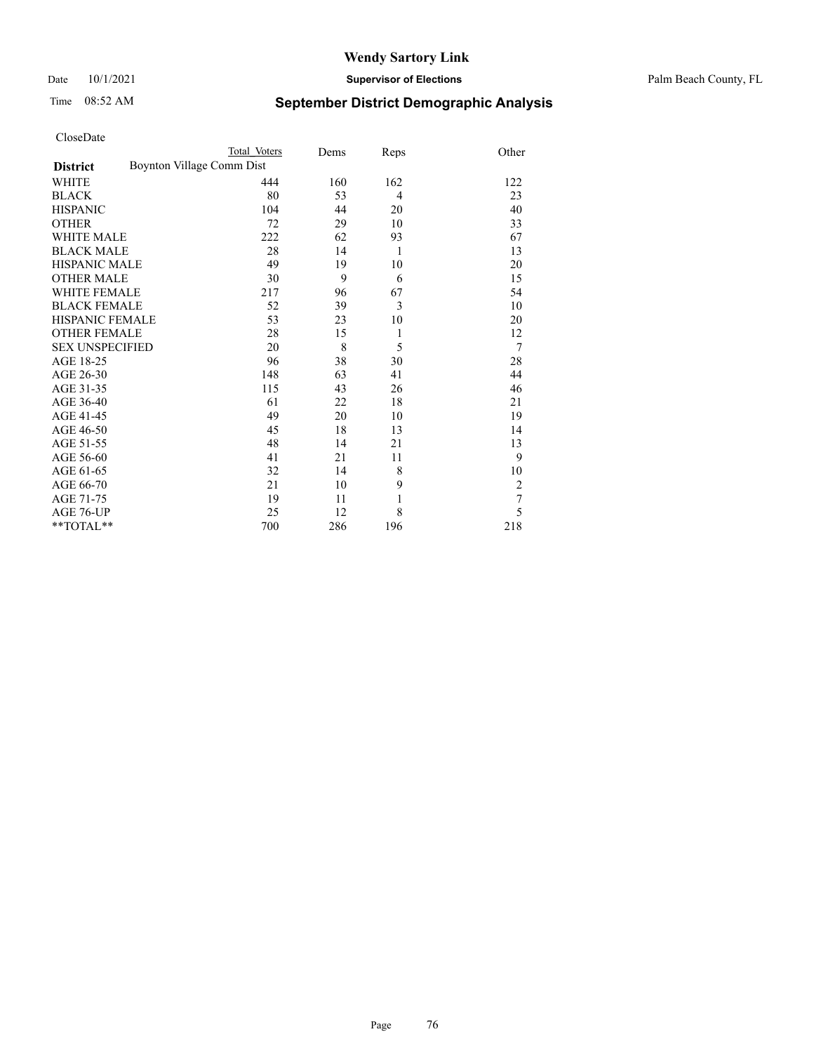## Date 10/1/2021 **Supervisor of Elections** Palm Beach County, FL

# Time 08:52 AM **September District Demographic Analysis**

|                                              | Total Voters | Dems | Reps           | Other          |
|----------------------------------------------|--------------|------|----------------|----------------|
| Boynton Village Comm Dist<br><b>District</b> |              |      |                |                |
| WHITE                                        | 444          | 160  | 162            | 122            |
| <b>BLACK</b>                                 | 80           | 53   | $\overline{4}$ | 23             |
| <b>HISPANIC</b>                              | 104          | 44   | 20             | 40             |
| <b>OTHER</b>                                 | 72           | 29   | 10             | 33             |
| <b>WHITE MALE</b>                            | 222          | 62   | 93             | 67             |
| <b>BLACK MALE</b>                            | 28           | 14   | 1              | 13             |
| <b>HISPANIC MALE</b>                         | 49           | 19   | 10             | 20             |
| <b>OTHER MALE</b>                            | 30           | 9    | 6              | 15             |
| <b>WHITE FEMALE</b>                          | 217          | 96   | 67             | 54             |
| <b>BLACK FEMALE</b>                          | 52           | 39   | 3              | 10             |
| <b>HISPANIC FEMALE</b>                       | 53           | 23   | 10             | 20             |
| <b>OTHER FEMALE</b>                          | 28           | 15   | $\mathbf{1}$   | 12             |
| <b>SEX UNSPECIFIED</b>                       | 20           | 8    | 5              | 7              |
| AGE 18-25                                    | 96           | 38   | 30             | 28             |
| AGE 26-30                                    | 148          | 63   | 41             | 44             |
| AGE 31-35                                    | 115          | 43   | 26             | 46             |
| AGE 36-40                                    | 61           | 22   | 18             | 21             |
| AGE 41-45                                    | 49           | 20   | 10             | 19             |
| AGE 46-50                                    | 45           | 18   | 13             | 14             |
| AGE 51-55                                    | 48           | 14   | 21             | 13             |
| AGE 56-60                                    | 41           | 21   | 11             | 9              |
| AGE 61-65                                    | 32           | 14   | 8              | 10             |
| AGE 66-70                                    | 21           | 10   | 9              | $\overline{2}$ |
| AGE 71-75                                    | 19           | 11   | 1              | 7              |
| AGE 76-UP                                    | 25           | 12   | 8              | 5              |
| **TOTAL**                                    | 700          | 286  | 196            | 218            |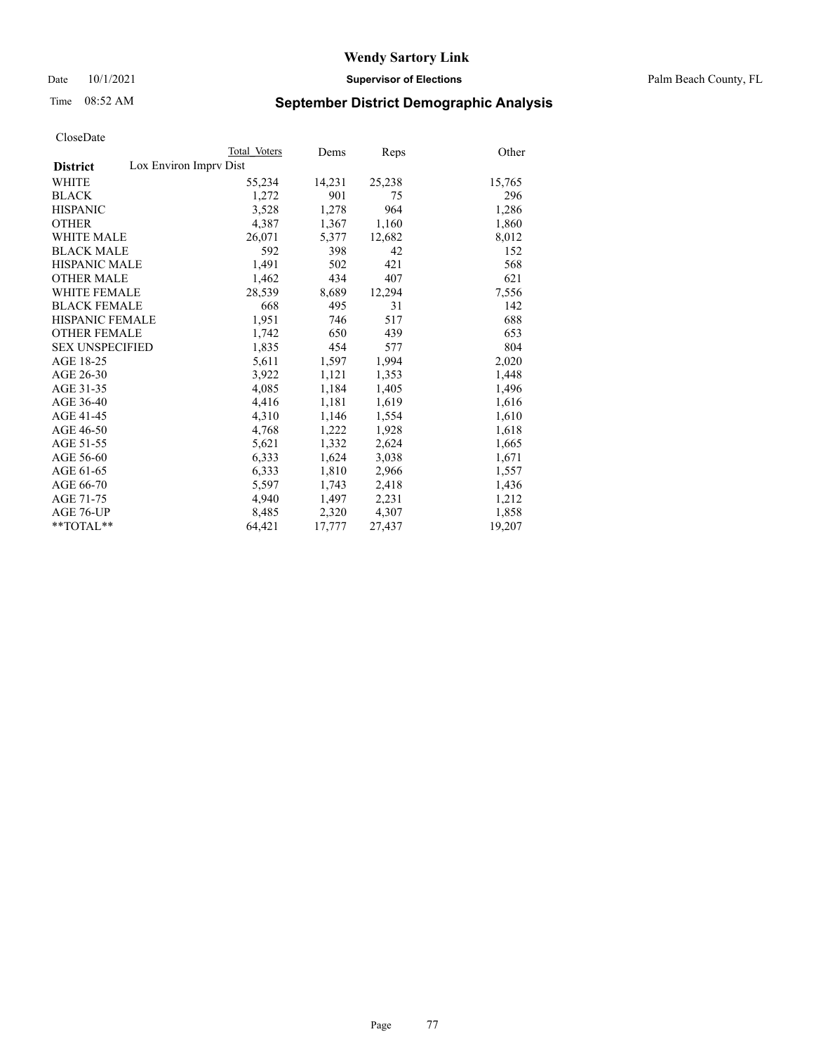Date 10/1/2021 **Supervisor of Elections** Palm Beach County, FL

# Time 08:52 AM **September District Demographic Analysis**

|                                           | Total Voters | Dems   | <b>Reps</b> | Other  |
|-------------------------------------------|--------------|--------|-------------|--------|
| Lox Environ Imprv Dist<br><b>District</b> |              |        |             |        |
| <b>WHITE</b>                              | 55,234       | 14,231 | 25,238      | 15,765 |
| <b>BLACK</b>                              | 1,272        | 901    | 75          | 296    |
| <b>HISPANIC</b>                           | 3,528        | 1,278  | 964         | 1,286  |
| <b>OTHER</b>                              | 4,387        | 1,367  | 1,160       | 1,860  |
| <b>WHITE MALE</b>                         | 26,071       | 5,377  | 12,682      | 8,012  |
| <b>BLACK MALE</b>                         | 592          | 398    | 42          | 152    |
| <b>HISPANIC MALE</b>                      | 1,491        | 502    | 421         | 568    |
| <b>OTHER MALE</b>                         | 1,462        | 434    | 407         | 621    |
| <b>WHITE FEMALE</b>                       | 28,539       | 8,689  | 12,294      | 7,556  |
| <b>BLACK FEMALE</b>                       | 668          | 495    | 31          | 142    |
| HISPANIC FEMALE                           | 1,951        | 746    | 517         | 688    |
| <b>OTHER FEMALE</b>                       | 1,742        | 650    | 439         | 653    |
| <b>SEX UNSPECIFIED</b>                    | 1,835        | 454    | 577         | 804    |
| AGE 18-25                                 | 5,611        | 1,597  | 1,994       | 2,020  |
| AGE 26-30                                 | 3,922        | 1,121  | 1,353       | 1,448  |
| AGE 31-35                                 | 4,085        | 1,184  | 1,405       | 1,496  |
| AGE 36-40                                 | 4,416        | 1,181  | 1,619       | 1,616  |
| AGE 41-45                                 | 4,310        | 1,146  | 1,554       | 1,610  |
| AGE 46-50                                 | 4,768        | 1,222  | 1,928       | 1,618  |
| AGE 51-55                                 | 5,621        | 1,332  | 2,624       | 1,665  |
| AGE 56-60                                 | 6,333        | 1,624  | 3,038       | 1,671  |
| AGE 61-65                                 | 6,333        | 1,810  | 2,966       | 1,557  |
| AGE 66-70                                 | 5,597        | 1,743  | 2,418       | 1,436  |
| AGE 71-75                                 | 4,940        | 1,497  | 2,231       | 1,212  |
| AGE 76-UP                                 | 8,485        | 2,320  | 4,307       | 1,858  |
| $*$ $TOTAL**$                             | 64,421       | 17,777 | 27,437      | 19,207 |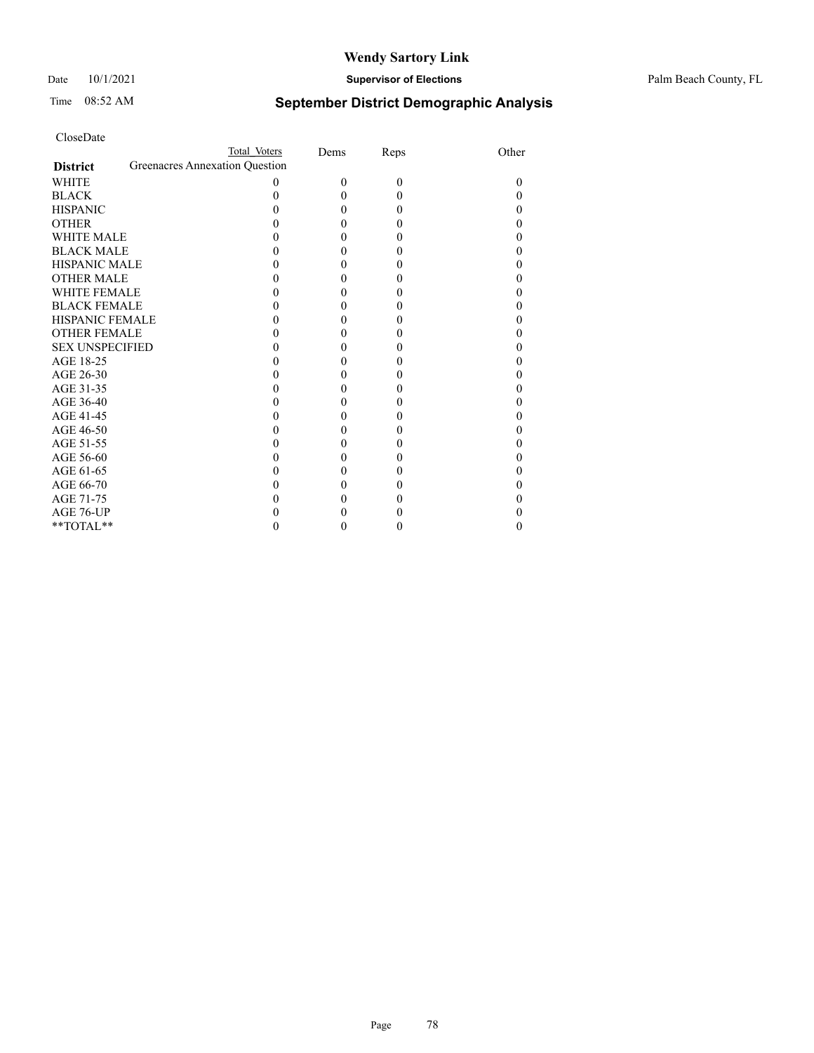#### Date 10/1/2021 **Supervisor of Elections** Palm Beach County, FL

# Time 08:52 AM **September District Demographic Analysis**

| CloseDate |
|-----------|
|-----------|

|                                                   | Total Voters | Dems     | Reps     | Other |
|---------------------------------------------------|--------------|----------|----------|-------|
| Greenacres Annexation Question<br><b>District</b> |              |          |          |       |
| WHITE                                             | 0            | $\theta$ | $\theta$ | 0     |
| <b>BLACK</b>                                      | 0            | 0        | 0        |       |
| <b>HISPANIC</b>                                   |              | 0        | 0        |       |
| <b>OTHER</b>                                      |              | 0        | 0        |       |
| <b>WHITE MALE</b>                                 |              | 0        | 0        |       |
| <b>BLACK MALE</b>                                 |              | 0        | 0        |       |
| <b>HISPANIC MALE</b>                              |              | 0        | 0        |       |
| <b>OTHER MALE</b>                                 |              | 0        | 0        |       |
| <b>WHITE FEMALE</b>                               |              | 0        | 0        |       |
| <b>BLACK FEMALE</b>                               | 0            | 0        | 0        |       |
| <b>HISPANIC FEMALE</b>                            |              | 0        | 0        |       |
| <b>OTHER FEMALE</b>                               |              | 0        | 0        |       |
| <b>SEX UNSPECIFIED</b>                            | 0            | 0        | 0        |       |
| AGE 18-25                                         |              | 0        | 0        |       |
| AGE 26-30                                         |              | 0        | 0        |       |
| AGE 31-35                                         |              | 0        | 0        |       |
| AGE 36-40                                         |              | 0        | 0        |       |
| AGE 41-45                                         | 0            | 0        | 0        |       |
| AGE 46-50                                         |              | 0        | 0        |       |
| AGE 51-55                                         | 0            | 0        | 0        |       |
| AGE 56-60                                         |              | 0        |          |       |
| AGE 61-65                                         |              | 0        | 0        |       |
| AGE 66-70                                         | 0            | 0        | 0        |       |
| AGE 71-75                                         |              | 0        |          |       |
| AGE 76-UP                                         |              |          |          |       |
| **TOTAL**                                         | 0            | 0        | 0        | 0     |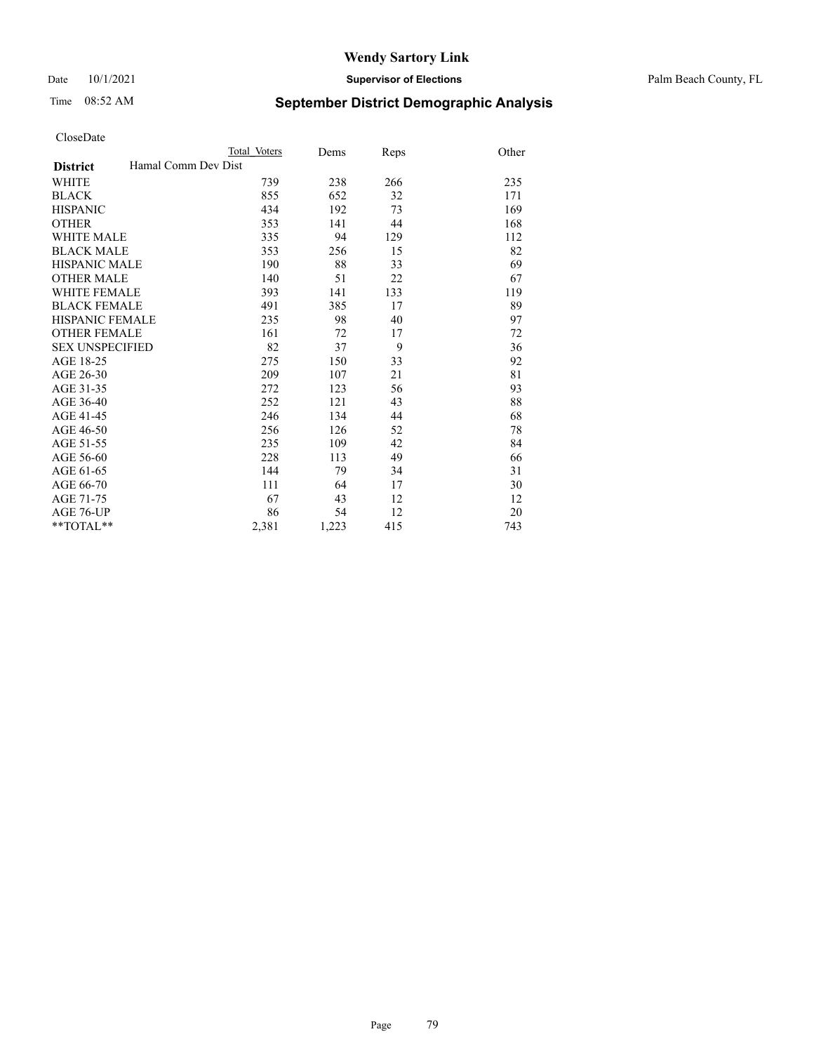Date 10/1/2021 **Supervisor of Elections** Palm Beach County, FL

# Time 08:52 AM **September District Demographic Analysis**

|                                        | Total Voters | Dems  | Reps | Other |
|----------------------------------------|--------------|-------|------|-------|
| Hamal Comm Dev Dist<br><b>District</b> |              |       |      |       |
| <b>WHITE</b>                           | 739          | 238   | 266  | 235   |
| <b>BLACK</b>                           | 855          | 652   | 32   | 171   |
| <b>HISPANIC</b>                        | 434          | 192   | 73   | 169   |
| <b>OTHER</b>                           | 353          | 141   | 44   | 168   |
| <b>WHITE MALE</b>                      | 335          | 94    | 129  | 112   |
| <b>BLACK MALE</b>                      | 353          | 256   | 15   | 82    |
| <b>HISPANIC MALE</b>                   | 190          | 88    | 33   | 69    |
| <b>OTHER MALE</b>                      | 140          | 51    | 22   | 67    |
| <b>WHITE FEMALE</b>                    | 393          | 141   | 133  | 119   |
| <b>BLACK FEMALE</b>                    | 491          | 385   | 17   | 89    |
| <b>HISPANIC FEMALE</b>                 | 235          | 98    | 40   | 97    |
| <b>OTHER FEMALE</b>                    | 161          | 72    | 17   | 72    |
| <b>SEX UNSPECIFIED</b>                 | 82           | 37    | 9    | 36    |
| AGE 18-25                              | 275          | 150   | 33   | 92    |
| AGE 26-30                              | 209          | 107   | 21   | 81    |
| AGE 31-35                              | 272          | 123   | 56   | 93    |
| AGE 36-40                              | 252          | 121   | 43   | 88    |
| AGE 41-45                              | 246          | 134   | 44   | 68    |
| AGE 46-50                              | 256          | 126   | 52   | 78    |
| AGE 51-55                              | 235          | 109   | 42   | 84    |
| AGE 56-60                              | 228          | 113   | 49   | 66    |
| AGE 61-65                              | 144          | 79    | 34   | 31    |
| AGE 66-70                              | 111          | 64    | 17   | 30    |
| AGE 71-75                              | 67           | 43    | 12   | 12    |
| AGE 76-UP                              | 86           | 54    | 12   | 20    |
| $*$ $TOTAL**$                          | 2,381        | 1,223 | 415  | 743   |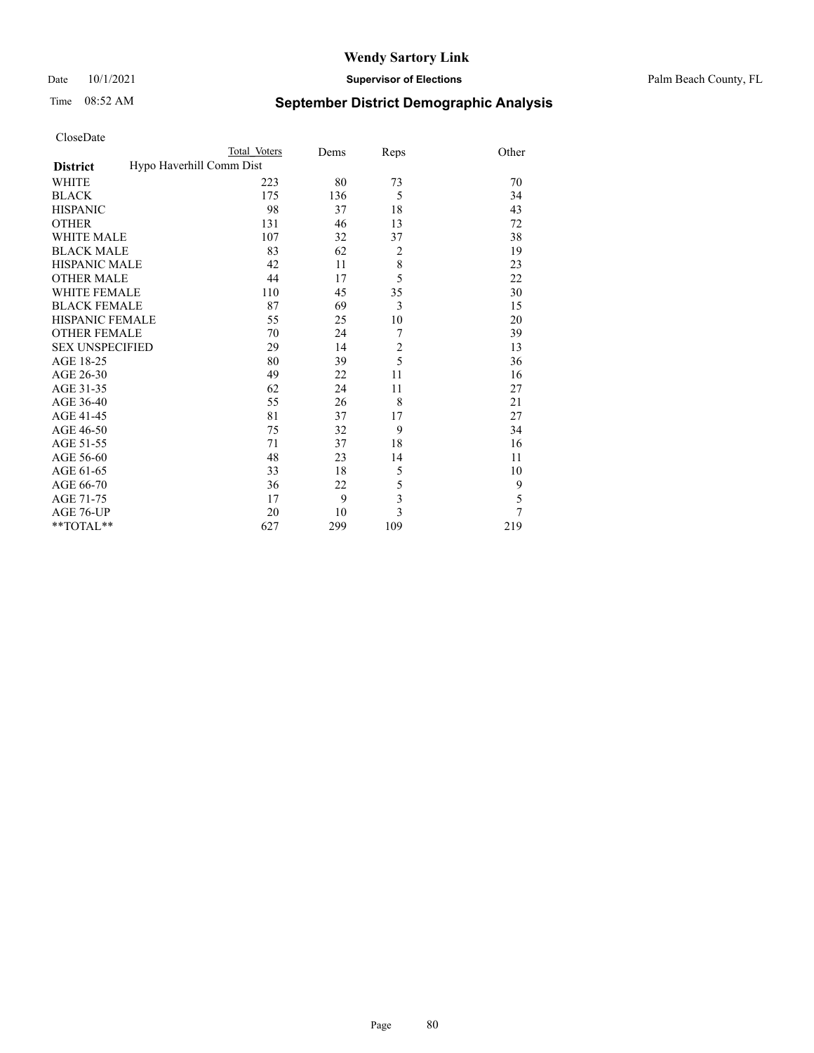#### Date 10/1/2021 **Supervisor of Elections** Palm Beach County, FL

# Time 08:52 AM **September District Demographic Analysis**

| CloseDate |  |
|-----------|--|
|-----------|--|

|                        | Total Voters             | Dems | Reps                    | Other  |
|------------------------|--------------------------|------|-------------------------|--------|
| <b>District</b>        | Hypo Haverhill Comm Dist |      |                         |        |
| WHITE                  | 223                      | 80   | 73                      | 70     |
| <b>BLACK</b>           | 175                      | 136  | 5                       | 34     |
| HISPANIC               | 98                       | 37   | 18                      | 43     |
| OTHER                  | 131                      | 46   | 13                      | 72     |
| <b>WHITE MALE</b>      | 107                      | 32   | 37                      | 38     |
| <b>BLACK MALE</b>      | 83                       | 62   | $\overline{2}$          | 19     |
| HISPANIC MALE          | 42                       | 11   | 8                       | 23     |
| <b>OTHER MALE</b>      | 44                       | 17   | 5                       | 22     |
| WHITE FEMALE           | 110                      | 45   | 35                      | 30     |
| <b>BLACK FEMALE</b>    | 87                       | 69   | 3                       | 15     |
| HISPANIC FEMALE        | 55                       | 25   | 10                      | 20     |
| <b>OTHER FEMALE</b>    | 70                       | 24   | 7                       | 39     |
| <b>SEX UNSPECIFIED</b> | 29                       | 14   | $\overline{c}$          | 13     |
| AGE 18-25              | 80                       | 39   | 5                       | 36     |
| AGE 26-30              | 49                       | 22   | 11                      | 16     |
| AGE 31-35              | 62                       | 24   | 11                      | 27     |
| AGE 36-40              | 55                       | 26   | 8                       | 21     |
| AGE 41-45              | 81                       | 37   | 17                      | 27     |
| AGE 46-50              | 75                       | 32   | 9                       | 34     |
| AGE 51-55              | 71                       | 37   | 18                      | 16     |
| AGE 56-60              | 48                       | 23   | 14                      | 11     |
| AGE 61-65              | 33                       | 18   | 5                       | 10     |
| AGE 66-70              | 36                       | 22   | 5                       | 9      |
| AGE 71-75              | 17                       | 9    | $\overline{\mathbf{3}}$ | 5      |
| AGE 76-UP              | 20                       | 10   | 3                       | $\tau$ |
| $*$ $TOTAL**$          | 627                      | 299  | 109                     | 219    |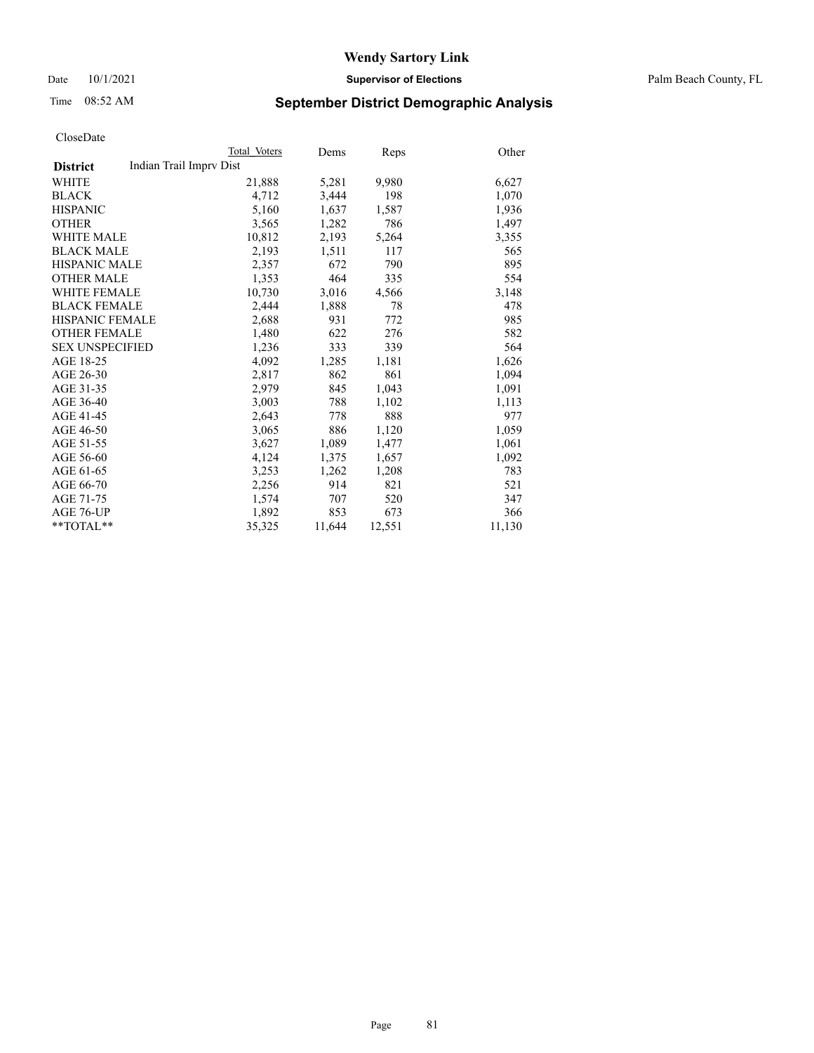Date 10/1/2021 **Supervisor of Elections** Palm Beach County, FL

# Time 08:52 AM **September District Demographic Analysis**

|                        | Total Voters            | Dems   | Reps   | Other  |
|------------------------|-------------------------|--------|--------|--------|
| <b>District</b>        | Indian Trail Imprv Dist |        |        |        |
| WHITE                  | 21,888                  | 5,281  | 9,980  | 6,627  |
| <b>BLACK</b>           | 4,712                   | 3,444  | 198    | 1,070  |
| <b>HISPANIC</b>        | 5,160                   | 1,637  | 1,587  | 1,936  |
| <b>OTHER</b>           | 3,565                   | 1,282  | 786    | 1,497  |
| <b>WHITE MALE</b>      | 10,812                  | 2,193  | 5,264  | 3,355  |
| <b>BLACK MALE</b>      | 2,193                   | 1,511  | 117    | 565    |
| <b>HISPANIC MALE</b>   | 2,357                   | 672    | 790    | 895    |
| <b>OTHER MALE</b>      | 1,353                   | 464    | 335    | 554    |
| <b>WHITE FEMALE</b>    | 10,730                  | 3,016  | 4,566  | 3,148  |
| <b>BLACK FEMALE</b>    | 2,444                   | 1,888  | 78     | 478    |
| <b>HISPANIC FEMALE</b> | 2,688                   | 931    | 772    | 985    |
| <b>OTHER FEMALE</b>    | 1,480                   | 622    | 276    | 582    |
| <b>SEX UNSPECIFIED</b> | 1,236                   | 333    | 339    | 564    |
| AGE 18-25              | 4,092                   | 1,285  | 1,181  | 1,626  |
| AGE 26-30              | 2,817                   | 862    | 861    | 1,094  |
| AGE 31-35              | 2,979                   | 845    | 1,043  | 1,091  |
| AGE 36-40              | 3,003                   | 788    | 1,102  | 1,113  |
| AGE 41-45              | 2,643                   | 778    | 888    | 977    |
| AGE 46-50              | 3,065                   | 886    | 1,120  | 1,059  |
| AGE 51-55              | 3,627                   | 1,089  | 1,477  | 1,061  |
| AGE 56-60              | 4,124                   | 1,375  | 1,657  | 1,092  |
| AGE 61-65              | 3,253                   | 1,262  | 1,208  | 783    |
| AGE 66-70              | 2,256                   | 914    | 821    | 521    |
| AGE 71-75              | 1,574                   | 707    | 520    | 347    |
| AGE 76-UP              | 1,892                   | 853    | 673    | 366    |
| **TOTAL**              | 35,325                  | 11,644 | 12,551 | 11,130 |
|                        |                         |        |        |        |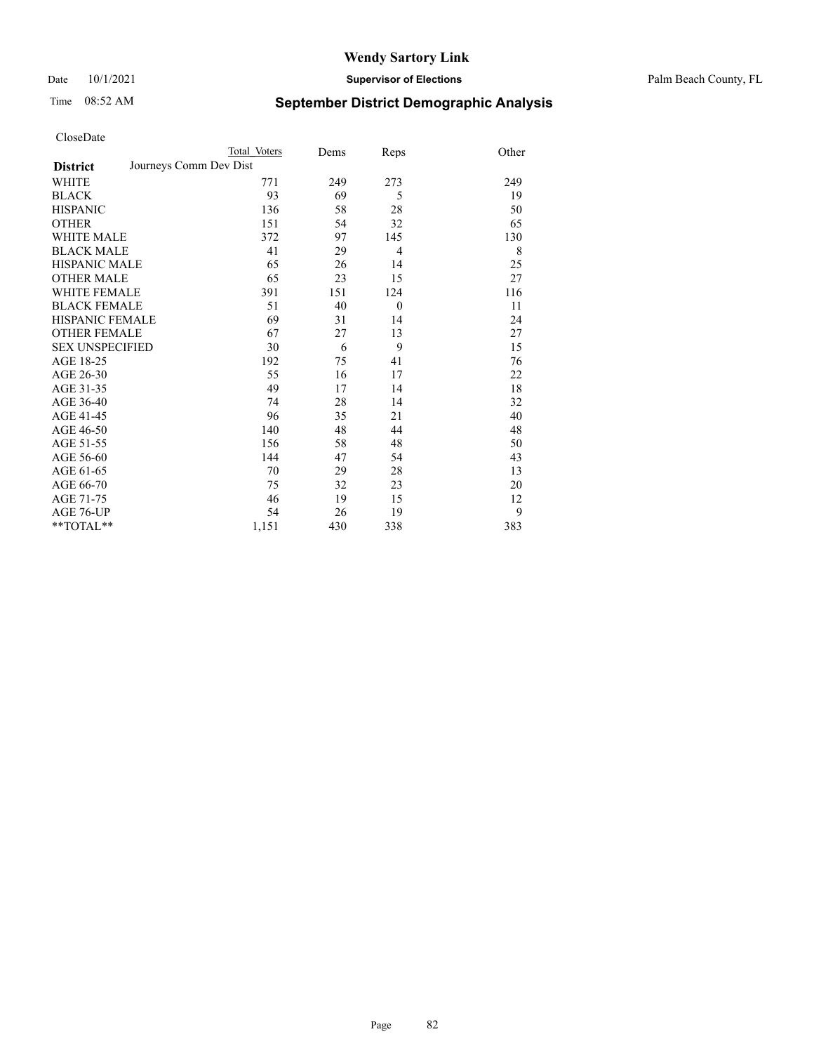Date 10/1/2021 **Supervisor of Elections** Palm Beach County, FL

# Time 08:52 AM **September District Demographic Analysis**

|                                           | Total Voters | Dems | Reps           | Other |
|-------------------------------------------|--------------|------|----------------|-------|
| Journeys Comm Dev Dist<br><b>District</b> |              |      |                |       |
| WHITE                                     | 771          | 249  | 273            | 249   |
| <b>BLACK</b>                              | 93           | 69   | 5              | 19    |
| <b>HISPANIC</b>                           | 136          | 58   | 28             | 50    |
| <b>OTHER</b>                              | 151          | 54   | 32             | 65    |
| <b>WHITE MALE</b>                         | 372          | 97   | 145            | 130   |
| <b>BLACK MALE</b>                         | 41           | 29   | $\overline{4}$ | 8     |
| <b>HISPANIC MALE</b>                      | 65           | 26   | 14             | 25    |
| <b>OTHER MALE</b>                         | 65           | 23   | 15             | 27    |
| <b>WHITE FEMALE</b>                       | 391          | 151  | 124            | 116   |
| <b>BLACK FEMALE</b>                       | 51           | 40   | $\overline{0}$ | 11    |
| <b>HISPANIC FEMALE</b>                    | 69           | 31   | 14             | 24    |
| <b>OTHER FEMALE</b>                       | 67           | 27   | 13             | 27    |
| <b>SEX UNSPECIFIED</b>                    | 30           | 6    | 9              | 15    |
| AGE 18-25                                 | 192          | 75   | 41             | 76    |
| AGE 26-30                                 | 55           | 16   | 17             | 22    |
| AGE 31-35                                 | 49           | 17   | 14             | 18    |
| AGE 36-40                                 | 74           | 28   | 14             | 32    |
| AGE 41-45                                 | 96           | 35   | 21             | 40    |
| AGE 46-50                                 | 140          | 48   | 44             | 48    |
| AGE 51-55                                 | 156          | 58   | 48             | 50    |
| AGE 56-60                                 | 144          | 47   | 54             | 43    |
| AGE 61-65                                 | 70           | 29   | 28             | 13    |
| AGE 66-70                                 | 75           | 32   | 23             | 20    |
| AGE 71-75                                 | 46           | 19   | 15             | 12    |
| AGE 76-UP                                 | 54           | 26   | 19             | 9     |
| **TOTAL**                                 | 1,151        | 430  | 338            | 383   |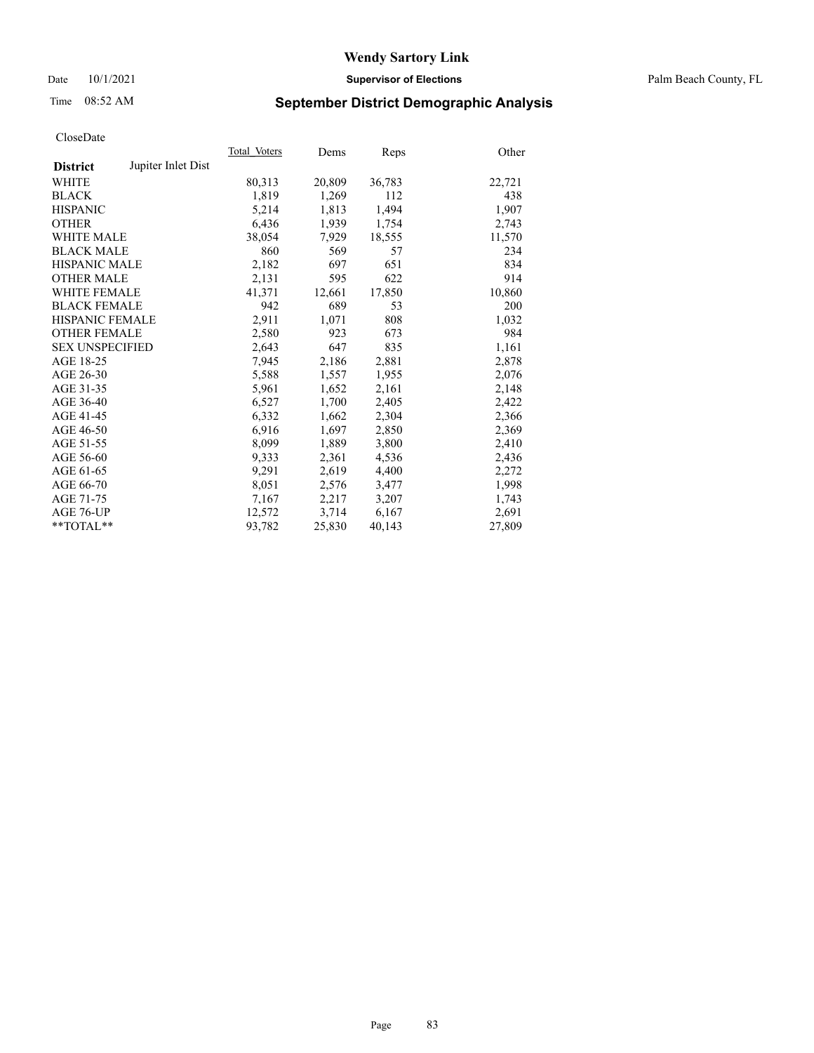## Date 10/1/2021 **Supervisor of Elections** Palm Beach County, FL

# Time 08:52 AM **September District Demographic Analysis**

|                        |                    | Total Voters | Dems   | Reps   | Other  |
|------------------------|--------------------|--------------|--------|--------|--------|
| <b>District</b>        | Jupiter Inlet Dist |              |        |        |        |
| <b>WHITE</b>           |                    | 80,313       | 20,809 | 36,783 | 22,721 |
| <b>BLACK</b>           |                    | 1,819        | 1,269  | 112    | 438    |
| <b>HISPANIC</b>        |                    | 5,214        | 1,813  | 1,494  | 1,907  |
| <b>OTHER</b>           |                    | 6,436        | 1,939  | 1,754  | 2,743  |
| <b>WHITE MALE</b>      |                    | 38,054       | 7,929  | 18,555 | 11,570 |
| <b>BLACK MALE</b>      |                    | 860          | 569    | 57     | 234    |
| <b>HISPANIC MALE</b>   |                    | 2,182        | 697    | 651    | 834    |
| <b>OTHER MALE</b>      |                    | 2,131        | 595    | 622    | 914    |
| <b>WHITE FEMALE</b>    |                    | 41.371       | 12,661 | 17,850 | 10,860 |
| <b>BLACK FEMALE</b>    |                    | 942          | 689    | 53     | 200    |
| <b>HISPANIC FEMALE</b> |                    | 2,911        | 1,071  | 808    | 1,032  |
| <b>OTHER FEMALE</b>    |                    | 2,580        | 923    | 673    | 984    |
| <b>SEX UNSPECIFIED</b> |                    | 2,643        | 647    | 835    | 1,161  |
| AGE 18-25              |                    | 7,945        | 2,186  | 2,881  | 2,878  |
| AGE 26-30              |                    | 5,588        | 1,557  | 1,955  | 2,076  |
| AGE 31-35              |                    | 5,961        | 1,652  | 2,161  | 2,148  |
| AGE 36-40              |                    | 6,527        | 1,700  | 2,405  | 2,422  |
| AGE 41-45              |                    | 6,332        | 1,662  | 2,304  | 2,366  |
| AGE 46-50              |                    | 6,916        | 1,697  | 2,850  | 2,369  |
| AGE 51-55              |                    | 8,099        | 1,889  | 3,800  | 2,410  |
| AGE 56-60              |                    | 9,333        | 2,361  | 4,536  | 2,436  |
| AGE 61-65              |                    | 9,291        | 2,619  | 4,400  | 2,272  |
| AGE 66-70              |                    | 8,051        | 2,576  | 3,477  | 1,998  |
| AGE 71-75              |                    | 7,167        | 2,217  | 3,207  | 1,743  |
| AGE 76-UP              |                    | 12.572       | 3,714  | 6,167  | 2,691  |
| $*$ $TOTAL**$          |                    | 93,782       | 25,830 | 40,143 | 27,809 |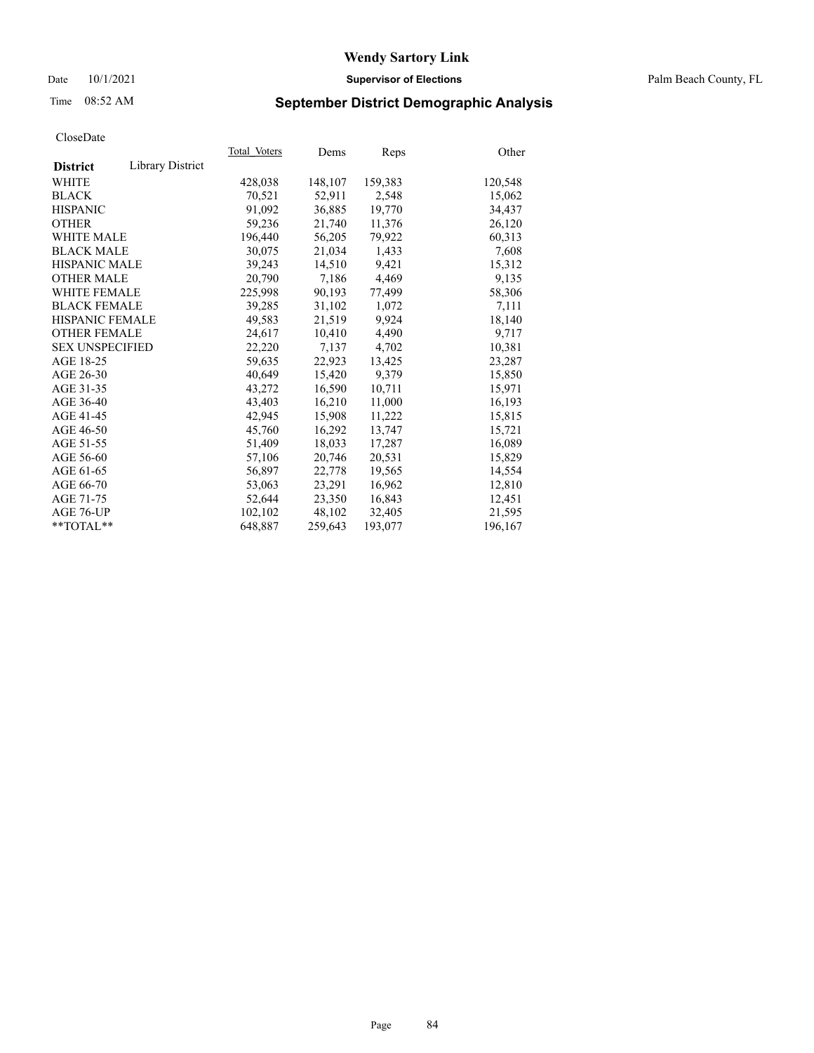## Date 10/1/2021 **Supervisor of Elections** Palm Beach County, FL

# Time 08:52 AM **September District Demographic Analysis**

|                        |                  | Total Voters | Dems    | Reps    | Other   |
|------------------------|------------------|--------------|---------|---------|---------|
| <b>District</b>        | Library District |              |         |         |         |
| <b>WHITE</b>           |                  | 428,038      | 148,107 | 159,383 | 120,548 |
| <b>BLACK</b>           |                  | 70,521       | 52,911  | 2,548   | 15,062  |
| <b>HISPANIC</b>        |                  | 91.092       | 36,885  | 19,770  | 34,437  |
| <b>OTHER</b>           |                  | 59,236       | 21,740  | 11,376  | 26,120  |
| <b>WHITE MALE</b>      |                  | 196,440      | 56,205  | 79,922  | 60,313  |
| <b>BLACK MALE</b>      |                  | 30.075       | 21,034  | 1,433   | 7,608   |
| <b>HISPANIC MALE</b>   |                  | 39,243       | 14,510  | 9,421   | 15,312  |
| <b>OTHER MALE</b>      |                  | 20,790       | 7,186   | 4,469   | 9,135   |
| <b>WHITE FEMALE</b>    |                  | 225,998      | 90,193  | 77,499  | 58,306  |
| <b>BLACK FEMALE</b>    |                  | 39,285       | 31.102  | 1,072   | 7,111   |
| HISPANIC FEMALE        |                  | 49,583       | 21,519  | 9,924   | 18,140  |
| <b>OTHER FEMALE</b>    |                  | 24,617       | 10.410  | 4,490   | 9,717   |
| <b>SEX UNSPECIFIED</b> |                  | 22,220       | 7,137   | 4,702   | 10,381  |
| AGE 18-25              |                  | 59,635       | 22,923  | 13,425  | 23,287  |
| AGE 26-30              |                  | 40.649       | 15,420  | 9,379   | 15,850  |
| AGE 31-35              |                  | 43,272       | 16,590  | 10,711  | 15,971  |
| AGE 36-40              |                  | 43,403       | 16,210  | 11,000  | 16,193  |
| AGE 41-45              |                  | 42,945       | 15,908  | 11,222  | 15,815  |
| AGE 46-50              |                  | 45,760       | 16,292  | 13,747  | 15,721  |
| AGE 51-55              |                  | 51,409       | 18,033  | 17,287  | 16,089  |
| AGE 56-60              |                  | 57,106       | 20,746  | 20,531  | 15,829  |
| AGE 61-65              |                  | 56,897       | 22,778  | 19,565  | 14,554  |
| AGE 66-70              |                  | 53,063       | 23,291  | 16,962  | 12,810  |
| AGE 71-75              |                  | 52,644       | 23,350  | 16,843  | 12,451  |
| AGE 76-UP              |                  | 102,102      | 48,102  | 32,405  | 21,595  |
| $*$ $TOTAL**$          |                  | 648,887      | 259,643 | 193,077 | 196,167 |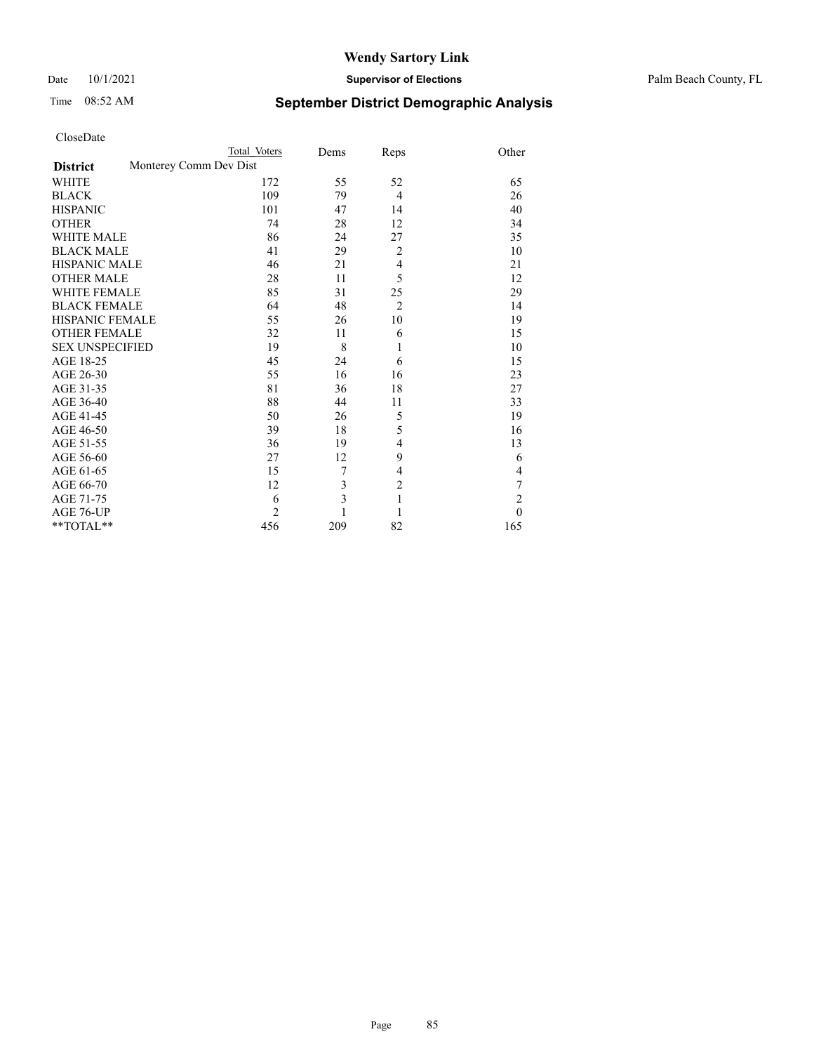## Date 10/1/2021 **Supervisor of Elections** Palm Beach County, FL

# Time 08:52 AM **September District Demographic Analysis**

|                        | Total Voters           | Dems                    | Reps           | Other          |
|------------------------|------------------------|-------------------------|----------------|----------------|
| <b>District</b>        | Monterey Comm Dev Dist |                         |                |                |
| <b>WHITE</b>           | 172                    | 55                      | 52             | 65             |
| <b>BLACK</b>           | 109                    | 79                      | $\overline{4}$ | 26             |
| <b>HISPANIC</b>        | 101                    | 47                      | 14             | 40             |
| <b>OTHER</b>           | 74                     | 28                      | 12             | 34             |
| <b>WHITE MALE</b>      | 86                     | 24                      | 27             | 35             |
| <b>BLACK MALE</b>      | 41                     | 29                      | $\overline{2}$ | 10             |
| <b>HISPANIC MALE</b>   | 46                     | 21                      | 4              | 21             |
| <b>OTHER MALE</b>      | 28                     | 11                      | 5              | 12             |
| <b>WHITE FEMALE</b>    | 85                     | 31                      | 25             | 29             |
| <b>BLACK FEMALE</b>    | 64                     | 48                      | $\overline{2}$ | 14             |
| <b>HISPANIC FEMALE</b> | 55                     | 26                      | 10             | 19             |
| <b>OTHER FEMALE</b>    | 32                     | 11                      | 6              | 15             |
| <b>SEX UNSPECIFIED</b> | 19                     | 8                       | 1              | 10             |
| AGE 18-25              | 45                     | 24                      | 6              | 15             |
| AGE 26-30              | 55                     | 16                      | 16             | 23             |
| AGE 31-35              | 81                     | 36                      | 18             | 27             |
| AGE 36-40              | 88                     | 44                      | 11             | 33             |
| AGE 41-45              | 50                     | 26                      | 5              | 19             |
| AGE 46-50              | 39                     | 18                      | 5              | 16             |
| AGE 51-55              | 36                     | 19                      | 4              | 13             |
| AGE 56-60              | 27                     | 12                      | 9              | 6              |
| AGE 61-65              | 15                     | 7                       | $\overline{4}$ | 4              |
| AGE 66-70              | 12                     | 3                       | $\overline{c}$ | 7              |
| AGE 71-75              | 6                      | $\overline{\mathbf{3}}$ | $\mathbf{1}$   | $\overline{2}$ |
| AGE 76-UP              | $\overline{2}$         |                         | 1              | $\theta$       |
| **TOTAL**              | 456                    | 209                     | 82             | 165            |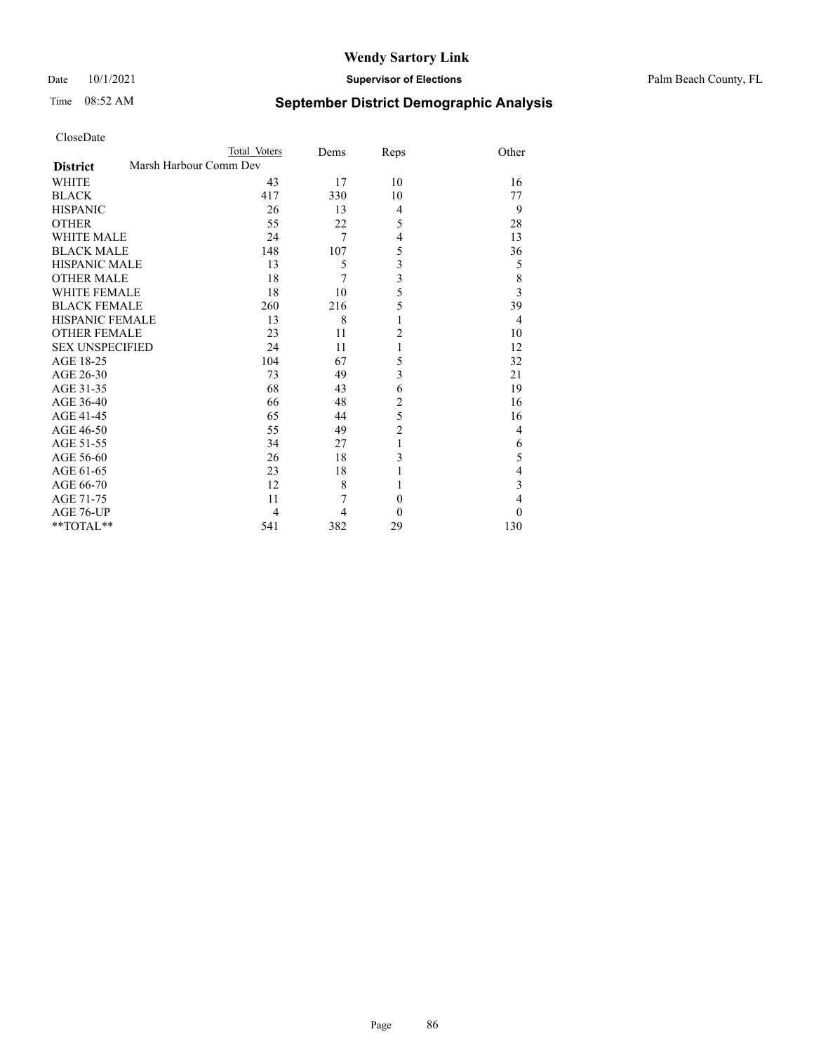#### Date 10/1/2021 **Supervisor of Elections** Palm Beach County, FL

# Time 08:52 AM **September District Demographic Analysis**

| CloseDate |  |
|-----------|--|
|-----------|--|

| CloseDate              |                        |                |      |                |                         |
|------------------------|------------------------|----------------|------|----------------|-------------------------|
|                        |                        | Total Voters   | Dems | Reps           | Other                   |
| <b>District</b>        | Marsh Harbour Comm Dev |                |      |                |                         |
| <b>WHITE</b>           |                        | 43             | 17   | 10             | 16                      |
| <b>BLACK</b>           |                        | 417            | 330  | 10             | 77                      |
| <b>HISPANIC</b>        |                        | 26             | 13   | $\overline{4}$ | 9                       |
| <b>OTHER</b>           |                        | 55             | 22   | 5              | 28                      |
| <b>WHITE MALE</b>      |                        | 24             | 7    | 4              | 13                      |
| <b>BLACK MALE</b>      |                        | 148            | 107  | 5              | 36                      |
| <b>HISPANIC MALE</b>   |                        | 13             | 5    | 3              | 5                       |
| <b>OTHER MALE</b>      |                        | 18             | 7    | 3              | 8                       |
| <b>WHITE FEMALE</b>    |                        | 18             | 10   | 5              | $\overline{\mathbf{3}}$ |
| <b>BLACK FEMALE</b>    |                        | 260            | 216  | 5              | 39                      |
| <b>HISPANIC FEMALE</b> |                        | 13             | 8    | 1              | 4                       |
| <b>OTHER FEMALE</b>    |                        | 23             | 11   | $\overline{c}$ | 10                      |
| <b>SEX UNSPECIFIED</b> |                        | 24             | 11   | 1              | 12                      |
| AGE 18-25              |                        | 104            | 67   | 5              | 32                      |
| AGE 26-30              |                        | 73             | 49   | 3              | 21                      |
| AGE 31-35              |                        | 68             | 43   | 6              | 19                      |
| AGE 36-40              |                        | 66             | 48   | $\overline{2}$ | 16                      |
| AGE 41-45              |                        | 65             | 44   | 5              | 16                      |
| AGE 46-50              |                        | 55             | 49   | $\overline{c}$ | 4                       |
| AGE 51-55              |                        | 34             | 27   | 1              | 6                       |
| AGE 56-60              |                        | 26             | 18   | 3              | 5                       |
| AGE 61-65              |                        | 23             | 18   | 1              | 4                       |
| AGE 66-70              |                        | 12             | 8    | 1              | 3                       |
| AGE 71-75              |                        | 11             | 7    | $\theta$       | 4                       |
| AGE 76-UP              |                        | $\overline{4}$ | 4    | $\theta$       | $\theta$                |
| **TOTAL**              |                        | 541            | 382  | 29             | 130                     |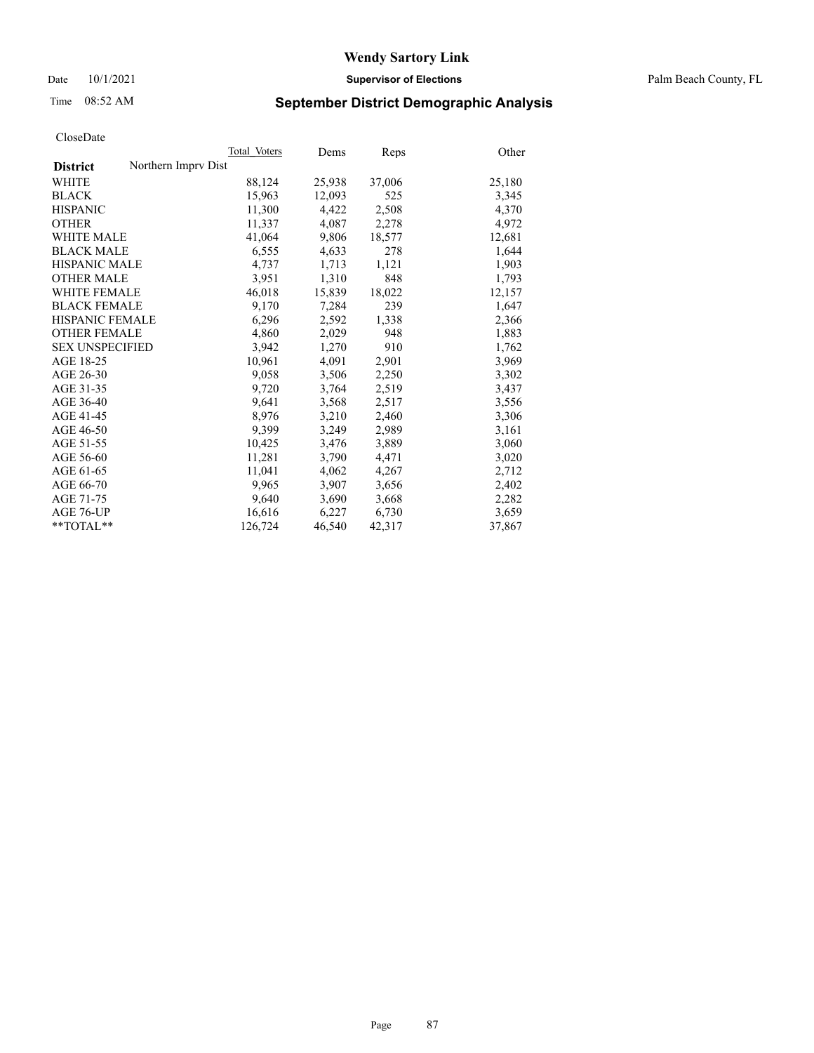Date 10/1/2021 **Supervisor of Elections** Palm Beach County, FL

# Time 08:52 AM **September District Demographic Analysis**

|                                        | Total Voters | Dems   | Reps   | Other  |
|----------------------------------------|--------------|--------|--------|--------|
| Northern Imprv Dist<br><b>District</b> |              |        |        |        |
| WHITE                                  | 88,124       | 25,938 | 37,006 | 25,180 |
| <b>BLACK</b>                           | 15,963       | 12,093 | 525    | 3,345  |
| <b>HISPANIC</b>                        | 11,300       | 4,422  | 2,508  | 4,370  |
| <b>OTHER</b>                           | 11,337       | 4,087  | 2,278  | 4,972  |
| <b>WHITE MALE</b>                      | 41,064       | 9,806  | 18,577 | 12,681 |
| <b>BLACK MALE</b>                      | 6,555        | 4,633  | 278    | 1,644  |
| <b>HISPANIC MALE</b>                   | 4,737        | 1,713  | 1,121  | 1,903  |
| <b>OTHER MALE</b>                      | 3,951        | 1,310  | 848    | 1,793  |
| <b>WHITE FEMALE</b>                    | 46,018       | 15,839 | 18,022 | 12,157 |
| <b>BLACK FEMALE</b>                    | 9,170        | 7.284  | 239    | 1,647  |
| HISPANIC FEMALE                        | 6,296        | 2,592  | 1,338  | 2,366  |
| <b>OTHER FEMALE</b>                    | 4,860        | 2,029  | 948    | 1,883  |
| <b>SEX UNSPECIFIED</b>                 | 3.942        | 1,270  | 910    | 1,762  |
| AGE 18-25                              | 10,961       | 4,091  | 2,901  | 3,969  |
| AGE 26-30                              | 9,058        | 3,506  | 2,250  | 3,302  |
| AGE 31-35                              | 9,720        | 3,764  | 2,519  | 3,437  |
| AGE 36-40                              | 9.641        | 3,568  | 2,517  | 3,556  |
| AGE 41-45                              | 8,976        | 3,210  | 2,460  | 3,306  |
| AGE 46-50                              | 9,399        | 3,249  | 2,989  | 3,161  |
| AGE 51-55                              | 10,425       | 3,476  | 3,889  | 3,060  |
| AGE 56-60                              | 11,281       | 3,790  | 4,471  | 3,020  |
| AGE 61-65                              | 11,041       | 4,062  | 4,267  | 2,712  |
| AGE 66-70                              | 9.965        | 3,907  | 3,656  | 2,402  |
| AGE 71-75                              | 9,640        | 3,690  | 3,668  | 2,282  |
| AGE 76-UP                              | 16,616       | 6,227  | 6,730  | 3,659  |
| $*$ $TOTAL**$                          | 126,724      | 46,540 | 42,317 | 37,867 |
|                                        |              |        |        |        |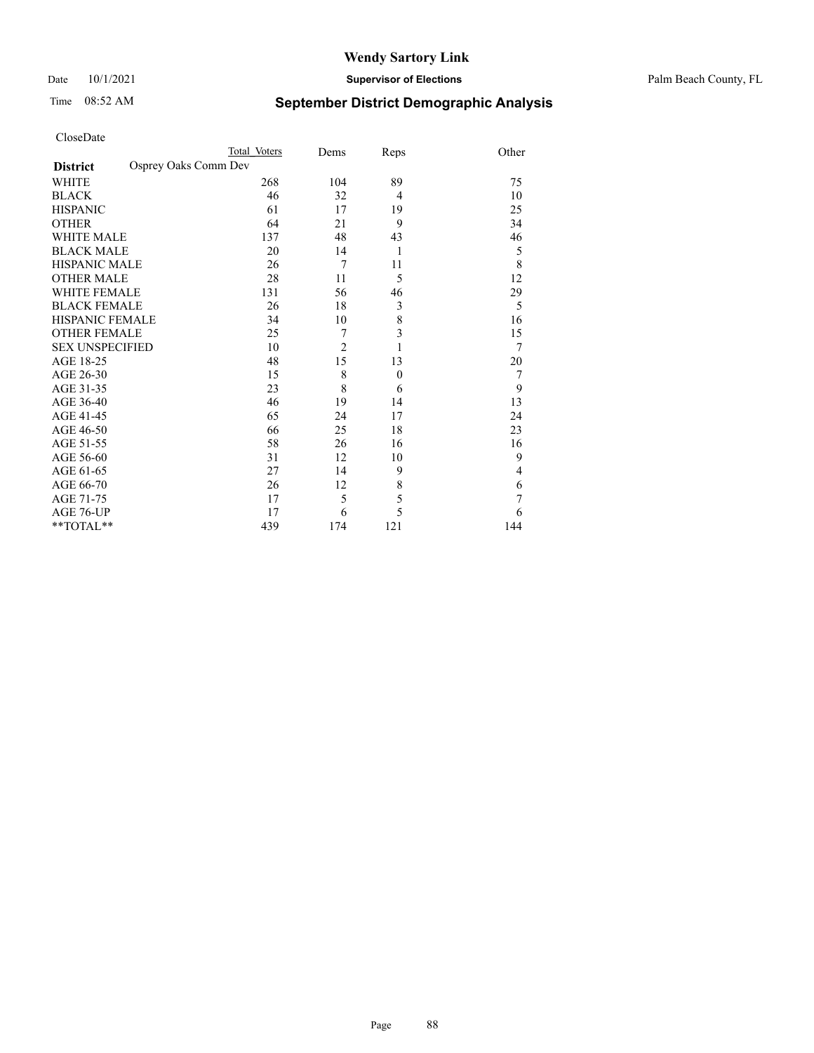## Date 10/1/2021 **Supervisor of Elections** Palm Beach County, FL

# Time 08:52 AM **September District Demographic Analysis**

|                                         | Total Voters | Dems           | Reps           | Other |
|-----------------------------------------|--------------|----------------|----------------|-------|
| Osprey Oaks Comm Dev<br><b>District</b> |              |                |                |       |
| <b>WHITE</b>                            | 268          | 104            | 89             | 75    |
| <b>BLACK</b>                            | 46           | 32             | $\overline{4}$ | 10    |
| <b>HISPANIC</b>                         | 61           | 17             | 19             | 25    |
| <b>OTHER</b>                            | 64           | 21             | 9              | 34    |
| <b>WHITE MALE</b>                       | 137          | 48             | 43             | 46    |
| <b>BLACK MALE</b>                       | 20           | 14             | 1              | 5     |
| <b>HISPANIC MALE</b>                    | 26           | 7              | 11             | 8     |
| <b>OTHER MALE</b>                       | 28           | 11             | 5              | 12    |
| <b>WHITE FEMALE</b>                     | 131          | 56             | 46             | 29    |
| <b>BLACK FEMALE</b>                     | 26           | 18             | 3              | 5     |
| <b>HISPANIC FEMALE</b>                  | 34           | 10             | $\,$ $\,$      | 16    |
| <b>OTHER FEMALE</b>                     | 25           | 7              | 3              | 15    |
| <b>SEX UNSPECIFIED</b>                  | 10           | $\overline{2}$ | 1              | 7     |
| AGE 18-25                               | 48           | 15             | 13             | 20    |
| AGE 26-30                               | 15           | 8              | $\mathbf{0}$   | 7     |
| AGE 31-35                               | 23           | 8              | 6              | 9     |
| AGE 36-40                               | 46           | 19             | 14             | 13    |
| AGE 41-45                               | 65           | 24             | 17             | 24    |
| AGE 46-50                               | 66           | 25             | 18             | 23    |
| AGE 51-55                               | 58           | 26             | 16             | 16    |
| AGE 56-60                               | 31           | 12             | 10             | 9     |
| AGE 61-65                               | 27           | 14             | 9              | 4     |
| AGE 66-70                               | 26           | 12             | 8              | 6     |
| AGE 71-75                               | 17           | 5              | 5              | 7     |
| AGE 76-UP                               | 17           | 6              | 5              | 6     |
| **TOTAL**                               | 439          | 174            | 121            | 144   |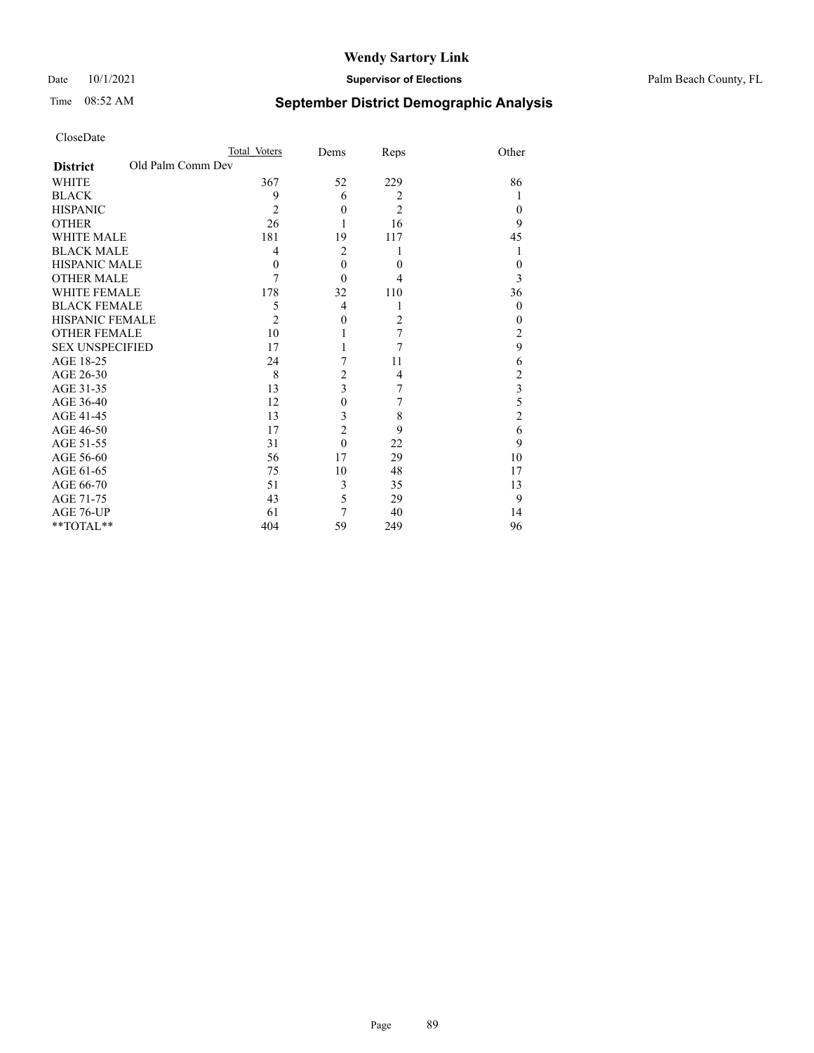Date 10/1/2021 **Supervisor of Elections** Palm Beach County, FL

# Time 08:52 AM **September District Demographic Analysis**

|                                      | Total Voters   | Dems           | Reps           | Other          |
|--------------------------------------|----------------|----------------|----------------|----------------|
| Old Palm Comm Dev<br><b>District</b> |                |                |                |                |
| WHITE                                | 367            | 52             | 229            | 86             |
| <b>BLACK</b>                         | 9              | 6              | 2              |                |
| <b>HISPANIC</b>                      | $\overline{2}$ | $\theta$       | $\overline{c}$ | $\theta$       |
| <b>OTHER</b>                         | 26             |                | 16             | 9              |
| <b>WHITE MALE</b>                    | 181            | 19             | 117            | 45             |
| <b>BLACK MALE</b>                    | $\overline{4}$ | $\overline{2}$ | 1              |                |
| <b>HISPANIC MALE</b>                 | $\theta$       | $\theta$       | $\theta$       | $\theta$       |
| <b>OTHER MALE</b>                    | 7              | $\theta$       | 4              | 3              |
| <b>WHITE FEMALE</b>                  | 178            | 32             | 110            | 36             |
| <b>BLACK FEMALE</b>                  | 5              | 4              | 1              | $\theta$       |
| <b>HISPANIC FEMALE</b>               | $\overline{2}$ | $\theta$       | $\overline{2}$ | $\theta$       |
| <b>OTHER FEMALE</b>                  | 10             | 1              | 7              | 2              |
| <b>SEX UNSPECIFIED</b>               | 17             |                | $\overline{7}$ | 9              |
| AGE 18-25                            | 24             | 7              | 11             | 6              |
| AGE 26-30                            | 8              | $\overline{c}$ | 4              | 2              |
| AGE 31-35                            | 13             | 3              | 7              | 3              |
| AGE 36-40                            | 12             | $\theta$       | 7              | 5              |
| AGE 41-45                            | 13             | 3              | 8              | $\overline{2}$ |
| AGE 46-50                            | 17             | $\overline{c}$ | 9              | 6              |
| AGE 51-55                            | 31             | $\theta$       | 22             | 9              |
| AGE 56-60                            | 56             | 17             | 29             | 10             |
| AGE 61-65                            | 75             | 10             | 48             | 17             |
| AGE 66-70                            | 51             | 3              | 35             | 13             |
| AGE 71-75                            | 43             | 5              | 29             | 9              |
| AGE 76-UP                            | 61             | 7              | 40             | 14             |
| **TOTAL**                            | 404            | 59             | 249            | 96             |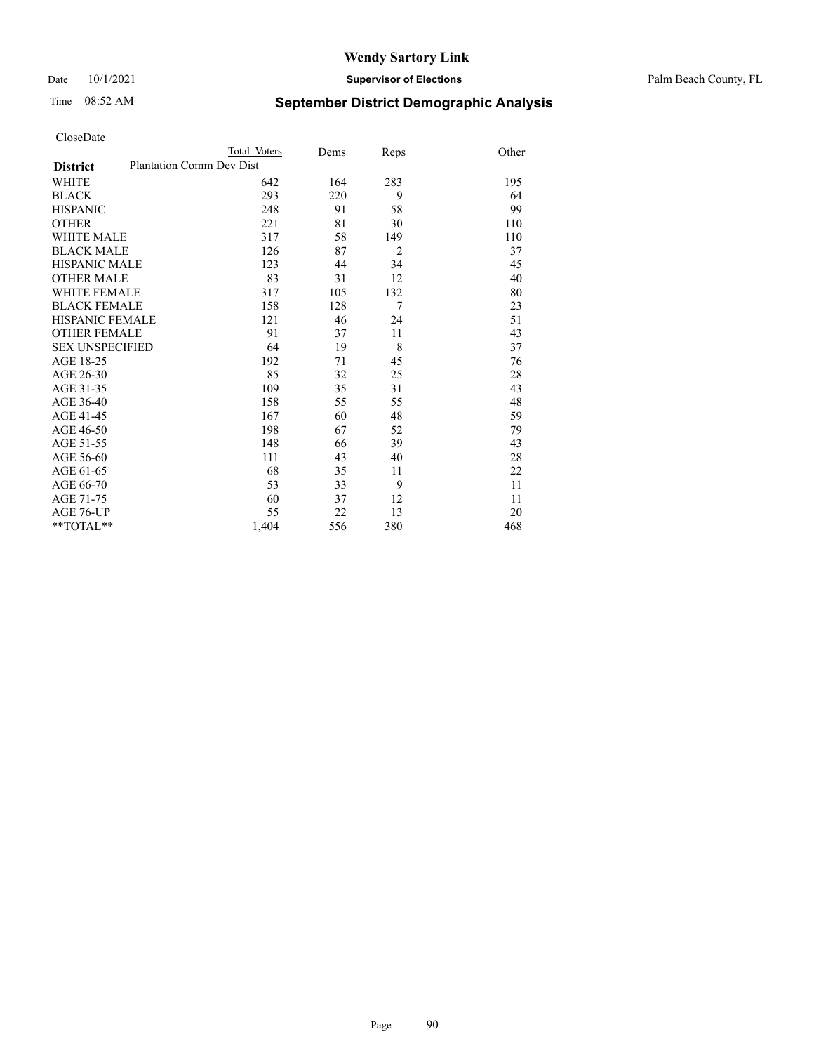Date 10/1/2021 **Supervisor of Elections** Palm Beach County, FL

# Time 08:52 AM **September District Demographic Analysis**

|                                                    | Total Voters | Dems | Reps           | Other |
|----------------------------------------------------|--------------|------|----------------|-------|
| <b>Plantation Comm Dev Dist</b><br><b>District</b> |              |      |                |       |
| WHITE                                              | 642          | 164  | 283            | 195   |
| <b>BLACK</b>                                       | 293          | 220  | 9              | 64    |
| <b>HISPANIC</b>                                    | 248          | 91   | 58             | 99    |
| <b>OTHER</b>                                       | 221          | 81   | 30             | 110   |
| <b>WHITE MALE</b>                                  | 317          | 58   | 149            | 110   |
| <b>BLACK MALE</b>                                  | 126          | 87   | $\overline{2}$ | 37    |
| <b>HISPANIC MALE</b>                               | 123          | 44   | 34             | 45    |
| <b>OTHER MALE</b>                                  | 83           | 31   | 12             | 40    |
| <b>WHITE FEMALE</b>                                | 317          | 105  | 132            | 80    |
| <b>BLACK FEMALE</b>                                | 158          | 128  | $\overline{7}$ | 23    |
| <b>HISPANIC FEMALE</b>                             | 121          | 46   | 24             | 51    |
| <b>OTHER FEMALE</b>                                | 91           | 37   | 11             | 43    |
| <b>SEX UNSPECIFIED</b>                             | 64           | 19   | 8              | 37    |
| AGE 18-25                                          | 192          | 71   | 45             | 76    |
| AGE 26-30                                          | 85           | 32   | 25             | 28    |
| AGE 31-35                                          | 109          | 35   | 31             | 43    |
| AGE 36-40                                          | 158          | 55   | 55             | 48    |
| AGE 41-45                                          | 167          | 60   | 48             | 59    |
| AGE 46-50                                          | 198          | 67   | 52             | 79    |
| AGE 51-55                                          | 148          | 66   | 39             | 43    |
| AGE 56-60                                          | 111          | 43   | 40             | 28    |
| AGE 61-65                                          | 68           | 35   | 11             | 22    |
| AGE 66-70                                          | 53           | 33   | 9              | 11    |
| AGE 71-75                                          | 60           | 37   | 12             | 11    |
| <b>AGE 76-UP</b>                                   | 55           | 22   | 13             | 20    |
| $*$ $TOTAL**$                                      | 1,404        | 556  | 380            | 468   |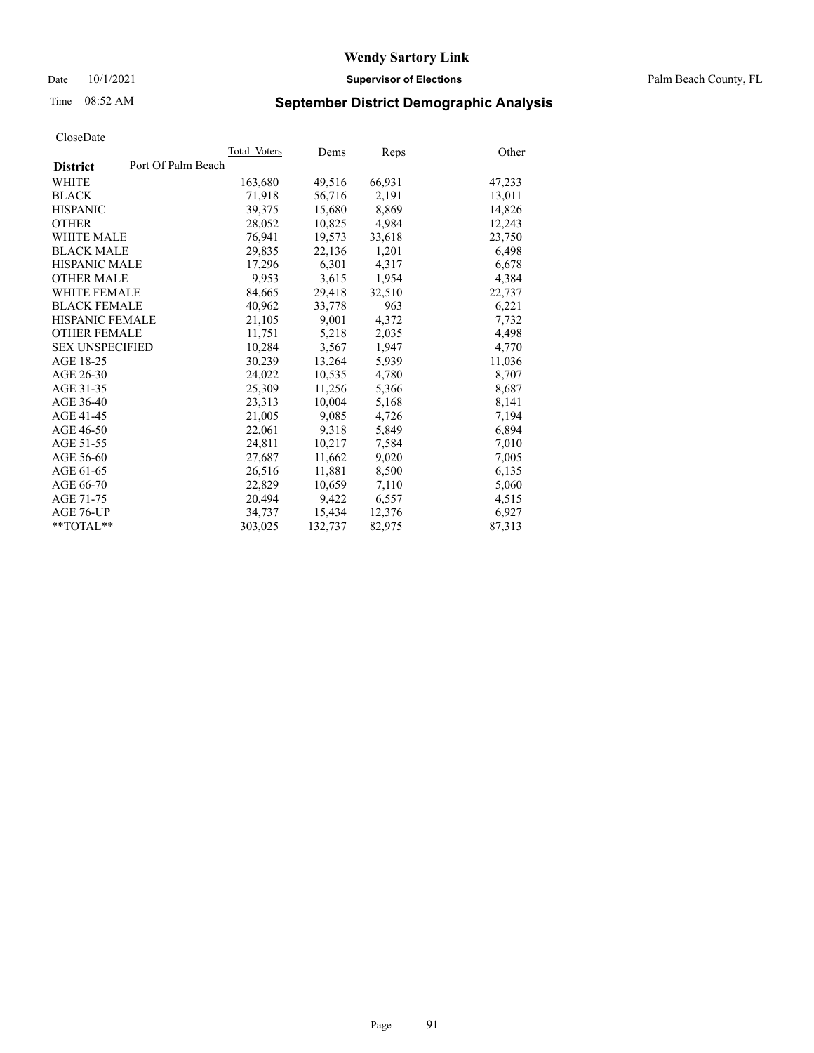# Time 08:52 AM **September District Demographic Analysis**

| Total Voters       | Dems    | Reps   | Other  |
|--------------------|---------|--------|--------|
| Port Of Palm Beach |         |        |        |
| 163,680            | 49,516  | 66,931 | 47,233 |
| 71,918             | 56,716  | 2,191  | 13,011 |
| 39.375             | 15,680  | 8.869  | 14,826 |
| 28,052             | 10,825  | 4,984  | 12,243 |
| 76,941             | 19,573  | 33,618 | 23,750 |
| 29,835             | 22,136  | 1,201  | 6,498  |
| 17.296             | 6.301   | 4,317  | 6,678  |
| 9.953              | 3,615   | 1,954  | 4,384  |
| 84,665             | 29,418  | 32,510 | 22,737 |
| 40.962             | 33,778  | 963    | 6,221  |
| 21,105             | 9,001   | 4,372  | 7,732  |
| 11.751             | 5,218   | 2,035  | 4,498  |
| 10.284             | 3,567   | 1,947  | 4,770  |
| 30,239             | 13,264  | 5,939  | 11,036 |
| 24,022             | 10,535  | 4,780  | 8,707  |
| 25,309             | 11,256  | 5,366  | 8,687  |
| 23,313             | 10,004  | 5,168  | 8,141  |
| 21,005             | 9,085   | 4,726  | 7,194  |
| 22,061             | 9,318   | 5,849  | 6,894  |
| 24,811             | 10,217  | 7,584  | 7,010  |
| 27,687             | 11,662  | 9,020  | 7,005  |
| 26,516             | 11,881  | 8,500  | 6,135  |
| 22,829             | 10,659  | 7,110  | 5,060  |
| 20,494             | 9,422   | 6,557  | 4,515  |
| 34.737             | 15,434  | 12,376 | 6,927  |
| 303,025            | 132,737 | 82,975 | 87,313 |
|                    |         |        |        |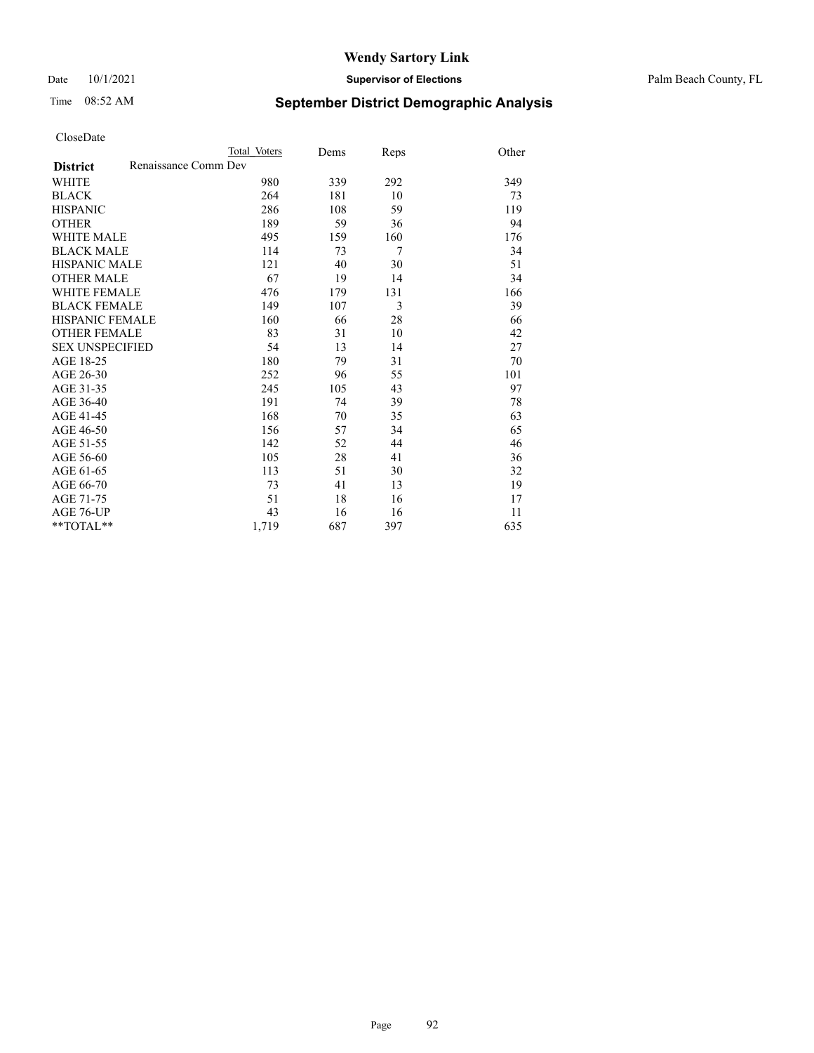## Date 10/1/2021 **Supervisor of Elections** Palm Beach County, FL

# Time 08:52 AM **September District Demographic Analysis**

|                                         | Total Voters | Dems | Reps | Other |
|-----------------------------------------|--------------|------|------|-------|
| Renaissance Comm Dev<br><b>District</b> |              |      |      |       |
| <b>WHITE</b>                            | 980          | 339  | 292  | 349   |
| <b>BLACK</b>                            | 264          | 181  | 10   | 73    |
| <b>HISPANIC</b>                         | 286          | 108  | 59   | 119   |
| <b>OTHER</b>                            | 189          | 59   | 36   | 94    |
| <b>WHITE MALE</b>                       | 495          | 159  | 160  | 176   |
| <b>BLACK MALE</b>                       | 114          | 73   | 7    | 34    |
| <b>HISPANIC MALE</b>                    | 121          | 40   | 30   | 51    |
| <b>OTHER MALE</b>                       | 67           | 19   | 14   | 34    |
| <b>WHITE FEMALE</b>                     | 476          | 179  | 131  | 166   |
| <b>BLACK FEMALE</b>                     | 149          | 107  | 3    | 39    |
| <b>HISPANIC FEMALE</b>                  | 160          | 66   | 28   | 66    |
| <b>OTHER FEMALE</b>                     | 83           | 31   | 10   | 42    |
| <b>SEX UNSPECIFIED</b>                  | 54           | 13   | 14   | 27    |
| AGE 18-25                               | 180          | 79   | 31   | 70    |
| AGE 26-30                               | 252          | 96   | 55   | 101   |
| AGE 31-35                               | 245          | 105  | 43   | 97    |
| AGE 36-40                               | 191          | 74   | 39   | 78    |
| AGE 41-45                               | 168          | 70   | 35   | 63    |
| AGE 46-50                               | 156          | 57   | 34   | 65    |
| AGE 51-55                               | 142          | 52   | 44   | 46    |
| AGE 56-60                               | 105          | 28   | 41   | 36    |
| AGE 61-65                               | 113          | 51   | 30   | 32    |
| AGE 66-70                               | 73           | 41   | 13   | 19    |
| AGE 71-75                               | 51           | 18   | 16   | 17    |
| <b>AGE 76-UP</b>                        | 43           | 16   | 16   | 11    |
| $*$ $TOTAL**$                           | 1,719        | 687  | 397  | 635   |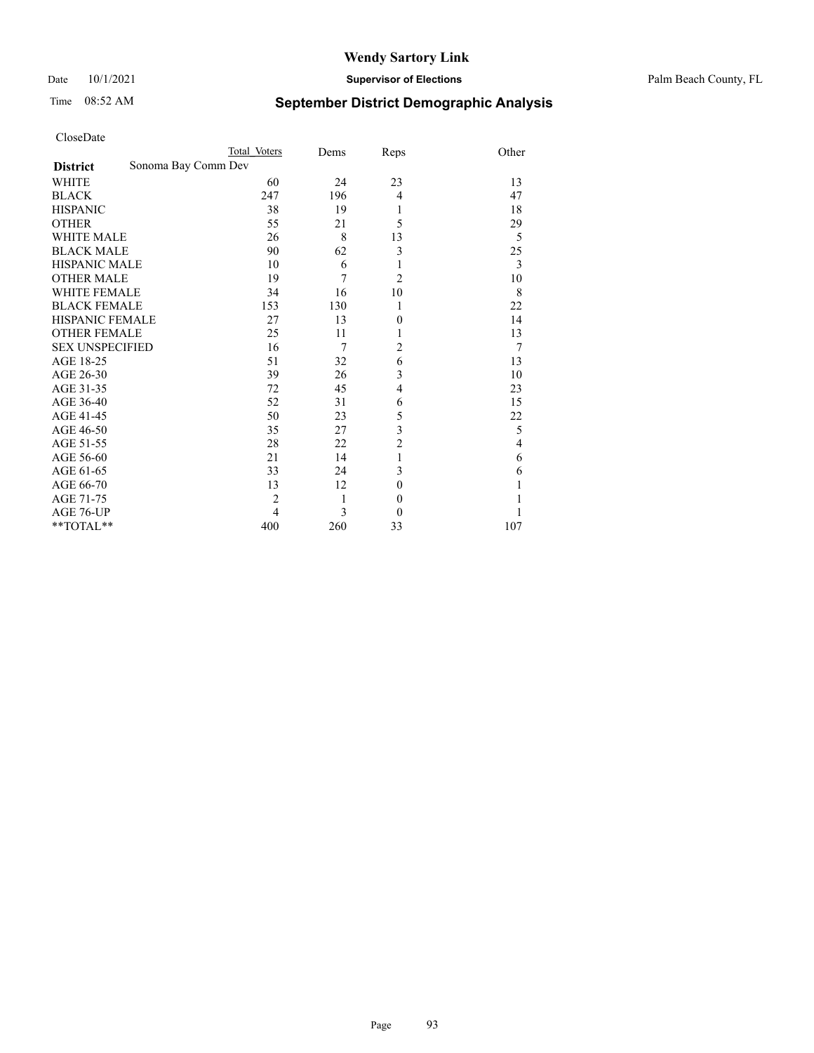## Date 10/1/2021 **Supervisor of Elections** Palm Beach County, FL

# Time 08:52 AM **September District Demographic Analysis**

|                                        | Total Voters   | Dems   | Reps             | Other |
|----------------------------------------|----------------|--------|------------------|-------|
| Sonoma Bay Comm Dev<br><b>District</b> |                |        |                  |       |
| <b>WHITE</b>                           | 60             | 24     | 23               | 13    |
| <b>BLACK</b>                           | 247            | 196    | 4                | 47    |
| <b>HISPANIC</b>                        | 38             | 19     | 1                | 18    |
| <b>OTHER</b>                           | 55             | 21     | 5                | 29    |
| <b>WHITE MALE</b>                      | 26             | 8      | 13               | 5     |
| <b>BLACK MALE</b>                      | 90             | 62     | 3                | 25    |
| <b>HISPANIC MALE</b>                   | 10             | 6      | 1                | 3     |
| <b>OTHER MALE</b>                      | 19             | 7      | $\overline{2}$   | 10    |
| <b>WHITE FEMALE</b>                    | 34             | 16     | 10               | 8     |
| <b>BLACK FEMALE</b>                    | 153            | 130    | 1                | 22    |
| <b>HISPANIC FEMALE</b>                 | 27             | 13     | $\boldsymbol{0}$ | 14    |
| <b>OTHER FEMALE</b>                    | 25             | 11     | 1                | 13    |
| <b>SEX UNSPECIFIED</b>                 | 16             | $\tau$ | $\overline{2}$   | 7     |
| AGE 18-25                              | 51             | 32     | 6                | 13    |
| AGE 26-30                              | 39             | 26     | 3                | 10    |
| AGE 31-35                              | 72             | 45     | $\overline{4}$   | 23    |
| AGE 36-40                              | 52             | 31     | 6                | 15    |
| AGE 41-45                              | 50             | 23     | 5                | 22    |
| AGE 46-50                              | 35             | 27     | 3                | 5     |
| AGE 51-55                              | 28             | 22     | $\overline{c}$   | 4     |
| AGE 56-60                              | 21             | 14     | 1                | 6     |
| AGE 61-65                              | 33             | 24     | 3                | 6     |
| AGE 66-70                              | 13             | 12     | $\mathbf{0}$     |       |
| AGE 71-75                              | $\overline{2}$ | 1      | $\mathbf{0}$     |       |
| AGE 76-UP                              | 4              | 3      | $\mathbf{0}$     |       |
| **TOTAL**                              | 400            | 260    | 33               | 107   |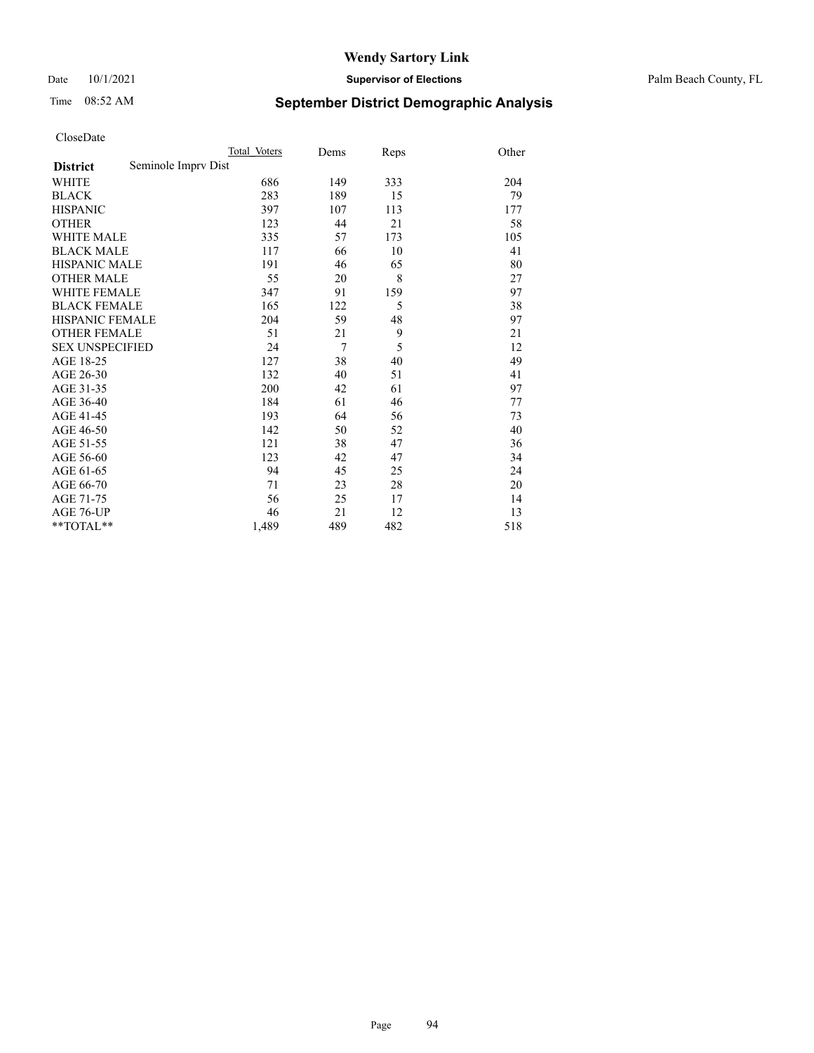## Date 10/1/2021 **Supervisor of Elections** Palm Beach County, FL

# Time 08:52 AM **September District Demographic Analysis**

|                        |                     | Total Voters | Dems | Reps | Other |
|------------------------|---------------------|--------------|------|------|-------|
| <b>District</b>        | Seminole Imprv Dist |              |      |      |       |
| WHITE                  |                     | 686          | 149  | 333  | 204   |
| <b>BLACK</b>           |                     | 283          | 189  | 15   | 79    |
| <b>HISPANIC</b>        |                     | 397          | 107  | 113  | 177   |
| <b>OTHER</b>           |                     | 123          | 44   | 21   | 58    |
| <b>WHITE MALE</b>      |                     | 335          | 57   | 173  | 105   |
| <b>BLACK MALE</b>      |                     | 117          | 66   | 10   | 41    |
| <b>HISPANIC MALE</b>   |                     | 191          | 46   | 65   | 80    |
| <b>OTHER MALE</b>      |                     | 55           | 20   | 8    | 27    |
| <b>WHITE FEMALE</b>    |                     | 347          | 91   | 159  | 97    |
| <b>BLACK FEMALE</b>    |                     | 165          | 122  | 5    | 38    |
| HISPANIC FEMALE        |                     | 204          | 59   | 48   | 97    |
| <b>OTHER FEMALE</b>    |                     | 51           | 21   | 9    | 21    |
| <b>SEX UNSPECIFIED</b> |                     | 24           | 7    | 5    | 12    |
| AGE 18-25              |                     | 127          | 38   | 40   | 49    |
| AGE 26-30              |                     | 132          | 40   | 51   | 41    |
| AGE 31-35              |                     | 200          | 42   | 61   | 97    |
| AGE 36-40              |                     | 184          | 61   | 46   | 77    |
| AGE 41-45              |                     | 193          | 64   | 56   | 73    |
| AGE 46-50              |                     | 142          | 50   | 52   | 40    |
| AGE 51-55              |                     | 121          | 38   | 47   | 36    |
| AGE 56-60              |                     | 123          | 42   | 47   | 34    |
| AGE 61-65              |                     | 94           | 45   | 25   | 24    |
| AGE 66-70              |                     | 71           | 23   | 28   | 20    |
| AGE 71-75              |                     | 56           | 25   | 17   | 14    |
| AGE 76-UP              |                     | 46           | 21   | 12   | 13    |
| $*$ $TOTAL**$          |                     | 1,489        | 489  | 482  | 518   |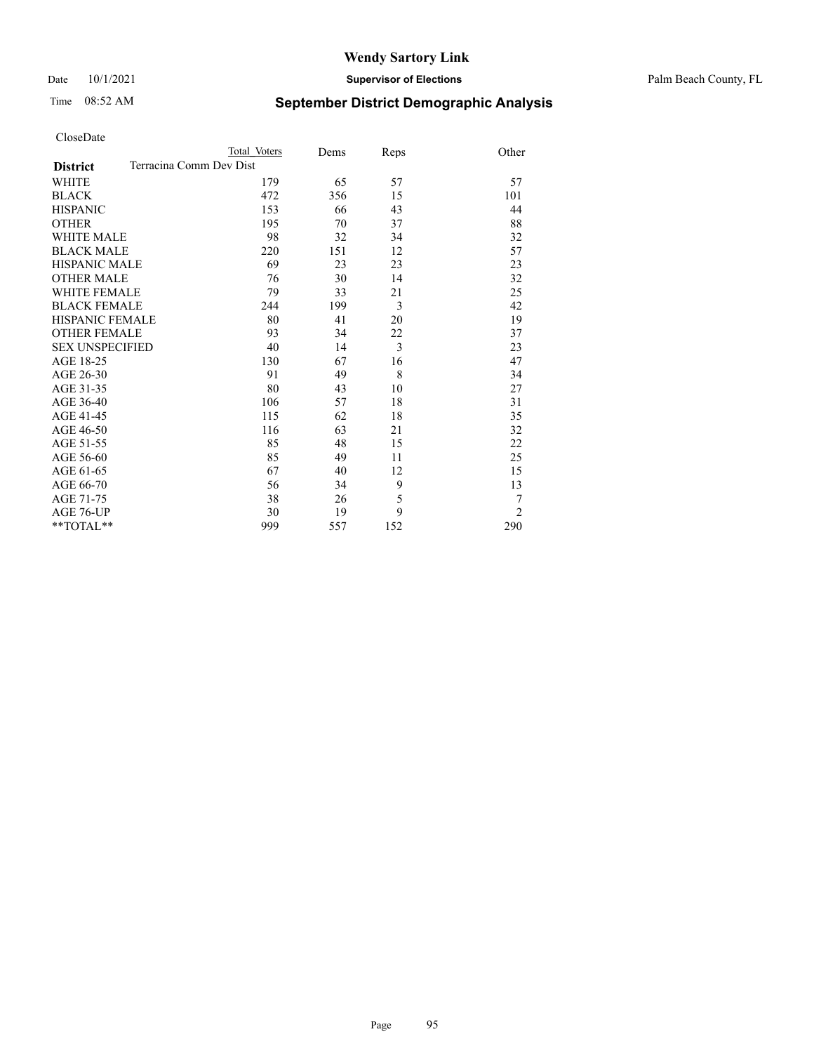## Date 10/1/2021 **Supervisor of Elections** Palm Beach County, FL

# Time 08:52 AM **September District Demographic Analysis**

|                                            | Total Voters | Dems | Reps | Other          |
|--------------------------------------------|--------------|------|------|----------------|
| Terracina Comm Dev Dist<br><b>District</b> |              |      |      |                |
| WHITE                                      | 179          | 65   | 57   | 57             |
| <b>BLACK</b>                               | 472          | 356  | 15   | 101            |
| <b>HISPANIC</b>                            | 153          | 66   | 43   | 44             |
| <b>OTHER</b>                               | 195          | 70   | 37   | 88             |
| <b>WHITE MALE</b>                          | 98           | 32   | 34   | 32             |
| <b>BLACK MALE</b>                          | 220          | 151  | 12   | 57             |
| <b>HISPANIC MALE</b>                       | 69           | 23   | 23   | 23             |
| <b>OTHER MALE</b>                          | 76           | 30   | 14   | 32             |
| WHITE FEMALE                               | 79           | 33   | 21   | 25             |
| <b>BLACK FEMALE</b>                        | 244          | 199  | 3    | 42             |
| <b>HISPANIC FEMALE</b>                     | 80           | 41   | 20   | 19             |
| <b>OTHER FEMALE</b>                        | 93           | 34   | 22   | 37             |
| <b>SEX UNSPECIFIED</b>                     | 40           | 14   | 3    | 23             |
| AGE 18-25                                  | 130          | 67   | 16   | 47             |
| AGE 26-30                                  | 91           | 49   | 8    | 34             |
| AGE 31-35                                  | 80           | 43   | 10   | 27             |
| AGE 36-40                                  | 106          | 57   | 18   | 31             |
| AGE 41-45                                  | 115          | 62   | 18   | 35             |
| AGE 46-50                                  | 116          | 63   | 21   | 32             |
| AGE 51-55                                  | 85           | 48   | 15   | 22             |
| AGE 56-60                                  | 85           | 49   | 11   | 25             |
| AGE 61-65                                  | 67           | 40   | 12   | 15             |
| AGE 66-70                                  | 56           | 34   | 9    | 13             |
| AGE 71-75                                  | 38           | 26   | 5    | 7              |
| <b>AGE 76-UP</b>                           | 30           | 19   | 9    | $\overline{2}$ |
| $*$ $TOTAL**$                              | 999          | 557  | 152  | 290            |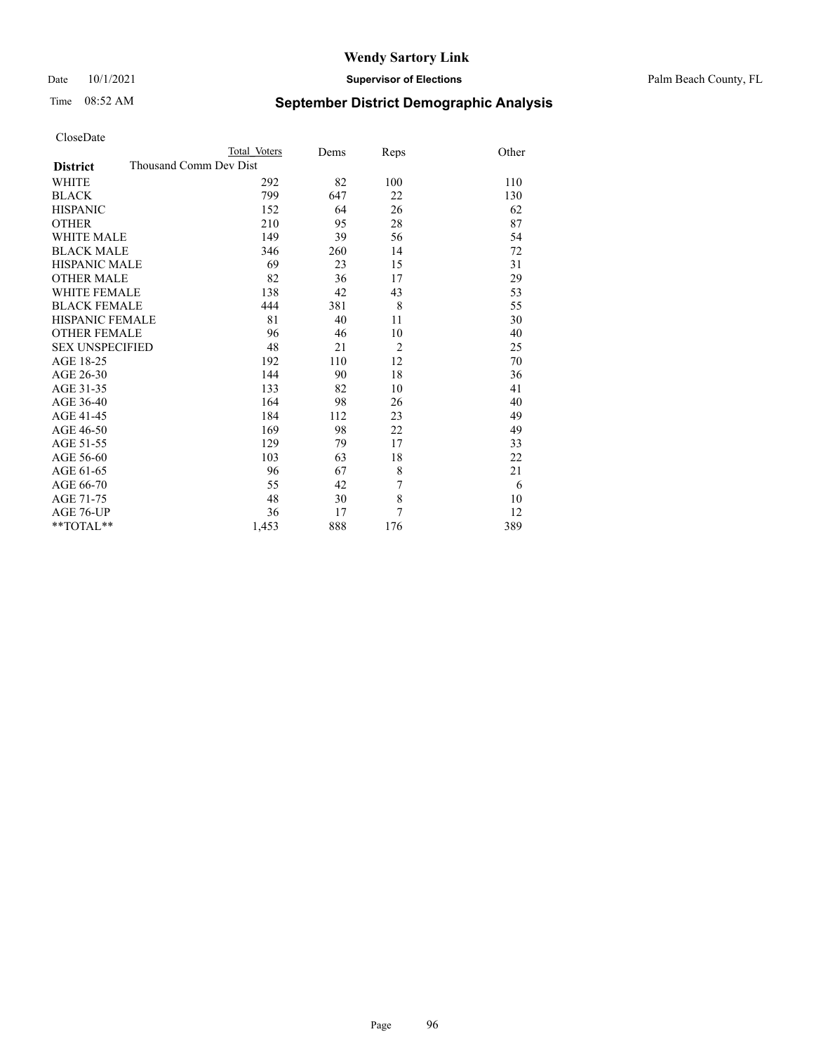Date 10/1/2021 **Supervisor of Elections** Palm Beach County, FL

# Time 08:52 AM **September District Demographic Analysis**

|                                           | Total Voters | Dems | Reps           | Other |
|-------------------------------------------|--------------|------|----------------|-------|
| Thousand Comm Dev Dist<br><b>District</b> |              |      |                |       |
| WHITE                                     | 292          | 82   | 100            | 110   |
| <b>BLACK</b>                              | 799          | 647  | 22             | 130   |
| <b>HISPANIC</b>                           | 152          | 64   | 26             | 62    |
| <b>OTHER</b>                              | 210          | 95   | 28             | 87    |
| <b>WHITE MALE</b>                         | 149          | 39   | 56             | 54    |
| <b>BLACK MALE</b>                         | 346          | 260  | 14             | 72    |
| <b>HISPANIC MALE</b>                      | 69           | 23   | 15             | 31    |
| <b>OTHER MALE</b>                         | 82           | 36   | 17             | 29    |
| WHITE FEMALE                              | 138          | 42   | 43             | 53    |
| <b>BLACK FEMALE</b>                       | 444          | 381  | 8              | 55    |
| <b>HISPANIC FEMALE</b>                    | 81           | 40   | 11             | 30    |
| <b>OTHER FEMALE</b>                       | 96           | 46   | 10             | 40    |
| <b>SEX UNSPECIFIED</b>                    | 48           | 21   | $\overline{2}$ | 25    |
| AGE 18-25                                 | 192          | 110  | 12             | 70    |
| AGE 26-30                                 | 144          | 90   | 18             | 36    |
| AGE 31-35                                 | 133          | 82   | 10             | 41    |
| AGE 36-40                                 | 164          | 98   | 26             | 40    |
| AGE 41-45                                 | 184          | 112  | 23             | 49    |
| AGE 46-50                                 | 169          | 98   | 22             | 49    |
| AGE 51-55                                 | 129          | 79   | 17             | 33    |
| AGE 56-60                                 | 103          | 63   | 18             | 22    |
| AGE 61-65                                 | 96           | 67   | 8              | 21    |
| AGE 66-70                                 | 55           | 42   | 7              | 6     |
| AGE 71-75                                 | 48           | 30   | 8              | 10    |
| AGE 76-UP                                 | 36           | 17   | 7              | 12    |
| **TOTAL**                                 | 1,453        | 888  | 176            | 389   |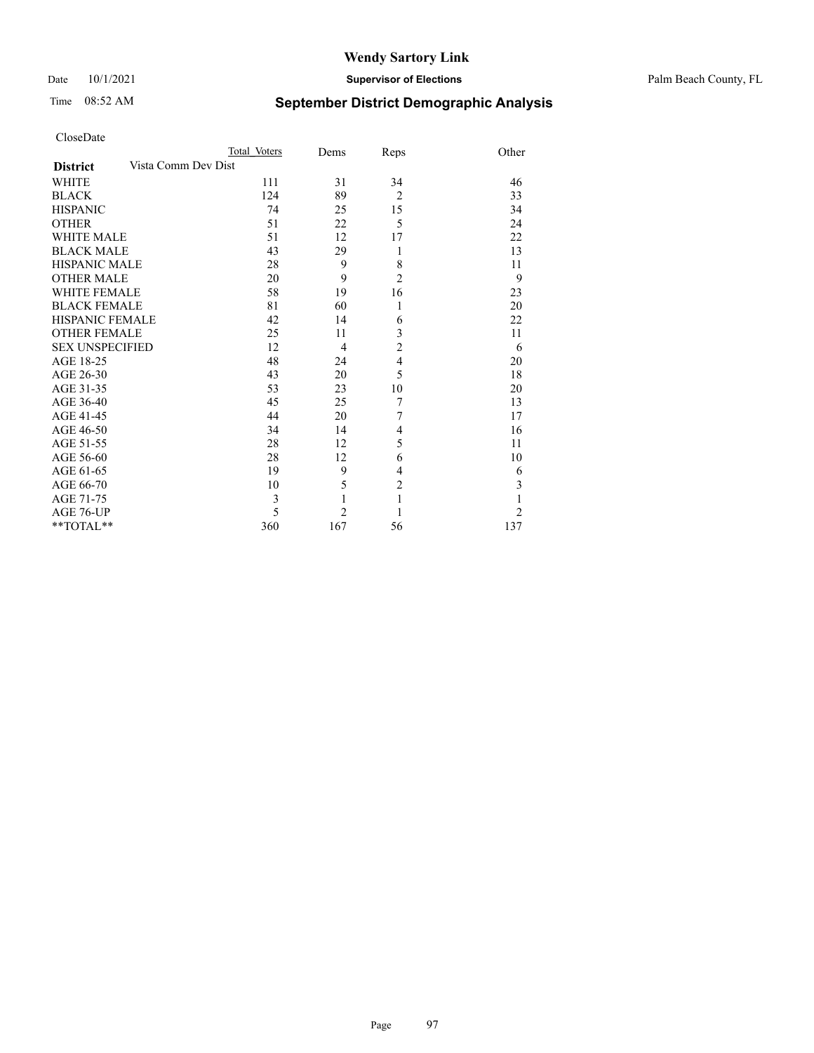## Date 10/1/2021 **Supervisor of Elections** Palm Beach County, FL

# Time 08:52 AM **September District Demographic Analysis**

|                        | Total Voters        | Dems           | Reps           | Other          |
|------------------------|---------------------|----------------|----------------|----------------|
| <b>District</b>        | Vista Comm Dev Dist |                |                |                |
| <b>WHITE</b>           | 111                 | 31             | 34             | 46             |
| <b>BLACK</b>           | 124                 | 89             | $\overline{2}$ | 33             |
| <b>HISPANIC</b>        | 74                  | 25             | 15             | 34             |
| <b>OTHER</b>           | 51                  | 22             | 5              | 24             |
| <b>WHITE MALE</b>      | 51                  | 12             | 17             | 22             |
| <b>BLACK MALE</b>      | 43                  | 29             | 1              | 13             |
| <b>HISPANIC MALE</b>   | 28                  | 9              | 8              | 11             |
| <b>OTHER MALE</b>      | 20                  | 9              | $\overline{2}$ | 9              |
| <b>WHITE FEMALE</b>    | 58                  | 19             | 16             | 23             |
| <b>BLACK FEMALE</b>    | 81                  | 60             | 1              | 20             |
| <b>HISPANIC FEMALE</b> | 42                  | 14             | 6              | 22             |
| <b>OTHER FEMALE</b>    | 25                  | 11             | 3              | 11             |
| <b>SEX UNSPECIFIED</b> | 12                  | 4              | $\overline{c}$ | 6              |
| AGE 18-25              | 48                  | 24             | $\overline{4}$ | 20             |
| AGE 26-30              | 43                  | 20             | 5              | 18             |
| AGE 31-35              | 53                  | 23             | 10             | 20             |
| AGE 36-40              | 45                  | 25             | 7              | 13             |
| AGE 41-45              | 44                  | 20             | 7              | 17             |
| AGE 46-50              | 34                  | 14             | 4              | 16             |
| AGE 51-55              | 28                  | 12             | 5              | 11             |
| AGE 56-60              | 28                  | 12             | 6              | 10             |
| AGE 61-65              | 19                  | 9              | 4              | 6              |
| AGE 66-70              | 10                  | 5              | $\overline{2}$ | 3              |
| AGE 71-75              | 3                   |                | 1              | 1              |
| AGE 76-UP              | 5                   | $\overline{2}$ | 1              | $\overline{2}$ |
| $*$ $TOTAL**$          | 360                 | 167            | 56             | 137            |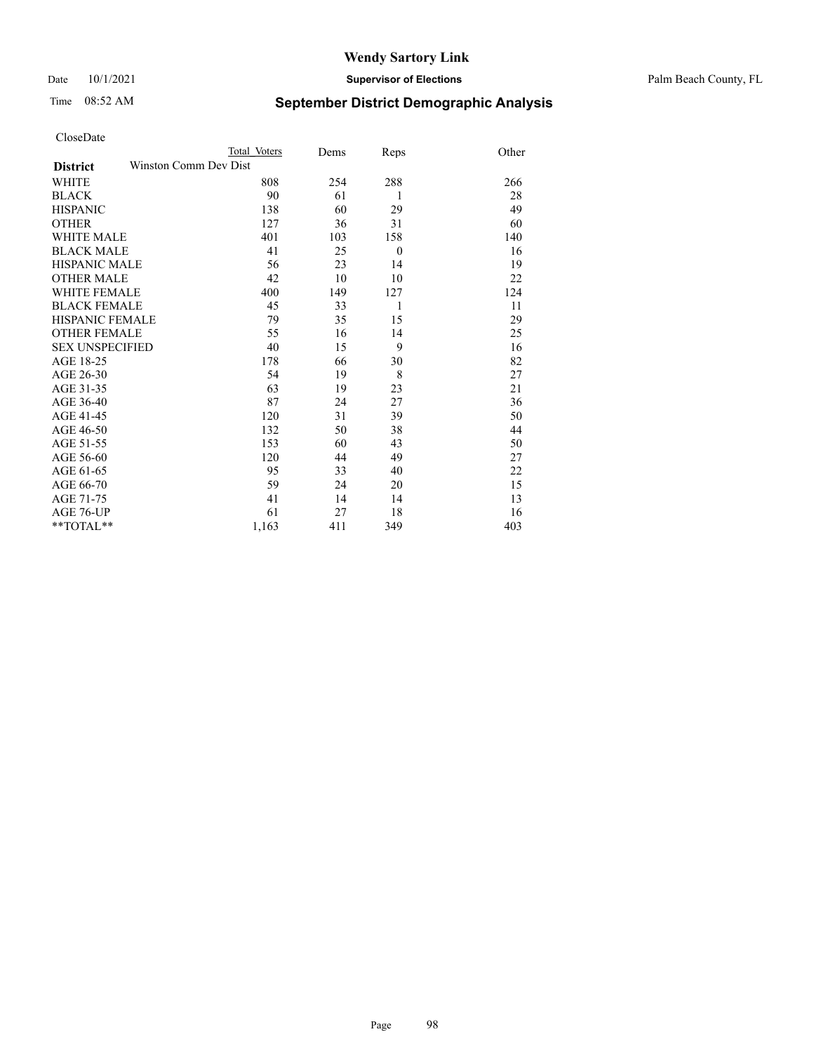Date 10/1/2021 **Supervisor of Elections** Palm Beach County, FL

# Time 08:52 AM **September District Demographic Analysis**

|                                          | Total Voters | Dems | Reps     | Other |
|------------------------------------------|--------------|------|----------|-------|
| Winston Comm Dev Dist<br><b>District</b> |              |      |          |       |
| <b>WHITE</b>                             | 808          | 254  | 288      | 266   |
| <b>BLACK</b>                             | 90           | 61   | 1        | 28    |
| <b>HISPANIC</b>                          | 138          | 60   | 29       | 49    |
| <b>OTHER</b>                             | 127          | 36   | 31       | 60    |
| <b>WHITE MALE</b>                        | 401          | 103  | 158      | 140   |
| <b>BLACK MALE</b>                        | 41           | 25   | $\theta$ | 16    |
| <b>HISPANIC MALE</b>                     | 56           | 23   | 14       | 19    |
| <b>OTHER MALE</b>                        | 42           | 10   | 10       | 22    |
| WHITE FEMALE                             | 400          | 149  | 127      | 124   |
| <b>BLACK FEMALE</b>                      | 45           | 33   | 1        | 11    |
| <b>HISPANIC FEMALE</b>                   | 79           | 35   | 15       | 29    |
| <b>OTHER FEMALE</b>                      | 55           | 16   | 14       | 25    |
| <b>SEX UNSPECIFIED</b>                   | 40           | 15   | 9        | 16    |
| AGE 18-25                                | 178          | 66   | 30       | 82    |
| AGE 26-30                                | 54           | 19   | 8        | 27    |
| AGE 31-35                                | 63           | 19   | 23       | 21    |
| AGE 36-40                                | 87           | 24   | 27       | 36    |
| AGE 41-45                                | 120          | 31   | 39       | 50    |
| AGE 46-50                                | 132          | 50   | 38       | 44    |
| AGE 51-55                                | 153          | 60   | 43       | 50    |
| AGE 56-60                                | 120          | 44   | 49       | 27    |
| AGE 61-65                                | 95           | 33   | 40       | 22    |
| AGE 66-70                                | 59           | 24   | 20       | 15    |
| AGE 71-75                                | 41           | 14   | 14       | 13    |
| AGE 76-UP                                | 61           | 27   | 18       | 16    |
| **TOTAL**                                | 1,163        | 411  | 349      | 403   |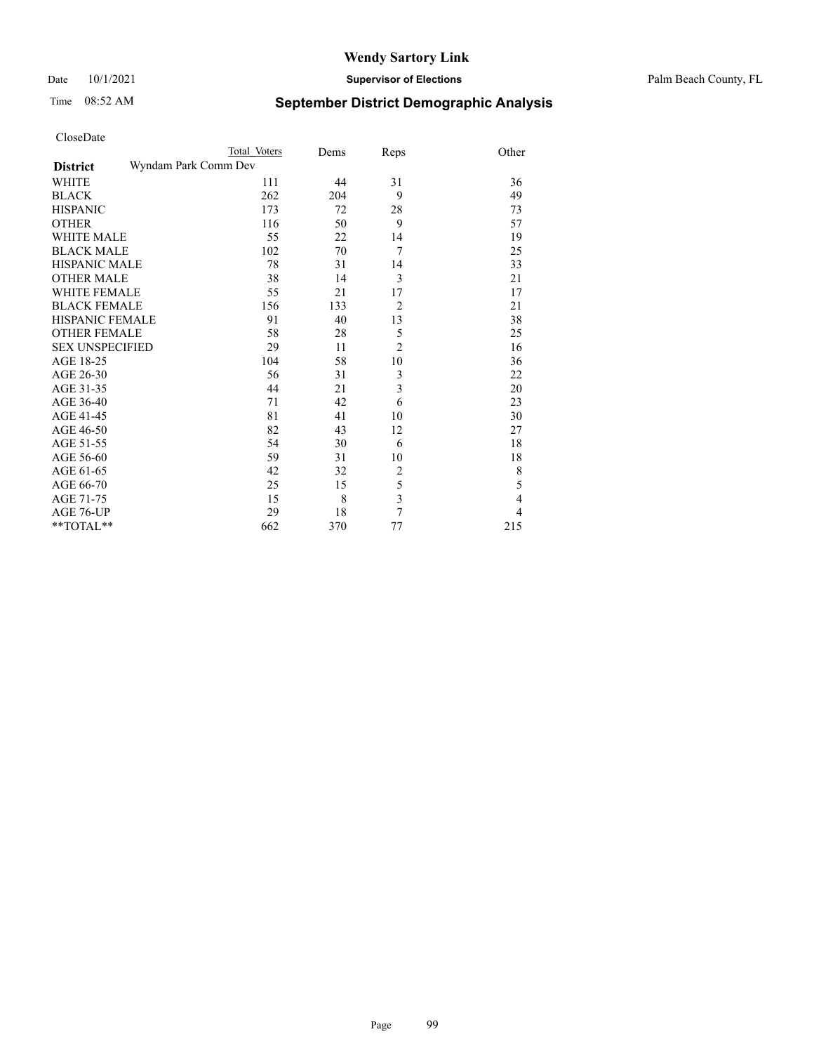#### Date 10/1/2021 **Supervisor of Elections** Palm Beach County, FL

# Time 08:52 AM **September District Demographic Analysis**

| CloseDate              |                      |              |      |                         |                |
|------------------------|----------------------|--------------|------|-------------------------|----------------|
|                        |                      | Total Voters | Dems | Reps                    | Other          |
| <b>District</b>        | Wyndam Park Comm Dev |              |      |                         |                |
| <b>WHITE</b>           |                      | 111          | 44   | 31                      | 36             |
| <b>BLACK</b>           |                      | 262          | 204  | 9                       | 49             |
| <b>HISPANIC</b>        |                      | 173          | 72   | 28                      | 73             |
| <b>OTHER</b>           |                      | 116          | 50   | 9                       | 57             |
| <b>WHITE MALE</b>      |                      | 55           | 22   | 14                      | 19             |
| <b>BLACK MALE</b>      |                      | 102          | 70   | 7                       | 25             |
| <b>HISPANIC MALE</b>   |                      | 78           | 31   | 14                      | 33             |
| <b>OTHER MALE</b>      |                      | 38           | 14   | 3                       | 21             |
| <b>WHITE FEMALE</b>    |                      | 55           | 21   | 17                      | 17             |
| <b>BLACK FEMALE</b>    |                      | 156          | 133  | $\overline{2}$          | 21             |
| <b>HISPANIC FEMALE</b> |                      | 91           | 40   | 13                      | 38             |
| <b>OTHER FEMALE</b>    |                      | 58           | 28   | 5                       | 25             |
| <b>SEX UNSPECIFIED</b> |                      | 29           | 11   | $\overline{c}$          | 16             |
| AGE 18-25              |                      | 104          | 58   | 10                      | 36             |
| AGE 26-30              |                      | 56           | 31   | $\mathfrak{Z}$          | 22             |
| AGE 31-35              |                      | 44           | 21   | 3                       | 20             |
| AGE 36-40              |                      | 71           | 42   | 6                       | 23             |
| AGE 41-45              |                      | 81           | 41   | 10                      | 30             |
| AGE 46-50              |                      | 82           | 43   | 12                      | 27             |
| AGE 51-55              |                      | 54           | 30   | 6                       | 18             |
| AGE 56-60              |                      | 59           | 31   | 10                      | 18             |
| AGE 61-65              |                      | 42           | 32   | 2                       | $\,$ 8 $\,$    |
| AGE 66-70              |                      | 25           | 15   | 5                       | 5              |
| AGE 71-75              |                      | 15           | 8    | $\overline{\mathbf{3}}$ | $\overline{4}$ |
| AGE 76-UP              |                      | 29           | 18   | 7                       | $\overline{4}$ |

\*\*TOTAL\*\* 662 370 77 215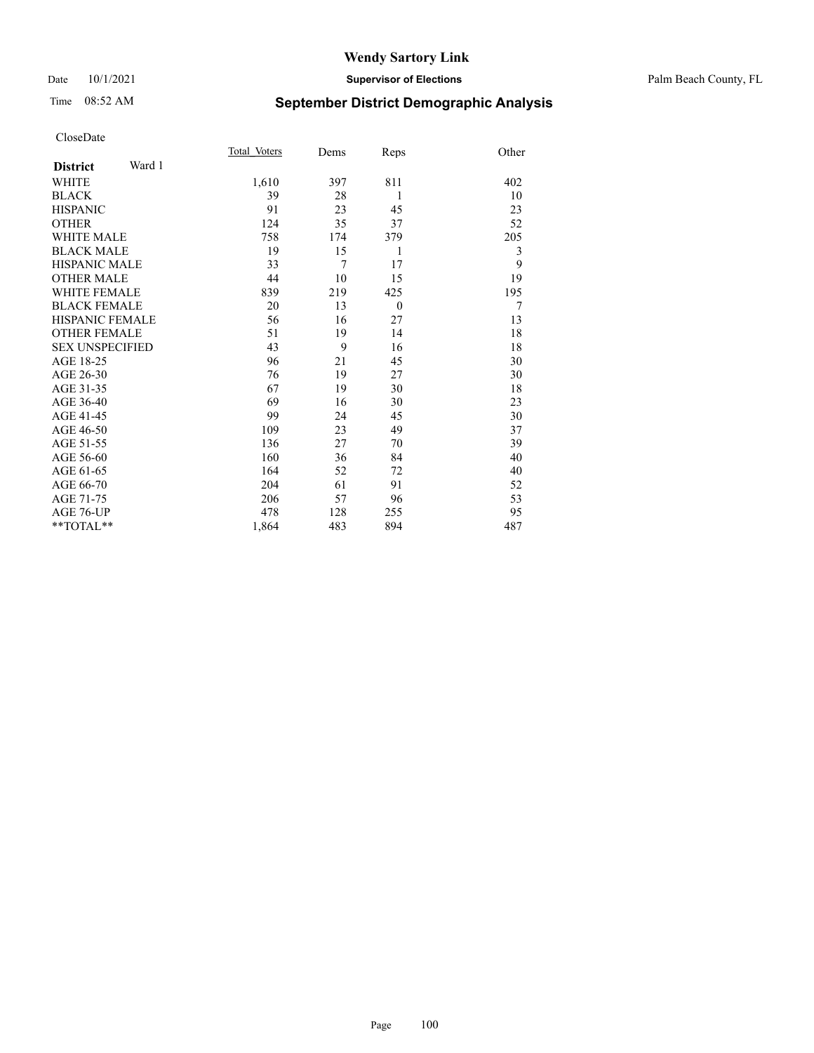#### Date 10/1/2021 **Supervisor of Elections** Palm Beach County, FL

# Time 08:52 AM **September District Demographic Analysis**

|                           | Total Voters | Dems | Reps     | Other |
|---------------------------|--------------|------|----------|-------|
| Ward 1<br><b>District</b> |              |      |          |       |
| WHITE                     | 1,610        | 397  | 811      | 402   |
| <b>BLACK</b>              | 39           | 28   | 1        | 10    |
| <b>HISPANIC</b>           | 91           | 23   | 45       | 23    |
| <b>OTHER</b>              | 124          | 35   | 37       | 52    |
| <b>WHITE MALE</b>         | 758          | 174  | 379      | 205   |
| <b>BLACK MALE</b>         | 19           | 15   | 1        | 3     |
| <b>HISPANIC MALE</b>      | 33           | 7    | 17       | 9     |
| <b>OTHER MALE</b>         | 44           | 10   | 15       | 19    |
| <b>WHITE FEMALE</b>       | 839          | 219  | 425      | 195   |
| <b>BLACK FEMALE</b>       | 20           | 13   | $\theta$ | 7     |
| <b>HISPANIC FEMALE</b>    | 56           | 16   | 27       | 13    |
| <b>OTHER FEMALE</b>       | 51           | 19   | 14       | 18    |
| <b>SEX UNSPECIFIED</b>    | 43           | 9    | 16       | 18    |
| AGE 18-25                 | 96           | 21   | 45       | 30    |
| AGE 26-30                 | 76           | 19   | 27       | 30    |
| AGE 31-35                 | 67           | 19   | 30       | 18    |
| AGE 36-40                 | 69           | 16   | 30       | 23    |
| AGE 41-45                 | 99           | 24   | 45       | 30    |
| AGE 46-50                 | 109          | 23   | 49       | 37    |
| AGE 51-55                 | 136          | 27   | 70       | 39    |
| AGE 56-60                 | 160          | 36   | 84       | 40    |
| AGE 61-65                 | 164          | 52   | 72       | 40    |
| AGE 66-70                 | 204          | 61   | 91       | 52    |
| AGE 71-75                 | 206          | 57   | 96       | 53    |
| <b>AGE 76-UP</b>          | 478          | 128  | 255      | 95    |
| $*$ $TOTAL**$             | 1,864        | 483  | 894      | 487   |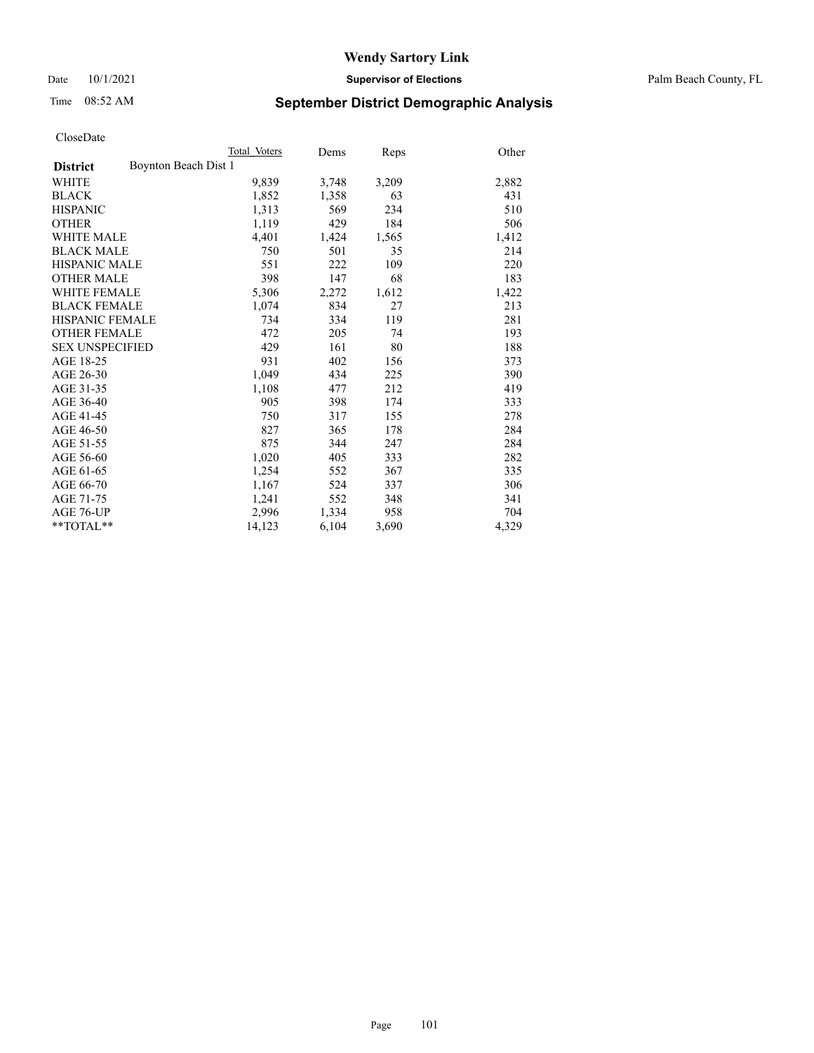Date 10/1/2021 **Supervisor of Elections** Palm Beach County, FL

# Time 08:52 AM **September District Demographic Analysis**

|                                         | Total Voters | Dems  | Reps  | Other |
|-----------------------------------------|--------------|-------|-------|-------|
| Boynton Beach Dist 1<br><b>District</b> |              |       |       |       |
| WHITE                                   | 9,839        | 3,748 | 3,209 | 2,882 |
| <b>BLACK</b>                            | 1,852        | 1,358 | 63    | 431   |
| <b>HISPANIC</b>                         | 1,313        | 569   | 234   | 510   |
| <b>OTHER</b>                            | 1,119        | 429   | 184   | 506   |
| <b>WHITE MALE</b>                       | 4,401        | 1,424 | 1,565 | 1,412 |
| <b>BLACK MALE</b>                       | 750          | 501   | 35    | 214   |
| <b>HISPANIC MALE</b>                    | 551          | 222   | 109   | 220   |
| <b>OTHER MALE</b>                       | 398          | 147   | 68    | 183   |
| WHITE FEMALE                            | 5,306        | 2,272 | 1,612 | 1,422 |
| <b>BLACK FEMALE</b>                     | 1,074        | 834   | 27    | 213   |
| <b>HISPANIC FEMALE</b>                  | 734          | 334   | 119   | 281   |
| <b>OTHER FEMALE</b>                     | 472          | 205   | 74    | 193   |
| <b>SEX UNSPECIFIED</b>                  | 429          | 161   | 80    | 188   |
| AGE 18-25                               | 931          | 402   | 156   | 373   |
| AGE 26-30                               | 1,049        | 434   | 225   | 390   |
| AGE 31-35                               | 1,108        | 477   | 212   | 419   |
| AGE 36-40                               | 905          | 398   | 174   | 333   |
| AGE 41-45                               | 750          | 317   | 155   | 278   |
| AGE 46-50                               | 827          | 365   | 178   | 284   |
| AGE 51-55                               | 875          | 344   | 247   | 284   |
| AGE 56-60                               | 1,020        | 405   | 333   | 282   |
| AGE 61-65                               | 1,254        | 552   | 367   | 335   |
| AGE 66-70                               | 1,167        | 524   | 337   | 306   |
| AGE 71-75                               | 1,241        | 552   | 348   | 341   |
| AGE 76-UP                               | 2,996        | 1,334 | 958   | 704   |
| **TOTAL**                               | 14,123       | 6,104 | 3,690 | 4,329 |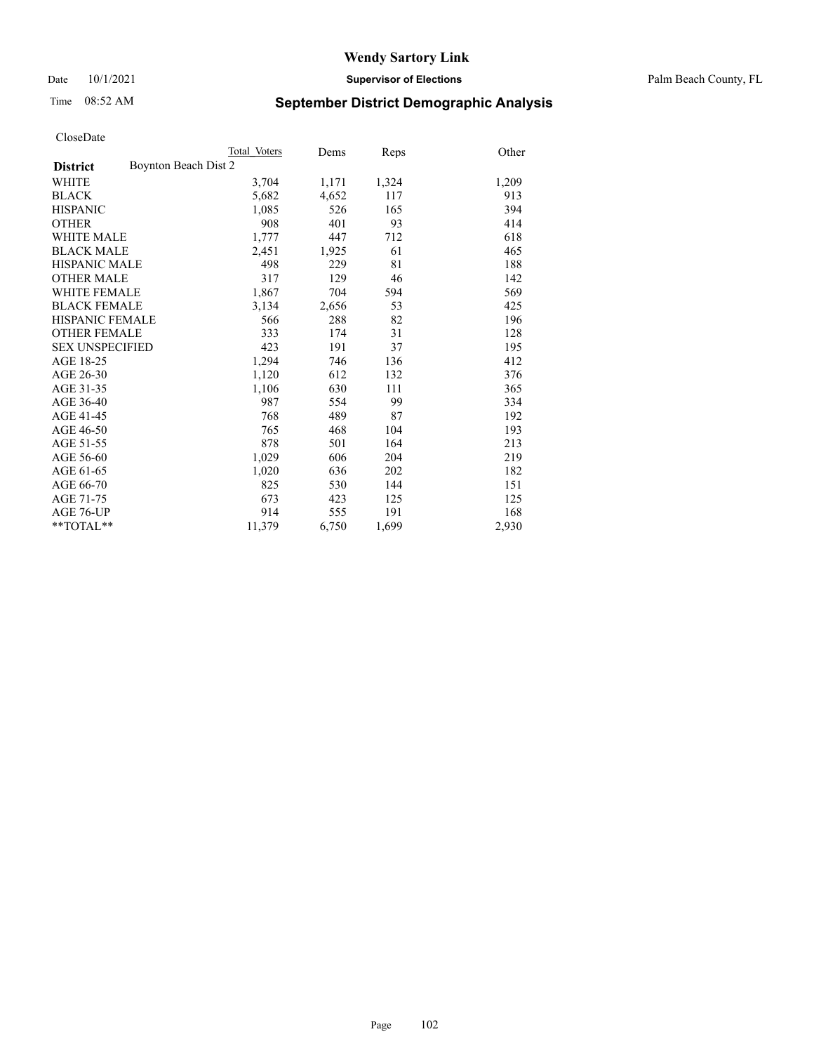Date 10/1/2021 **Supervisor of Elections** Palm Beach County, FL

# Time 08:52 AM **September District Demographic Analysis**

|                        | Total Voters         | Dems  | Reps  | Other |
|------------------------|----------------------|-------|-------|-------|
| <b>District</b>        | Boynton Beach Dist 2 |       |       |       |
| WHITE                  | 3,704                | 1,171 | 1,324 | 1,209 |
| <b>BLACK</b>           | 5,682                | 4,652 | 117   | 913   |
| <b>HISPANIC</b>        | 1,085                | 526   | 165   | 394   |
| <b>OTHER</b>           | 908                  | 401   | 93    | 414   |
| <b>WHITE MALE</b>      | 1,777                | 447   | 712   | 618   |
| <b>BLACK MALE</b>      | 2,451                | 1,925 | 61    | 465   |
| <b>HISPANIC MALE</b>   | 498                  | 229   | 81    | 188   |
| <b>OTHER MALE</b>      | 317                  | 129   | 46    | 142   |
| <b>WHITE FEMALE</b>    | 1,867                | 704   | 594   | 569   |
| <b>BLACK FEMALE</b>    | 3,134                | 2,656 | 53    | 425   |
| <b>HISPANIC FEMALE</b> | 566                  | 288   | 82    | 196   |
| <b>OTHER FEMALE</b>    | 333                  | 174   | 31    | 128   |
| <b>SEX UNSPECIFIED</b> | 423                  | 191   | 37    | 195   |
| AGE 18-25              | 1,294                | 746   | 136   | 412   |
| AGE 26-30              | 1,120                | 612   | 132   | 376   |
| AGE 31-35              | 1,106                | 630   | 111   | 365   |
| AGE 36-40              | 987                  | 554   | 99    | 334   |
| AGE 41-45              | 768                  | 489   | 87    | 192   |
| AGE 46-50              | 765                  | 468   | 104   | 193   |
| AGE 51-55              | 878                  | 501   | 164   | 213   |
| AGE 56-60              | 1,029                | 606   | 204   | 219   |
| AGE 61-65              | 1,020                | 636   | 202   | 182   |
| AGE 66-70              | 825                  | 530   | 144   | 151   |
| AGE 71-75              | 673                  | 423   | 125   | 125   |
| AGE 76-UP              | 914                  | 555   | 191   | 168   |
| $*$ $TOTAL**$          | 11,379               | 6,750 | 1,699 | 2,930 |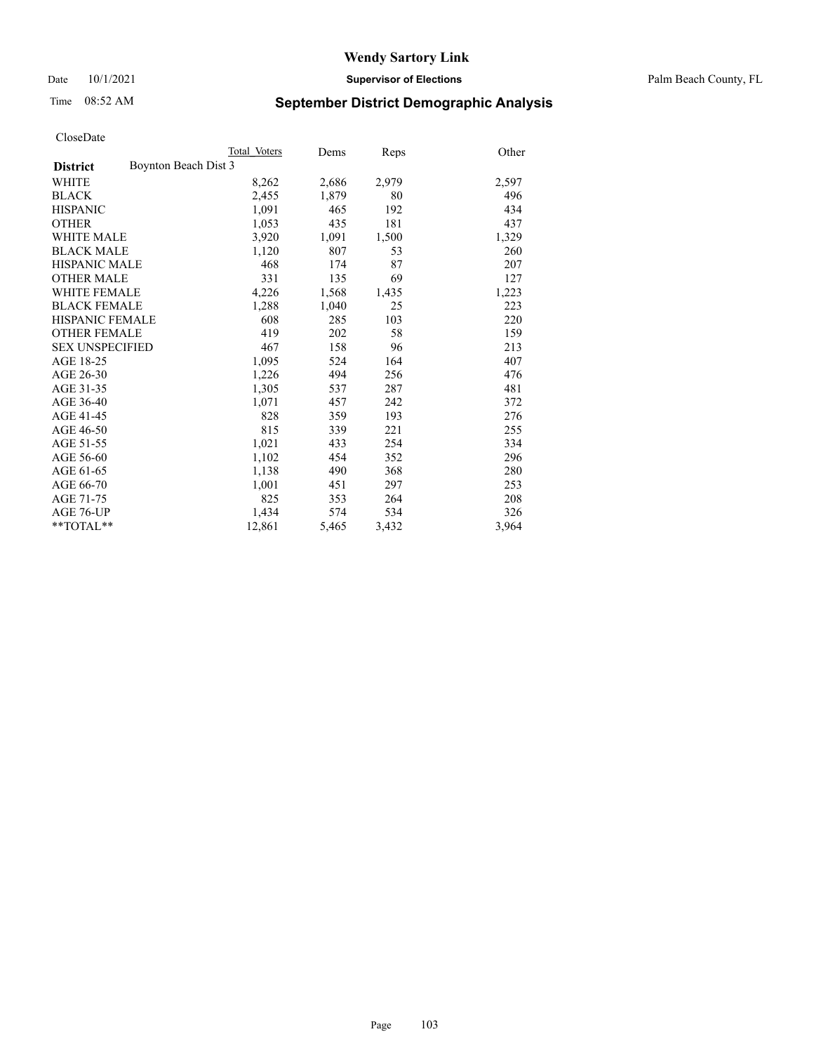Date 10/1/2021 **Supervisor of Elections** Palm Beach County, FL

# Time 08:52 AM **September District Demographic Analysis**

|                                         | Total Voters | Dems  | <b>Reps</b> | Other |
|-----------------------------------------|--------------|-------|-------------|-------|
| Boynton Beach Dist 3<br><b>District</b> |              |       |             |       |
| WHITE                                   | 8,262        | 2,686 | 2,979       | 2,597 |
| <b>BLACK</b>                            | 2,455        | 1,879 | 80          | 496   |
| <b>HISPANIC</b>                         | 1,091        | 465   | 192         | 434   |
| <b>OTHER</b>                            | 1,053        | 435   | 181         | 437   |
| <b>WHITE MALE</b>                       | 3,920        | 1,091 | 1,500       | 1,329 |
| <b>BLACK MALE</b>                       | 1,120        | 807   | 53          | 260   |
| <b>HISPANIC MALE</b>                    | 468          | 174   | 87          | 207   |
| <b>OTHER MALE</b>                       | 331          | 135   | 69          | 127   |
| WHITE FEMALE                            | 4,226        | 1,568 | 1,435       | 1,223 |
| <b>BLACK FEMALE</b>                     | 1,288        | 1,040 | 25          | 223   |
| <b>HISPANIC FEMALE</b>                  | 608          | 285   | 103         | 220   |
| <b>OTHER FEMALE</b>                     | 419          | 202   | 58          | 159   |
| <b>SEX UNSPECIFIED</b>                  | 467          | 158   | 96          | 213   |
| AGE 18-25                               | 1,095        | 524   | 164         | 407   |
| AGE 26-30                               | 1,226        | 494   | 256         | 476   |
| AGE 31-35                               | 1,305        | 537   | 287         | 481   |
| AGE 36-40                               | 1,071        | 457   | 242         | 372   |
| AGE 41-45                               | 828          | 359   | 193         | 276   |
| AGE 46-50                               | 815          | 339   | 221         | 255   |
| AGE 51-55                               | 1,021        | 433   | 254         | 334   |
| AGE 56-60                               | 1,102        | 454   | 352         | 296   |
| AGE 61-65                               | 1,138        | 490   | 368         | 280   |
| AGE 66-70                               | 1,001        | 451   | 297         | 253   |
| AGE 71-75                               | 825          | 353   | 264         | 208   |
| AGE 76-UP                               | 1,434        | 574   | 534         | 326   |
| $*$ $TOTAL**$                           | 12,861       | 5,465 | 3,432       | 3,964 |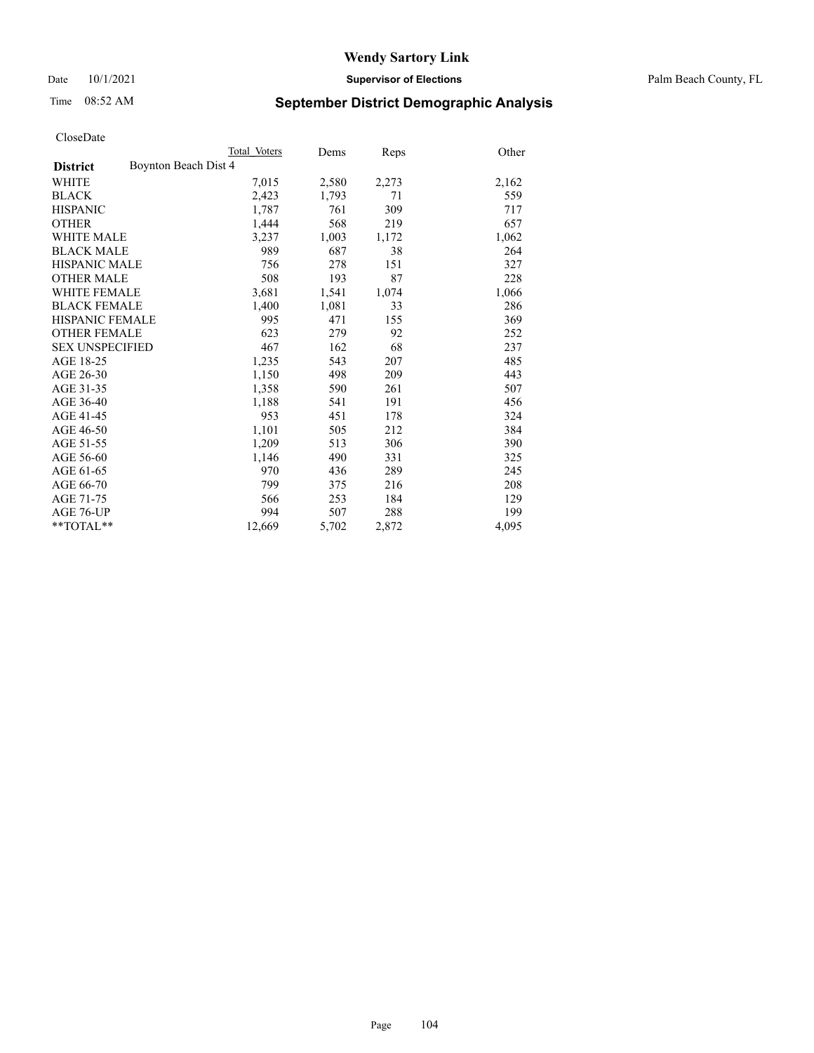Date 10/1/2021 **Supervisor of Elections** Palm Beach County, FL

# Time 08:52 AM **September District Demographic Analysis**

|                                         | Total Voters | Dems  | <b>Reps</b> | Other |
|-----------------------------------------|--------------|-------|-------------|-------|
| Boynton Beach Dist 4<br><b>District</b> |              |       |             |       |
| <b>WHITE</b>                            | 7,015        | 2,580 | 2,273       | 2,162 |
| <b>BLACK</b>                            | 2,423        | 1,793 | 71          | 559   |
| <b>HISPANIC</b>                         | 1,787        | 761   | 309         | 717   |
| <b>OTHER</b>                            | 1,444        | 568   | 219         | 657   |
| WHITE MALE                              | 3,237        | 1,003 | 1,172       | 1,062 |
| <b>BLACK MALE</b>                       | 989          | 687   | 38          | 264   |
| <b>HISPANIC MALE</b>                    | 756          | 278   | 151         | 327   |
| <b>OTHER MALE</b>                       | 508          | 193   | 87          | 228   |
| <b>WHITE FEMALE</b>                     | 3,681        | 1,541 | 1,074       | 1,066 |
| <b>BLACK FEMALE</b>                     | 1,400        | 1,081 | 33          | 286   |
| <b>HISPANIC FEMALE</b>                  | 995          | 471   | 155         | 369   |
| <b>OTHER FEMALE</b>                     | 623          | 279   | 92          | 252   |
| <b>SEX UNSPECIFIED</b>                  | 467          | 162   | 68          | 237   |
| AGE 18-25                               | 1,235        | 543   | 207         | 485   |
| AGE 26-30                               | 1,150        | 498   | 209         | 443   |
| AGE 31-35                               | 1,358        | 590   | 261         | 507   |
| AGE 36-40                               | 1,188        | 541   | 191         | 456   |
| AGE 41-45                               | 953          | 451   | 178         | 324   |
| AGE 46-50                               | 1,101        | 505   | 212         | 384   |
| AGE 51-55                               | 1,209        | 513   | 306         | 390   |
| AGE 56-60                               | 1,146        | 490   | 331         | 325   |
| AGE 61-65                               | 970          | 436   | 289         | 245   |
| AGE 66-70                               | 799          | 375   | 216         | 208   |
| AGE 71-75                               | 566          | 253   | 184         | 129   |
| AGE 76-UP                               | 994          | 507   | 288         | 199   |
| $*$ $TOTAL**$                           | 12,669       | 5,702 | 2,872       | 4,095 |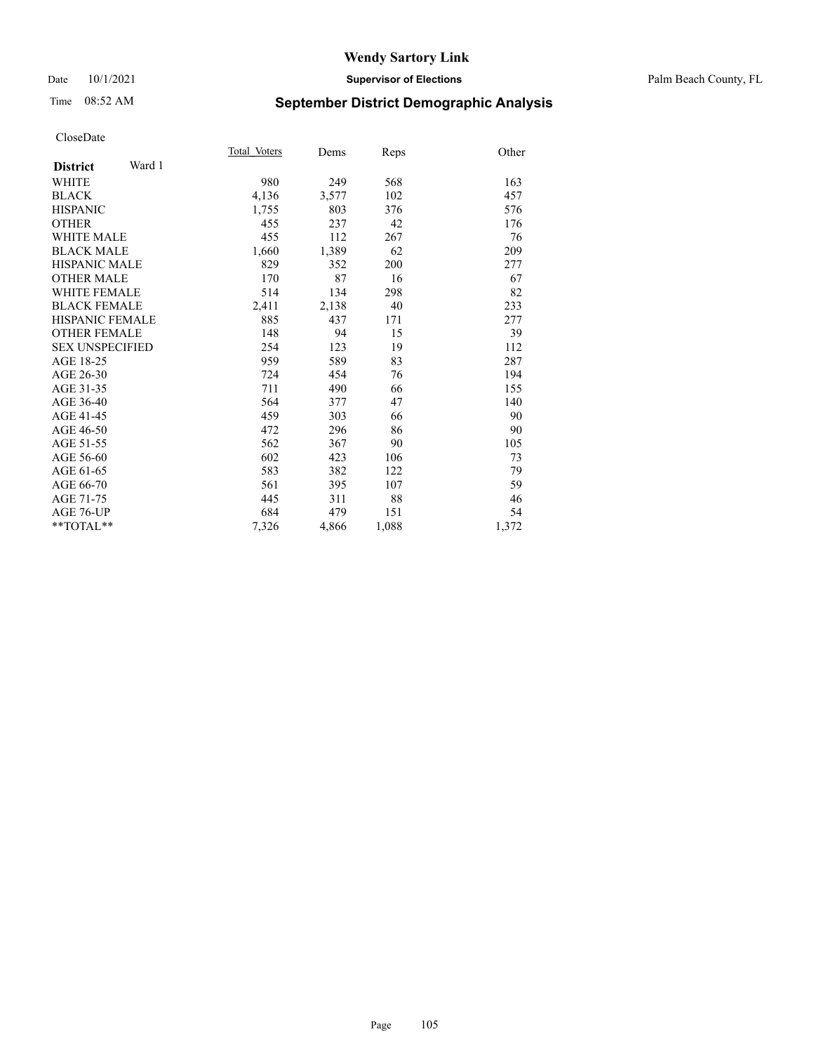## Date 10/1/2021 **Supervisor of Elections** Palm Beach County, FL

# Time 08:52 AM **September District Demographic Analysis**

|                           | Total Voters | Dems  | Reps  | Other |
|---------------------------|--------------|-------|-------|-------|
| Ward 1<br><b>District</b> |              |       |       |       |
| WHITE                     | 980          | 249   | 568   | 163   |
| <b>BLACK</b>              | 4,136        | 3,577 | 102   | 457   |
| <b>HISPANIC</b>           | 1,755        | 803   | 376   | 576   |
| <b>OTHER</b>              | 455          | 237   | 42    | 176   |
| <b>WHITE MALE</b>         | 455          | 112   | 267   | 76    |
| <b>BLACK MALE</b>         | 1,660        | 1,389 | 62    | 209   |
| <b>HISPANIC MALE</b>      | 829          | 352   | 200   | 277   |
| <b>OTHER MALE</b>         | 170          | 87    | 16    | 67    |
| <b>WHITE FEMALE</b>       | 514          | 134   | 298   | 82    |
| <b>BLACK FEMALE</b>       | 2,411        | 2,138 | 40    | 233   |
| <b>HISPANIC FEMALE</b>    | 885          | 437   | 171   | 277   |
| <b>OTHER FEMALE</b>       | 148          | 94    | 15    | 39    |
| <b>SEX UNSPECIFIED</b>    | 254          | 123   | 19    | 112   |
| AGE 18-25                 | 959          | 589   | 83    | 287   |
| AGE 26-30                 | 724          | 454   | 76    | 194   |
| AGE 31-35                 | 711          | 490   | 66    | 155   |
| AGE 36-40                 | 564          | 377   | 47    | 140   |
| AGE 41-45                 | 459          | 303   | 66    | 90    |
| AGE 46-50                 | 472          | 296   | 86    | 90    |
| AGE 51-55                 | 562          | 367   | 90    | 105   |
| AGE 56-60                 | 602          | 423   | 106   | 73    |
| AGE 61-65                 | 583          | 382   | 122   | 79    |
| AGE 66-70                 | 561          | 395   | 107   | 59    |
| AGE 71-75                 | 445          | 311   | 88    | 46    |
| <b>AGE 76-UP</b>          | 684          | 479   | 151   | 54    |
| $*$ $TOTAL**$             | 7,326        | 4,866 | 1,088 | 1,372 |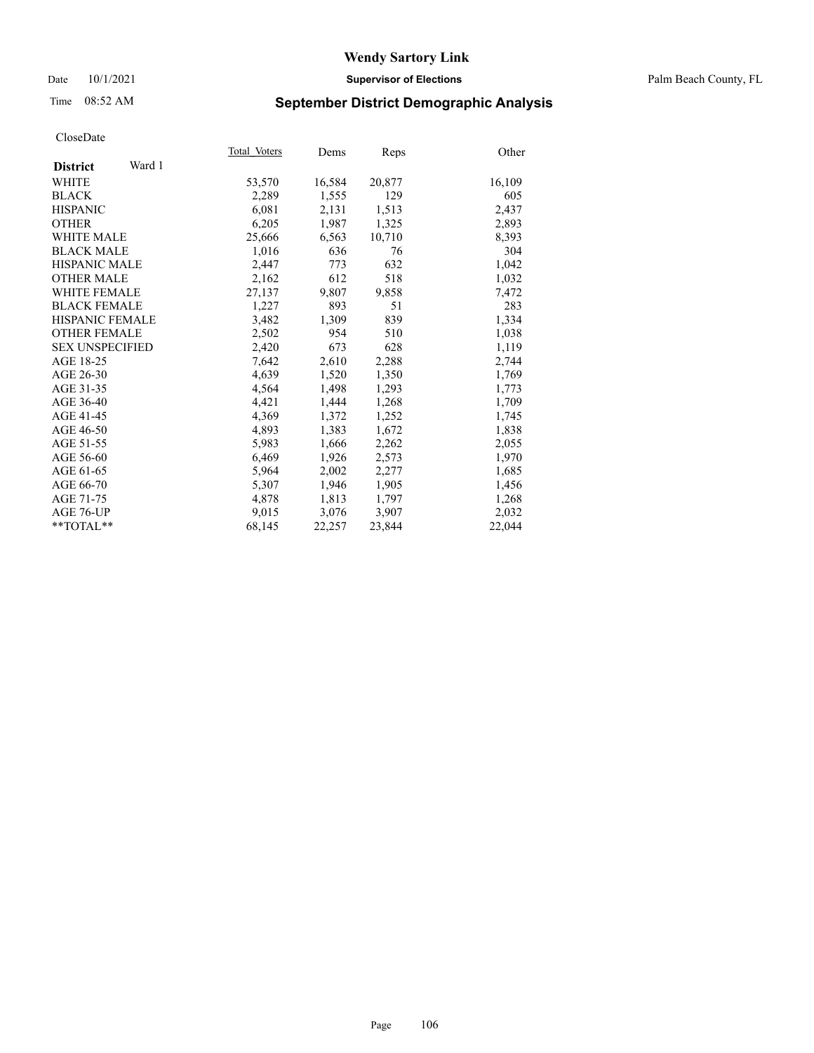## Date 10/1/2021 **Supervisor of Elections** Palm Beach County, FL

# Time 08:52 AM **September District Demographic Analysis**

|                           | Total Voters | Dems   | <b>Reps</b> | Other  |
|---------------------------|--------------|--------|-------------|--------|
| Ward 1<br><b>District</b> |              |        |             |        |
| WHITE                     | 53,570       | 16,584 | 20,877      | 16,109 |
| <b>BLACK</b>              | 2,289        | 1,555  | 129         | 605    |
| <b>HISPANIC</b>           | 6,081        | 2,131  | 1,513       | 2,437  |
| <b>OTHER</b>              | 6,205        | 1,987  | 1,325       | 2,893  |
| <b>WHITE MALE</b>         | 25,666       | 6,563  | 10,710      | 8,393  |
| <b>BLACK MALE</b>         | 1,016        | 636    | 76          | 304    |
| <b>HISPANIC MALE</b>      | 2,447        | 773    | 632         | 1,042  |
| <b>OTHER MALE</b>         | 2,162        | 612    | 518         | 1,032  |
| <b>WHITE FEMALE</b>       | 27,137       | 9,807  | 9,858       | 7,472  |
| <b>BLACK FEMALE</b>       | 1,227        | 893    | 51          | 283    |
| <b>HISPANIC FEMALE</b>    | 3,482        | 1,309  | 839         | 1,334  |
| <b>OTHER FEMALE</b>       | 2,502        | 954    | 510         | 1,038  |
| <b>SEX UNSPECIFIED</b>    | 2,420        | 673    | 628         | 1,119  |
| AGE 18-25                 | 7,642        | 2,610  | 2,288       | 2,744  |
| AGE 26-30                 | 4,639        | 1,520  | 1,350       | 1,769  |
| AGE 31-35                 | 4,564        | 1,498  | 1,293       | 1,773  |
| AGE 36-40                 | 4,421        | 1,444  | 1,268       | 1,709  |
| AGE 41-45                 | 4,369        | 1,372  | 1,252       | 1,745  |
| AGE 46-50                 | 4,893        | 1,383  | 1,672       | 1,838  |
| AGE 51-55                 | 5,983        | 1,666  | 2,262       | 2,055  |
| AGE 56-60                 | 6,469        | 1,926  | 2,573       | 1,970  |
| AGE 61-65                 | 5,964        | 2,002  | 2,277       | 1,685  |
| AGE 66-70                 | 5,307        | 1,946  | 1,905       | 1,456  |
| AGE 71-75                 | 4,878        | 1,813  | 1,797       | 1,268  |
| AGE 76-UP                 | 9,015        | 3,076  | 3,907       | 2,032  |
| $*$ $TOTAL**$             | 68,145       | 22,257 | 23,844      | 22,044 |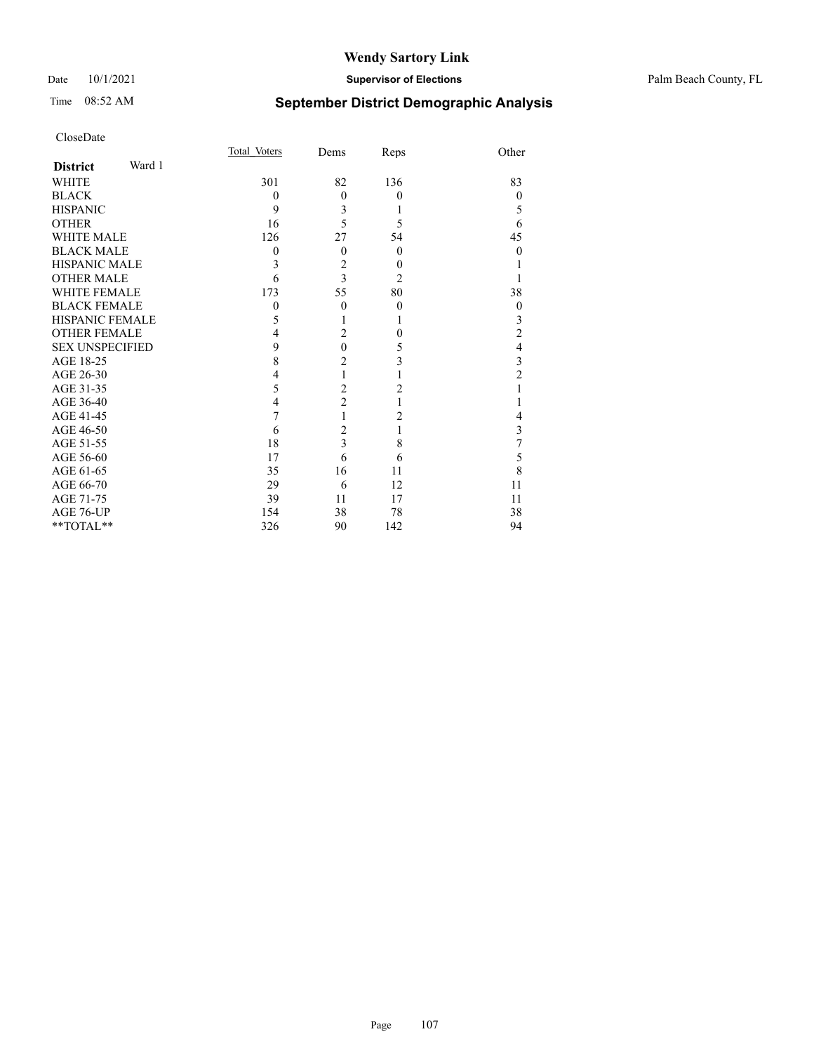# Time 08:52 AM **September District Demographic Analysis**

| CloseDate |
|-----------|
|-----------|

|                        |        | Total Voters | Dems           | Reps           | Other          |
|------------------------|--------|--------------|----------------|----------------|----------------|
| <b>District</b>        | Ward 1 |              |                |                |                |
| WHITE                  |        | 301          | 82             | 136            | 83             |
| BLACK                  |        | $\Omega$     | $\theta$       | $\Omega$       | $\Omega$       |
| HISPANIC               |        | 9            | 3              |                | 5              |
| OTHER                  |        | 16           | 5              | 5              | 6              |
| WHITE MALE             |        | 126          | 27             | 54             | 45             |
| BLACK MALE             |        | $\Omega$     | $\theta$       | $\Omega$       | $\Omega$       |
| HISPANIC MALE          |        | 3            | 2              | 0              |                |
| <b>OTHER MALE</b>      |        | 6            | $\overline{3}$ | $\overline{c}$ |                |
| WHITE FEMALE           |        | 173          | 55             | 80             | 38             |
| <b>BLACK FEMALE</b>    |        | $\Omega$     | $\theta$       | $\Omega$       | $\theta$       |
| HISPANIC FEMALE        |        | 5            |                |                | 3              |
| OTHER FEMALE           |        | 4            | $\overline{2}$ | 0              | $\overline{c}$ |
| <b>SEX UNSPECIFIED</b> |        | 9            | $\theta$       | 5              | 4              |
| AGE 18-25              |        | 8            | $\overline{2}$ | 3              | 3              |
| AGE 26-30              |        | 4            |                |                | 2              |
| AGE 31-35              |        | 5            | $\overline{2}$ | 2              |                |
| AGE 36-40              |        | 4            | $\overline{2}$ |                |                |
| AGE 41-45              |        |              |                | 2              |                |
| AGE 46-50              |        | 6            | $\overline{2}$ |                | 3              |
| AGE 51-55              |        | 18           | 3              | 8              |                |
| AGE 56-60              |        | 17           | 6              | 6              | 5              |
| AGE 61-65              |        | 35           | 16             | 11             | 8              |
| AGE 66-70              |        | 29           | 6              | 12             | 11             |
| AGE 71-75              |        | 39           | 11             | 17             | 11             |
| AGE 76-UP              |        | 154          | 38             | 78             | 38             |

\*\*TOTAL\*\* 326 90 142 94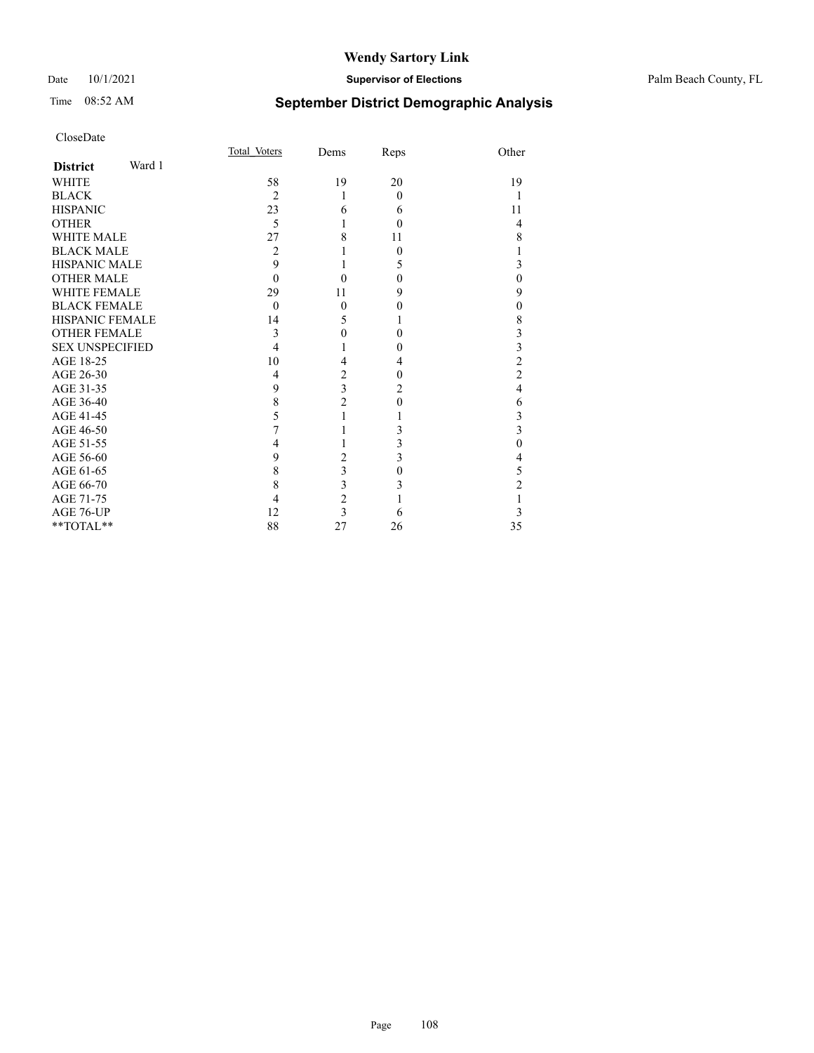## Date 10/1/2021 **Supervisor of Elections** Palm Beach County, FL

# Time 08:52 AM **September District Demographic Analysis**

| CloseDate              |        |                |                         |          |                  |
|------------------------|--------|----------------|-------------------------|----------|------------------|
|                        |        | Total Voters   | Dems                    | Reps     | Other            |
| <b>District</b>        | Ward 1 |                |                         |          |                  |
| WHITE                  |        | 58             | 19                      | 20       | 19               |
| <b>BLACK</b>           |        | $\overline{2}$ | 1                       | $\theta$ | 1                |
| <b>HISPANIC</b>        |        | 23             | 6                       | 6        | 11               |
| <b>OTHER</b>           |        | 5              |                         | 0        | $\overline{4}$   |
| <b>WHITE MALE</b>      |        | 27             | 8                       | 11       | 8                |
| <b>BLACK MALE</b>      |        | $\overline{2}$ | 1                       | 0        | 1                |
| <b>HISPANIC MALE</b>   |        | 9              | 1                       | 5        | 3                |
| <b>OTHER MALE</b>      |        | $\theta$       | 0                       | $\theta$ | $\overline{0}$   |
| <b>WHITE FEMALE</b>    |        | 29             | 11                      | 9        | 9                |
| <b>BLACK FEMALE</b>    |        | $\theta$       | $\mathbf{0}$            | 0        | $\boldsymbol{0}$ |
| HISPANIC FEMALE        |        | 14             | 5                       | 1        | 8                |
| <b>OTHER FEMALE</b>    |        | 3              | 0                       | $\theta$ | 3                |
| <b>SEX UNSPECIFIED</b> |        | 4              |                         | 0        | $\frac{3}{2}$    |
| AGE 18-25              |        | 10             | 4                       | 4        |                  |
| AGE 26-30              |        | $\overline{4}$ | 2                       | 0        | $\overline{c}$   |
| AGE 31-35              |        | 9              | $\overline{3}$          | 2        | $\overline{4}$   |
| AGE 36-40              |        | 8              | $\overline{c}$          | 0        | 6                |
| AGE 41-45              |        | 5              | 1                       |          | $\frac{3}{3}$    |
| AGE 46-50              |        | 7              |                         | 3        |                  |
| AGE 51-55              |        | 4              | 1                       | 3        | $\overline{0}$   |
| AGE 56-60              |        | 9              | $\overline{2}$          | 3        | 4                |
| AGE 61-65              |        | 8              | 3                       | $\theta$ | 5                |
| AGE 66-70              |        | 8              | 3                       | 3        | $\overline{c}$   |
| AGE 71-75              |        | 4              | $\overline{c}$          |          | $\,1$            |
| AGE 76-UP              |        | 12             | $\overline{\mathbf{3}}$ | 6        | 3                |
| **TOTAL**              |        | 88             | 27                      | 26       | 35               |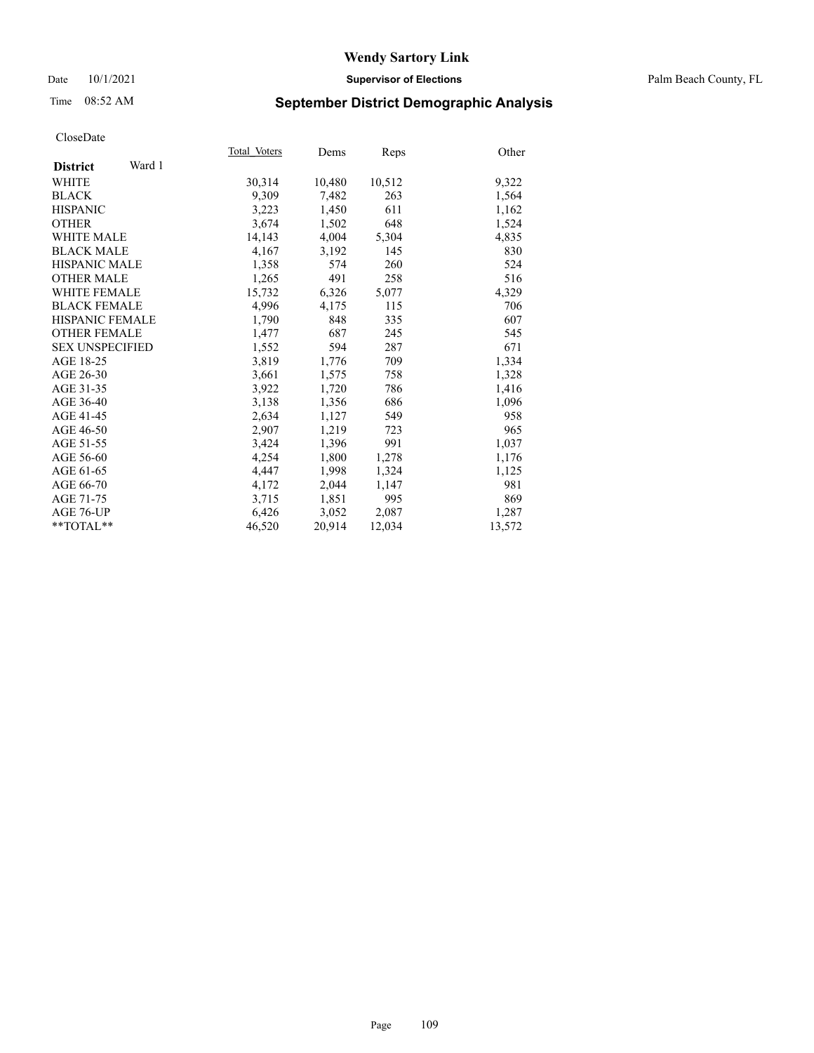#### Date 10/1/2021 **Supervisor of Elections** Palm Beach County, FL

## Time 08:52 AM **September District Demographic Analysis**

|                           | Total Voters | Dems   | <b>Reps</b> | Other  |
|---------------------------|--------------|--------|-------------|--------|
| Ward 1<br><b>District</b> |              |        |             |        |
| WHITE                     | 30,314       | 10,480 | 10,512      | 9,322  |
| <b>BLACK</b>              | 9,309        | 7,482  | 263         | 1,564  |
| <b>HISPANIC</b>           | 3,223        | 1,450  | 611         | 1,162  |
| <b>OTHER</b>              | 3,674        | 1,502  | 648         | 1,524  |
| <b>WHITE MALE</b>         | 14,143       | 4,004  | 5,304       | 4,835  |
| <b>BLACK MALE</b>         | 4,167        | 3,192  | 145         | 830    |
| <b>HISPANIC MALE</b>      | 1,358        | 574    | 260         | 524    |
| <b>OTHER MALE</b>         | 1,265        | 491    | 258         | 516    |
| <b>WHITE FEMALE</b>       | 15,732       | 6,326  | 5,077       | 4,329  |
| <b>BLACK FEMALE</b>       | 4,996        | 4,175  | 115         | 706    |
| <b>HISPANIC FEMALE</b>    | 1,790        | 848    | 335         | 607    |
| <b>OTHER FEMALE</b>       | 1,477        | 687    | 245         | 545    |
| <b>SEX UNSPECIFIED</b>    | 1,552        | 594    | 287         | 671    |
| AGE 18-25                 | 3,819        | 1,776  | 709         | 1,334  |
| AGE 26-30                 | 3,661        | 1,575  | 758         | 1,328  |
| AGE 31-35                 | 3,922        | 1,720  | 786         | 1,416  |
| AGE 36-40                 | 3,138        | 1,356  | 686         | 1,096  |
| AGE 41-45                 | 2,634        | 1,127  | 549         | 958    |
| AGE 46-50                 | 2,907        | 1,219  | 723         | 965    |
| AGE 51-55                 | 3,424        | 1,396  | 991         | 1,037  |
| AGE 56-60                 | 4,254        | 1,800  | 1,278       | 1,176  |
| AGE 61-65                 | 4.447        | 1,998  | 1,324       | 1,125  |
| AGE 66-70                 | 4,172        | 2,044  | 1,147       | 981    |
| AGE 71-75                 | 3,715        | 1,851  | 995         | 869    |
| AGE 76-UP                 | 6,426        | 3,052  | 2,087       | 1,287  |
| $*$ $TOTAL**$             | 46,520       | 20,914 | 12,034      | 13,572 |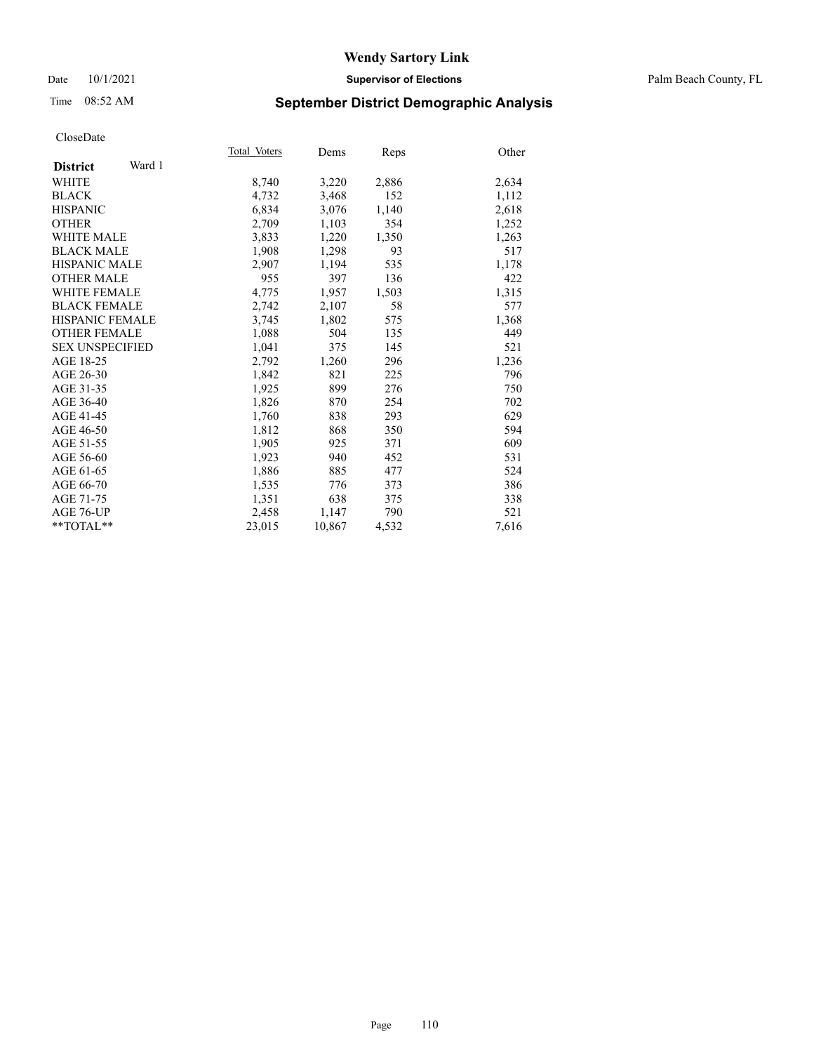#### Date 10/1/2021 **Supervisor of Elections** Palm Beach County, FL

## Time 08:52 AM **September District Demographic Analysis**

|                           | Total Voters | Dems   | Reps  | Other |
|---------------------------|--------------|--------|-------|-------|
| Ward 1<br><b>District</b> |              |        |       |       |
| WHITE                     | 8,740        | 3,220  | 2,886 | 2,634 |
| <b>BLACK</b>              | 4,732        | 3,468  | 152   | 1,112 |
| <b>HISPANIC</b>           | 6,834        | 3,076  | 1,140 | 2,618 |
| <b>OTHER</b>              | 2,709        | 1,103  | 354   | 1,252 |
| <b>WHITE MALE</b>         | 3,833        | 1,220  | 1,350 | 1,263 |
| <b>BLACK MALE</b>         | 1,908        | 1,298  | 93    | 517   |
| <b>HISPANIC MALE</b>      | 2,907        | 1,194  | 535   | 1,178 |
| <b>OTHER MALE</b>         | 955          | 397    | 136   | 422   |
| <b>WHITE FEMALE</b>       | 4,775        | 1,957  | 1,503 | 1,315 |
| <b>BLACK FEMALE</b>       | 2,742        | 2,107  | 58    | 577   |
| <b>HISPANIC FEMALE</b>    | 3,745        | 1,802  | 575   | 1,368 |
| <b>OTHER FEMALE</b>       | 1,088        | 504    | 135   | 449   |
| <b>SEX UNSPECIFIED</b>    | 1.041        | 375    | 145   | 521   |
| AGE 18-25                 | 2,792        | 1,260  | 296   | 1,236 |
| AGE 26-30                 | 1,842        | 821    | 225   | 796   |
| AGE 31-35                 | 1,925        | 899    | 276   | 750   |
| AGE 36-40                 | 1,826        | 870    | 254   | 702   |
| AGE 41-45                 | 1,760        | 838    | 293   | 629   |
| AGE 46-50                 | 1,812        | 868    | 350   | 594   |
| AGE 51-55                 | 1,905        | 925    | 371   | 609   |
| AGE 56-60                 | 1,923        | 940    | 452   | 531   |
| AGE 61-65                 | 1,886        | 885    | 477   | 524   |
| AGE 66-70                 | 1,535        | 776    | 373   | 386   |
| AGE 71-75                 | 1,351        | 638    | 375   | 338   |
| AGE 76-UP                 | 2,458        | 1,147  | 790   | 521   |
| $*$ $TOTAL**$             | 23,015       | 10,867 | 4,532 | 7,616 |
|                           |              |        |       |       |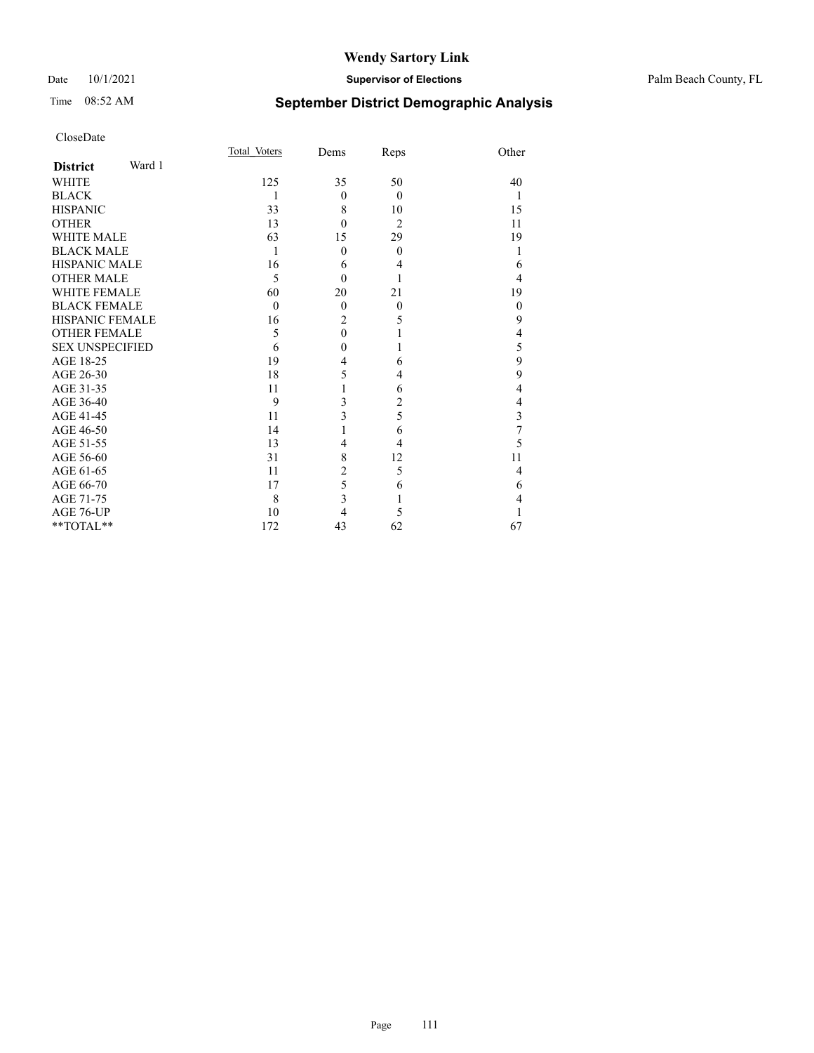#### Date 10/1/2021 **Supervisor of Elections** Palm Beach County, FL

# Time 08:52 AM **September District Demographic Analysis**

| CloseDate              |        |              |                |                |                         |
|------------------------|--------|--------------|----------------|----------------|-------------------------|
|                        |        | Total Voters | Dems           | Reps           | Other                   |
| <b>District</b>        | Ward 1 |              |                |                |                         |
| <b>WHITE</b>           |        | 125          | 35             | 50             | 40                      |
| <b>BLACK</b>           |        | 1            | $\overline{0}$ | $\theta$       | 1                       |
| <b>HISPANIC</b>        |        | 33           | 8              | 10             | 15                      |
| <b>OTHER</b>           |        | 13           | $\theta$       | $\overline{2}$ | 11                      |
| <b>WHITE MALE</b>      |        | 63           | 15             | 29             | 19                      |
| <b>BLACK MALE</b>      |        | 1            | $\theta$       | $\theta$       | 1                       |
| <b>HISPANIC MALE</b>   |        | 16           | 6              | 4              | 6                       |
| <b>OTHER MALE</b>      |        | 5            | $\theta$       | 1              | $\overline{4}$          |
| <b>WHITE FEMALE</b>    |        | 60           | 20             | 21             | 19                      |
| <b>BLACK FEMALE</b>    |        | $\theta$     | $\overline{0}$ | $\theta$       | $\boldsymbol{0}$        |
| <b>HISPANIC FEMALE</b> |        | 16           | $\overline{c}$ | 5              | 9                       |
| <b>OTHER FEMALE</b>    |        | 5            | $\theta$       |                | $\overline{4}$          |
| <b>SEX UNSPECIFIED</b> |        | 6            | $\mathbf{0}$   | 1              | 5                       |
| AGE 18-25              |        | 19           | 4              | 6              | $\overline{9}$          |
| AGE 26-30              |        | 18           | 5              | 4              | 9                       |
| AGE 31-35              |        | 11           | 1              | 6              | $\overline{4}$          |
| AGE 36-40              |        | 9            | 3              | $\overline{2}$ | $\overline{4}$          |
| AGE 41-45              |        | 11           | 3              | 5              | $\overline{\mathbf{3}}$ |
| AGE 46-50              |        | 14           | 1              | 6              | $\overline{7}$          |
| AGE 51-55              |        | 13           | $\overline{4}$ | 4              | 5                       |
| AGE 56-60              |        | 31           | 8              | 12             | 11                      |
| AGE 61-65              |        | 11           | 2              | 5              | $\overline{4}$          |
| AGE 66-70              |        | 17           | 5              | 6              | 6                       |
| AGE 71-75              |        | 8            | 3              | 1              | $\overline{4}$          |
| AGE 76-UP              |        | 10           | 4              | 5              | 1                       |
| **TOTAL**              |        | 172          | 43             | 62             | 67                      |
|                        |        |              |                |                |                         |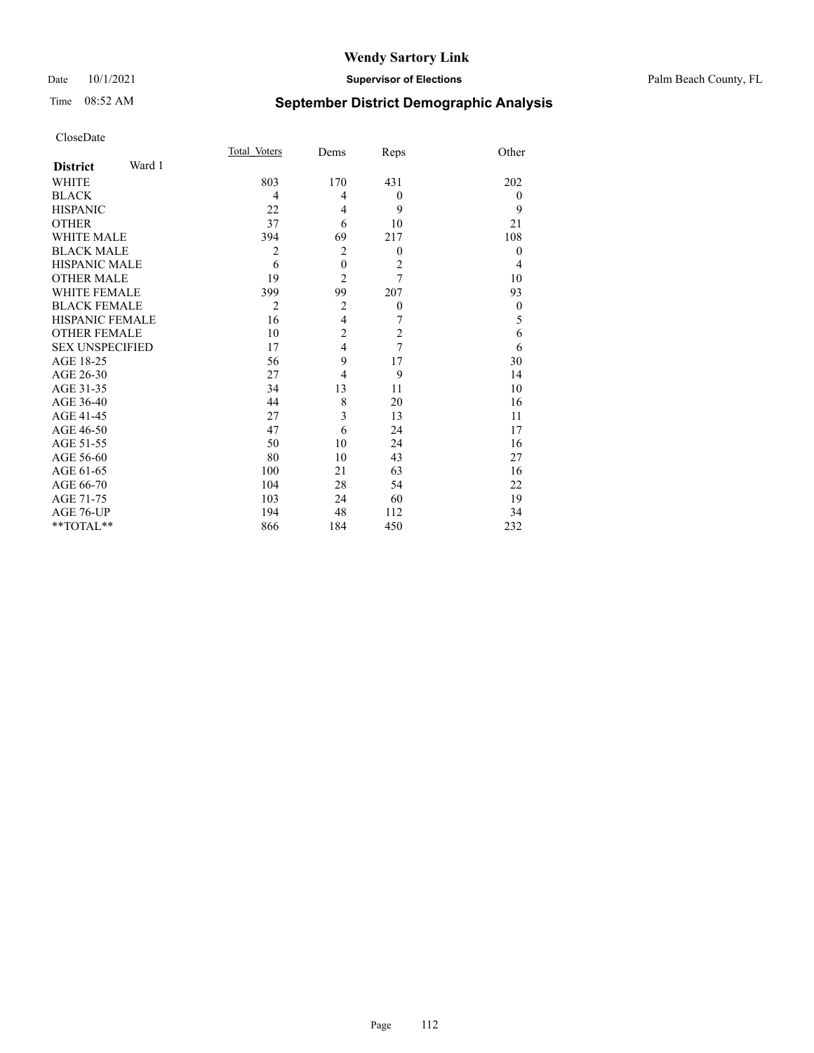#### Date 10/1/2021 **Supervisor of Elections** Palm Beach County, FL

# Time 08:52 AM **September District Demographic Analysis**

|                           | Total Voters   | Dems             | Reps             | Other            |
|---------------------------|----------------|------------------|------------------|------------------|
| Ward 1<br><b>District</b> |                |                  |                  |                  |
| WHITE                     | 803            | 170              | 431              | 202              |
| <b>BLACK</b>              | 4              | 4                | $\boldsymbol{0}$ | $\boldsymbol{0}$ |
| <b>HISPANIC</b>           | 22             | 4                | 9                | 9                |
| <b>OTHER</b>              | 37             | 6                | 10               | 21               |
| <b>WHITE MALE</b>         | 394            | 69               | 217              | 108              |
| <b>BLACK MALE</b>         | $\overline{2}$ | $\overline{2}$   | $\theta$         | $\mathbf{0}$     |
| <b>HISPANIC MALE</b>      | 6              | $\boldsymbol{0}$ | $\overline{2}$   | 4                |
| <b>OTHER MALE</b>         | 19             | $\overline{c}$   | 7                | 10               |
| <b>WHITE FEMALE</b>       | 399            | 99               | 207              | 93               |
| <b>BLACK FEMALE</b>       | $\overline{2}$ | $\overline{2}$   | $\boldsymbol{0}$ | $\mathbf{0}$     |
| <b>HISPANIC FEMALE</b>    | 16             | $\overline{4}$   | 7                | 5                |
| <b>OTHER FEMALE</b>       | 10             | $\overline{2}$   | $\overline{c}$   | 6                |
| <b>SEX UNSPECIFIED</b>    | 17             | $\overline{4}$   | $\overline{7}$   | 6                |
| AGE 18-25                 | 56             | 9                | 17               | 30               |
| AGE 26-30                 | 27             | 4                | 9                | 14               |
| AGE 31-35                 | 34             | 13               | 11               | 10               |
| AGE 36-40                 | 44             | 8                | 20               | 16               |
| AGE 41-45                 | 27             | 3                | 13               | 11               |
| AGE 46-50                 | 47             | 6                | 24               | 17               |
| AGE 51-55                 | 50             | 10               | 24               | 16               |
| AGE 56-60                 | 80             | 10               | 43               | 27               |
| AGE 61-65                 | 100            | 21               | 63               | 16               |
| AGE 66-70                 | 104            | 28               | 54               | 22               |
| AGE 71-75                 | 103            | 24               | 60               | 19               |
| AGE 76-UP                 | 194            | 48               | 112              | 34               |
| **TOTAL**                 | 866            | 184              | 450              | 232              |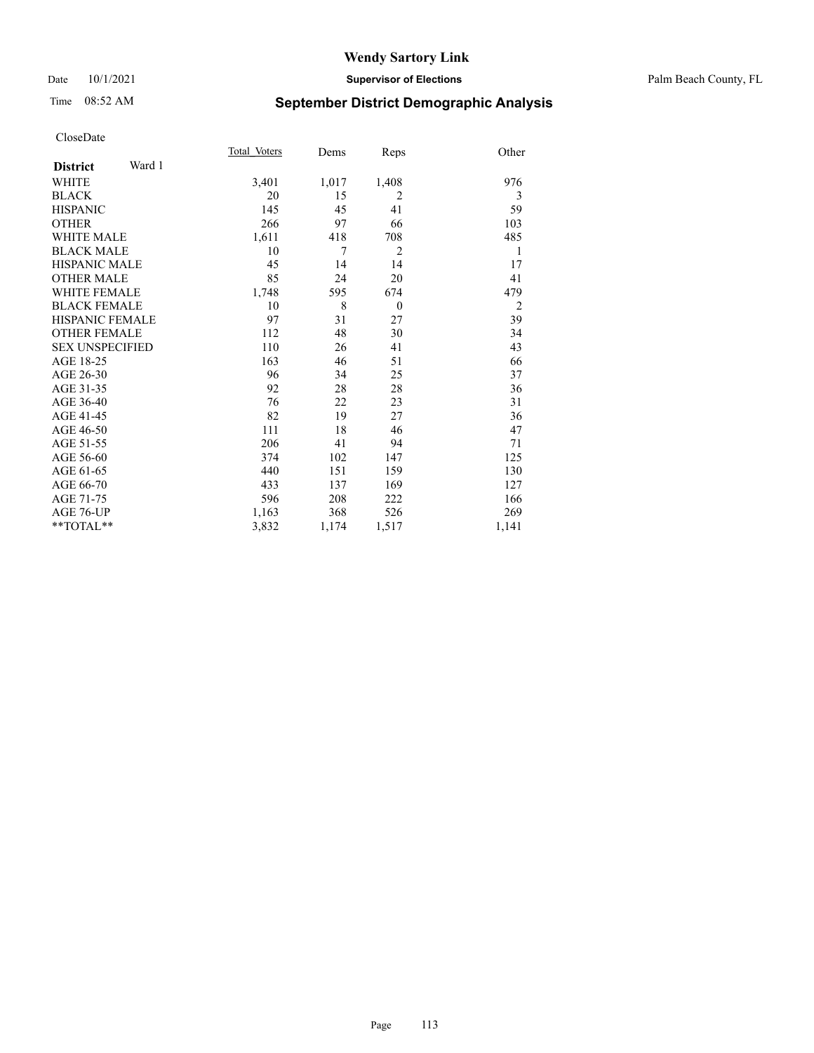#### Date 10/1/2021 **Supervisor of Elections** Palm Beach County, FL

## Time 08:52 AM **September District Demographic Analysis**

|                           | Total Voters | Dems  | Reps           | Other          |
|---------------------------|--------------|-------|----------------|----------------|
| Ward 1<br><b>District</b> |              |       |                |                |
| WHITE                     | 3,401        | 1,017 | 1,408          | 976            |
| <b>BLACK</b>              | 20           | 15    | $\overline{2}$ | 3              |
| <b>HISPANIC</b>           | 145          | 45    | 41             | 59             |
| <b>OTHER</b>              | 266          | 97    | 66             | 103            |
| <b>WHITE MALE</b>         | 1,611        | 418   | 708            | 485            |
| <b>BLACK MALE</b>         | 10           | 7     | $\overline{2}$ | 1              |
| <b>HISPANIC MALE</b>      | 45           | 14    | 14             | 17             |
| <b>OTHER MALE</b>         | 85           | 24    | 20             | 41             |
| <b>WHITE FEMALE</b>       | 1,748        | 595   | 674            | 479            |
| <b>BLACK FEMALE</b>       | 10           | 8     | $\mathbf{0}$   | $\overline{2}$ |
| HISPANIC FEMALE           | 97           | 31    | 27             | 39             |
| <b>OTHER FEMALE</b>       | 112          | 48    | 30             | 34             |
| <b>SEX UNSPECIFIED</b>    | 110          | 26    | 41             | 43             |
| AGE 18-25                 | 163          | 46    | 51             | 66             |
| AGE 26-30                 | 96           | 34    | 25             | 37             |
| AGE 31-35                 | 92           | 28    | 28             | 36             |
| AGE 36-40                 | 76           | 22    | 23             | 31             |
| AGE 41-45                 | 82           | 19    | 27             | 36             |
| AGE 46-50                 | 111          | 18    | 46             | 47             |
| AGE 51-55                 | 206          | 41    | 94             | 71             |
| AGE 56-60                 | 374          | 102   | 147            | 125            |
| AGE 61-65                 | 440          | 151   | 159            | 130            |
| AGE 66-70                 | 433          | 137   | 169            | 127            |
| AGE 71-75                 | 596          | 208   | 222            | 166            |
| AGE 76-UP                 | 1,163        | 368   | 526            | 269            |
| **TOTAL**                 | 3,832        | 1,174 | 1,517          | 1,141          |
|                           |              |       |                |                |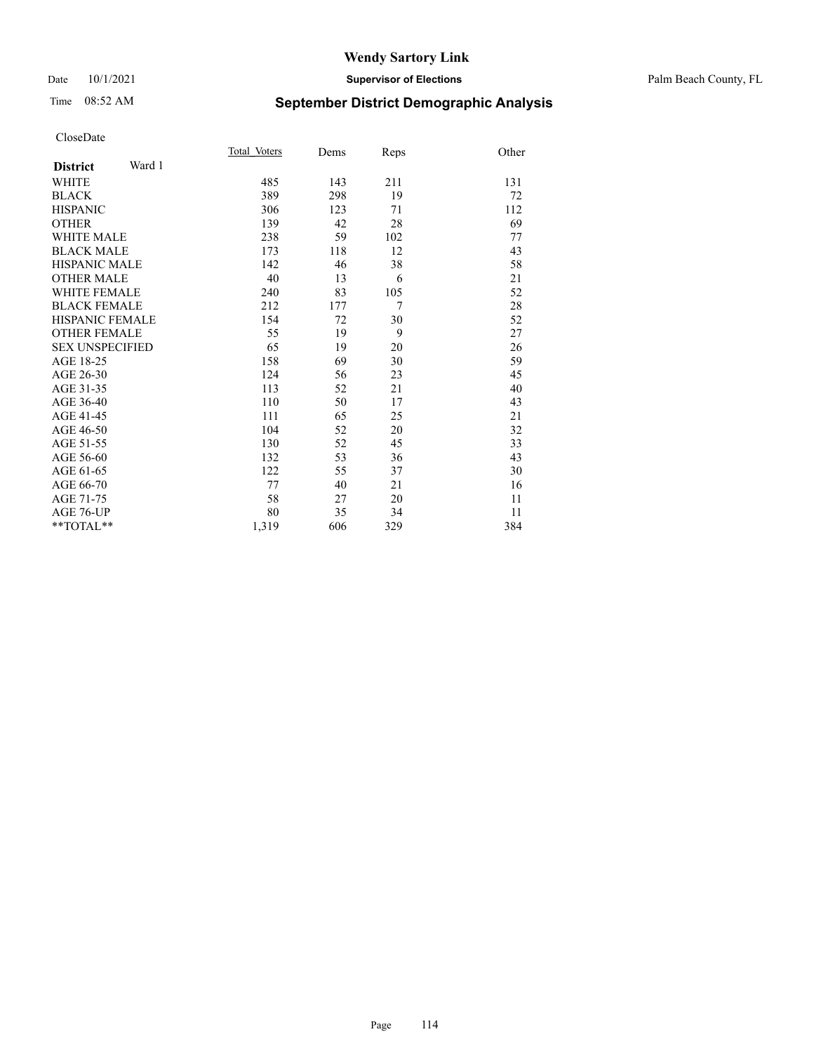#### Date 10/1/2021 **Supervisor of Elections** Palm Beach County, FL

# Time 08:52 AM **September District Demographic Analysis**

|                           | Total Voters | Dems | Reps   | Other |
|---------------------------|--------------|------|--------|-------|
| Ward 1<br><b>District</b> |              |      |        |       |
| <b>WHITE</b>              | 485          | 143  | 211    | 131   |
| <b>BLACK</b>              | 389          | 298  | 19     | 72    |
| <b>HISPANIC</b>           | 306          | 123  | 71     | 112   |
| <b>OTHER</b>              | 139          | 42   | 28     | 69    |
| WHITE MALE                | 238          | 59   | 102    | 77    |
| <b>BLACK MALE</b>         | 173          | 118  | 12     | 43    |
| <b>HISPANIC MALE</b>      | 142          | 46   | 38     | 58    |
| <b>OTHER MALE</b>         | 40           | 13   | 6      | 21    |
| <b>WHITE FEMALE</b>       | 240          | 83   | 105    | 52    |
| <b>BLACK FEMALE</b>       | 212          | 177  | $\tau$ | 28    |
| <b>HISPANIC FEMALE</b>    | 154          | 72   | 30     | 52    |
| <b>OTHER FEMALE</b>       | 55           | 19   | 9      | 27    |
| <b>SEX UNSPECIFIED</b>    | 65           | 19   | 20     | 26    |
| AGE 18-25                 | 158          | 69   | 30     | 59    |
| AGE 26-30                 | 124          | 56   | 23     | 45    |
| AGE 31-35                 | 113          | 52   | 21     | 40    |
| AGE 36-40                 | 110          | 50   | 17     | 43    |
| AGE 41-45                 | 111          | 65   | 25     | 21    |
| AGE 46-50                 | 104          | 52   | 20     | 32    |
| AGE 51-55                 | 130          | 52   | 45     | 33    |
| AGE 56-60                 | 132          | 53   | 36     | 43    |
| AGE 61-65                 | 122          | 55   | 37     | 30    |
| AGE 66-70                 | 77           | 40   | 21     | 16    |
| AGE 71-75                 | 58           | 27   | 20     | 11    |
| AGE 76-UP                 | 80           | 35   | 34     | 11    |
| $*$ $TOTAL**$             | 1,319        | 606  | 329    | 384   |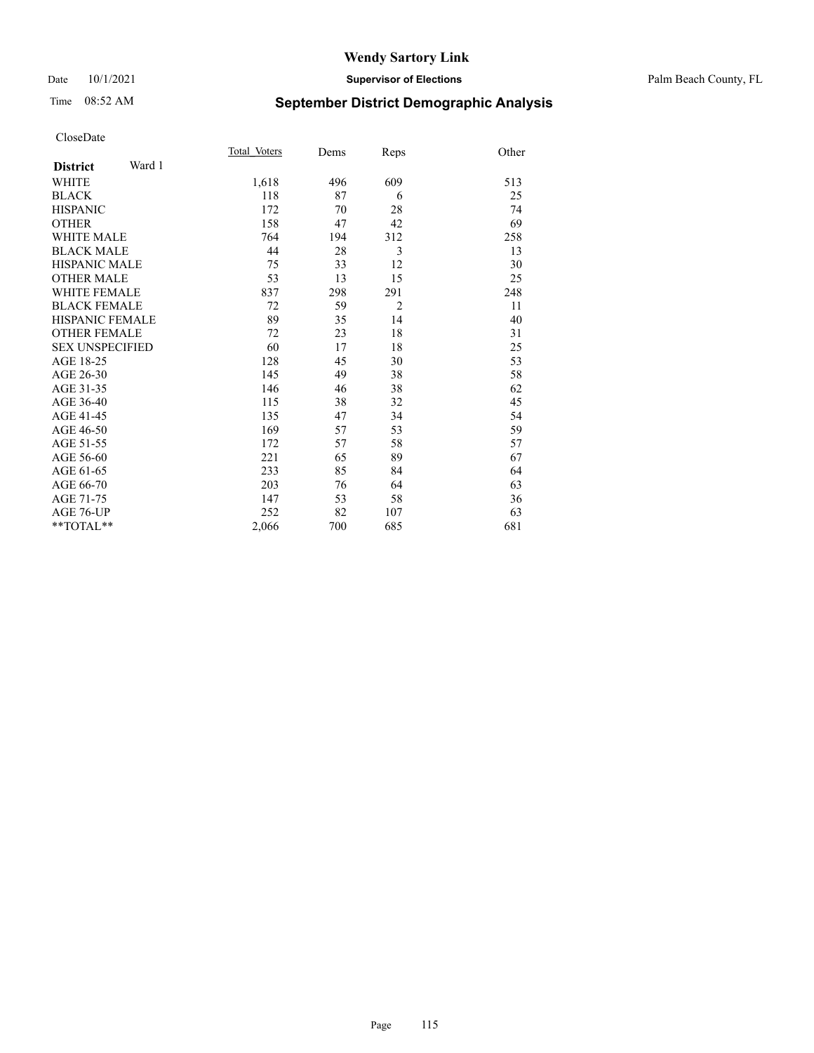#### Date 10/1/2021 **Supervisor of Elections** Palm Beach County, FL

# Time 08:52 AM **September District Demographic Analysis**

|                           | Total Voters | Dems | Reps           | Other |
|---------------------------|--------------|------|----------------|-------|
| Ward 1<br><b>District</b> |              |      |                |       |
| WHITE                     | 1,618        | 496  | 609            | 513   |
| <b>BLACK</b>              | 118          | 87   | 6              | 25    |
| <b>HISPANIC</b>           | 172          | 70   | 28             | 74    |
| <b>OTHER</b>              | 158          | 47   | 42             | 69    |
| WHITE MALE                | 764          | 194  | 312            | 258   |
| <b>BLACK MALE</b>         | 44           | 28   | 3              | 13    |
| <b>HISPANIC MALE</b>      | 75           | 33   | 12             | 30    |
| <b>OTHER MALE</b>         | 53           | 13   | 15             | 25    |
| <b>WHITE FEMALE</b>       | 837          | 298  | 291            | 248   |
| <b>BLACK FEMALE</b>       | 72           | 59   | $\overline{2}$ | 11    |
| HISPANIC FEMALE           | 89           | 35   | 14             | 40    |
| <b>OTHER FEMALE</b>       | 72           | 23   | 18             | 31    |
| <b>SEX UNSPECIFIED</b>    | 60           | 17   | 18             | 25    |
| AGE 18-25                 | 128          | 45   | 30             | 53    |
| AGE 26-30                 | 145          | 49   | 38             | 58    |
| AGE 31-35                 | 146          | 46   | 38             | 62    |
| AGE 36-40                 | 115          | 38   | 32             | 45    |
| AGE 41-45                 | 135          | 47   | 34             | 54    |
| AGE 46-50                 | 169          | 57   | 53             | 59    |
| AGE 51-55                 | 172          | 57   | 58             | 57    |
| AGE 56-60                 | 221          | 65   | 89             | 67    |
| AGE 61-65                 | 233          | 85   | 84             | 64    |
| AGE 66-70                 | 203          | 76   | 64             | 63    |
| AGE 71-75                 | 147          | 53   | 58             | 36    |
| AGE 76-UP                 | 252          | 82   | 107            | 63    |
| **TOTAL**                 | 2,066        | 700  | 685            | 681   |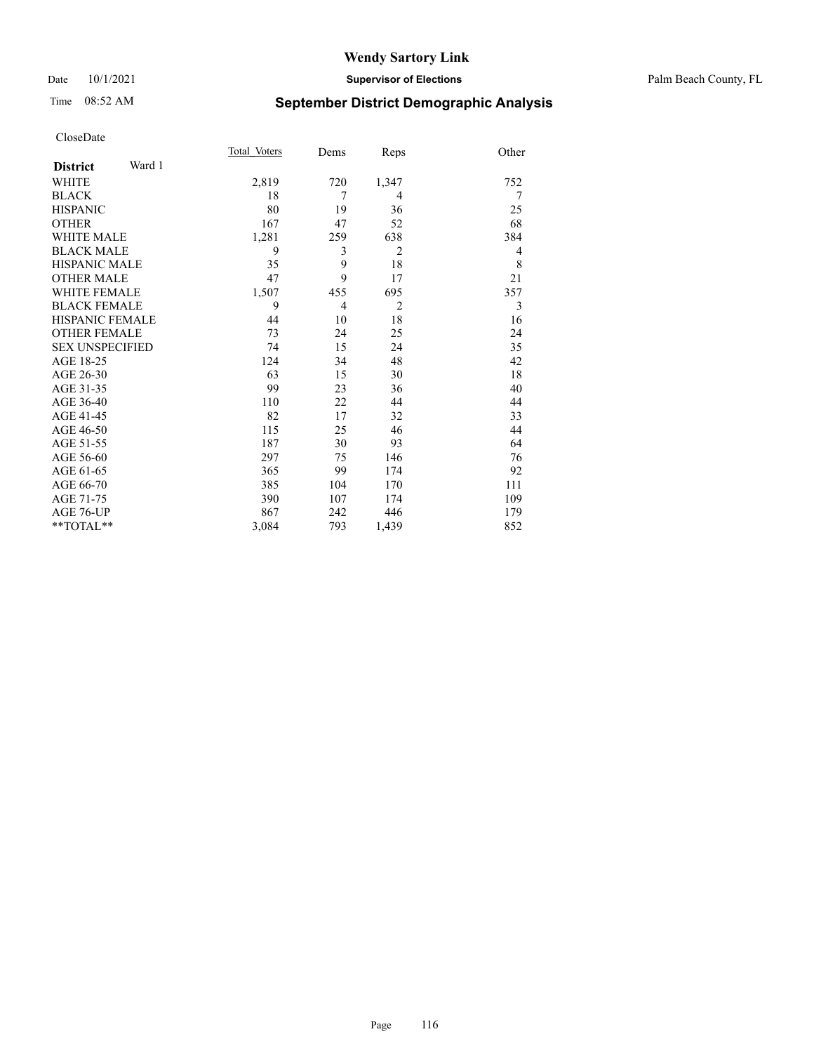#### Date 10/1/2021 **Supervisor of Elections** Palm Beach County, FL

# Time 08:52 AM **September District Demographic Analysis**

|                           | Total Voters | Dems | Reps           | Other |
|---------------------------|--------------|------|----------------|-------|
| Ward 1<br><b>District</b> |              |      |                |       |
| WHITE                     | 2,819        | 720  | 1,347          | 752   |
| <b>BLACK</b>              | 18           | 7    | $\overline{4}$ | 7     |
| <b>HISPANIC</b>           | 80           | 19   | 36             | 25    |
| <b>OTHER</b>              | 167          | 47   | 52             | 68    |
| <b>WHITE MALE</b>         | 1,281        | 259  | 638            | 384   |
| <b>BLACK MALE</b>         | 9            | 3    | $\overline{2}$ | 4     |
| HISPANIC MALE             | 35           | 9    | 18             | 8     |
| <b>OTHER MALE</b>         | 47           | 9    | 17             | 21    |
| <b>WHITE FEMALE</b>       | 1,507        | 455  | 695            | 357   |
| <b>BLACK FEMALE</b>       | 9            | 4    | $\overline{2}$ | 3     |
| <b>HISPANIC FEMALE</b>    | 44           | 10   | 18             | 16    |
| <b>OTHER FEMALE</b>       | 73           | 24   | 25             | 24    |
| <b>SEX UNSPECIFIED</b>    | 74           | 15   | 24             | 35    |
| AGE 18-25                 | 124          | 34   | 48             | 42    |
| AGE 26-30                 | 63           | 15   | 30             | 18    |
| AGE 31-35                 | 99           | 23   | 36             | 40    |
| AGE 36-40                 | 110          | 22   | 44             | 44    |
| AGE 41-45                 | 82           | 17   | 32             | 33    |
| AGE 46-50                 | 115          | 25   | 46             | 44    |
| AGE 51-55                 | 187          | 30   | 93             | 64    |
| AGE 56-60                 | 297          | 75   | 146            | 76    |
| AGE 61-65                 | 365          | 99   | 174            | 92    |
| AGE 66-70                 | 385          | 104  | 170            | 111   |
| AGE 71-75                 | 390          | 107  | 174            | 109   |
| AGE 76-UP                 | 867          | 242  | 446            | 179   |
| **TOTAL**                 | 3,084        | 793  | 1,439          | 852   |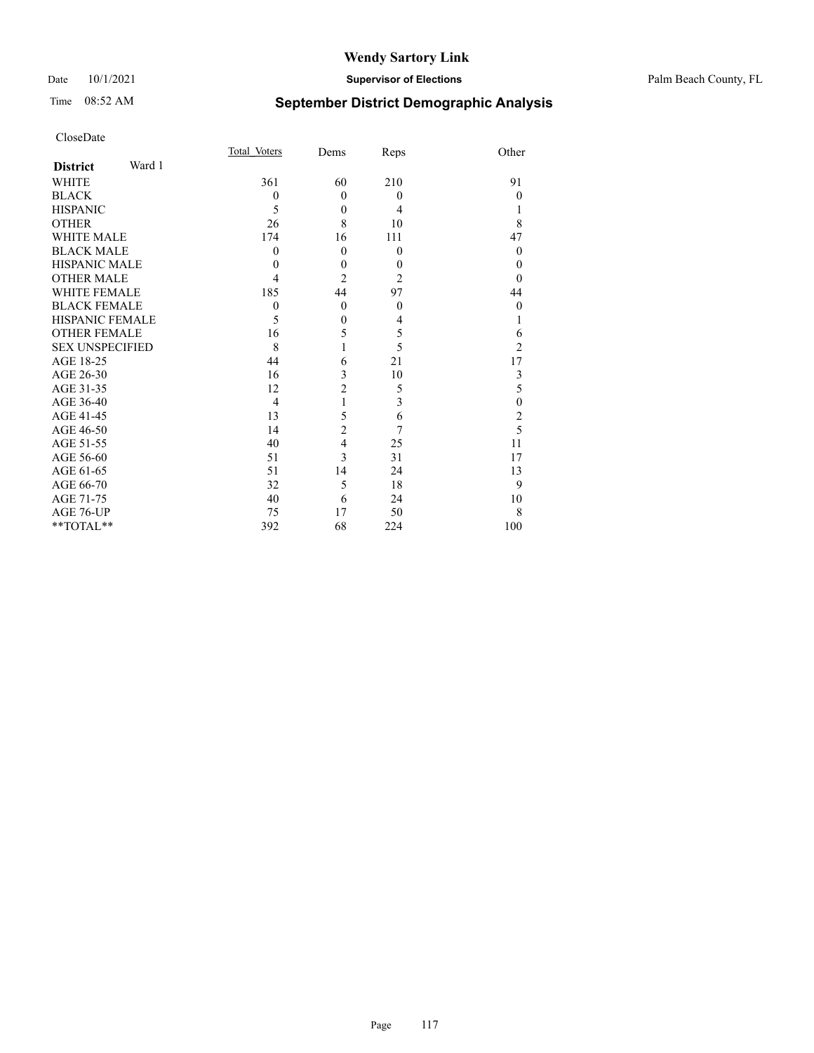#### Date 10/1/2021 **Supervisor of Elections** Palm Beach County, FL

# Time 08:52 AM **September District Demographic Analysis**

| Page | 117 |
|------|-----|

| CloseDate              |        |                |                |                |                  |
|------------------------|--------|----------------|----------------|----------------|------------------|
|                        |        | Total Voters   | Dems           | Reps           | Other            |
| <b>District</b>        | Ward 1 |                |                |                |                  |
| <b>WHITE</b>           |        | 361            | 60             | 210            | 91               |
| <b>BLACK</b>           |        | $\mathbf{0}$   | $\mathbf{0}$   | $\theta$       | $\theta$         |
| <b>HISPANIC</b>        |        | 5              | $\theta$       | $\overline{4}$ | 1                |
| <b>OTHER</b>           |        | 26             | 8              | 10             | 8                |
| <b>WHITE MALE</b>      |        | 174            | 16             | 111            | 47               |
| <b>BLACK MALE</b>      |        | $\theta$       | $\mathbf{0}$   | $\theta$       | $\theta$         |
| <b>HISPANIC MALE</b>   |        | 0              | $\theta$       | $\theta$       | $\theta$         |
| <b>OTHER MALE</b>      |        | 4              | $\overline{2}$ | $\overline{2}$ | $\theta$         |
| <b>WHITE FEMALE</b>    |        | 185            | 44             | 97             | 44               |
| <b>BLACK FEMALE</b>    |        | $\theta$       | $\mathbf{0}$   | $\theta$       | $\theta$         |
| <b>HISPANIC FEMALE</b> |        | 5              | $\mathbf{0}$   | $\overline{4}$ | 1                |
| <b>OTHER FEMALE</b>    |        | 16             | 5              | 5              | 6                |
| <b>SEX UNSPECIFIED</b> |        | 8              | 1              | 5              | $\overline{2}$   |
| AGE 18-25              |        | 44             | 6              | 21             | 17               |
| AGE 26-30              |        | 16             | 3              | 10             | $\mathfrak{Z}$   |
| AGE 31-35              |        | 12             | $\overline{c}$ | 5              | 5                |
| AGE 36-40              |        | $\overline{4}$ | $\mathbf{1}$   | 3              | $\boldsymbol{0}$ |
| AGE 41-45              |        | 13             | 5              | 6              | $rac{2}{5}$      |
| AGE 46-50              |        | 14             | $\overline{c}$ | 7              |                  |
| AGE 51-55              |        | 40             | 4              | 25             | 11               |
| AGE 56-60              |        | 51             | 3              | 31             | 17               |
| AGE 61-65              |        | 51             | 14             | 24             | 13               |
| AGE 66-70              |        | 32             | 5              | 18             | 9                |
| AGE 71-75              |        | 40             | 6              | 24             | 10               |
| AGE 76-UP              |        | 75             | 17             | 50             | 8                |
| **TOTAL**              |        | 392            | 68             | 224            | 100              |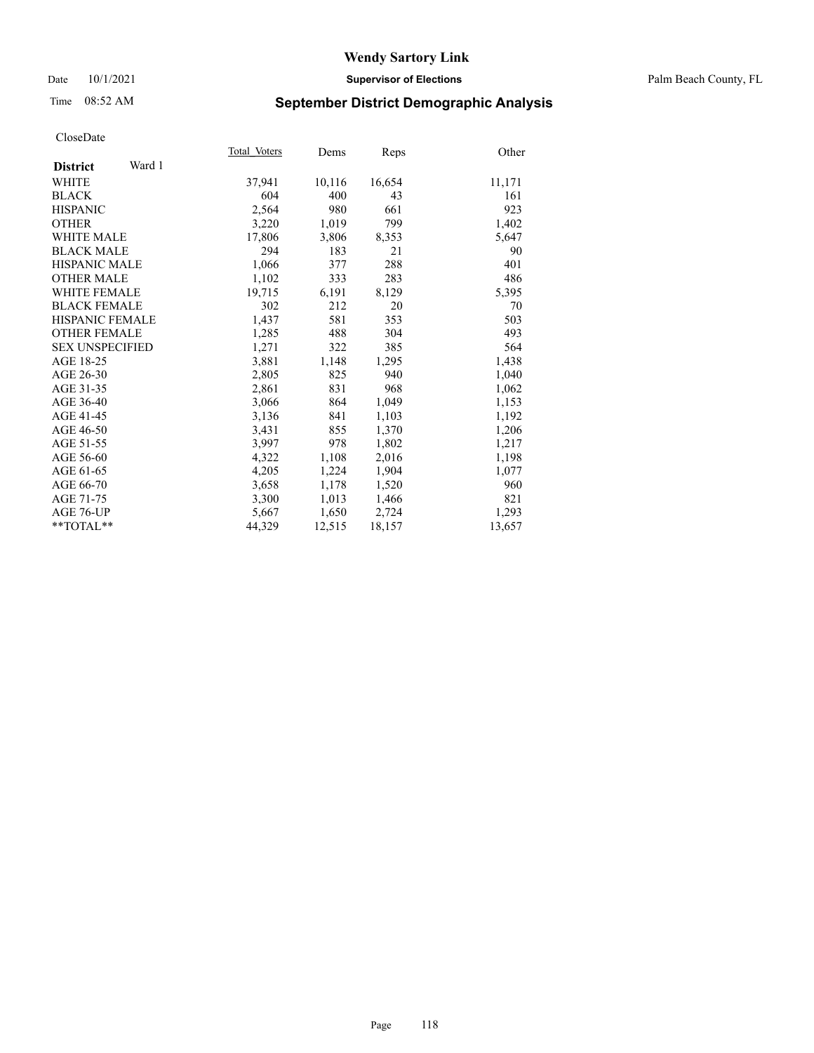#### Date 10/1/2021 **Supervisor of Elections** Palm Beach County, FL

## Time 08:52 AM **September District Demographic Analysis**

|                           | Total Voters | Dems   | Reps   | Other  |
|---------------------------|--------------|--------|--------|--------|
| Ward 1<br><b>District</b> |              |        |        |        |
| WHITE                     | 37,941       | 10,116 | 16,654 | 11,171 |
| <b>BLACK</b>              | 604          | 400    | 43     | 161    |
| <b>HISPANIC</b>           | 2,564        | 980    | 661    | 923    |
| <b>OTHER</b>              | 3,220        | 1,019  | 799    | 1,402  |
| <b>WHITE MALE</b>         | 17,806       | 3,806  | 8,353  | 5,647  |
| <b>BLACK MALE</b>         | 294          | 183    | 21     | 90     |
| <b>HISPANIC MALE</b>      | 1,066        | 377    | 288    | 401    |
| <b>OTHER MALE</b>         | 1,102        | 333    | 283    | 486    |
| WHITE FEMALE              | 19,715       | 6,191  | 8,129  | 5,395  |
| <b>BLACK FEMALE</b>       | 302          | 212    | 20     | 70     |
| HISPANIC FEMALE           | 1,437        | 581    | 353    | 503    |
| <b>OTHER FEMALE</b>       | 1,285        | 488    | 304    | 493    |
| <b>SEX UNSPECIFIED</b>    | 1,271        | 322    | 385    | 564    |
| AGE 18-25                 | 3,881        | 1,148  | 1,295  | 1,438  |
| AGE 26-30                 | 2,805        | 825    | 940    | 1,040  |
| AGE 31-35                 | 2,861        | 831    | 968    | 1,062  |
| AGE 36-40                 | 3,066        | 864    | 1,049  | 1,153  |
| AGE 41-45                 | 3,136        | 841    | 1,103  | 1,192  |
| AGE 46-50                 | 3,431        | 855    | 1,370  | 1,206  |
| AGE 51-55                 | 3,997        | 978    | 1,802  | 1,217  |
| AGE 56-60                 | 4,322        | 1,108  | 2,016  | 1,198  |
| AGE 61-65                 | 4,205        | 1,224  | 1,904  | 1,077  |
| AGE 66-70                 | 3,658        | 1,178  | 1,520  | 960    |
| AGE 71-75                 | 3,300        | 1,013  | 1,466  | 821    |
| AGE 76-UP                 | 5,667        | 1,650  | 2,724  | 1,293  |
| $*$ $TOTAL**$             | 44,329       | 12,515 | 18,157 | 13,657 |
|                           |              |        |        |        |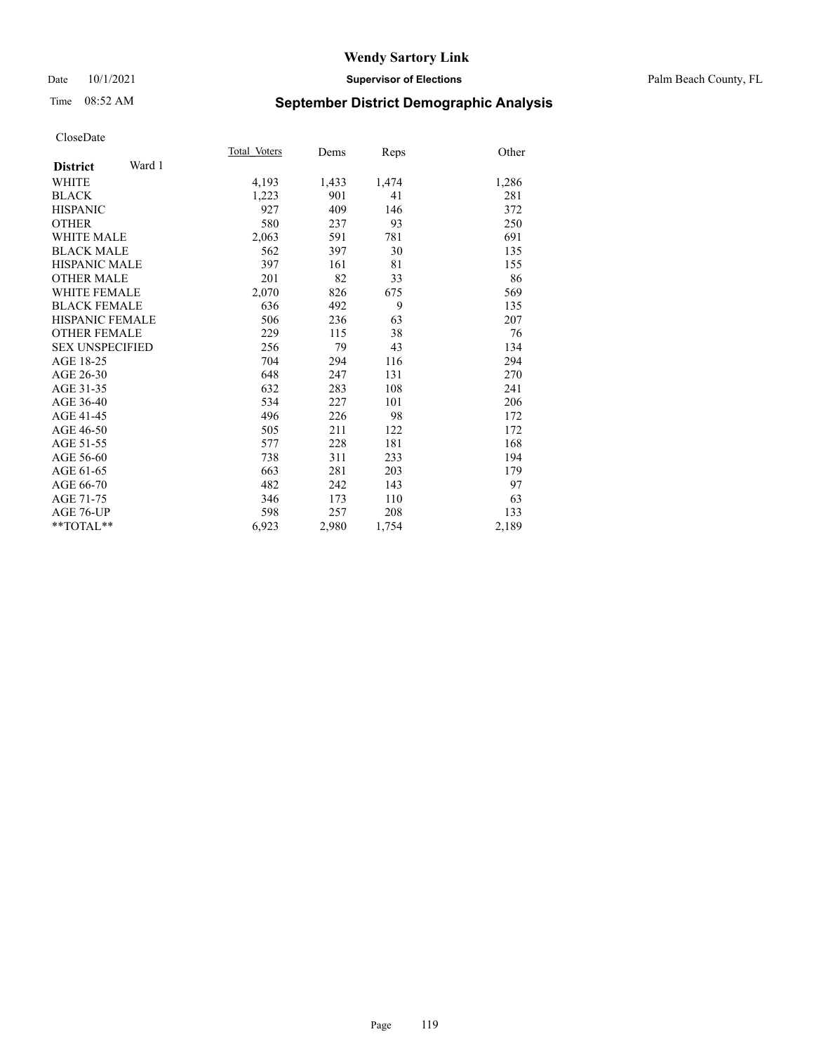#### Date 10/1/2021 **Supervisor of Elections** Palm Beach County, FL

## Time 08:52 AM **September District Demographic Analysis**

| Total Voters | Dems  | Reps  | Other |
|--------------|-------|-------|-------|
|              |       |       |       |
| 4,193        | 1,433 | 1,474 | 1,286 |
| 1,223        | 901   | 41    | 281   |
| 927          | 409   | 146   | 372   |
| 580          | 237   | 93    | 250   |
| 2,063        | 591   | 781   | 691   |
| 562          | 397   | 30    | 135   |
| 397          | 161   | 81    | 155   |
| 201          | 82    | 33    | 86    |
| 2,070        | 826   | 675   | 569   |
| 636          | 492   | 9     | 135   |
| 506          | 236   | 63    | 207   |
| 229          | 115   | 38    | 76    |
| 256          | 79    | 43    | 134   |
| 704          | 294   | 116   | 294   |
| 648          | 247   | 131   | 270   |
| 632          | 283   | 108   | 241   |
| 534          | 227   | 101   | 206   |
| 496          | 226   | 98    | 172   |
| 505          | 211   | 122   | 172   |
| 577          | 228   | 181   | 168   |
| 738          | 311   | 233   | 194   |
| 663          | 281   | 203   | 179   |
| 482          | 242   | 143   | 97    |
| 346          | 173   | 110   | 63    |
| 598          | 257   | 208   | 133   |
| 6,923        | 2,980 | 1,754 | 2,189 |
|              |       |       |       |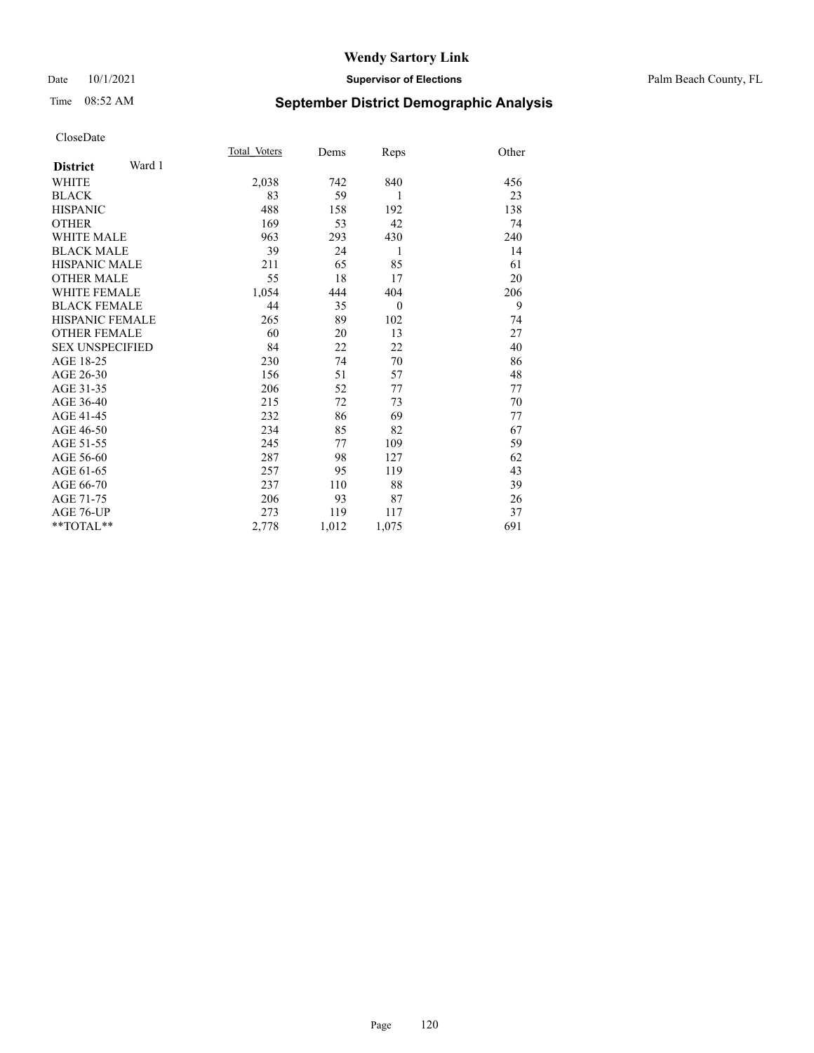#### Date 10/1/2021 **Supervisor of Elections** Palm Beach County, FL

## Time 08:52 AM **September District Demographic Analysis**

|                           | Total Voters | Dems  | Reps         | Other |
|---------------------------|--------------|-------|--------------|-------|
| Ward 1<br><b>District</b> |              |       |              |       |
| WHITE                     | 2,038        | 742   | 840          | 456   |
| <b>BLACK</b>              | 83           | 59    | 1            | 23    |
| <b>HISPANIC</b>           | 488          | 158   | 192          | 138   |
| <b>OTHER</b>              | 169          | 53    | 42           | 74    |
| WHITE MALE                | 963          | 293   | 430          | 240   |
| <b>BLACK MALE</b>         | 39           | 24    | 1            | 14    |
| <b>HISPANIC MALE</b>      | 211          | 65    | 85           | 61    |
| <b>OTHER MALE</b>         | 55           | 18    | 17           | 20    |
| <b>WHITE FEMALE</b>       | 1,054        | 444   | 404          | 206   |
| <b>BLACK FEMALE</b>       | 44           | 35    | $\mathbf{0}$ | 9     |
| <b>HISPANIC FEMALE</b>    | 265          | 89    | 102          | 74    |
| <b>OTHER FEMALE</b>       | 60           | 20    | 13           | 27    |
| <b>SEX UNSPECIFIED</b>    | 84           | 22    | 22           | 40    |
| AGE 18-25                 | 230          | 74    | 70           | 86    |
| AGE 26-30                 | 156          | 51    | 57           | 48    |
| AGE 31-35                 | 206          | 52    | 77           | 77    |
| AGE 36-40                 | 215          | 72    | 73           | 70    |
| AGE 41-45                 | 232          | 86    | 69           | 77    |
| AGE 46-50                 | 234          | 85    | 82           | 67    |
| AGE 51-55                 | 245          | 77    | 109          | 59    |
| AGE 56-60                 | 287          | 98    | 127          | 62    |
| AGE 61-65                 | 257          | 95    | 119          | 43    |
| AGE 66-70                 | 237          | 110   | 88           | 39    |
| AGE 71-75                 | 206          | 93    | 87           | 26    |
| <b>AGE 76-UP</b>          | 273          | 119   | 117          | 37    |
| $*$ $TOTAL**$             | 2,778        | 1,012 | 1,075        | 691   |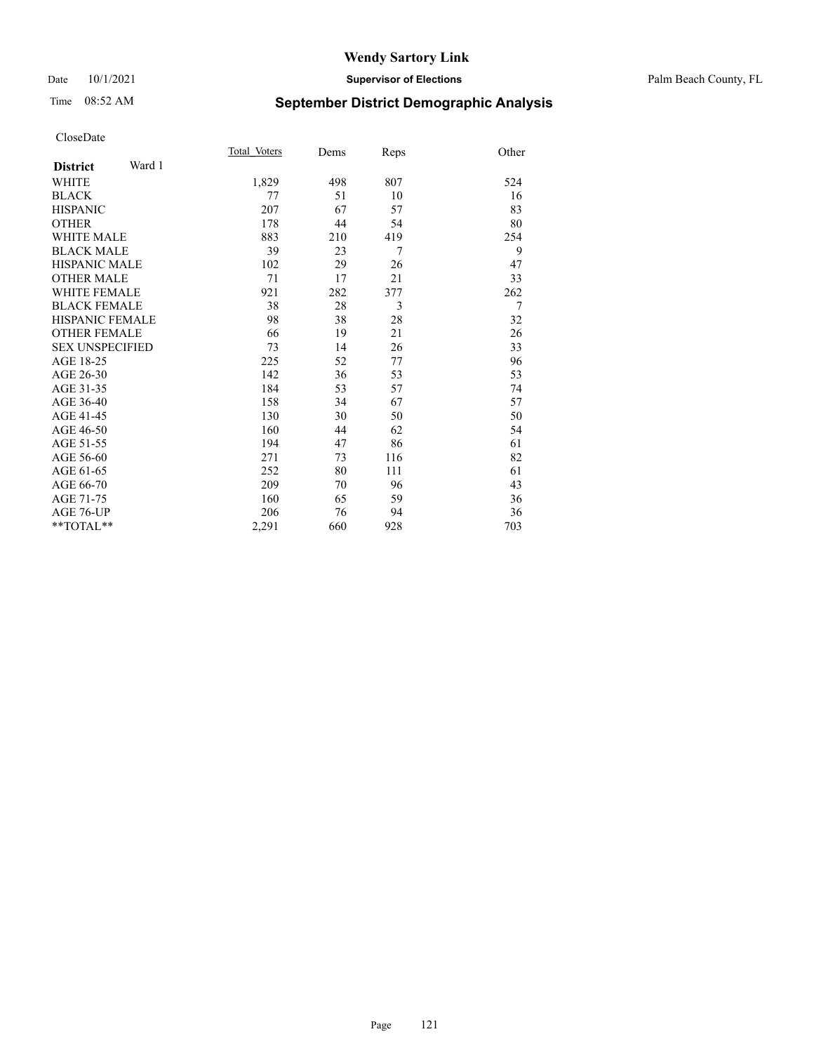#### Date 10/1/2021 **Supervisor of Elections** Palm Beach County, FL

# Time 08:52 AM **September District Demographic Analysis**

|                           | Total Voters | Dems | Reps | Other |
|---------------------------|--------------|------|------|-------|
| Ward 1<br><b>District</b> |              |      |      |       |
| WHITE                     | 1,829        | 498  | 807  | 524   |
| <b>BLACK</b>              | 77           | 51   | 10   | 16    |
| <b>HISPANIC</b>           | 207          | 67   | 57   | 83    |
| <b>OTHER</b>              | 178          | 44   | 54   | 80    |
| <b>WHITE MALE</b>         | 883          | 210  | 419  | 254   |
| <b>BLACK MALE</b>         | 39           | 23   | 7    | 9     |
| <b>HISPANIC MALE</b>      | 102          | 29   | 26   | 47    |
| <b>OTHER MALE</b>         | 71           | 17   | 21   | 33    |
| <b>WHITE FEMALE</b>       | 921          | 282  | 377  | 262   |
| <b>BLACK FEMALE</b>       | 38           | 28   | 3    | 7     |
| <b>HISPANIC FEMALE</b>    | 98           | 38   | 28   | 32    |
| <b>OTHER FEMALE</b>       | 66           | 19   | 21   | 26    |
| <b>SEX UNSPECIFIED</b>    | 73           | 14   | 26   | 33    |
| AGE 18-25                 | 225          | 52   | 77   | 96    |
| AGE 26-30                 | 142          | 36   | 53   | 53    |
| AGE 31-35                 | 184          | 53   | 57   | 74    |
| AGE 36-40                 | 158          | 34   | 67   | 57    |
| AGE 41-45                 | 130          | 30   | 50   | 50    |
| AGE 46-50                 | 160          | 44   | 62   | 54    |
| AGE 51-55                 | 194          | 47   | 86   | 61    |
| AGE 56-60                 | 271          | 73   | 116  | 82    |
| AGE 61-65                 | 252          | 80   | 111  | 61    |
| AGE 66-70                 | 209          | 70   | 96   | 43    |
| AGE 71-75                 | 160          | 65   | 59   | 36    |
| <b>AGE 76-UP</b>          | 206          | 76   | 94   | 36    |
| **TOTAL**                 | 2,291        | 660  | 928  | 703   |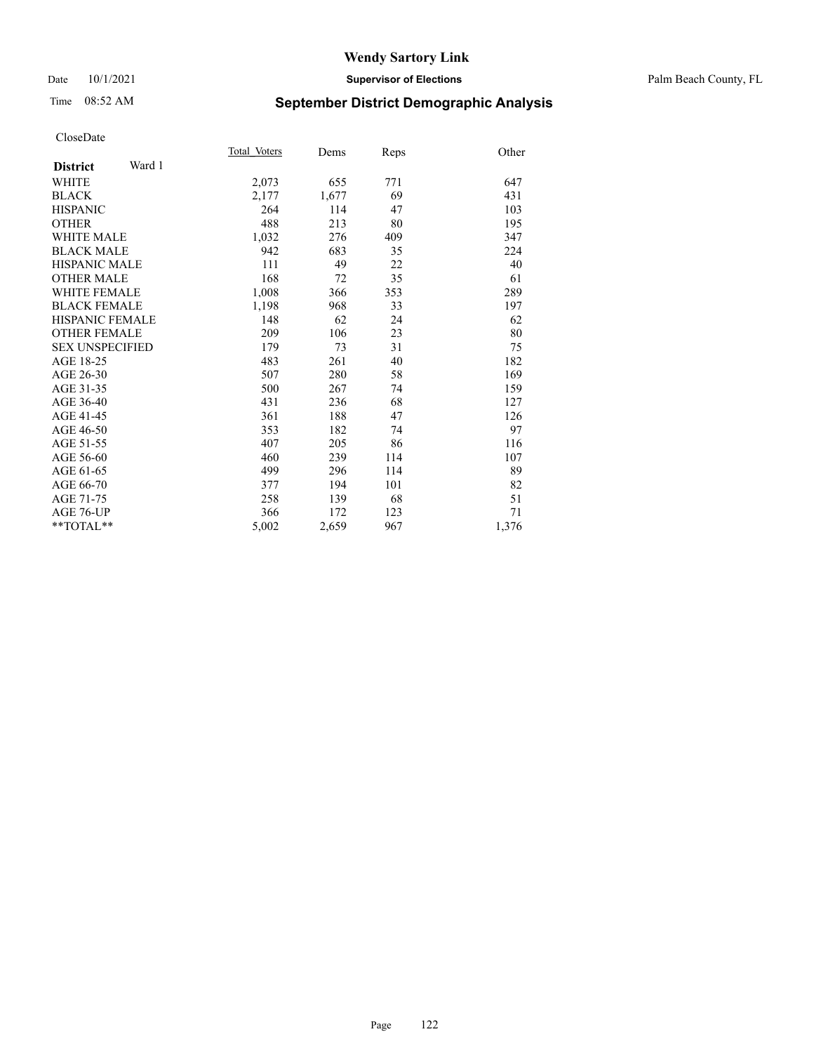#### Date 10/1/2021 **Supervisor of Elections** Palm Beach County, FL

## Time 08:52 AM **September District Demographic Analysis**

| Total Voters | Dems  | Reps | Other |
|--------------|-------|------|-------|
|              |       |      |       |
| 2,073        | 655   | 771  | 647   |
| 2,177        | 1,677 | 69   | 431   |
| 264          | 114   | 47   | 103   |
| 488          | 213   | 80   | 195   |
| 1,032        | 276   | 409  | 347   |
| 942          | 683   | 35   | 224   |
| 111          | 49    | 22   | 40    |
| 168          | 72    | 35   | 61    |
| 1,008        | 366   | 353  | 289   |
| 1,198        | 968   | 33   | 197   |
| 148          | 62    | 24   | 62    |
| 209          | 106   | 23   | 80    |
| 179          | 73    | 31   | 75    |
| 483          | 261   | 40   | 182   |
| 507          | 280   | 58   | 169   |
| 500          | 267   | 74   | 159   |
| 431          | 236   | 68   | 127   |
| 361          | 188   | 47   | 126   |
| 353          | 182   | 74   | 97    |
| 407          | 205   | 86   | 116   |
| 460          | 239   | 114  | 107   |
| 499          | 296   | 114  | 89    |
| 377          | 194   | 101  | 82    |
| 258          | 139   | 68   | 51    |
| 366          | 172   | 123  | 71    |
| 5,002        | 2,659 | 967  | 1,376 |
|              |       |      |       |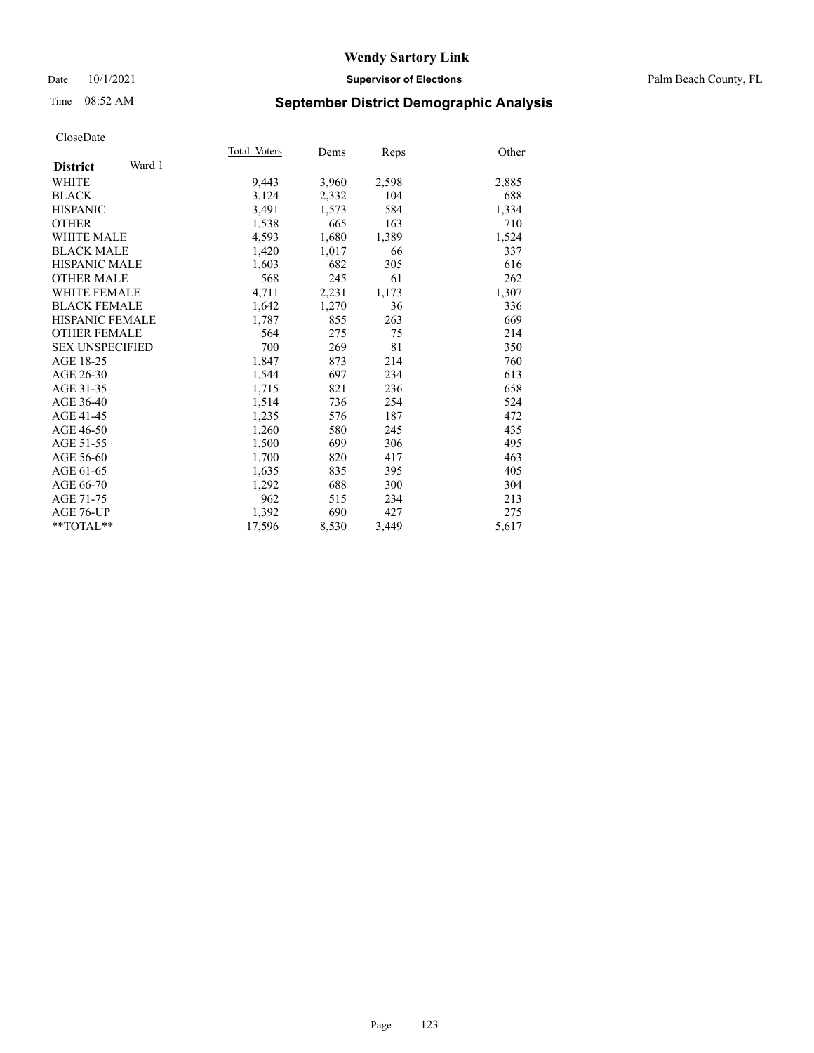#### Date 10/1/2021 **Supervisor of Elections** Palm Beach County, FL

## Time 08:52 AM **September District Demographic Analysis**

|                           | Total Voters | Dems  | Reps  | Other |
|---------------------------|--------------|-------|-------|-------|
| Ward 1<br><b>District</b> |              |       |       |       |
| WHITE                     | 9,443        | 3,960 | 2,598 | 2,885 |
| <b>BLACK</b>              | 3,124        | 2,332 | 104   | 688   |
| <b>HISPANIC</b>           | 3,491        | 1,573 | 584   | 1,334 |
| <b>OTHER</b>              | 1,538        | 665   | 163   | 710   |
| <b>WHITE MALE</b>         | 4,593        | 1,680 | 1,389 | 1,524 |
| <b>BLACK MALE</b>         | 1,420        | 1,017 | 66    | 337   |
| HISPANIC MALE             | 1,603        | 682   | 305   | 616   |
| <b>OTHER MALE</b>         | 568          | 245   | 61    | 262   |
| WHITE FEMALE              | 4,711        | 2,231 | 1,173 | 1,307 |
| <b>BLACK FEMALE</b>       | 1,642        | 1,270 | 36    | 336   |
| HISPANIC FEMALE           | 1,787        | 855   | 263   | 669   |
| <b>OTHER FEMALE</b>       | 564          | 275   | 75    | 214   |
| <b>SEX UNSPECIFIED</b>    | 700          | 269   | 81    | 350   |
| AGE 18-25                 | 1,847        | 873   | 214   | 760   |
| AGE 26-30                 | 1,544        | 697   | 234   | 613   |
| AGE 31-35                 | 1,715        | 821   | 236   | 658   |
| AGE 36-40                 | 1,514        | 736   | 254   | 524   |
| AGE 41-45                 | 1,235        | 576   | 187   | 472   |
| AGE 46-50                 | 1,260        | 580   | 245   | 435   |
| AGE 51-55                 | 1,500        | 699   | 306   | 495   |
| AGE 56-60                 | 1,700        | 820   | 417   | 463   |
| AGE 61-65                 | 1,635        | 835   | 395   | 405   |
| AGE 66-70                 | 1,292        | 688   | 300   | 304   |
| AGE 71-75                 | 962          | 515   | 234   | 213   |
| AGE 76-UP                 | 1,392        | 690   | 427   | 275   |
| $*$ $TOTAL**$             | 17,596       | 8,530 | 3,449 | 5,617 |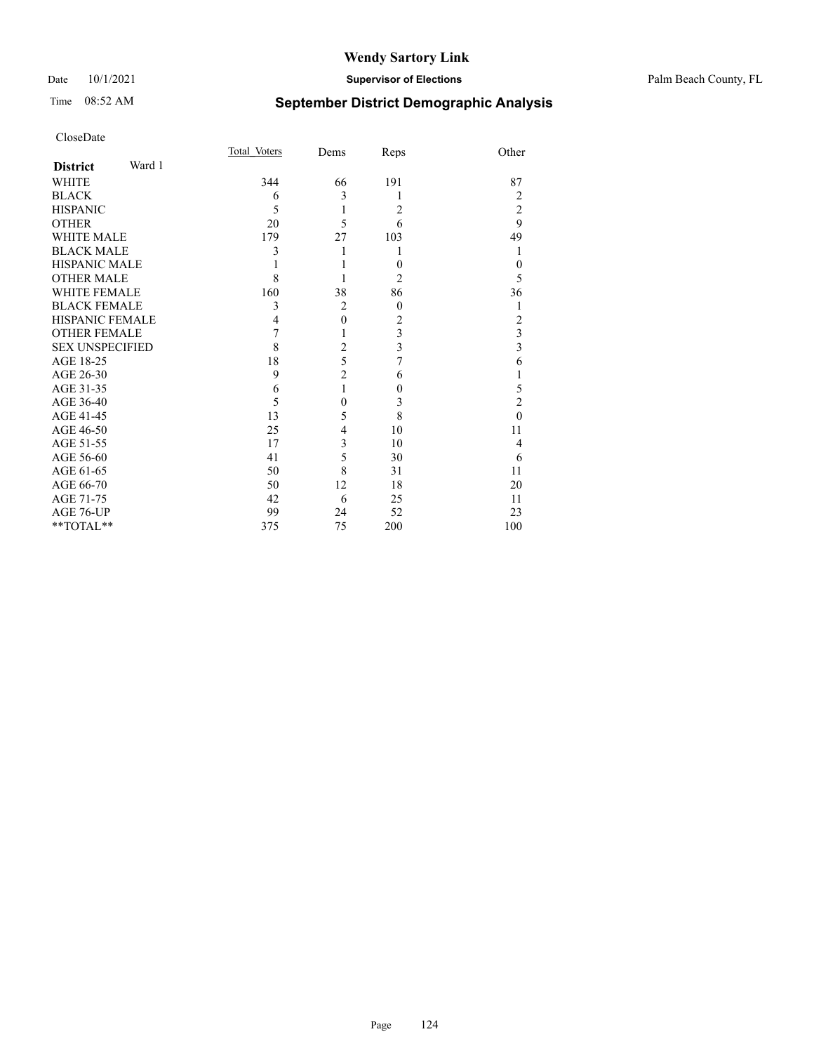#### Date 10/1/2021 **Supervisor of Elections** Palm Beach County, FL

# Time 08:52 AM **September District Demographic Analysis**

|                        |        | Total Voters | Dems           | Reps           | Other          |
|------------------------|--------|--------------|----------------|----------------|----------------|
| <b>District</b>        | Ward 1 |              |                |                |                |
| <b>WHITE</b>           |        | 344          | 66             | 191            | 87             |
| <b>BLACK</b>           |        | 6            | 3              | 1              | 2              |
| <b>HISPANIC</b>        |        | 5            | 1              | $\overline{2}$ | $\overline{c}$ |
| <b>OTHER</b>           |        | 20           | 5              | 6              | 9              |
| <b>WHITE MALE</b>      |        | 179          | 27             | 103            | 49             |
| <b>BLACK MALE</b>      |        | 3            |                |                |                |
| <b>HISPANIC MALE</b>   |        |              |                | $\theta$       | $\theta$       |
| <b>OTHER MALE</b>      |        | 8            |                | 2              | 5              |
| <b>WHITE FEMALE</b>    |        | 160          | 38             | 86             | 36             |
| <b>BLACK FEMALE</b>    |        | 3            | $\overline{2}$ | $\theta$       | 1              |
| <b>HISPANIC FEMALE</b> |        | 4            | $\mathbf{0}$   | $\overline{2}$ | 2              |
| <b>OTHER FEMALE</b>    |        | 7            |                | 3              | 3              |
| <b>SEX UNSPECIFIED</b> |        | 8            | $\overline{2}$ | 3              | 3              |
| AGE 18-25              |        | 18           | 5              | 7              | 6              |
| AGE 26-30              |        | 9            | $\overline{c}$ | 6              |                |
| AGE 31-35              |        | 6            | 1              | $\theta$       | 5              |
| AGE 36-40              |        | 5            | $\theta$       | 3              | $\overline{c}$ |
| AGE 41-45              |        | 13           | 5              | 8              | $\theta$       |
| AGE 46-50              |        | 25           | 4              | 10             | 11             |
| AGE 51-55              |        | 17           | 3              | 10             | 4              |
| AGE 56-60              |        | 41           | 5              | 30             | 6              |
| AGE 61-65              |        | 50           | 8              | 31             | 11             |
| AGE 66-70              |        | 50           | 12             | 18             | 20             |
| AGE 71-75              |        | 42           | 6              | 25             | 11             |
| AGE 76-UP              |        | 99           | 24             | 52             | 23             |
| **TOTAL**              |        | 375          | 75             | 200            | 100            |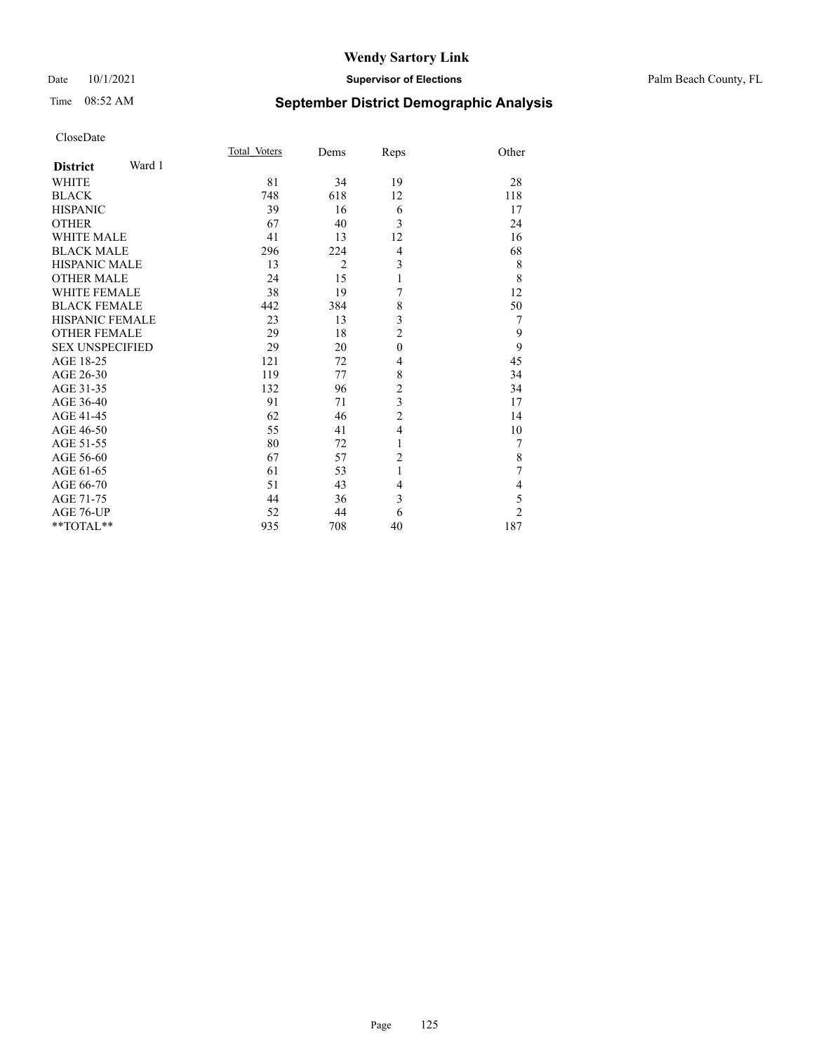# Time 08:52 AM **September District Demographic Analysis**

|                           | Total Voters | Dems           | Reps           | Other          |
|---------------------------|--------------|----------------|----------------|----------------|
| Ward 1<br><b>District</b> |              |                |                |                |
| <b>WHITE</b>              | 81           | 34             | 19             | 28             |
| <b>BLACK</b>              | 748          | 618            | 12             | 118            |
| <b>HISPANIC</b>           | 39           | 16             | 6              | 17             |
| <b>OTHER</b>              | 67           | 40             | 3              | 24             |
| <b>WHITE MALE</b>         | 41           | 13             | 12             | 16             |
| <b>BLACK MALE</b>         | 296          | 224            | $\overline{4}$ | 68             |
| <b>HISPANIC MALE</b>      | 13           | $\overline{2}$ | 3              | 8              |
| <b>OTHER MALE</b>         | 24           | 15             | 1              | 8              |
| <b>WHITE FEMALE</b>       | 38           | 19             | 7              | 12             |
| <b>BLACK FEMALE</b>       | 442          | 384            | 8              | 50             |
| <b>HISPANIC FEMALE</b>    | 23           | 13             | 3              | 7              |
| <b>OTHER FEMALE</b>       | 29           | 18             | $\overline{2}$ | 9              |
| <b>SEX UNSPECIFIED</b>    | 29           | 20             | $\theta$       | 9              |
| AGE 18-25                 | 121          | 72             | $\overline{4}$ | 45             |
| AGE 26-30                 | 119          | 77             | 8              | 34             |
| AGE 31-35                 | 132          | 96             | $\overline{c}$ | 34             |
| AGE 36-40                 | 91           | 71             | 3              | 17             |
| AGE 41-45                 | 62           | 46             | $\overline{c}$ | 14             |
| AGE 46-50                 | 55           | 41             | $\overline{4}$ | 10             |
| AGE 51-55                 | 80           | 72             | 1              | 7              |
| AGE 56-60                 | 67           | 57             | $\overline{2}$ | 8              |
| AGE 61-65                 | 61           | 53             | $\mathbf{1}$   | 7              |
| AGE 66-70                 | 51           | 43             | 4              | 4              |
| AGE 71-75                 | 44           | 36             | 3              | 5              |
| AGE 76-UP                 | 52           | 44             | 6              | $\overline{c}$ |
| **TOTAL**                 | 935          | 708            | 40             | 187            |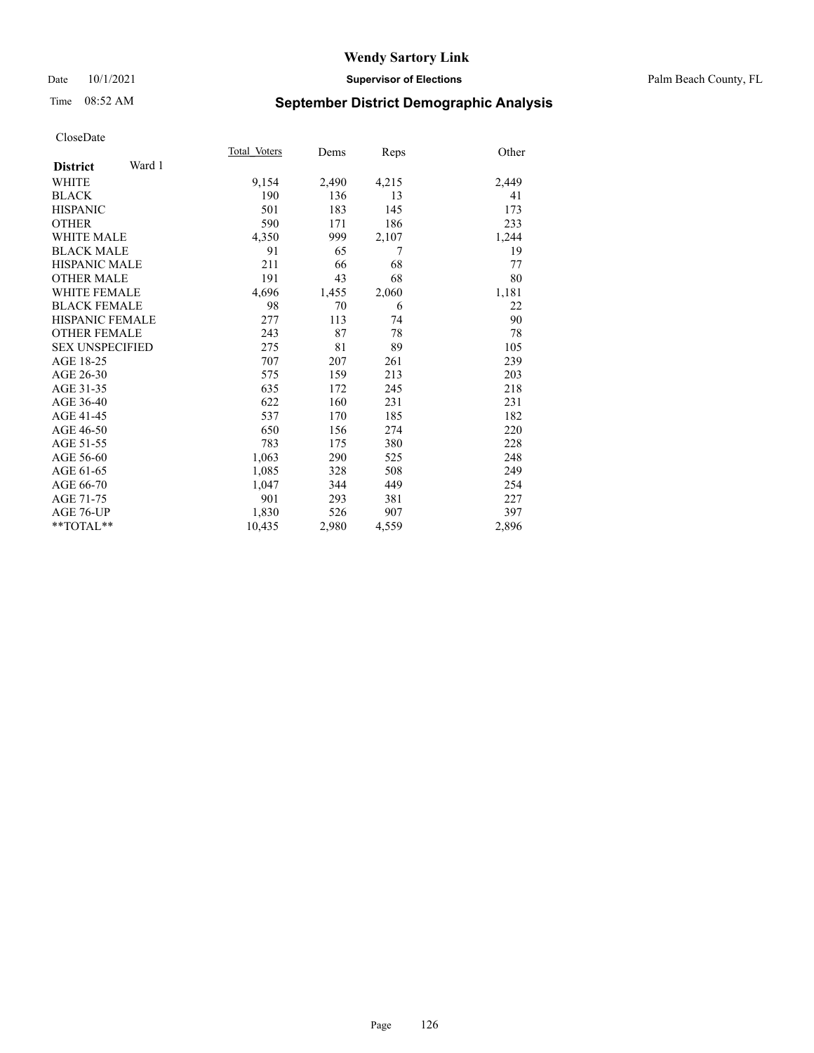#### Date 10/1/2021 **Supervisor of Elections** Palm Beach County, FL

## Time 08:52 AM **September District Demographic Analysis**

|                           | Total Voters | Dems  | Reps  | Other |
|---------------------------|--------------|-------|-------|-------|
| Ward 1<br><b>District</b> |              |       |       |       |
| <b>WHITE</b>              | 9,154        | 2,490 | 4,215 | 2,449 |
| <b>BLACK</b>              | 190          | 136   | 13    | 41    |
| <b>HISPANIC</b>           | 501          | 183   | 145   | 173   |
| <b>OTHER</b>              | 590          | 171   | 186   | 233   |
| WHITE MALE                | 4,350        | 999   | 2,107 | 1,244 |
| <b>BLACK MALE</b>         | 91           | 65    | 7     | 19    |
| <b>HISPANIC MALE</b>      | 211          | 66    | 68    | 77    |
| <b>OTHER MALE</b>         | 191          | 43    | 68    | 80    |
| WHITE FEMALE              | 4,696        | 1,455 | 2,060 | 1,181 |
| <b>BLACK FEMALE</b>       | 98           | 70    | 6     | 22    |
| <b>HISPANIC FEMALE</b>    | 277          | 113   | 74    | 90    |
| <b>OTHER FEMALE</b>       | 243          | 87    | 78    | 78    |
| <b>SEX UNSPECIFIED</b>    | 275          | 81    | 89    | 105   |
| AGE 18-25                 | 707          | 207   | 261   | 239   |
| AGE 26-30                 | 575          | 159   | 213   | 203   |
| AGE 31-35                 | 635          | 172   | 245   | 218   |
| AGE 36-40                 | 622          | 160   | 231   | 231   |
| AGE 41-45                 | 537          | 170   | 185   | 182   |
| AGE 46-50                 | 650          | 156   | 274   | 220   |
| AGE 51-55                 | 783          | 175   | 380   | 228   |
| AGE 56-60                 | 1,063        | 290   | 525   | 248   |
| AGE 61-65                 | 1,085        | 328   | 508   | 249   |
| AGE 66-70                 | 1,047        | 344   | 449   | 254   |
| AGE 71-75                 | 901          | 293   | 381   | 227   |
| AGE 76-UP                 | 1,830        | 526   | 907   | 397   |
| $*$ $TOTAL**$             | 10,435       | 2,980 | 4,559 | 2,896 |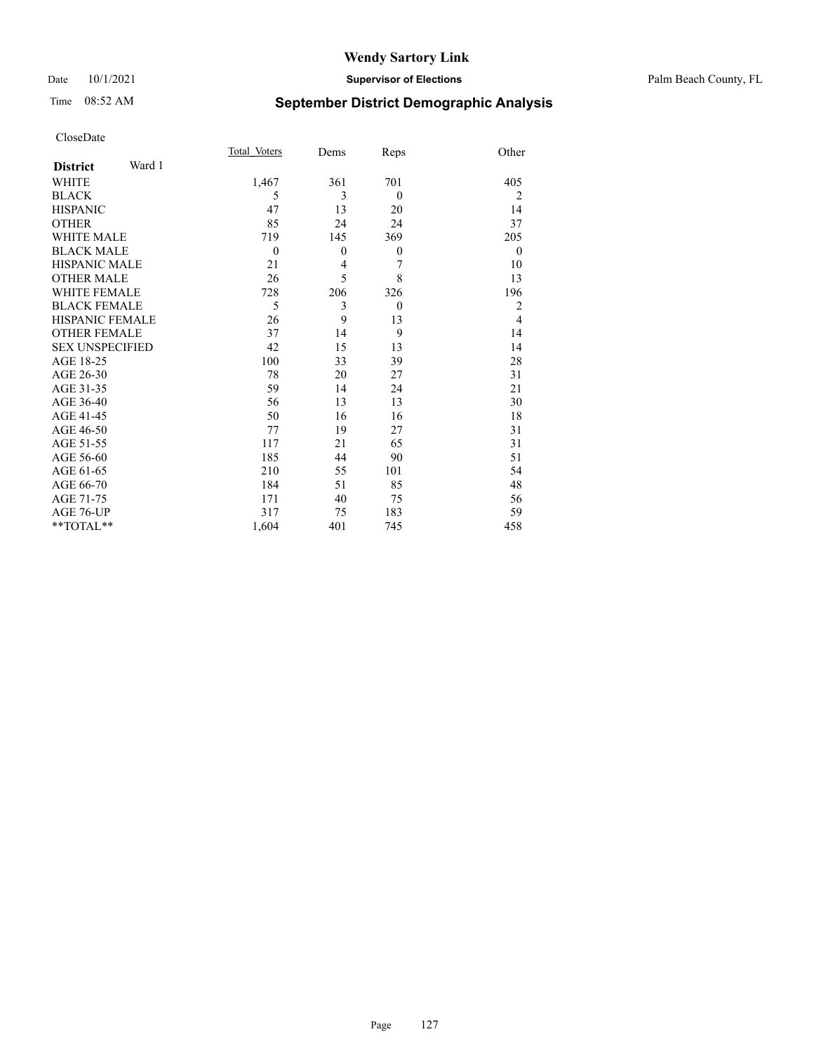#### Date 10/1/2021 **Supervisor of Elections** Palm Beach County, FL

# Time 08:52 AM **September District Demographic Analysis**

|                           | Total Voters | Dems           | Reps         | Other          |
|---------------------------|--------------|----------------|--------------|----------------|
| Ward 1<br><b>District</b> |              |                |              |                |
| WHITE                     | 1,467        | 361            | 701          | 405            |
| <b>BLACK</b>              | 5            | 3              | $\theta$     | $\overline{2}$ |
| <b>HISPANIC</b>           | 47           | 13             | 20           | 14             |
| <b>OTHER</b>              | 85           | 24             | 24           | 37             |
| <b>WHITE MALE</b>         | 719          | 145            | 369          | 205            |
| <b>BLACK MALE</b>         | $\mathbf{0}$ | $\theta$       | $\mathbf{0}$ | $\theta$       |
| <b>HISPANIC MALE</b>      | 21           | $\overline{4}$ | 7            | 10             |
| <b>OTHER MALE</b>         | 26           | 5              | 8            | 13             |
| <b>WHITE FEMALE</b>       | 728          | 206            | 326          | 196            |
| <b>BLACK FEMALE</b>       | 5            | 3              | $\theta$     | 2              |
| <b>HISPANIC FEMALE</b>    | 26           | 9              | 13           | $\overline{4}$ |
| <b>OTHER FEMALE</b>       | 37           | 14             | 9            | 14             |
| <b>SEX UNSPECIFIED</b>    | 42           | 15             | 13           | 14             |
| AGE 18-25                 | 100          | 33             | 39           | 28             |
| AGE 26-30                 | 78           | 20             | 27           | 31             |
| AGE 31-35                 | 59           | 14             | 24           | 21             |
| AGE 36-40                 | 56           | 13             | 13           | 30             |
| AGE 41-45                 | 50           | 16             | 16           | 18             |
| AGE 46-50                 | 77           | 19             | 27           | 31             |
| AGE 51-55                 | 117          | 21             | 65           | 31             |
| AGE 56-60                 | 185          | 44             | 90           | 51             |
| AGE 61-65                 | 210          | 55             | 101          | 54             |
| AGE 66-70                 | 184          | 51             | 85           | 48             |
| AGE 71-75                 | 171          | 40             | 75           | 56             |
| AGE 76-UP                 | 317          | 75             | 183          | 59             |
| **TOTAL**                 | 1,604        | 401            | 745          | 458            |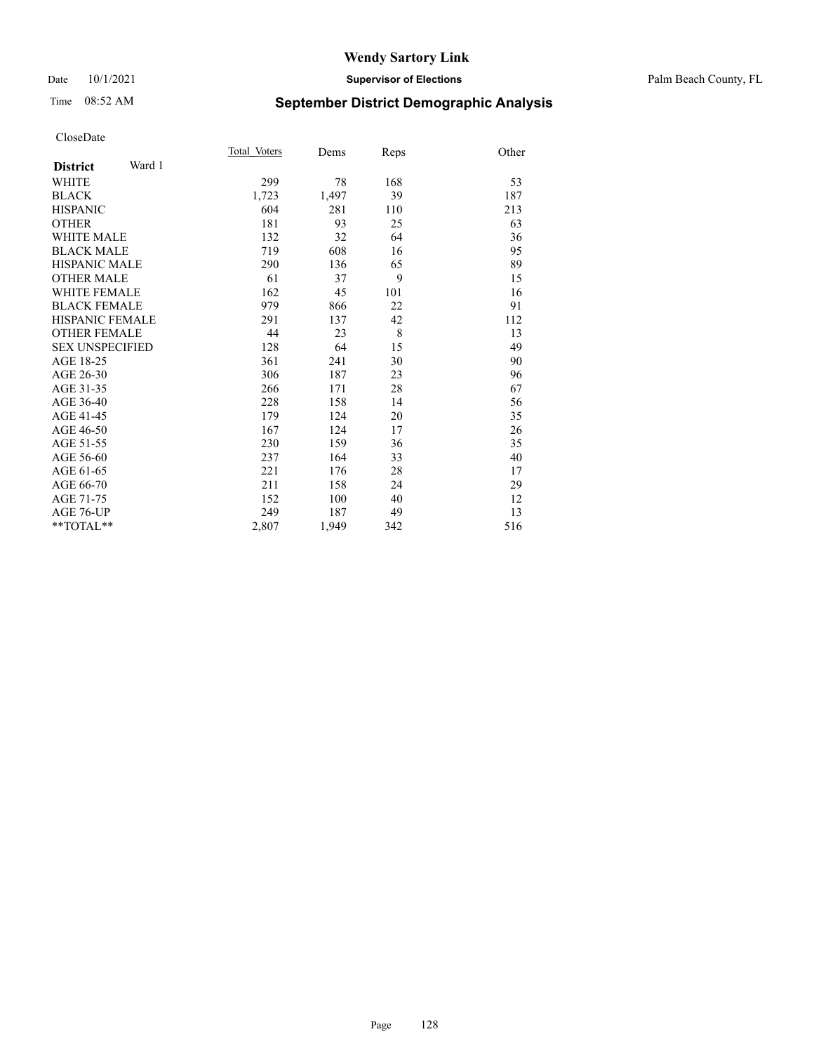#### Date 10/1/2021 **Supervisor of Elections** Palm Beach County, FL

# Time 08:52 AM **September District Demographic Analysis**

|                           | Total Voters | Dems  | Reps | Other |
|---------------------------|--------------|-------|------|-------|
| Ward 1<br><b>District</b> |              |       |      |       |
| <b>WHITE</b>              | 299          | 78    | 168  | 53    |
| <b>BLACK</b>              | 1,723        | 1,497 | 39   | 187   |
| <b>HISPANIC</b>           | 604          | 281   | 110  | 213   |
| <b>OTHER</b>              | 181          | 93    | 25   | 63    |
| <b>WHITE MALE</b>         | 132          | 32    | 64   | 36    |
| <b>BLACK MALE</b>         | 719          | 608   | 16   | 95    |
| <b>HISPANIC MALE</b>      | 290          | 136   | 65   | 89    |
| <b>OTHER MALE</b>         | 61           | 37    | 9    | 15    |
| <b>WHITE FEMALE</b>       | 162          | 45    | 101  | 16    |
| <b>BLACK FEMALE</b>       | 979          | 866   | 22   | 91    |
| <b>HISPANIC FEMALE</b>    | 291          | 137   | 42   | 112   |
| <b>OTHER FEMALE</b>       | 44           | 23    | 8    | 13    |
| <b>SEX UNSPECIFIED</b>    | 128          | 64    | 15   | 49    |
| AGE 18-25                 | 361          | 241   | 30   | 90    |
| AGE 26-30                 | 306          | 187   | 23   | 96    |
| AGE 31-35                 | 266          | 171   | 28   | 67    |
| AGE 36-40                 | 228          | 158   | 14   | 56    |
| AGE 41-45                 | 179          | 124   | 20   | 35    |
| AGE 46-50                 | 167          | 124   | 17   | 26    |
| AGE 51-55                 | 230          | 159   | 36   | 35    |
| AGE 56-60                 | 237          | 164   | 33   | 40    |
| AGE 61-65                 | 221          | 176   | 28   | 17    |
| AGE 66-70                 | 211          | 158   | 24   | 29    |
| AGE 71-75                 | 152          | 100   | 40   | 12    |
| AGE 76-UP                 | 249          | 187   | 49   | 13    |
| $*$ $TOTAL**$             | 2,807        | 1,949 | 342  | 516   |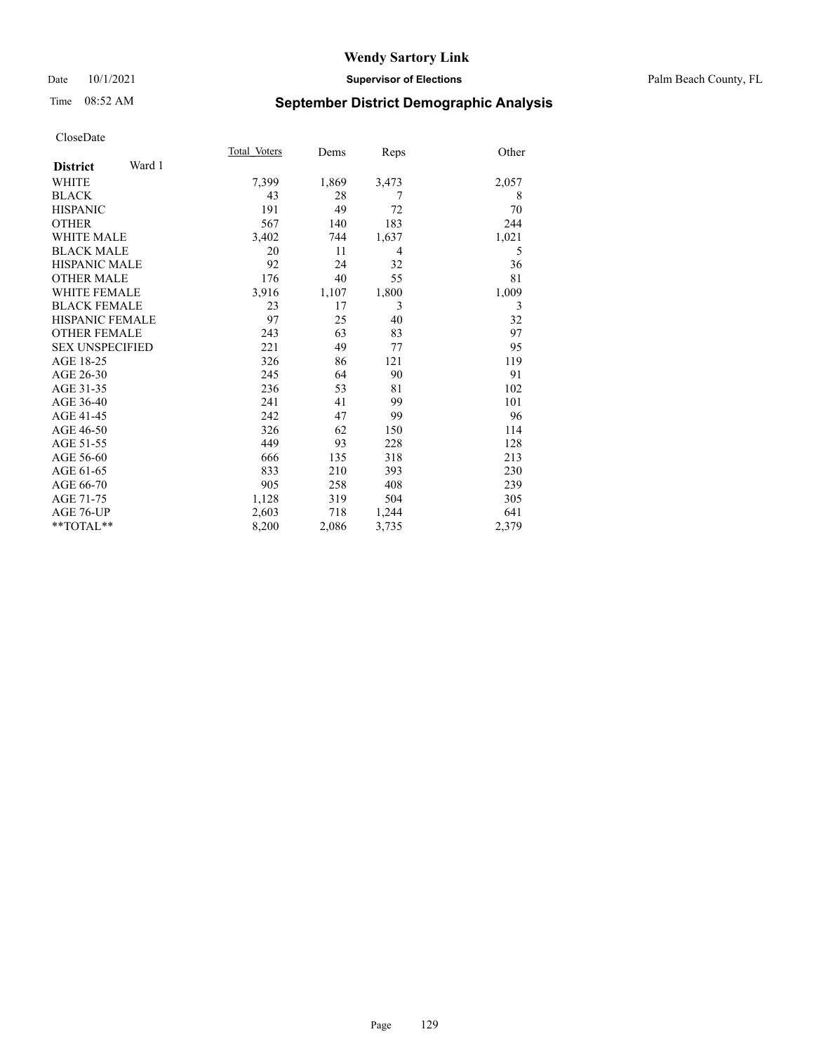#### Date 10/1/2021 **Supervisor of Elections** Palm Beach County, FL

## Time 08:52 AM **September District Demographic Analysis**

|                           | Total Voters | Dems  | Reps  | Other |
|---------------------------|--------------|-------|-------|-------|
| Ward 1<br><b>District</b> |              |       |       |       |
| <b>WHITE</b>              | 7,399        | 1,869 | 3,473 | 2,057 |
| <b>BLACK</b>              | 43           | 28    | 7     | 8     |
| <b>HISPANIC</b>           | 191          | 49    | 72    | 70    |
| <b>OTHER</b>              | 567          | 140   | 183   | 244   |
| <b>WHITE MALE</b>         | 3,402        | 744   | 1,637 | 1,021 |
| <b>BLACK MALE</b>         | 20           | 11    | 4     | 5     |
| <b>HISPANIC MALE</b>      | 92           | 24    | 32    | 36    |
| <b>OTHER MALE</b>         | 176          | 40    | 55    | 81    |
| <b>WHITE FEMALE</b>       | 3,916        | 1,107 | 1,800 | 1,009 |
| <b>BLACK FEMALE</b>       | 23           | 17    | 3     | 3     |
| <b>HISPANIC FEMALE</b>    | 97           | 25    | 40    | 32    |
| <b>OTHER FEMALE</b>       | 243          | 63    | 83    | 97    |
| <b>SEX UNSPECIFIED</b>    | 221          | 49    | 77    | 95    |
| AGE 18-25                 | 326          | 86    | 121   | 119   |
| AGE 26-30                 | 245          | 64    | 90    | 91    |
| AGE 31-35                 | 236          | 53    | 81    | 102   |
| AGE 36-40                 | 241          | 41    | 99    | 101   |
| AGE 41-45                 | 242          | 47    | 99    | 96    |
| AGE 46-50                 | 326          | 62    | 150   | 114   |
| AGE 51-55                 | 449          | 93    | 228   | 128   |
| AGE 56-60                 | 666          | 135   | 318   | 213   |
| AGE 61-65                 | 833          | 210   | 393   | 230   |
| AGE 66-70                 | 905          | 258   | 408   | 239   |
| AGE 71-75                 | 1,128        | 319   | 504   | 305   |
| AGE 76-UP                 | 2,603        | 718   | 1,244 | 641   |
| $*$ $TOTAL**$             | 8,200        | 2,086 | 3,735 | 2,379 |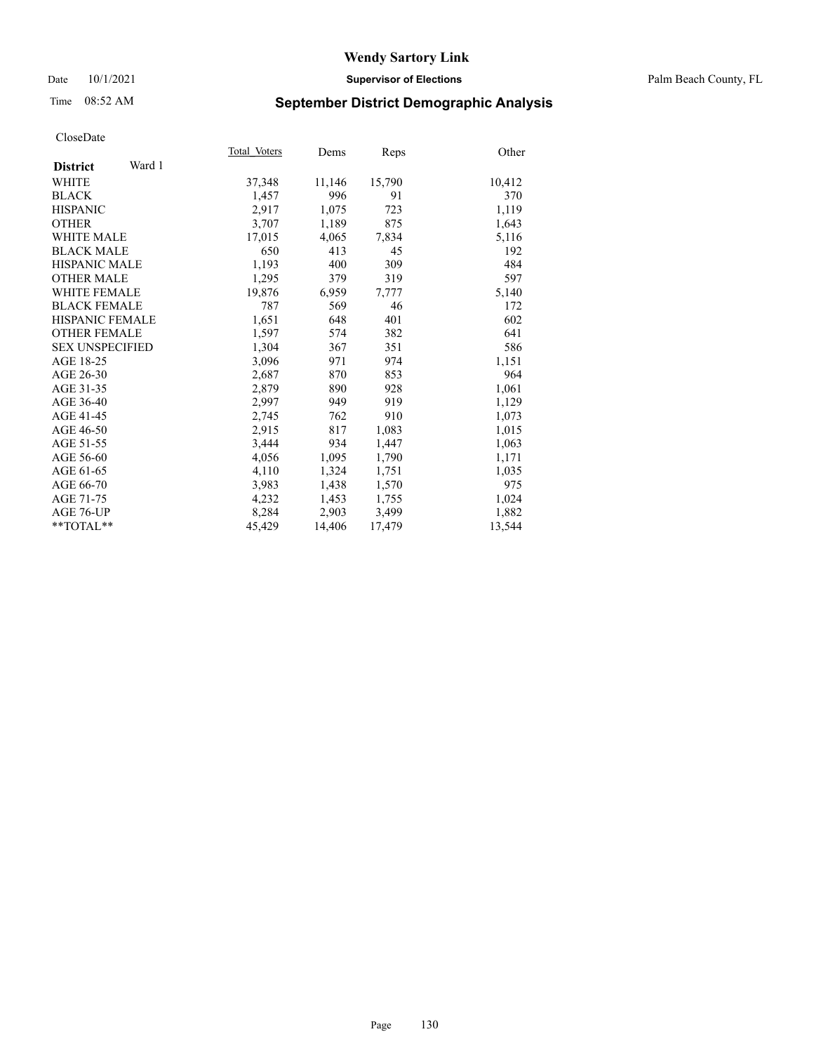#### Date 10/1/2021 **Supervisor of Elections** Palm Beach County, FL

## Time 08:52 AM **September District Demographic Analysis**

| Total Voters | Dems   | Reps   | Other  |
|--------------|--------|--------|--------|
|              |        |        |        |
| 37,348       | 11,146 | 15,790 | 10,412 |
| 1,457        | 996    | 91     | 370    |
| 2,917        | 1,075  | 723    | 1,119  |
| 3,707        | 1,189  | 875    | 1,643  |
| 17,015       | 4,065  | 7,834  | 5,116  |
| 650          | 413    | 45     | 192    |
| 1,193        | 400    | 309    | 484    |
| 1,295        | 379    | 319    | 597    |
| 19,876       | 6,959  | 7,777  | 5,140  |
| 787          | 569    | 46     | 172    |
| 1,651        | 648    | 401    | 602    |
| 1,597        | 574    | 382    | 641    |
| 1,304        | 367    | 351    | 586    |
| 3,096        | 971    | 974    | 1,151  |
| 2,687        | 870    | 853    | 964    |
| 2,879        | 890    | 928    | 1,061  |
| 2,997        | 949    | 919    | 1,129  |
| 2,745        | 762    | 910    | 1,073  |
| 2,915        | 817    | 1,083  | 1,015  |
| 3,444        | 934    | 1,447  | 1,063  |
| 4,056        | 1,095  | 1,790  | 1,171  |
| 4,110        | 1,324  | 1,751  | 1,035  |
| 3,983        | 1,438  | 1,570  | 975    |
| 4,232        | 1,453  | 1,755  | 1,024  |
| 8,284        | 2,903  | 3,499  | 1,882  |
| 45,429       | 14,406 | 17,479 | 13,544 |
|              |        |        |        |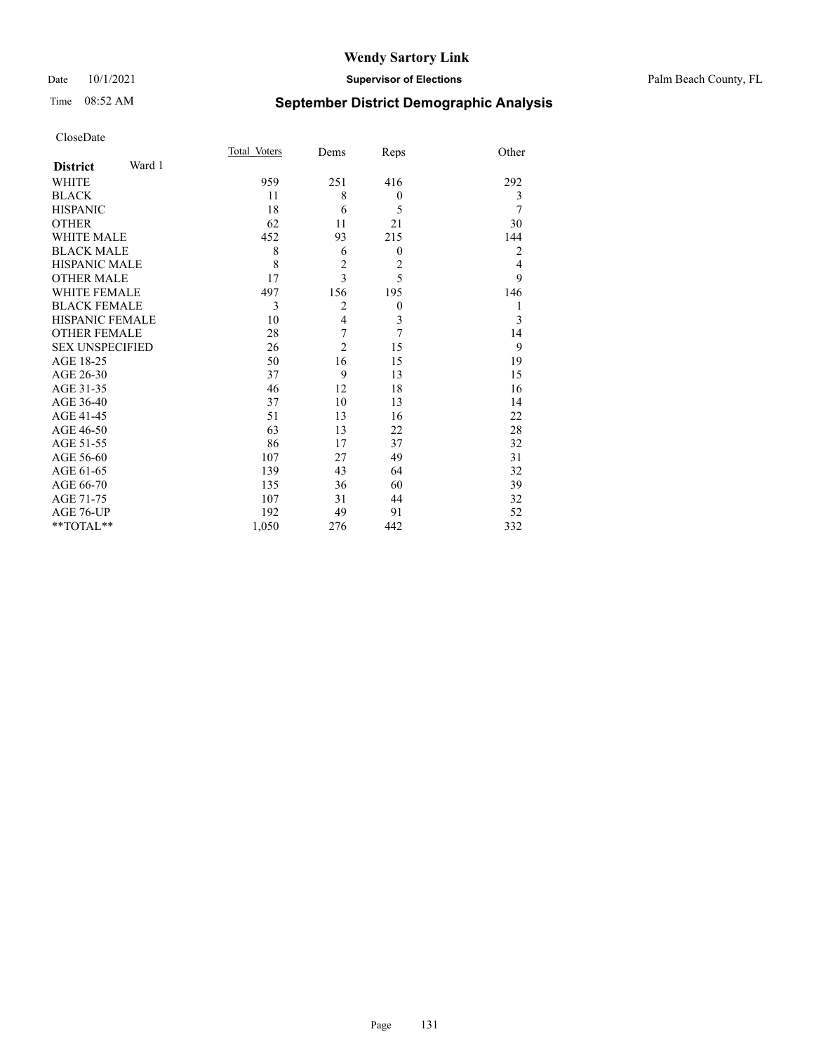#### Date 10/1/2021 **Supervisor of Elections** Palm Beach County, FL

## Time 08:52 AM **September District Demographic Analysis**

|                           | Total Voters | Dems                    | Reps             | Other          |
|---------------------------|--------------|-------------------------|------------------|----------------|
| Ward 1<br><b>District</b> |              |                         |                  |                |
| <b>WHITE</b>              | 959          | 251                     | 416              | 292            |
| <b>BLACK</b>              | 11           | 8                       | $\boldsymbol{0}$ | 3              |
| <b>HISPANIC</b>           | 18           | 6                       | 5                | 7              |
| <b>OTHER</b>              | 62           | 11                      | 21               | 30             |
| <b>WHITE MALE</b>         | 452          | 93                      | 215              | 144            |
| <b>BLACK MALE</b>         | 8            | 6                       | $\theta$         | $\overline{2}$ |
| <b>HISPANIC MALE</b>      | 8            | $\overline{c}$          | $\overline{2}$   | 4              |
| <b>OTHER MALE</b>         | 17           | 3                       | 5                | 9              |
| <b>WHITE FEMALE</b>       | 497          | 156                     | 195              | 146            |
| <b>BLACK FEMALE</b>       | 3            | $\overline{2}$          | $\boldsymbol{0}$ | 1              |
| <b>HISPANIC FEMALE</b>    | 10           | $\overline{\mathbf{4}}$ | 3                | 3              |
| <b>OTHER FEMALE</b>       | 28           | 7                       | 7                | 14             |
| <b>SEX UNSPECIFIED</b>    | 26           | $\overline{2}$          | 15               | 9              |
| AGE 18-25                 | 50           | 16                      | 15               | 19             |
| AGE 26-30                 | 37           | 9                       | 13               | 15             |
| AGE 31-35                 | 46           | 12                      | 18               | 16             |
| AGE 36-40                 | 37           | 10                      | 13               | 14             |
| AGE 41-45                 | 51           | 13                      | 16               | 22             |
| AGE 46-50                 | 63           | 13                      | 22               | 28             |
| AGE 51-55                 | 86           | 17                      | 37               | 32             |
| AGE 56-60                 | 107          | 27                      | 49               | 31             |
| AGE 61-65                 | 139          | 43                      | 64               | 32             |
| AGE 66-70                 | 135          | 36                      | 60               | 39             |
| AGE 71-75                 | 107          | 31                      | 44               | 32             |
| AGE 76-UP                 | 192          | 49                      | 91               | 52             |
| **TOTAL**                 | 1,050        | 276                     | 442              | 332            |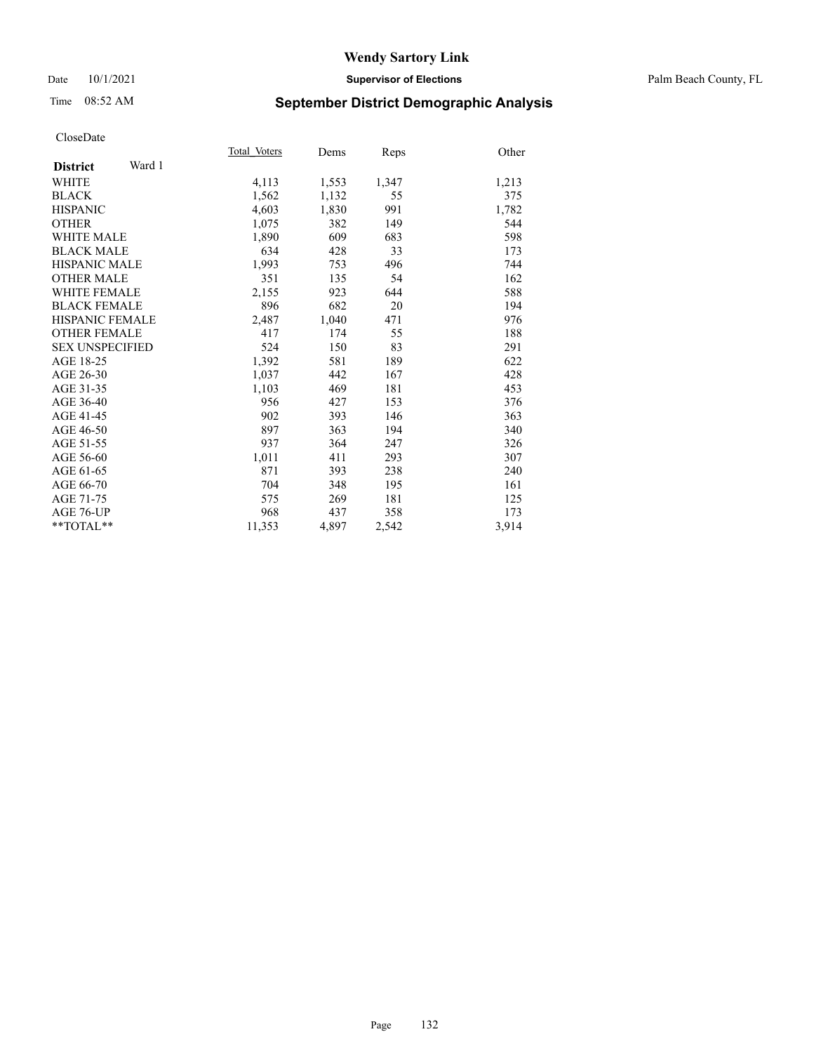#### Date 10/1/2021 **Supervisor of Elections** Palm Beach County, FL

## Time 08:52 AM **September District Demographic Analysis**

|                           | Total Voters | Dems  | Reps  | Other |
|---------------------------|--------------|-------|-------|-------|
| Ward 1<br><b>District</b> |              |       |       |       |
| WHITE                     | 4,113        | 1,553 | 1,347 | 1,213 |
| <b>BLACK</b>              | 1,562        | 1,132 | 55    | 375   |
| <b>HISPANIC</b>           | 4,603        | 1,830 | 991   | 1,782 |
| <b>OTHER</b>              | 1,075        | 382   | 149   | 544   |
| WHITE MALE                | 1,890        | 609   | 683   | 598   |
| <b>BLACK MALE</b>         | 634          | 428   | 33    | 173   |
| <b>HISPANIC MALE</b>      | 1,993        | 753   | 496   | 744   |
| <b>OTHER MALE</b>         | 351          | 135   | 54    | 162   |
| <b>WHITE FEMALE</b>       | 2,155        | 923   | 644   | 588   |
| <b>BLACK FEMALE</b>       | 896          | 682   | 20    | 194   |
| <b>HISPANIC FEMALE</b>    | 2,487        | 1,040 | 471   | 976   |
| <b>OTHER FEMALE</b>       | 417          | 174   | 55    | 188   |
| <b>SEX UNSPECIFIED</b>    | 524          | 150   | 83    | 291   |
| AGE 18-25                 | 1,392        | 581   | 189   | 622   |
| AGE 26-30                 | 1,037        | 442   | 167   | 428   |
| AGE 31-35                 | 1,103        | 469   | 181   | 453   |
| AGE 36-40                 | 956          | 427   | 153   | 376   |
| AGE 41-45                 | 902          | 393   | 146   | 363   |
| AGE 46-50                 | 897          | 363   | 194   | 340   |
| AGE 51-55                 | 937          | 364   | 247   | 326   |
| AGE 56-60                 | 1,011        | 411   | 293   | 307   |
| AGE 61-65                 | 871          | 393   | 238   | 240   |
| AGE 66-70                 | 704          | 348   | 195   | 161   |
| AGE 71-75                 | 575          | 269   | 181   | 125   |
| AGE 76-UP                 | 968          | 437   | 358   | 173   |
| $*$ $TOTAL**$             | 11,353       | 4,897 | 2,542 | 3,914 |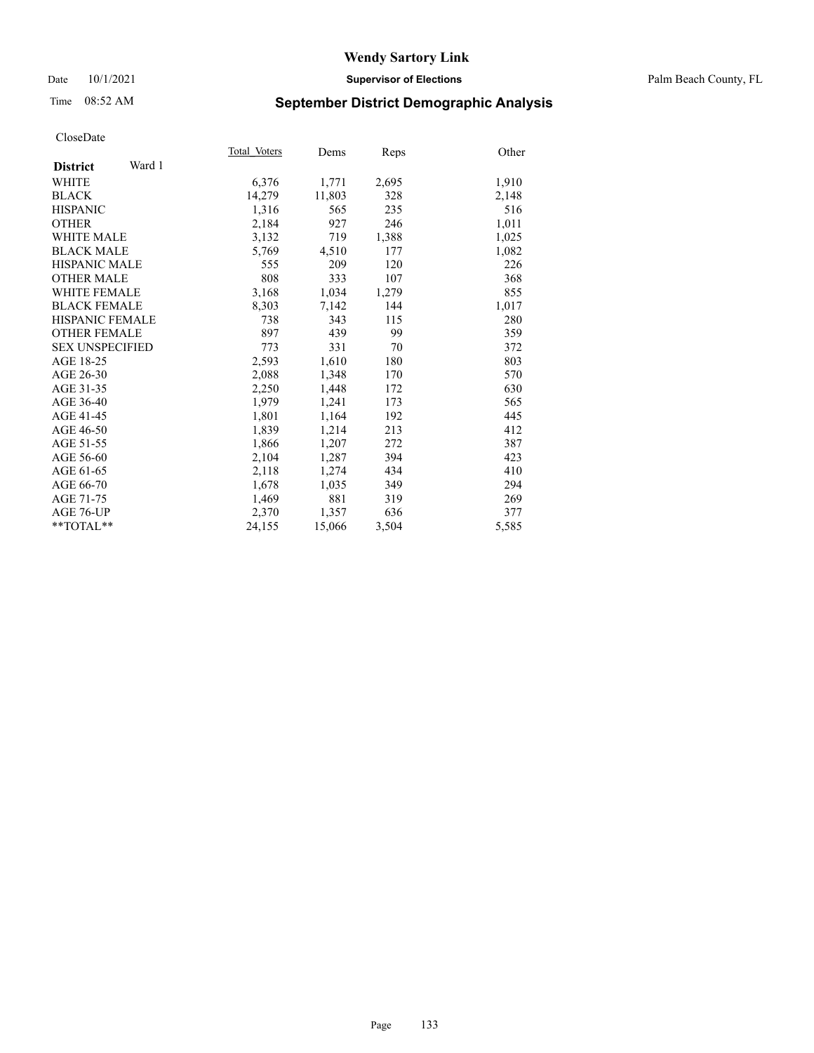#### Date 10/1/2021 **Supervisor of Elections** Palm Beach County, FL

## Time 08:52 AM **September District Demographic Analysis**

|                           | Total Voters | Dems   | Reps  | Other |
|---------------------------|--------------|--------|-------|-------|
| Ward 1<br><b>District</b> |              |        |       |       |
| WHITE                     | 6,376        | 1,771  | 2,695 | 1,910 |
| <b>BLACK</b>              | 14,279       | 11,803 | 328   | 2,148 |
| <b>HISPANIC</b>           | 1,316        | 565    | 235   | 516   |
| <b>OTHER</b>              | 2,184        | 927    | 246   | 1,011 |
| <b>WHITE MALE</b>         | 3,132        | 719    | 1,388 | 1,025 |
| <b>BLACK MALE</b>         | 5,769        | 4,510  | 177   | 1,082 |
| <b>HISPANIC MALE</b>      | 555          | 209    | 120   | 226   |
| <b>OTHER MALE</b>         | 808          | 333    | 107   | 368   |
| <b>WHITE FEMALE</b>       | 3,168        | 1,034  | 1,279 | 855   |
| <b>BLACK FEMALE</b>       | 8,303        | 7,142  | 144   | 1,017 |
| <b>HISPANIC FEMALE</b>    | 738          | 343    | 115   | 280   |
| <b>OTHER FEMALE</b>       | 897          | 439    | 99    | 359   |
| <b>SEX UNSPECIFIED</b>    | 773          | 331    | 70    | 372   |
| AGE 18-25                 | 2,593        | 1,610  | 180   | 803   |
| AGE 26-30                 | 2,088        | 1,348  | 170   | 570   |
| AGE 31-35                 | 2,250        | 1,448  | 172   | 630   |
| AGE 36-40                 | 1,979        | 1,241  | 173   | 565   |
| AGE 41-45                 | 1,801        | 1,164  | 192   | 445   |
| AGE 46-50                 | 1,839        | 1,214  | 213   | 412   |
| AGE 51-55                 | 1,866        | 1,207  | 272   | 387   |
| AGE 56-60                 | 2,104        | 1,287  | 394   | 423   |
| AGE 61-65                 | 2,118        | 1,274  | 434   | 410   |
| AGE 66-70                 | 1,678        | 1,035  | 349   | 294   |
| AGE 71-75                 | 1,469        | 881    | 319   | 269   |
| AGE 76-UP                 | 2,370        | 1,357  | 636   | 377   |
| **TOTAL**                 | 24,155       | 15,066 | 3,504 | 5,585 |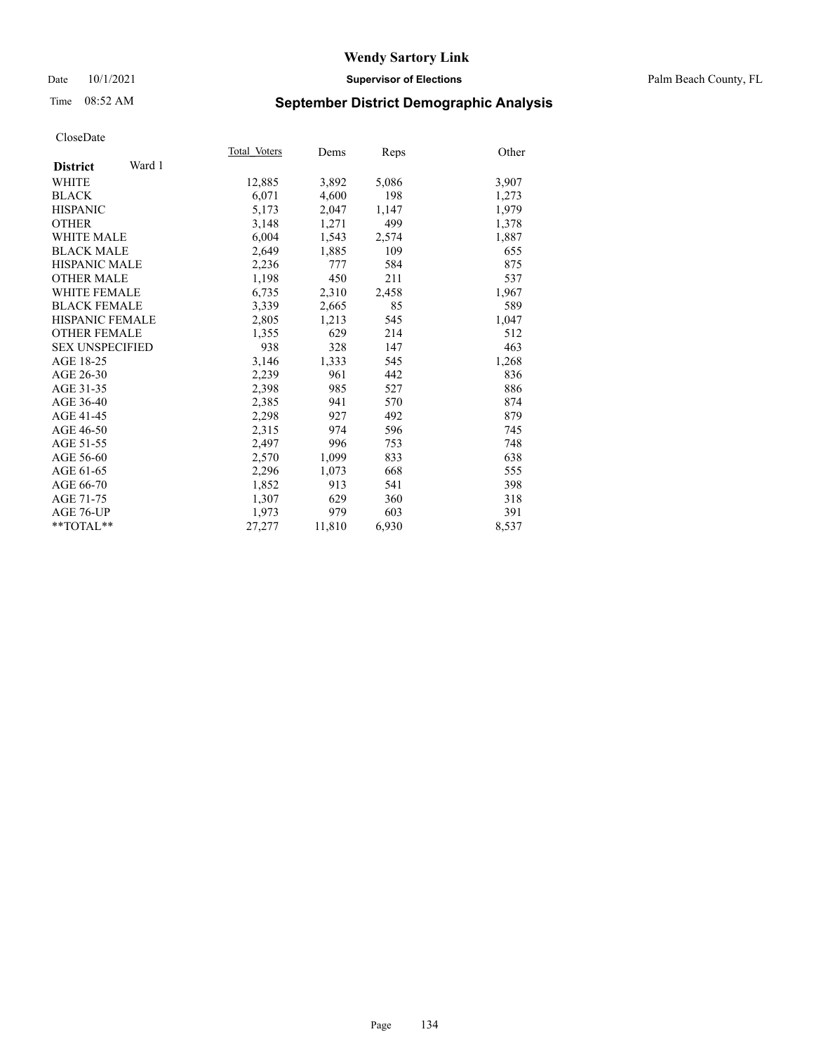#### Date 10/1/2021 **Supervisor of Elections** Palm Beach County, FL

## Time 08:52 AM **September District Demographic Analysis**

|                           | Total Voters | Dems   | Reps  | Other |
|---------------------------|--------------|--------|-------|-------|
| Ward 1<br><b>District</b> |              |        |       |       |
| WHITE                     | 12,885       | 3,892  | 5,086 | 3,907 |
| <b>BLACK</b>              | 6,071        | 4,600  | 198   | 1,273 |
| <b>HISPANIC</b>           | 5,173        | 2,047  | 1,147 | 1,979 |
| <b>OTHER</b>              | 3,148        | 1,271  | 499   | 1,378 |
| <b>WHITE MALE</b>         | 6,004        | 1,543  | 2,574 | 1,887 |
| <b>BLACK MALE</b>         | 2,649        | 1,885  | 109   | 655   |
| <b>HISPANIC MALE</b>      | 2,236        | 777    | 584   | 875   |
| <b>OTHER MALE</b>         | 1,198        | 450    | 211   | 537   |
| <b>WHITE FEMALE</b>       | 6,735        | 2,310  | 2,458 | 1,967 |
| <b>BLACK FEMALE</b>       | 3,339        | 2,665  | 85    | 589   |
| <b>HISPANIC FEMALE</b>    | 2,805        | 1,213  | 545   | 1,047 |
| <b>OTHER FEMALE</b>       | 1,355        | 629    | 214   | 512   |
| <b>SEX UNSPECIFIED</b>    | 938          | 328    | 147   | 463   |
| AGE 18-25                 | 3,146        | 1,333  | 545   | 1,268 |
| AGE 26-30                 | 2,239        | 961    | 442   | 836   |
| AGE 31-35                 | 2,398        | 985    | 527   | 886   |
| AGE 36-40                 | 2,385        | 941    | 570   | 874   |
| AGE 41-45                 | 2,298        | 927    | 492   | 879   |
| AGE 46-50                 | 2,315        | 974    | 596   | 745   |
| AGE 51-55                 | 2,497        | 996    | 753   | 748   |
| AGE 56-60                 | 2,570        | 1,099  | 833   | 638   |
| AGE 61-65                 | 2,296        | 1,073  | 668   | 555   |
| AGE 66-70                 | 1,852        | 913    | 541   | 398   |
| AGE 71-75                 | 1,307        | 629    | 360   | 318   |
| AGE 76-UP                 | 1,973        | 979    | 603   | 391   |
| $*$ $TOTAL**$             | 27,277       | 11,810 | 6,930 | 8,537 |
|                           |              |        |       |       |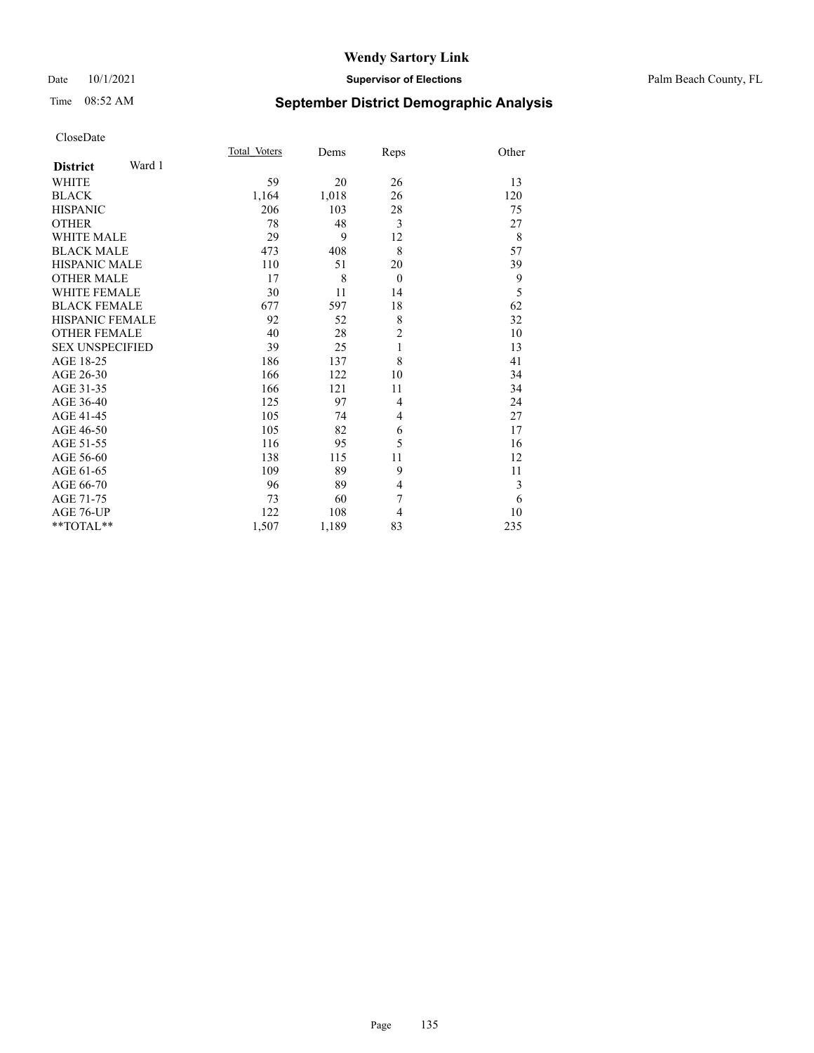# Time 08:52 AM **September District Demographic Analysis**

|                        |        | Total Voters | Dems  | Reps           | Other |
|------------------------|--------|--------------|-------|----------------|-------|
| <b>District</b>        | Ward 1 |              |       |                |       |
| WHITE                  |        | 59           | 20    | 26             | 13    |
| <b>BLACK</b>           |        | 1,164        | 1,018 | 26             | 120   |
| <b>HISPANIC</b>        |        | 206          | 103   | 28             | 75    |
| <b>OTHER</b>           |        | 78           | 48    | 3              | 27    |
| <b>WHITE MALE</b>      |        | 29           | 9     | 12             | 8     |
| <b>BLACK MALE</b>      |        | 473          | 408   | 8              | 57    |
| <b>HISPANIC MALE</b>   |        | 110          | 51    | 20             | 39    |
| <b>OTHER MALE</b>      |        | 17           | 8     | $\overline{0}$ | 9     |
| <b>WHITE FEMALE</b>    |        | 30           | 11    | 14             | 5     |
| <b>BLACK FEMALE</b>    |        | 677          | 597   | 18             | 62    |
| HISPANIC FEMALE        |        | 92           | 52    | 8              | 32    |
| <b>OTHER FEMALE</b>    |        | 40           | 28    | $\overline{c}$ | 10    |
| <b>SEX UNSPECIFIED</b> |        | 39           | 25    | $\mathbf{1}$   | 13    |
| AGE 18-25              |        | 186          | 137   | 8              | 41    |
| AGE 26-30              |        | 166          | 122   | 10             | 34    |
| AGE 31-35              |        | 166          | 121   | 11             | 34    |
| AGE 36-40              |        | 125          | 97    | 4              | 24    |
| AGE 41-45              |        | 105          | 74    | 4              | 27    |
| AGE 46-50              |        | 105          | 82    | 6              | 17    |
| AGE 51-55              |        | 116          | 95    | 5              | 16    |
| AGE 56-60              |        | 138          | 115   | 11             | 12    |
| AGE 61-65              |        | 109          | 89    | 9              | 11    |
| AGE 66-70              |        | 96           | 89    | 4              | 3     |
| AGE 71-75              |        | 73           | 60    | 7              | 6     |
| AGE 76-UP              |        | 122          | 108   | 4              | 10    |
| $*$ $TOTAL**$          |        | 1,507        | 1,189 | 83             | 235   |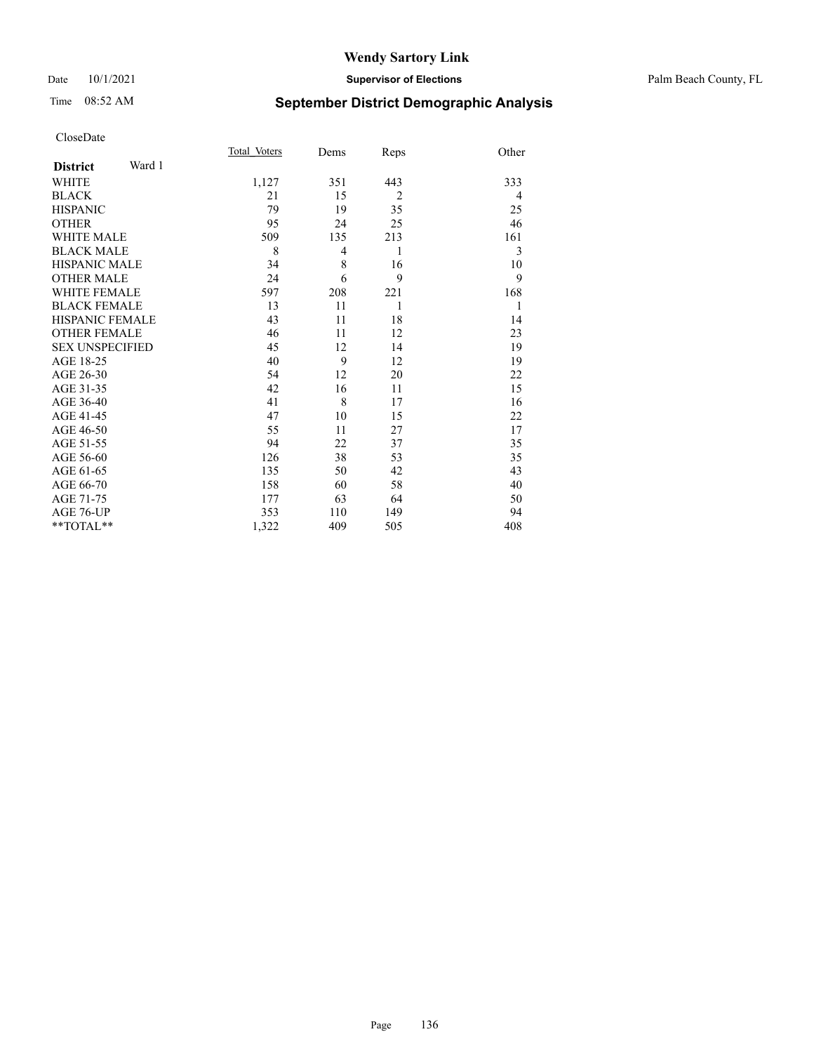#### Date 10/1/2021 **Supervisor of Elections** Palm Beach County, FL

## Time 08:52 AM **September District Demographic Analysis**

|                           | Total Voters | Dems           | Reps           | Other |
|---------------------------|--------------|----------------|----------------|-------|
| Ward 1<br><b>District</b> |              |                |                |       |
| WHITE                     | 1,127        | 351            | 443            | 333   |
| <b>BLACK</b>              | 21           | 15             | $\overline{2}$ | 4     |
| <b>HISPANIC</b>           | 79           | 19             | 35             | 25    |
| <b>OTHER</b>              | 95           | 24             | 25             | 46    |
| WHITE MALE                | 509          | 135            | 213            | 161   |
| <b>BLACK MALE</b>         | 8            | $\overline{4}$ | 1              | 3     |
| <b>HISPANIC MALE</b>      | 34           | 8              | 16             | 10    |
| <b>OTHER MALE</b>         | 24           | 6              | 9              | 9     |
| <b>WHITE FEMALE</b>       | 597          | 208            | 221            | 168   |
| <b>BLACK FEMALE</b>       | 13           | 11             | 1              | 1     |
| HISPANIC FEMALE           | 43           | 11             | 18             | 14    |
| <b>OTHER FEMALE</b>       | 46           | 11             | 12             | 23    |
| <b>SEX UNSPECIFIED</b>    | 45           | 12             | 14             | 19    |
| AGE 18-25                 | 40           | 9              | 12             | 19    |
| AGE 26-30                 | 54           | 12             | 20             | 22    |
| AGE 31-35                 | 42           | 16             | 11             | 15    |
| AGE 36-40                 | 41           | 8              | 17             | 16    |
| AGE 41-45                 | 47           | 10             | 15             | 22    |
| AGE 46-50                 | 55           | 11             | 27             | 17    |
| AGE 51-55                 | 94           | 22             | 37             | 35    |
| AGE 56-60                 | 126          | 38             | 53             | 35    |
| AGE 61-65                 | 135          | 50             | 42             | 43    |
| AGE 66-70                 | 158          | 60             | 58             | 40    |
| AGE 71-75                 | 177          | 63             | 64             | 50    |
| AGE 76-UP                 | 353          | 110            | 149            | 94    |
| **TOTAL**                 | 1,322        | 409            | 505            | 408   |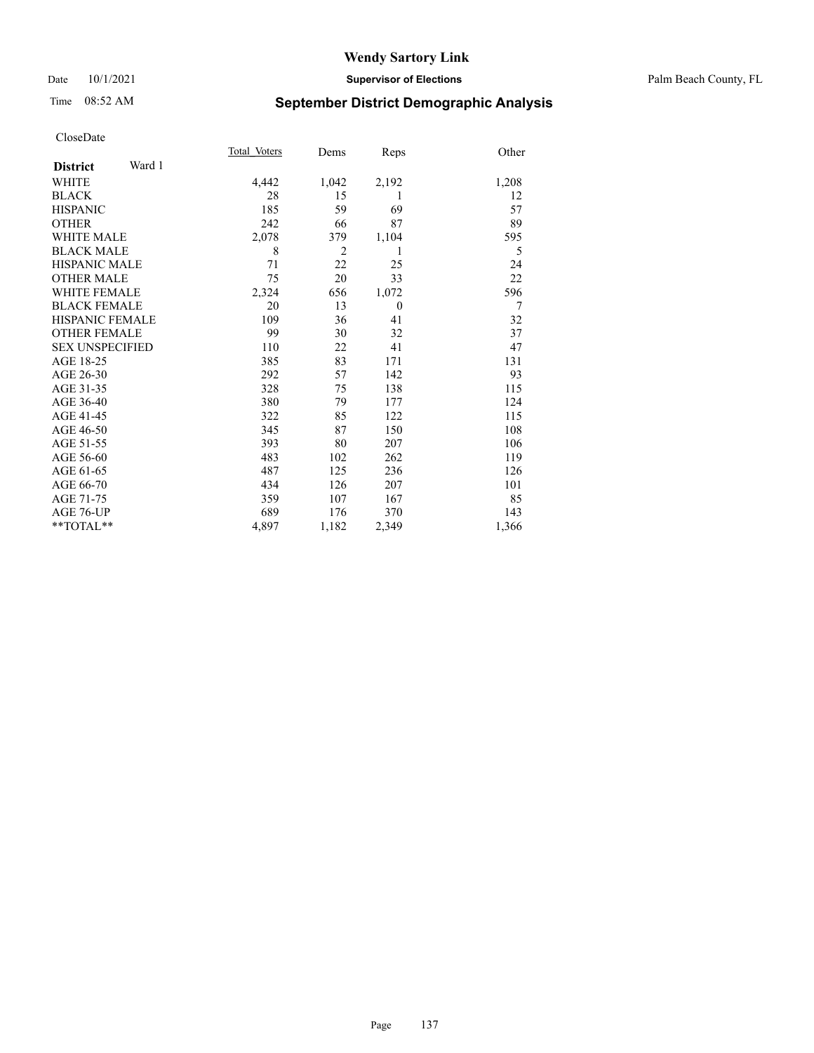#### Date 10/1/2021 **Supervisor of Elections** Palm Beach County, FL

# Time 08:52 AM **September District Demographic Analysis**

|                        |        | Total Voters | Dems           | Reps           | Other |
|------------------------|--------|--------------|----------------|----------------|-------|
| <b>District</b>        | Ward 1 |              |                |                |       |
| <b>WHITE</b>           |        | 4,442        | 1,042          | 2,192          | 1,208 |
| <b>BLACK</b>           |        | 28           | 15             | 1              | 12    |
| <b>HISPANIC</b>        |        | 185          | 59             | 69             | 57    |
| <b>OTHER</b>           |        | 242          | 66             | 87             | 89    |
| <b>WHITE MALE</b>      |        | 2,078        | 379            | 1,104          | 595   |
| <b>BLACK MALE</b>      |        | 8            | $\overline{2}$ | 1              | 5     |
| <b>HISPANIC MALE</b>   |        | 71           | 22             | 25             | 24    |
| <b>OTHER MALE</b>      |        | 75           | 20             | 33             | 22    |
| <b>WHITE FEMALE</b>    |        | 2,324        | 656            | 1,072          | 596   |
| <b>BLACK FEMALE</b>    |        | 20           | 13             | $\overline{0}$ | 7     |
| <b>HISPANIC FEMALE</b> |        | 109          | 36             | 41             | 32    |
| <b>OTHER FEMALE</b>    |        | 99           | 30             | 32             | 37    |
| <b>SEX UNSPECIFIED</b> |        | 110          | 22             | 41             | 47    |
| AGE 18-25              |        | 385          | 83             | 171            | 131   |
| AGE 26-30              |        | 292          | 57             | 142            | 93    |
| AGE 31-35              |        | 328          | 75             | 138            | 115   |
| AGE 36-40              |        | 380          | 79             | 177            | 124   |
| AGE 41-45              |        | 322          | 85             | 122            | 115   |
| AGE 46-50              |        | 345          | 87             | 150            | 108   |
| AGE 51-55              |        | 393          | 80             | 207            | 106   |
| AGE 56-60              |        | 483          | 102            | 262            | 119   |
| AGE 61-65              |        | 487          | 125            | 236            | 126   |
| AGE 66-70              |        | 434          | 126            | 207            | 101   |
| AGE 71-75              |        | 359          | 107            | 167            | 85    |
| AGE 76-UP              |        | 689          | 176            | 370            | 143   |
| $*$ $TOTAL**$          |        | 4,897        | 1,182          | 2,349          | 1,366 |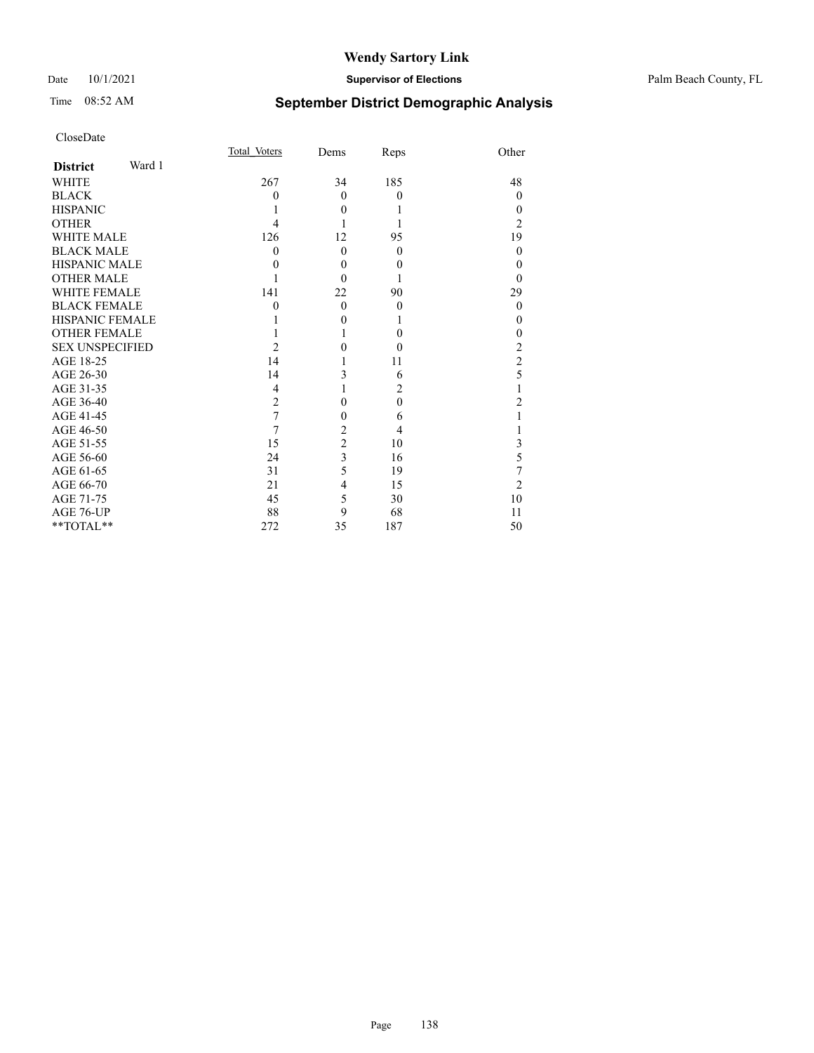## Time 08:52 AM **September District Demographic Analysis**

| CloseDate |
|-----------|
|-----------|

| Page | 138 |
|------|-----|
|      |     |

Total\_Voters Dems Reps Other **District** Ward 1 WHITE 267 34 185 48  $\begin{array}{ccccccccccccccccc}\n\text{BLACK} & & & & 0 & & 0 & & 0 & & & 0\n\end{array}$ HISPANIC  $\begin{array}{ccccccccccccc} & & & & & & 1 & & & 0 & & 1 & & & & 0 \ \text{OTHER} && & & & & 4 & & 1 & & 1 & & & & 2 \end{array}$ OTHER  $\begin{array}{ccccccccccccc}\n & 4 & 1 & 1 & 2\n\end{array}$ WHITE MALE  $126$   $12$   $95$   $19$   $19$   $12$   $95$   $19$   $19$   $19$   $10$   $12$   $10$   $10$   $10$  $\begin{array}{cccccccccccccc} \text{BLACK MALE} & & & & 0 & & 0 & & 0 & & 0 \\ \text{HISPANIC MALE} & & & & & 0 & & 0 & & 0 & & 0 \\ \end{array}$ HISPANIC MALE 0 0 0 0 OTHER MALE  $\begin{array}{ccccccc} & & & & & 1 & & 0 & & 1 & & 0 \\ \text{WHITE FEMALE} && & & & 141 & & 22 & & 90 & & & 29 \end{array}$ WHITE FEMALE 141 22 90 29<br>BLACK FEMALE 141 22 90 0 BLACK FEMALE  $\begin{array}{cccccccccccccc} \text{HISPANIC FEMALE} & & & & & 1 & & & 0 & & 1 & & & 0 \\ \text{OTHER FEMALE} & & & & & & 1 & & 1 & & 0 & & 0 \\ \text{SEX UNSPECTFIED} & & & & & & 2 & & 0 & & 0 & & & 2 \\ \end{array}$ OTHER FEMALE 1 1 0 SEX UNSPECIFIED 2 0 0 2<br>AGE 18-25 14 1 11 2 AGE 18-25 14 1 11 2<br>AGE 26-30 14 3 6 5 AGE 26-30 14 3 6 5<br>AGE 31-35 4 1 2 1 AGE 31-35 4 1 2 1<br>AGE 36-40 2 0 0 2 AGE 36-40 2 0 0 2<br>AGE 41-45 7 0 6 1

AGE 46-50 7 2 4 1<br>AGE 51-55 15 2 10 3 AGE 51-55 15 2 10 3<br>AGE 56-60 24 3 16 5 AGE 56-60 24 3 16 5<br>AGE 61-65 31 5 19 7 AGE 61-65 31 5 19 7<br>AGE 66-70 21 4 15 2 AGE 66-70 21 4 15 2<br>AGE 71-75 45 5 30 10

AGE 76-UP  $88$  9 68 11<br>\*\*TOTAL\*\* 272 35 187 50 \*\*TOTAL\*\* 272 35 187 50

AGE 41-45 7 0 6<br>AGE 46-50 7 2 4

AGE 71-75 45 5 30<br>AGE 76-UP 88 9 68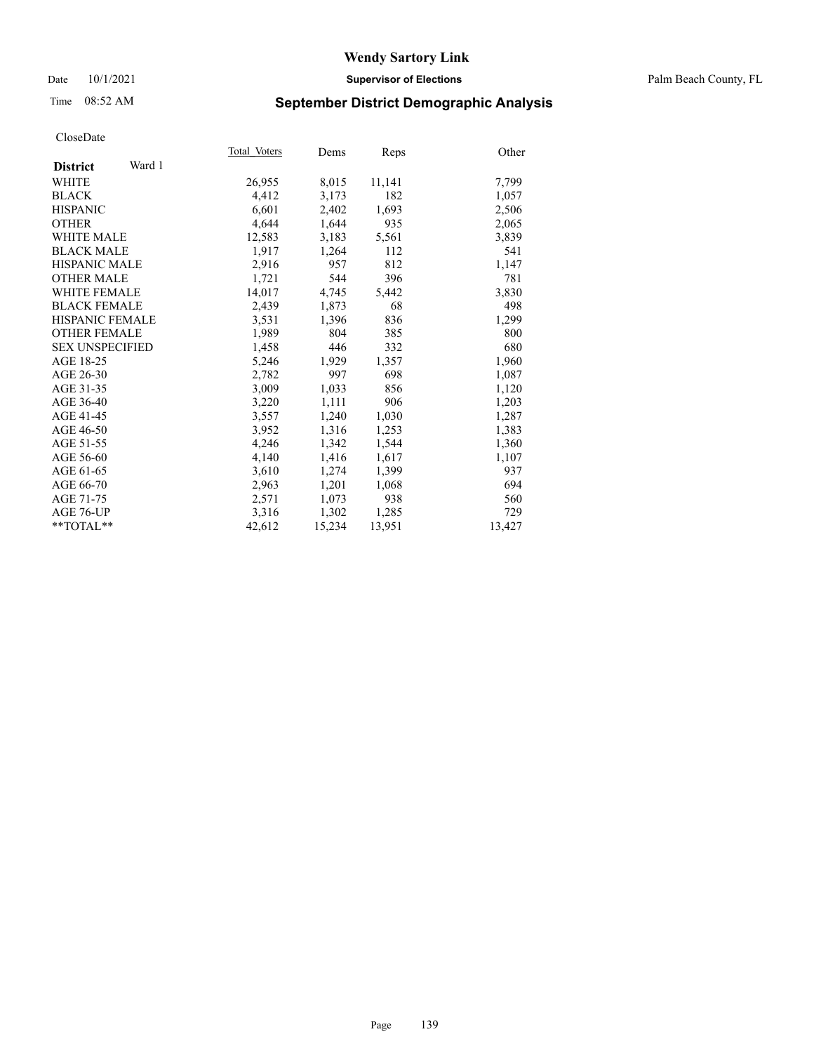#### Date 10/1/2021 **Supervisor of Elections** Palm Beach County, FL

## Time 08:52 AM **September District Demographic Analysis**

|                           | Total Voters | Dems   | Reps   | Other  |
|---------------------------|--------------|--------|--------|--------|
| Ward 1<br><b>District</b> |              |        |        |        |
| WHITE                     | 26,955       | 8,015  | 11,141 | 7,799  |
| <b>BLACK</b>              | 4,412        | 3,173  | 182    | 1,057  |
| <b>HISPANIC</b>           | 6.601        | 2,402  | 1,693  | 2,506  |
| <b>OTHER</b>              | 4,644        | 1,644  | 935    | 2,065  |
| <b>WHITE MALE</b>         | 12,583       | 3,183  | 5,561  | 3,839  |
| <b>BLACK MALE</b>         | 1,917        | 1,264  | 112    | 541    |
| <b>HISPANIC MALE</b>      | 2,916        | 957    | 812    | 1,147  |
| <b>OTHER MALE</b>         | 1,721        | 544    | 396    | 781    |
| <b>WHITE FEMALE</b>       | 14,017       | 4,745  | 5,442  | 3,830  |
| <b>BLACK FEMALE</b>       | 2.439        | 1,873  | 68     | 498    |
| <b>HISPANIC FEMALE</b>    | 3,531        | 1,396  | 836    | 1,299  |
| <b>OTHER FEMALE</b>       | 1,989        | 804    | 385    | 800    |
| <b>SEX UNSPECIFIED</b>    | 1,458        | 446    | 332    | 680    |
| AGE 18-25                 | 5,246        | 1,929  | 1,357  | 1,960  |
| AGE 26-30                 | 2,782        | 997    | 698    | 1,087  |
| AGE 31-35                 | 3,009        | 1,033  | 856    | 1,120  |
| AGE 36-40                 | 3,220        | 1,111  | 906    | 1,203  |
| AGE 41-45                 | 3,557        | 1,240  | 1,030  | 1,287  |
| AGE 46-50                 | 3,952        | 1,316  | 1,253  | 1,383  |
| AGE 51-55                 | 4,246        | 1,342  | 1,544  | 1,360  |
| AGE 56-60                 | 4,140        | 1,416  | 1,617  | 1,107  |
| AGE 61-65                 | 3,610        | 1,274  | 1,399  | 937    |
| AGE 66-70                 | 2,963        | 1,201  | 1,068  | 694    |
| AGE 71-75                 | 2,571        | 1,073  | 938    | 560    |
| AGE 76-UP                 | 3,316        | 1,302  | 1,285  | 729    |
| $*$ $TOTAL**$             | 42,612       | 15,234 | 13,951 | 13,427 |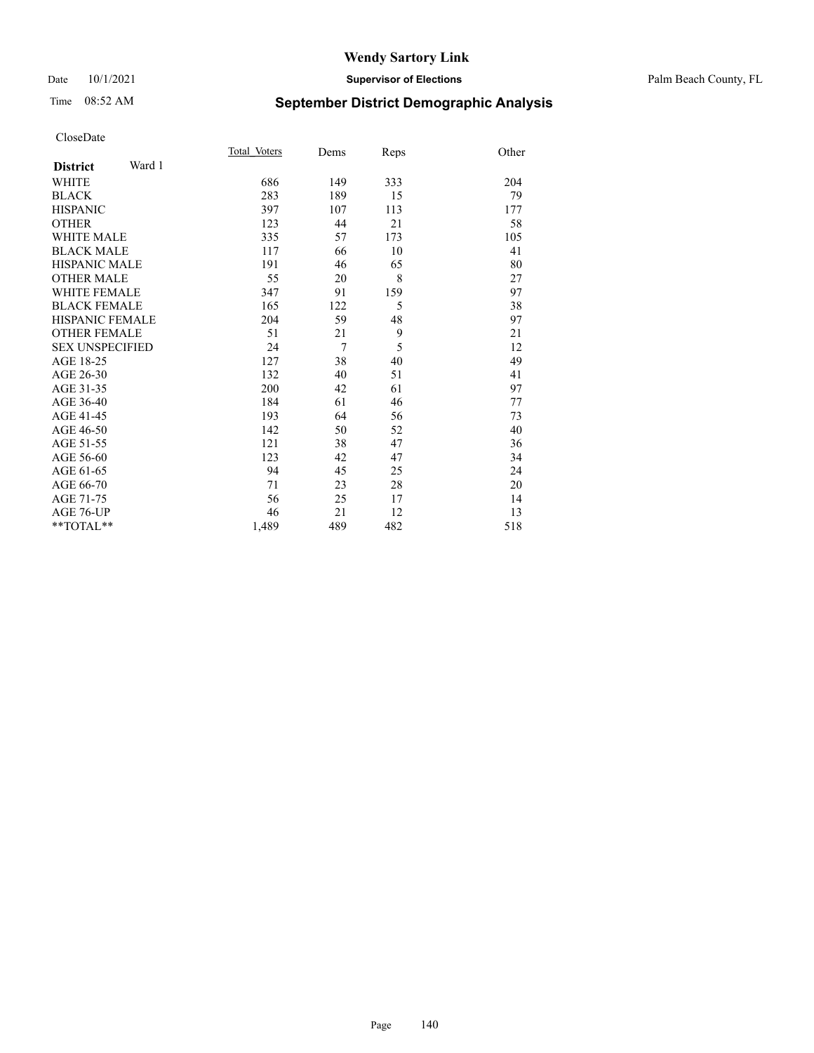#### Date 10/1/2021 **Supervisor of Elections** Palm Beach County, FL

# Time 08:52 AM **September District Demographic Analysis**

|                           | Total Voters | Dems           | Reps | Other |
|---------------------------|--------------|----------------|------|-------|
| Ward 1<br><b>District</b> |              |                |      |       |
| <b>WHITE</b>              | 686          | 149            | 333  | 204   |
| <b>BLACK</b>              | 283          | 189            | 15   | 79    |
| <b>HISPANIC</b>           | 397          | 107            | 113  | 177   |
| <b>OTHER</b>              | 123          | 44             | 21   | 58    |
| <b>WHITE MALE</b>         | 335          | 57             | 173  | 105   |
| <b>BLACK MALE</b>         | 117          | 66             | 10   | 41    |
| <b>HISPANIC MALE</b>      | 191          | 46             | 65   | 80    |
| <b>OTHER MALE</b>         | 55           | 20             | 8    | 27    |
| <b>WHITE FEMALE</b>       | 347          | 91             | 159  | 97    |
| <b>BLACK FEMALE</b>       | 165          | 122            | 5    | 38    |
| <b>HISPANIC FEMALE</b>    | 204          | 59             | 48   | 97    |
| <b>OTHER FEMALE</b>       | 51           | 21             | 9    | 21    |
| <b>SEX UNSPECIFIED</b>    | 24           | $\overline{7}$ | 5    | 12    |
| AGE 18-25                 | 127          | 38             | 40   | 49    |
| AGE 26-30                 | 132          | 40             | 51   | 41    |
| AGE 31-35                 | 200          | 42             | 61   | 97    |
| AGE 36-40                 | 184          | 61             | 46   | 77    |
| AGE 41-45                 | 193          | 64             | 56   | 73    |
| AGE 46-50                 | 142          | 50             | 52   | 40    |
| AGE 51-55                 | 121          | 38             | 47   | 36    |
| AGE 56-60                 | 123          | 42             | 47   | 34    |
| AGE 61-65                 | 94           | 45             | 25   | 24    |
| AGE 66-70                 | 71           | 23             | 28   | 20    |
| AGE 71-75                 | 56           | 25             | 17   | 14    |
| <b>AGE 76-UP</b>          | 46           | 21             | 12   | 13    |
| $*$ $TOTAL**$             | 1,489        | 489            | 482  | 518   |